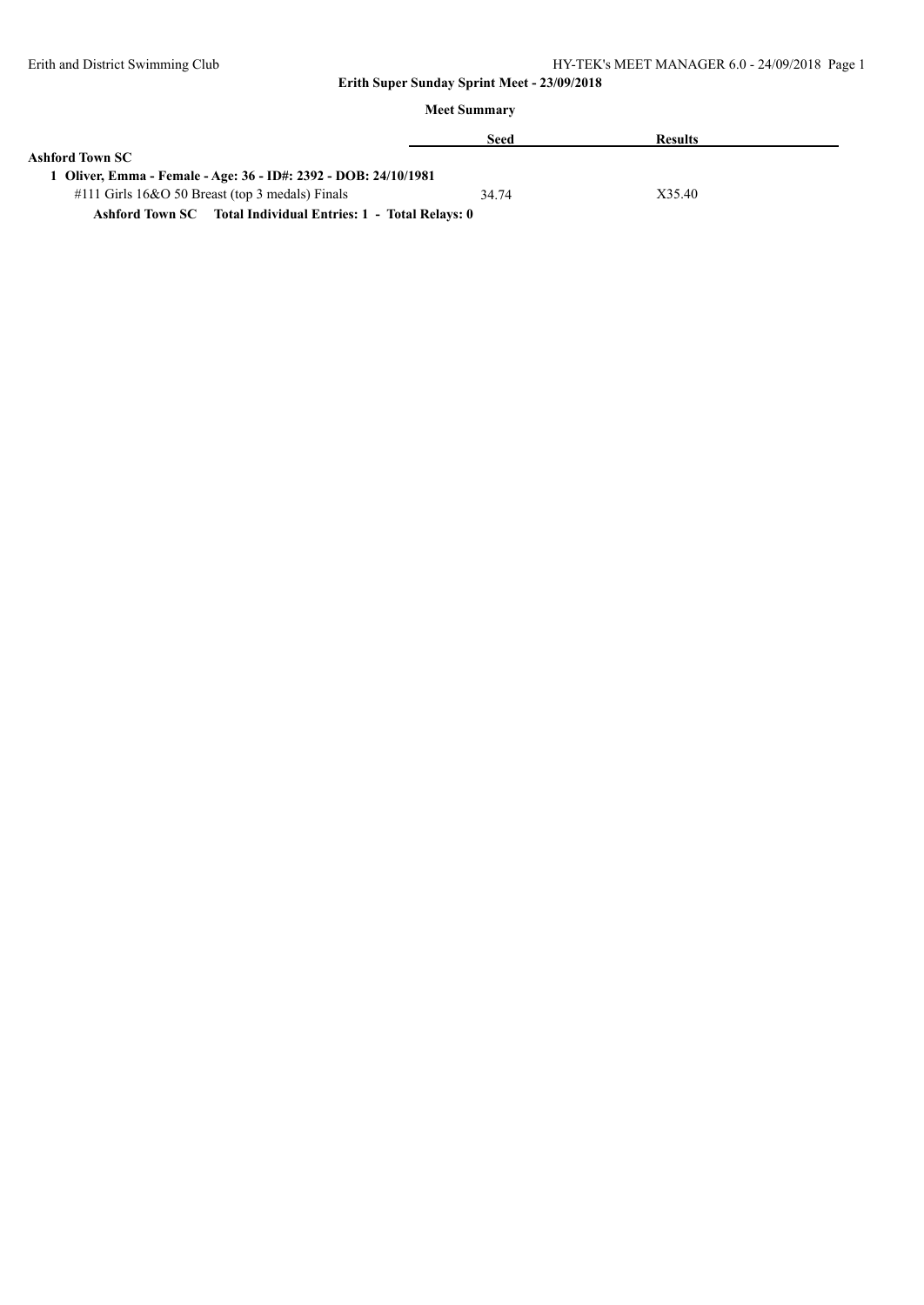|                                                               | Seed  | <b>Results</b> |  |  |  |
|---------------------------------------------------------------|-------|----------------|--|--|--|
| Ashford Town SC                                               |       |                |  |  |  |
| Oliver, Emma - Female - Age: 36 - ID#: 2392 - DOB: 24/10/1981 |       |                |  |  |  |
| $\#111$ Girls 16&O 50 Breast (top 3 medals) Finals            | 34.74 | X35.40         |  |  |  |
| Ashford Town SC Total Individual Entries: 1 - Total Relays: 0 |       |                |  |  |  |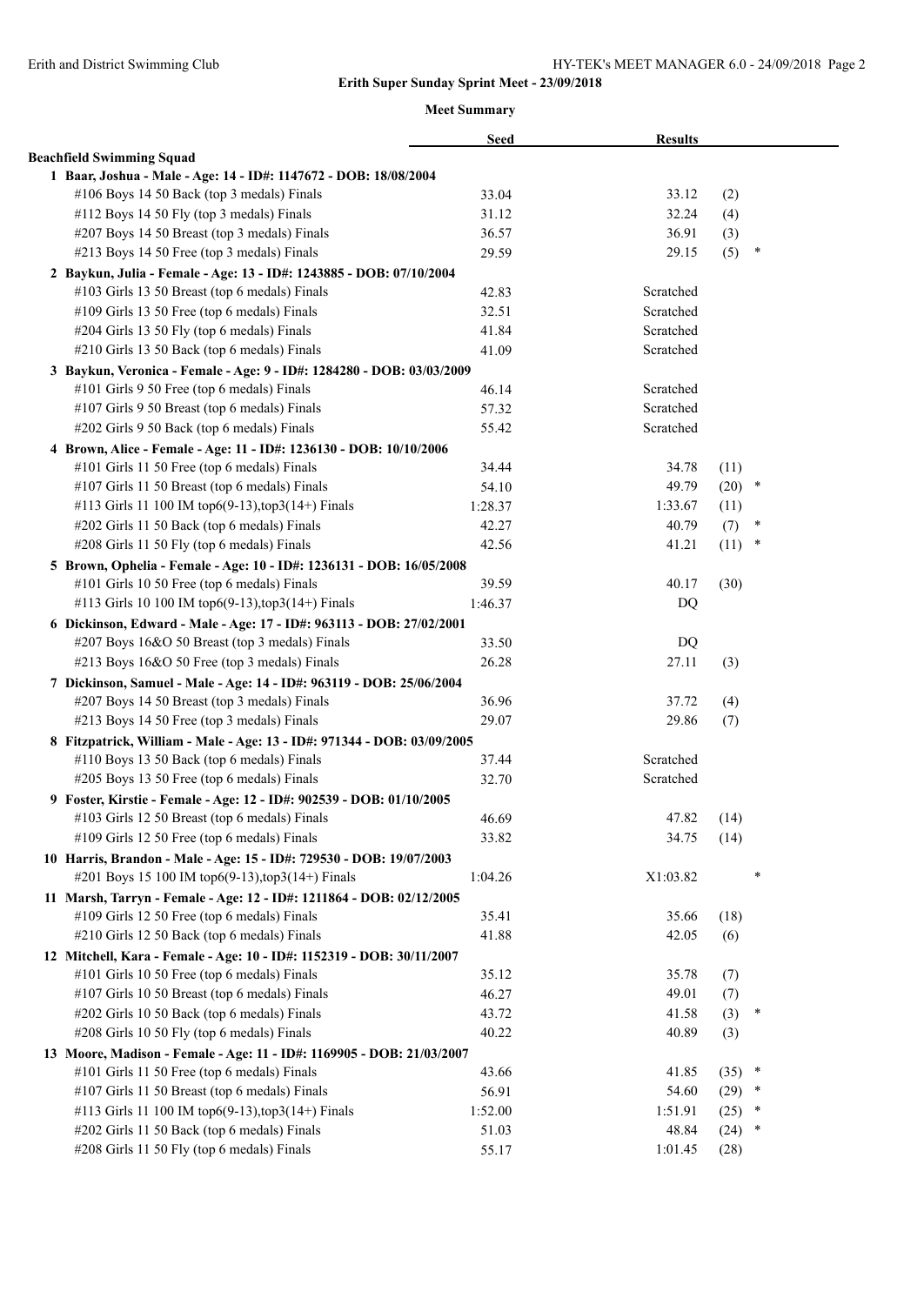|                                                                         | <b>Seed</b> | <b>Results</b> |      |        |  |
|-------------------------------------------------------------------------|-------------|----------------|------|--------|--|
| <b>Beachfield Swimming Squad</b>                                        |             |                |      |        |  |
| 1 Baar, Joshua - Male - Age: 14 - ID#: 1147672 - DOB: 18/08/2004        |             |                |      |        |  |
| #106 Boys 14 50 Back (top 3 medals) Finals                              | 33.04       | 33.12          | (2)  |        |  |
| #112 Boys 14 50 Fly (top 3 medals) Finals                               | 31.12       | 32.24          | (4)  |        |  |
| #207 Boys 14 50 Breast (top 3 medals) Finals                            | 36.57       | 36.91          | (3)  |        |  |
| #213 Boys 14 50 Free (top 3 medals) Finals                              | 29.59       | 29.15          | (5)  | ∗      |  |
| 2 Baykun, Julia - Female - Age: 13 - ID#: 1243885 - DOB: 07/10/2004     |             |                |      |        |  |
| #103 Girls 13 50 Breast (top 6 medals) Finals                           | 42.83       | Scratched      |      |        |  |
| #109 Girls 13 50 Free (top 6 medals) Finals                             | 32.51       | Scratched      |      |        |  |
| #204 Girls 13 50 Fly (top 6 medals) Finals                              | 41.84       | Scratched      |      |        |  |
| #210 Girls 13 50 Back (top 6 medals) Finals                             | 41.09       | Scratched      |      |        |  |
| 3 Baykun, Veronica - Female - Age: 9 - ID#: 1284280 - DOB: 03/03/2009   |             |                |      |        |  |
| #101 Girls 9 50 Free (top 6 medals) Finals                              | 46.14       | Scratched      |      |        |  |
| #107 Girls 9 50 Breast (top 6 medals) Finals                            | 57.32       | Scratched      |      |        |  |
| #202 Girls 9 50 Back (top 6 medals) Finals                              | 55.42       | Scratched      |      |        |  |
| 4 Brown, Alice - Female - Age: 11 - ID#: 1236130 - DOB: 10/10/2006      |             |                |      |        |  |
| #101 Girls 11 50 Free (top 6 medals) Finals                             | 34.44       | 34.78          | (11) |        |  |
| #107 Girls 11 50 Breast (top 6 medals) Finals                           | 54.10       | 49.79          | (20) | $\ast$ |  |
| #113 Girls 11 100 IM top6(9-13), top3(14+) Finals                       | 1:28.37     | 1:33.67        | (11) |        |  |
| #202 Girls 11 50 Back (top 6 medals) Finals                             | 42.27       | 40.79          | (7)  | ×      |  |
| #208 Girls 11 50 Fly (top 6 medals) Finals                              | 42.56       | 41.21          | (11) | $\ast$ |  |
| 5 Brown, Ophelia - Female - Age: 10 - ID#: 1236131 - DOB: 16/05/2008    |             |                |      |        |  |
| #101 Girls 10 50 Free (top 6 medals) Finals                             | 39.59       | 40.17          | (30) |        |  |
| #113 Girls 10 100 IM top6(9-13), top3(14+) Finals                       | 1:46.37     | DQ             |      |        |  |
| 6 Dickinson, Edward - Male - Age: 17 - ID#: 963113 - DOB: 27/02/2001    |             |                |      |        |  |
| #207 Boys 16&O 50 Breast (top 3 medals) Finals                          | 33.50       | DQ             |      |        |  |
| #213 Boys 16&O 50 Free (top 3 medals) Finals                            | 26.28       | 27.11          | (3)  |        |  |
| 7 Dickinson, Samuel - Male - Age: 14 - ID#: 963119 - DOB: 25/06/2004    |             |                |      |        |  |
| #207 Boys 14 50 Breast (top 3 medals) Finals                            | 36.96       | 37.72          | (4)  |        |  |
| #213 Boys 14 50 Free (top 3 medals) Finals                              | 29.07       | 29.86          | (7)  |        |  |
| 8 Fitzpatrick, William - Male - Age: 13 - ID#: 971344 - DOB: 03/09/2005 |             |                |      |        |  |
| #110 Boys 13 50 Back (top 6 medals) Finals                              | 37.44       | Scratched      |      |        |  |
| #205 Boys 13 50 Free (top 6 medals) Finals                              | 32.70       | Scratched      |      |        |  |
| 9 Foster, Kirstie - Female - Age: 12 - ID#: 902539 - DOB: 01/10/2005    |             |                |      |        |  |
| #103 Girls 12 50 Breast (top 6 medals) Finals                           | 46.69       | 47.82          | (14) |        |  |
| #109 Girls 12 50 Free (top 6 medals) Finals                             | 33.82       | 34.75          | (14) |        |  |
| 10 Harris, Brandon - Male - Age: 15 - ID#: 729530 - DOB: 19/07/2003     |             |                |      |        |  |
| #201 Boys 15 100 IM top6(9-13), top3(14+) Finals                        | 1:04.26     | X1:03.82       |      | *      |  |
| 11 Marsh, Tarryn - Female - Age: 12 - ID#: 1211864 - DOB: 02/12/2005    |             |                |      |        |  |
| #109 Girls 12 50 Free (top 6 medals) Finals                             | 35.41       | 35.66          | (18) |        |  |
| #210 Girls 12 50 Back (top 6 medals) Finals                             | 41.88       | 42.05          | (6)  |        |  |
| 12 Mitchell, Kara - Female - Age: 10 - ID#: 1152319 - DOB: 30/11/2007   |             |                |      |        |  |
| #101 Girls 10 50 Free (top 6 medals) Finals                             | 35.12       | 35.78          | (7)  |        |  |
| #107 Girls 10 50 Breast (top 6 medals) Finals                           | 46.27       | 49.01          | (7)  |        |  |
| #202 Girls 10 50 Back (top 6 medals) Finals                             | 43.72       | 41.58          | (3)  | ∗      |  |
| #208 Girls 10 50 Fly (top 6 medals) Finals                              | 40.22       | 40.89          | (3)  |        |  |
| 13 Moore, Madison - Female - Age: 11 - ID#: 1169905 - DOB: 21/03/2007   |             |                |      |        |  |
| #101 Girls 11 50 Free (top 6 medals) Finals                             | 43.66       | 41.85          | (35) | ×      |  |
| #107 Girls 11 50 Breast (top 6 medals) Finals                           | 56.91       | 54.60          | (29) | $\ast$ |  |
| #113 Girls 11 100 IM top6(9-13), top3(14+) Finals                       | 1:52.00     | 1:51.91        | (25) | ×      |  |
| #202 Girls 11 50 Back (top 6 medals) Finals                             | 51.03       | 48.84          | (24) | ×      |  |
| #208 Girls 11 50 Fly (top 6 medals) Finals                              | 55.17       | 1:01.45        | (28) |        |  |
|                                                                         |             |                |      |        |  |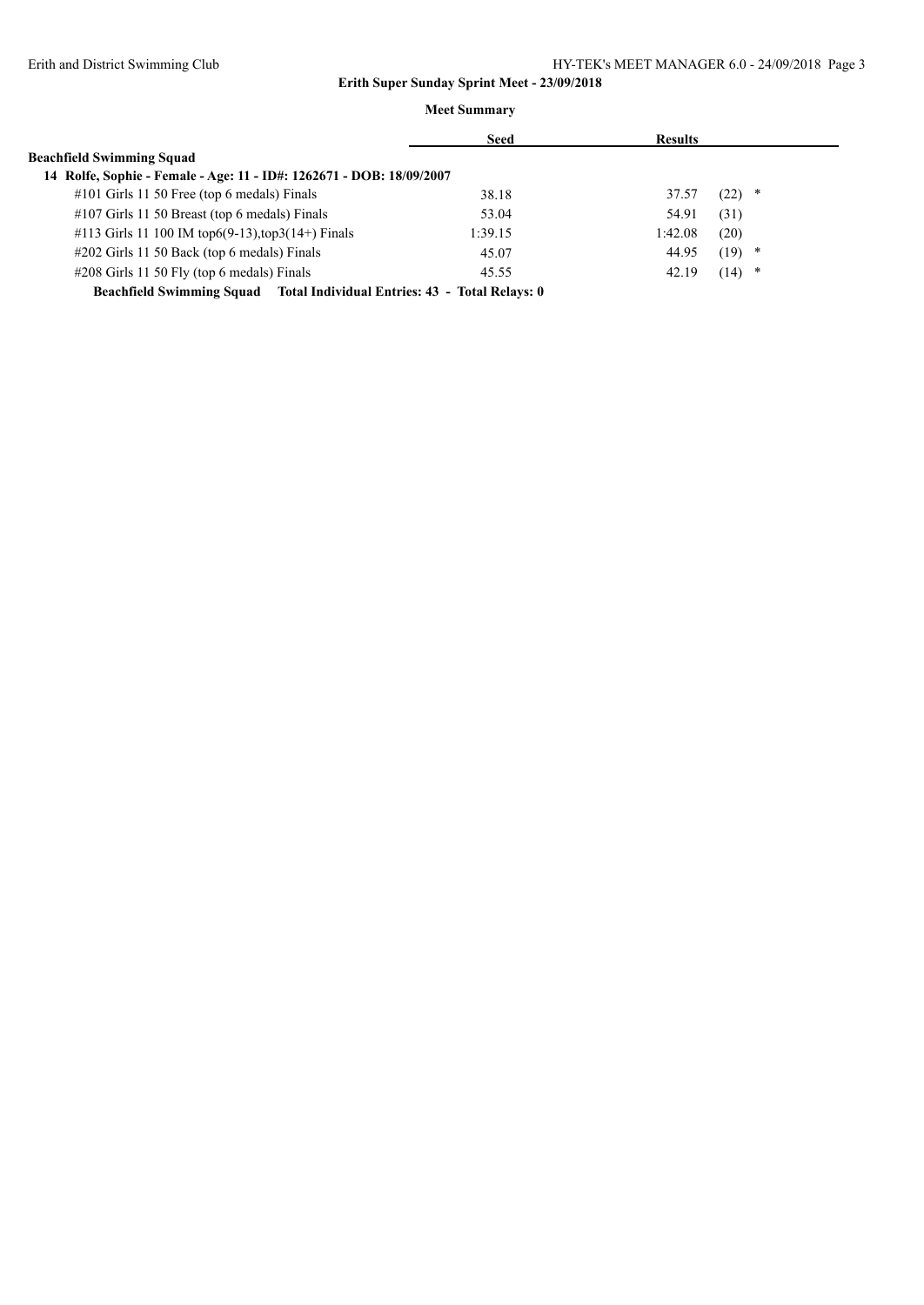|                                                                          | <b>Seed</b> | <b>Results</b> |           |
|--------------------------------------------------------------------------|-------------|----------------|-----------|
| <b>Beachfield Swimming Squad</b>                                         |             |                |           |
| 14 Rolfe, Sophie - Female - Age: 11 - ID#: 1262671 - DOB: 18/09/2007     |             |                |           |
| #101 Girls 11 50 Free (top 6 medals) Finals                              | 38.18       | 37.57          | (22)<br>∗ |
| $\#107$ Girls 11 50 Breast (top 6 medals) Finals                         | 53.04       | 54.91          | (31)      |
| #113 Girls 11 100 IM top6(9-13), top3(14+) Finals                        | 1:39.15     | 1:42.08        | (20)      |
| $\#202$ Girls 11 50 Back (top 6 medals) Finals                           | 45.07       | 44.95          | (19)<br>* |
| #208 Girls 11 50 Fly (top 6 medals) Finals                               | 45.55       | 42.19          | (14)<br>* |
| Beachfield Swimming Squad Total Individual Entries: 43 - Total Relays: 0 |             |                |           |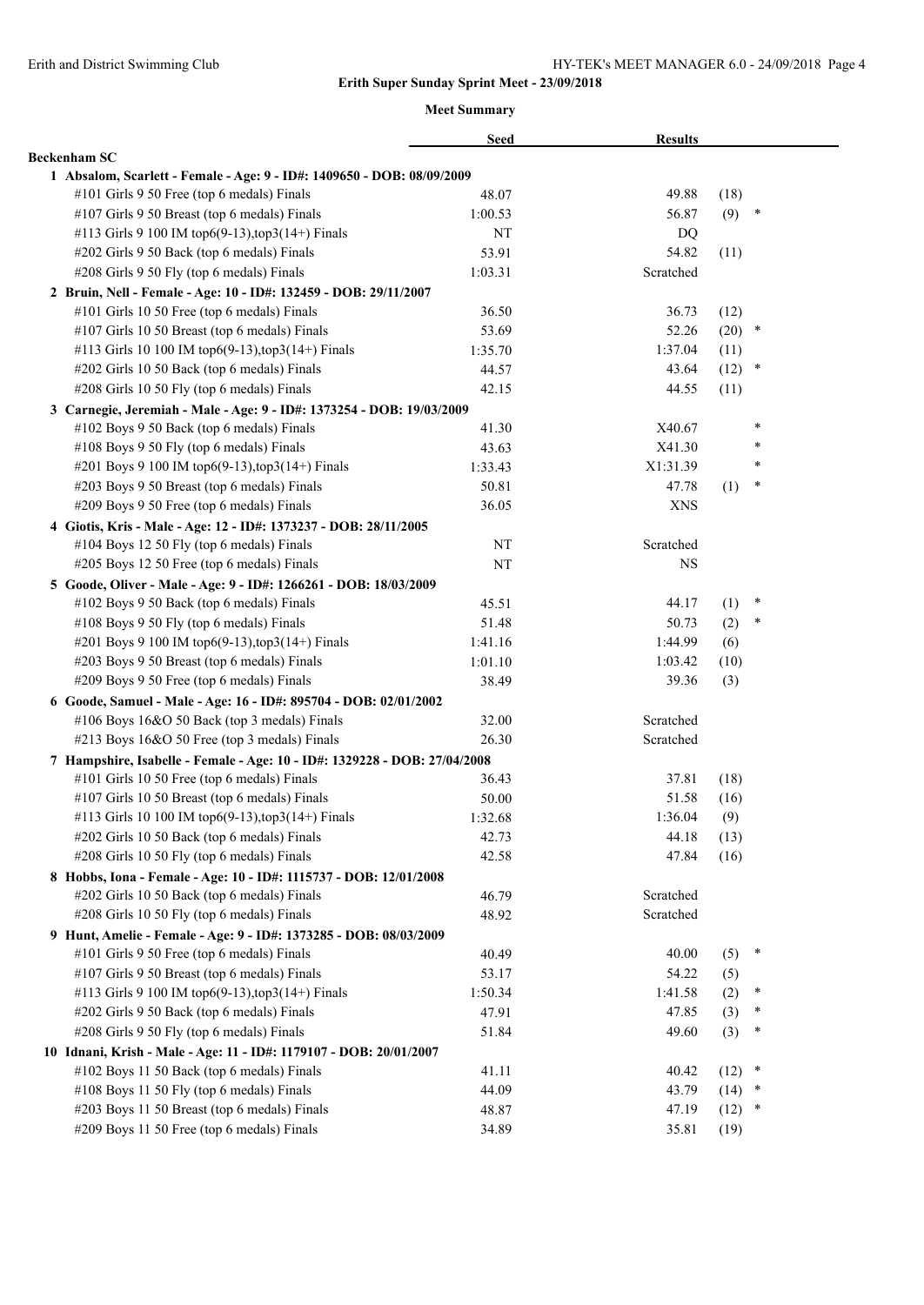|                                                                           | <b>Seed</b> | <b>Results</b> |          |        |
|---------------------------------------------------------------------------|-------------|----------------|----------|--------|
| <b>Beckenham SC</b>                                                       |             |                |          |        |
| 1 Absalom, Scarlett - Female - Age: 9 - ID#: 1409650 - DOB: 08/09/2009    |             |                |          |        |
| #101 Girls 9 50 Free (top 6 medals) Finals                                | 48.07       | 49.88          | (18)     |        |
| #107 Girls 9 50 Breast (top 6 medals) Finals                              | 1:00.53     | 56.87          | (9)      | ∗      |
| #113 Girls 9 100 IM top6(9-13), top3(14+) Finals                          | NT          | DQ             |          |        |
| #202 Girls 9 50 Back (top 6 medals) Finals                                | 53.91       | 54.82          | (11)     |        |
| #208 Girls 9 50 Fly (top 6 medals) Finals                                 | 1:03.31     | Scratched      |          |        |
| 2 Bruin, Nell - Female - Age: 10 - ID#: 132459 - DOB: 29/11/2007          |             |                |          |        |
| #101 Girls 10 50 Free (top 6 medals) Finals                               | 36.50       | 36.73          | (12)     |        |
| #107 Girls 10 50 Breast (top 6 medals) Finals                             | 53.69       | 52.26          | $(20)$ * |        |
| #113 Girls 10 100 IM top6(9-13), top3(14+) Finals                         | 1:35.70     | 1:37.04        | (11)     |        |
| #202 Girls 10 50 Back (top 6 medals) Finals                               | 44.57       | 43.64          | (12)     | $\ast$ |
| #208 Girls 10 50 Fly (top 6 medals) Finals                                | 42.15       | 44.55          | (11)     |        |
| 3 Carnegie, Jeremiah - Male - Age: 9 - ID#: 1373254 - DOB: 19/03/2009     |             |                |          |        |
| #102 Boys 9 50 Back (top 6 medals) Finals                                 | 41.30       | X40.67         |          | $\ast$ |
| #108 Boys 9 50 Fly (top 6 medals) Finals                                  | 43.63       | X41.30         |          | $\ast$ |
| #201 Boys 9 100 IM top6(9-13), top3(14+) Finals                           | 1:33.43     | X1:31.39       |          | $\ast$ |
| #203 Boys 9 50 Breast (top 6 medals) Finals                               | 50.81       | 47.78          | (1)      | $\ast$ |
| #209 Boys 9 50 Free (top 6 medals) Finals                                 | 36.05       | <b>XNS</b>     |          |        |
| 4 Giotis, Kris - Male - Age: 12 - ID#: 1373237 - DOB: 28/11/2005          |             |                |          |        |
| #104 Boys 12 50 Fly (top 6 medals) Finals                                 | NT          | Scratched      |          |        |
| #205 Boys 12 50 Free (top 6 medals) Finals                                | NT          | <b>NS</b>      |          |        |
| 5 Goode, Oliver - Male - Age: 9 - ID#: 1266261 - DOB: 18/03/2009          |             |                |          |        |
| #102 Boys 9 50 Back (top 6 medals) Finals                                 | 45.51       | 44.17          | (1)      | ×      |
| #108 Boys 9 50 Fly (top 6 medals) Finals                                  | 51.48       | 50.73          | (2)      | ∗      |
| #201 Boys 9 100 IM top6(9-13), top3(14+) Finals                           | 1:41.16     | 1:44.99        | (6)      |        |
| #203 Boys 9 50 Breast (top 6 medals) Finals                               | 1:01.10     | 1:03.42        | (10)     |        |
| #209 Boys 9 50 Free (top 6 medals) Finals                                 | 38.49       | 39.36          | (3)      |        |
| 6 Goode, Samuel - Male - Age: 16 - ID#: 895704 - DOB: 02/01/2002          |             |                |          |        |
| #106 Boys 16&O 50 Back (top 3 medals) Finals                              | 32.00       | Scratched      |          |        |
| #213 Boys 16&O 50 Free (top 3 medals) Finals                              | 26.30       | Scratched      |          |        |
| 7 Hampshire, Isabelle - Female - Age: 10 - ID#: 1329228 - DOB: 27/04/2008 |             |                |          |        |
| #101 Girls 10 50 Free (top 6 medals) Finals                               | 36.43       | 37.81          | (18)     |        |
| #107 Girls 10 50 Breast (top 6 medals) Finals                             | 50.00       | 51.58          | (16)     |        |
| #113 Girls 10 100 IM top6(9-13),top3(14+) Finals                          | 1:32.68     | 1:36.04        | (9)      |        |
| #202 Girls 10 50 Back (top 6 medals) Finals                               | 42.73       | 44.18          | (13)     |        |
| #208 Girls 10 50 Fly (top 6 medals) Finals                                | 42.58       | 47.84          | (16)     |        |
| 8 Hobbs, Iona - Female - Age: 10 - ID#: 1115737 - DOB: 12/01/2008         |             |                |          |        |
| #202 Girls 10 50 Back (top 6 medals) Finals                               | 46.79       | Scratched      |          |        |
| #208 Girls 10 50 Fly (top 6 medals) Finals                                | 48.92       | Scratched      |          |        |
| 9 Hunt, Amelie - Female - Age: 9 - ID#: 1373285 - DOB: 08/03/2009         |             |                |          |        |
| #101 Girls 9 50 Free (top 6 medals) Finals                                | 40.49       | 40.00          | (5)      | ×      |
| #107 Girls 9 50 Breast (top 6 medals) Finals                              | 53.17       | 54.22          | (5)      |        |
| #113 Girls 9 100 IM top6(9-13), top3(14+) Finals                          | 1:50.34     | 1:41.58        | (2)      | ∗      |
| #202 Girls 9 50 Back (top 6 medals) Finals                                | 47.91       | 47.85          | (3)      | $\ast$ |
| #208 Girls 9 50 Fly (top 6 medals) Finals                                 | 51.84       | 49.60          | (3)      | $\ast$ |
| 10 Idnani, Krish - Male - Age: 11 - ID#: 1179107 - DOB: 20/01/2007        |             |                |          |        |
| #102 Boys 11 50 Back (top 6 medals) Finals                                | 41.11       | 40.42          | (12)     | $\ast$ |
| #108 Boys 11 50 Fly (top 6 medals) Finals                                 | 44.09       | 43.79          | (14)     | $\ast$ |
| #203 Boys 11 50 Breast (top 6 medals) Finals                              | 48.87       | 47.19          | $(12)$ * |        |
| #209 Boys 11 50 Free (top 6 medals) Finals                                | 34.89       | 35.81          | (19)     |        |
|                                                                           |             |                |          |        |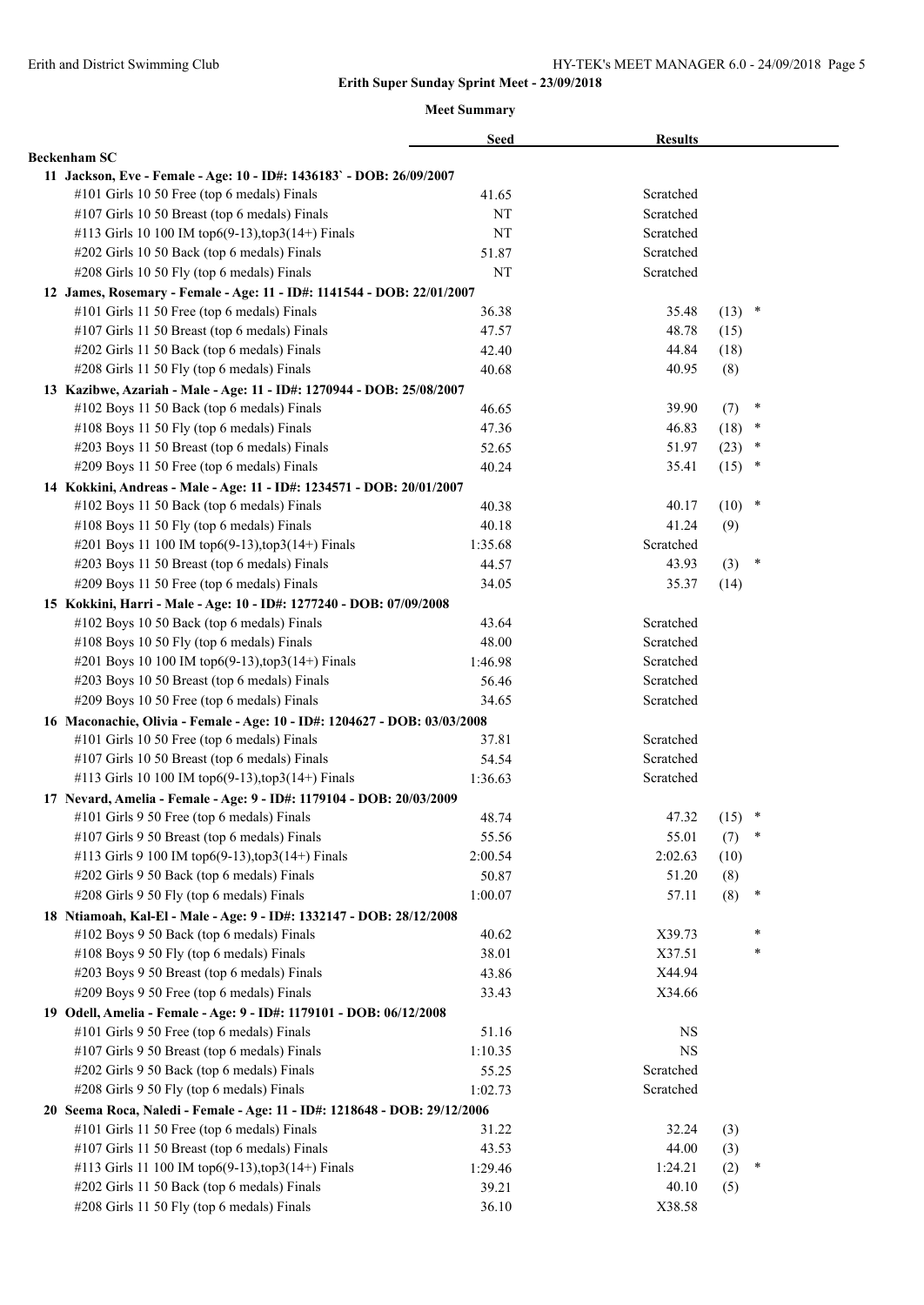|                                                                           | <b>Seed</b> | <b>Results</b> |          |        |  |
|---------------------------------------------------------------------------|-------------|----------------|----------|--------|--|
| <b>Beckenham SC</b>                                                       |             |                |          |        |  |
| 11 Jackson, Eve - Female - Age: 10 - ID#: 1436183` - DOB: 26/09/2007      |             |                |          |        |  |
| #101 Girls 10 50 Free (top 6 medals) Finals                               | 41.65       | Scratched      |          |        |  |
| #107 Girls 10 50 Breast (top 6 medals) Finals                             | NΤ          | Scratched      |          |        |  |
| #113 Girls 10 100 IM top6(9-13), top3(14+) Finals                         | NT          | Scratched      |          |        |  |
| #202 Girls 10 50 Back (top 6 medals) Finals                               | 51.87       | Scratched      |          |        |  |
| #208 Girls 10 50 Fly (top 6 medals) Finals                                | NT          | Scratched      |          |        |  |
| 12 James, Rosemary - Female - Age: 11 - ID#: 1141544 - DOB: 22/01/2007    |             |                |          |        |  |
| #101 Girls 11 50 Free (top 6 medals) Finals                               | 36.38       | 35.48          | $(13)$ * |        |  |
| #107 Girls 11 50 Breast (top 6 medals) Finals                             | 47.57       | 48.78          | (15)     |        |  |
| #202 Girls 11 50 Back (top 6 medals) Finals                               | 42.40       | 44.84          | (18)     |        |  |
| #208 Girls 11 50 Fly (top 6 medals) Finals                                | 40.68       | 40.95          | (8)      |        |  |
| 13 Kazibwe, Azariah - Male - Age: 11 - ID#: 1270944 - DOB: 25/08/2007     |             |                |          |        |  |
| #102 Boys 11 50 Back (top 6 medals) Finals                                | 46.65       | 39.90          | (7)      | $\ast$ |  |
| #108 Boys 11 50 Fly (top 6 medals) Finals                                 | 47.36       | 46.83          | $(18)$ * |        |  |
| #203 Boys 11 50 Breast (top 6 medals) Finals                              | 52.65       | 51.97          | $(23)$ * |        |  |
| #209 Boys 11 50 Free (top 6 medals) Finals                                | 40.24       | 35.41          | $(15)$ * |        |  |
| 14 Kokkini, Andreas - Male - Age: 11 - ID#: 1234571 - DOB: 20/01/2007     |             |                |          |        |  |
| #102 Boys 11 50 Back (top 6 medals) Finals                                | 40.38       | 40.17          | $(10)$ * |        |  |
| #108 Boys 11 50 Fly (top 6 medals) Finals                                 | 40.18       | 41.24          | (9)      |        |  |
| #201 Boys 11 100 IM top6(9-13), top3(14+) Finals                          | 1:35.68     | Scratched      |          |        |  |
| #203 Boys 11 50 Breast (top 6 medals) Finals                              | 44.57       | 43.93          | (3)      | $\ast$ |  |
| $\#209$ Boys 11 50 Free (top 6 medals) Finals                             | 34.05       | 35.37          | (14)     |        |  |
| 15 Kokkini, Harri - Male - Age: 10 - ID#: 1277240 - DOB: 07/09/2008       |             |                |          |        |  |
| #102 Boys 10 50 Back (top 6 medals) Finals                                | 43.64       | Scratched      |          |        |  |
| #108 Boys 10 50 Fly (top 6 medals) Finals                                 | 48.00       | Scratched      |          |        |  |
| #201 Boys 10 100 IM top6(9-13), top3(14+) Finals                          | 1:46.98     | Scratched      |          |        |  |
| #203 Boys 10 50 Breast (top 6 medals) Finals                              | 56.46       | Scratched      |          |        |  |
| #209 Boys 10 50 Free (top 6 medals) Finals                                | 34.65       | Scratched      |          |        |  |
| 16 Maconachie, Olivia - Female - Age: 10 - ID#: 1204627 - DOB: 03/03/2008 |             |                |          |        |  |
| #101 Girls 10 50 Free (top 6 medals) Finals                               | 37.81       | Scratched      |          |        |  |
| #107 Girls 10 50 Breast (top 6 medals) Finals                             | 54.54       | Scratched      |          |        |  |
| #113 Girls 10 100 IM top6(9-13), top3(14+) Finals                         | 1:36.63     | Scratched      |          |        |  |
| 17 Nevard, Amelia - Female - Age: 9 - ID#: 1179104 - DOB: 20/03/2009      |             |                |          |        |  |
| #101 Girls 9 50 Free (top 6 medals) Finals                                | 48.74       | 47.32          | (15)     | $\ast$ |  |
| #107 Girls 9 50 Breast (top 6 medals) Finals                              | 55.56       | 55.01          | (7)      | $\ast$ |  |
| #113 Girls 9 100 IM top6(9-13), top3(14+) Finals                          | 2:00.54     | 2:02.63        | (10)     |        |  |
| #202 Girls 9 50 Back (top 6 medals) Finals                                | 50.87       | 51.20          | (8)      |        |  |
| #208 Girls 9 50 Fly (top 6 medals) Finals                                 | 1:00.07     | 57.11          | (8)      | $\ast$ |  |
| 18 Ntiamoah, Kal-El - Male - Age: 9 - ID#: 1332147 - DOB: 28/12/2008      |             |                |          |        |  |
| #102 Boys 9 50 Back (top 6 medals) Finals                                 | 40.62       | X39.73         |          | *      |  |
| #108 Boys 9 50 Fly (top 6 medals) Finals                                  | 38.01       | X37.51         |          | $\ast$ |  |
| #203 Boys 9 50 Breast (top 6 medals) Finals                               | 43.86       | X44.94         |          |        |  |
| #209 Boys 9 50 Free (top 6 medals) Finals                                 | 33.43       | X34.66         |          |        |  |
| 19 Odell, Amelia - Female - Age: 9 - ID#: 1179101 - DOB: 06/12/2008       |             |                |          |        |  |
| #101 Girls 9 50 Free (top 6 medals) Finals                                | 51.16       | NS             |          |        |  |
| #107 Girls 9 50 Breast (top 6 medals) Finals                              | 1:10.35     | <b>NS</b>      |          |        |  |
| #202 Girls 9 50 Back (top 6 medals) Finals                                | 55.25       | Scratched      |          |        |  |
| #208 Girls 9 50 Fly (top 6 medals) Finals                                 | 1:02.73     | Scratched      |          |        |  |
| 20 Seema Roca, Naledi - Female - Age: 11 - ID#: 1218648 - DOB: 29/12/2006 |             |                |          |        |  |
| #101 Girls 11 50 Free (top 6 medals) Finals                               | 31.22       | 32.24          | (3)      |        |  |
| #107 Girls 11 50 Breast (top 6 medals) Finals                             | 43.53       | 44.00          | (3)      |        |  |
| #113 Girls 11 100 IM top6(9-13),top3(14+) Finals                          | 1:29.46     | 1:24.21        | (2)      | $\ast$ |  |
| #202 Girls 11 50 Back (top 6 medals) Finals                               | 39.21       | 40.10          | (5)      |        |  |
| #208 Girls 11 50 Fly (top 6 medals) Finals                                | 36.10       | X38.58         |          |        |  |
|                                                                           |             |                |          |        |  |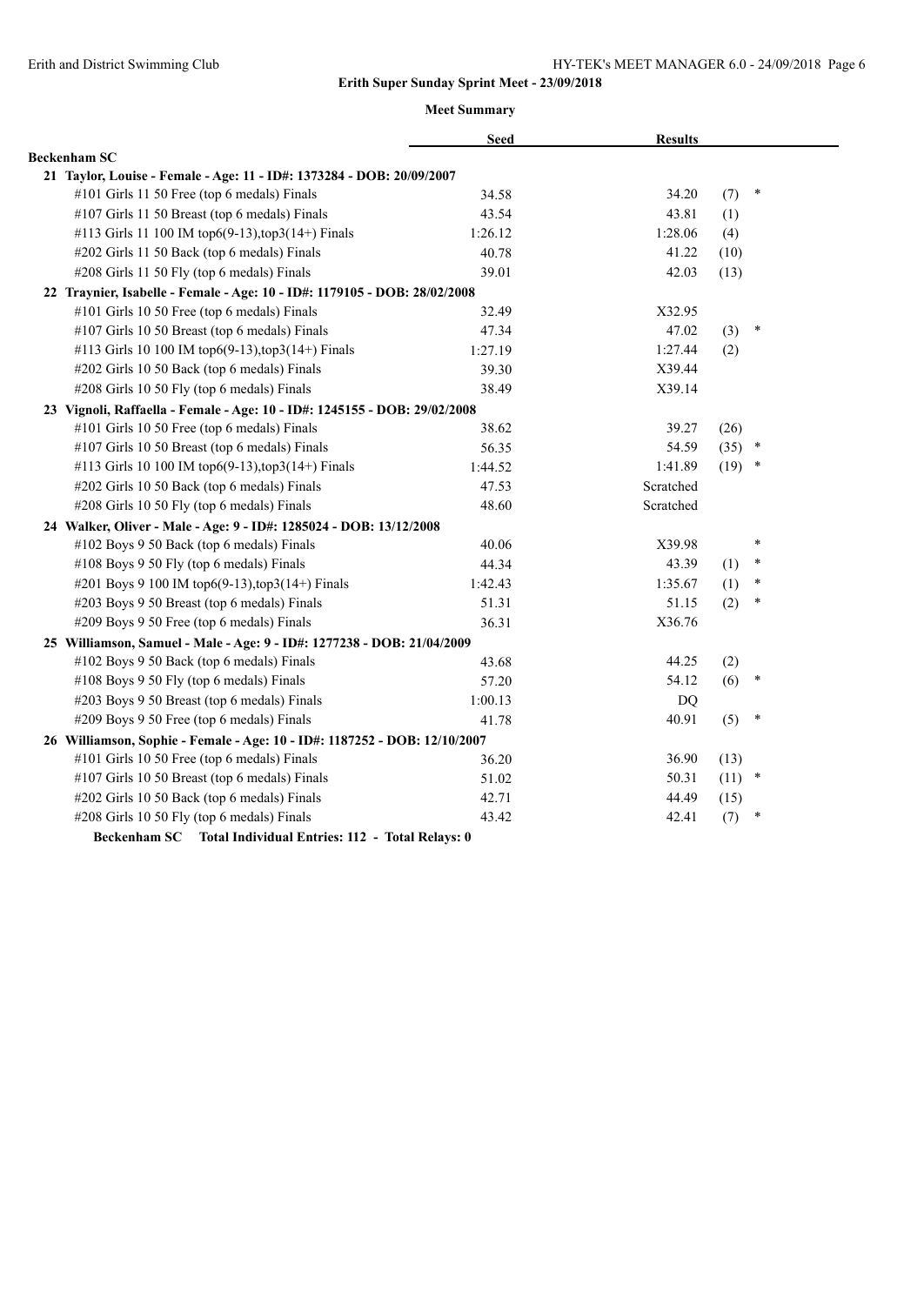|                                                                           | <b>Seed</b> | <b>Results</b> |          |        |
|---------------------------------------------------------------------------|-------------|----------------|----------|--------|
| <b>Beckenham SC</b>                                                       |             |                |          |        |
| 21 Taylor, Louise - Female - Age: 11 - ID#: 1373284 - DOB: 20/09/2007     |             |                |          |        |
| #101 Girls 11 50 Free (top 6 medals) Finals                               | 34.58       | 34.20          | (7)      | $\ast$ |
| #107 Girls 11 50 Breast (top 6 medals) Finals                             | 43.54       | 43.81          | (1)      |        |
| #113 Girls 11 100 IM top6(9-13),top3(14+) Finals                          | 1:26.12     | 1:28.06        | (4)      |        |
| #202 Girls 11 50 Back (top 6 medals) Finals                               | 40.78       | 41.22          | (10)     |        |
| #208 Girls 11 50 Fly (top 6 medals) Finals                                | 39.01       | 42.03          | (13)     |        |
| 22 Traynier, Isabelle - Female - Age: 10 - ID#: 1179105 - DOB: 28/02/2008 |             |                |          |        |
| #101 Girls 10 50 Free (top 6 medals) Finals                               | 32.49       | X32.95         |          |        |
| #107 Girls 10 50 Breast (top 6 medals) Finals                             | 47.34       | 47.02          | (3)      | $\ast$ |
| #113 Girls 10 100 IM top6(9-13), top3(14+) Finals                         | 1:27.19     | 1:27.44        | (2)      |        |
| #202 Girls 10 50 Back (top 6 medals) Finals                               | 39.30       | X39.44         |          |        |
| #208 Girls 10 50 Fly (top 6 medals) Finals                                | 38.49       | X39.14         |          |        |
| 23 Vignoli, Raffaella - Female - Age: 10 - ID#: 1245155 - DOB: 29/02/2008 |             |                |          |        |
| #101 Girls 10 50 Free (top 6 medals) Finals                               | 38.62       | 39.27          | (26)     |        |
| #107 Girls 10 50 Breast (top 6 medals) Finals                             | 56.35       | 54.59          | $(35)$ * |        |
| #113 Girls 10 100 IM top6(9-13),top3(14+) Finals                          | 1:44.52     | 1:41.89        | $(19)$ * |        |
| #202 Girls 10 50 Back (top 6 medals) Finals                               | 47.53       | Scratched      |          |        |
| #208 Girls 10 50 Fly (top 6 medals) Finals                                | 48.60       | Scratched      |          |        |
| 24 Walker, Oliver - Male - Age: 9 - ID#: 1285024 - DOB: 13/12/2008        |             |                |          |        |
| #102 Boys 9 50 Back (top 6 medals) Finals                                 | 40.06       | X39.98         |          | $\ast$ |
| #108 Boys 9 50 Fly (top 6 medals) Finals                                  | 44.34       | 43.39          | (1)      | *      |
| #201 Boys 9 100 IM top6(9-13), top3(14+) Finals                           | 1:42.43     | 1:35.67        | (1)      | $\ast$ |
| #203 Boys 9 50 Breast (top 6 medals) Finals                               | 51.31       | 51.15          | (2)      | $\ast$ |
| #209 Boys 9 50 Free (top 6 medals) Finals                                 | 36.31       | X36.76         |          |        |
| 25 Williamson, Samuel - Male - Age: 9 - ID#: 1277238 - DOB: 21/04/2009    |             |                |          |        |
| #102 Boys 9 50 Back (top 6 medals) Finals                                 | 43.68       | 44.25          | (2)      |        |
| #108 Boys 9 50 Fly (top 6 medals) Finals                                  | 57.20       | 54.12          | (6)      | $\ast$ |
| #203 Boys 9 50 Breast (top 6 medals) Finals                               | 1:00.13     | DQ             |          |        |
| #209 Boys 9 50 Free (top 6 medals) Finals                                 | 41.78       | 40.91          | (5)      | $\ast$ |
| 26 Williamson, Sophie - Female - Age: 10 - ID#: 1187252 - DOB: 12/10/2007 |             |                |          |        |
| #101 Girls 10 50 Free (top 6 medals) Finals                               | 36.20       | 36.90          | (13)     |        |
| #107 Girls 10 50 Breast (top 6 medals) Finals                             | 51.02       | 50.31          | $(11)$ * |        |
| #202 Girls 10 50 Back (top 6 medals) Finals                               | 42.71       | 44.49          | (15)     |        |
| #208 Girls 10 50 Fly (top 6 medals) Finals                                | 43.42       | 42.41          | (7)      | *      |
| Beckenham SC Total Individual Entries: 112 - Total Relays: 0              |             |                |          |        |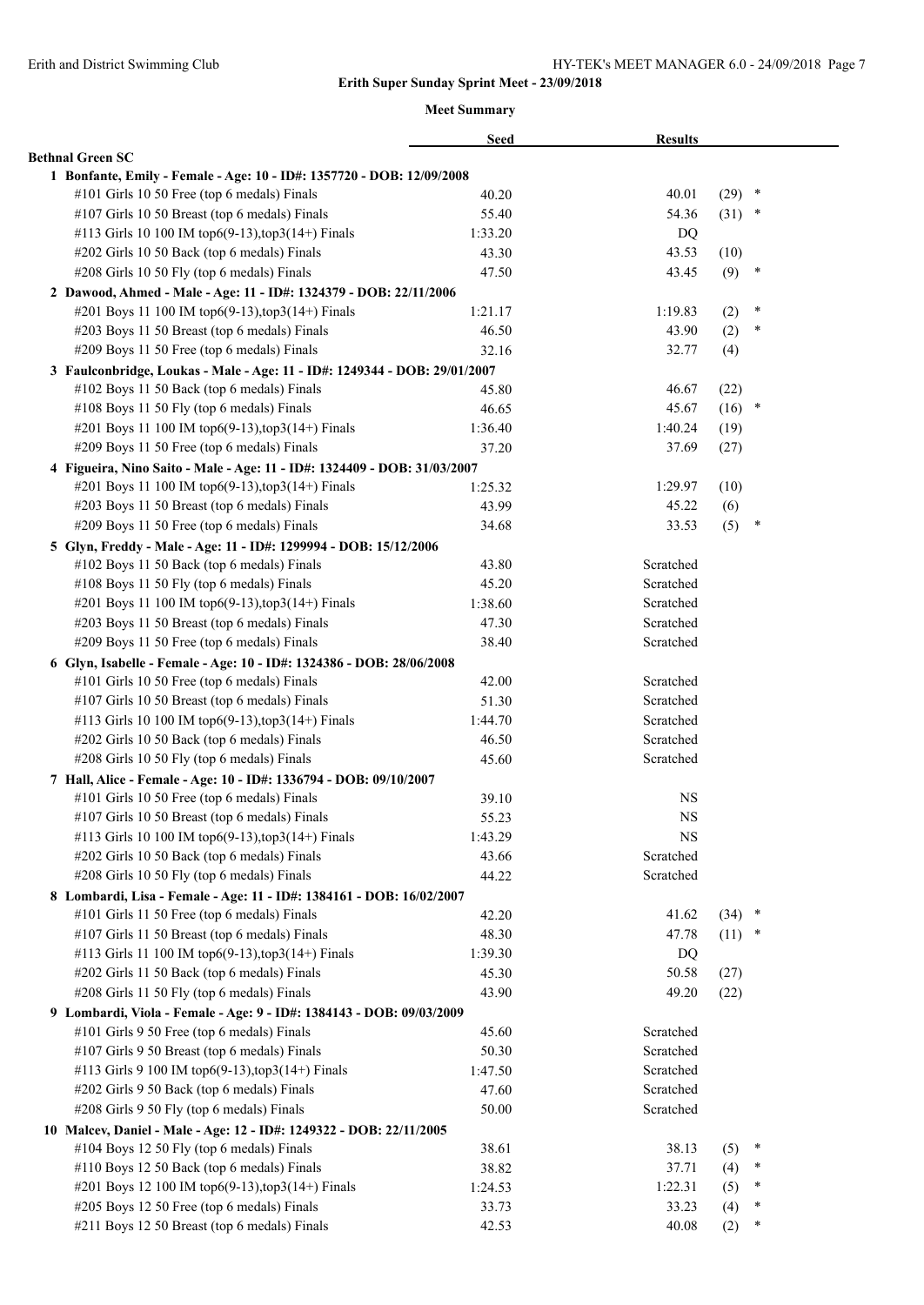|                                                                           | <b>Seed</b> | <b>Results</b> |          |        |
|---------------------------------------------------------------------------|-------------|----------------|----------|--------|
| <b>Bethnal Green SC</b>                                                   |             |                |          |        |
| 1 Bonfante, Emily - Female - Age: 10 - ID#: 1357720 - DOB: 12/09/2008     |             |                |          |        |
| #101 Girls 10 50 Free (top 6 medals) Finals                               | 40.20       | 40.01          | $(29)$ * |        |
| #107 Girls 10 50 Breast (top 6 medals) Finals                             | 55.40       | 54.36          | $(31)$ * |        |
| #113 Girls 10 100 IM top6(9-13), top3(14+) Finals                         | 1:33.20     | DQ             |          |        |
| #202 Girls 10 50 Back (top 6 medals) Finals                               | 43.30       | 43.53          | (10)     |        |
| #208 Girls 10 50 Fly (top 6 medals) Finals                                | 47.50       | 43.45          | (9)      | $\ast$ |
| 2 Dawood, Ahmed - Male - Age: 11 - ID#: 1324379 - DOB: 22/11/2006         |             |                |          |        |
| #201 Boys 11 100 IM top6(9-13), top3(14+) Finals                          | 1:21.17     | 1:19.83        | (2)      | $\ast$ |
| #203 Boys 11 50 Breast (top 6 medals) Finals                              | 46.50       | 43.90          | (2)      | $\ast$ |
| #209 Boys 11 50 Free (top 6 medals) Finals                                | 32.16       | 32.77          | (4)      |        |
| 3 Faulconbridge, Loukas - Male - Age: 11 - ID#: 1249344 - DOB: 29/01/2007 |             |                |          |        |
| #102 Boys 11 50 Back (top 6 medals) Finals                                | 45.80       | 46.67          | (22)     |        |
| #108 Boys 11 50 Fly (top 6 medals) Finals                                 | 46.65       | 45.67          | (16)     | $\ast$ |
| #201 Boys 11 100 IM top6(9-13), top3(14+) Finals                          | 1:36.40     | 1:40.24        | (19)     |        |
| #209 Boys 11 50 Free (top 6 medals) Finals                                | 37.20       | 37.69          | (27)     |        |
| 4 Figueira, Nino Saito - Male - Age: 11 - ID#: 1324409 - DOB: 31/03/2007  |             |                |          |        |
| #201 Boys 11 100 IM top6(9-13),top3(14+) Finals                           | 1:25.32     | 1:29.97        | (10)     |        |
| #203 Boys 11 50 Breast (top 6 medals) Finals                              | 43.99       | 45.22          | (6)      |        |
| #209 Boys 11 50 Free (top 6 medals) Finals                                | 34.68       | 33.53          | (5)      | ×      |
| 5 Glyn, Freddy - Male - Age: 11 - ID#: 1299994 - DOB: 15/12/2006          |             |                |          |        |
| #102 Boys 11 50 Back (top 6 medals) Finals                                | 43.80       | Scratched      |          |        |
| #108 Boys 11 50 Fly (top 6 medals) Finals                                 | 45.20       | Scratched      |          |        |
| #201 Boys 11 100 IM top6(9-13), top3(14+) Finals                          | 1:38.60     | Scratched      |          |        |
| #203 Boys 11 50 Breast (top 6 medals) Finals                              | 47.30       | Scratched      |          |        |
| #209 Boys 11 50 Free (top 6 medals) Finals                                | 38.40       | Scratched      |          |        |
| 6 Glyn, Isabelle - Female - Age: 10 - ID#: 1324386 - DOB: 28/06/2008      |             |                |          |        |
| #101 Girls 10 50 Free (top 6 medals) Finals                               | 42.00       | Scratched      |          |        |
| #107 Girls 10 50 Breast (top 6 medals) Finals                             | 51.30       | Scratched      |          |        |
| #113 Girls 10 100 IM top6(9-13), top3(14+) Finals                         | 1:44.70     | Scratched      |          |        |
| #202 Girls 10 50 Back (top 6 medals) Finals                               | 46.50       | Scratched      |          |        |
| #208 Girls 10 50 Fly (top 6 medals) Finals                                | 45.60       | Scratched      |          |        |
| 7 Hall, Alice - Female - Age: 10 - ID#: 1336794 - DOB: 09/10/2007         |             |                |          |        |
| #101 Girls 10 50 Free (top 6 medals) Finals                               | 39.10       | <b>NS</b>      |          |        |
| #107 Girls 10 50 Breast (top 6 medals) Finals                             | 55.23       | <b>NS</b>      |          |        |
| #113 Girls 10 100 IM top6(9-13), top3(14+) Finals                         | 1:43.29     | <b>NS</b>      |          |        |
| #202 Girls 10 50 Back (top 6 medals) Finals                               | 43.66       | Scratched      |          |        |
| #208 Girls 10 50 Fly (top 6 medals) Finals                                | 44.22       | Scratched      |          |        |
| 8 Lombardi, Lisa - Female - Age: 11 - ID#: 1384161 - DOB: 16/02/2007      |             |                |          |        |
| #101 Girls 11 50 Free (top 6 medals) Finals                               | 42.20       | 41.62          | $(34)$ * |        |
| #107 Girls 11 50 Breast (top 6 medals) Finals                             | 48.30       | 47.78          | $(11)$ * |        |
| #113 Girls 11 100 IM top6(9-13), top3(14+) Finals                         | 1:39.30     | DQ             |          |        |
| #202 Girls 11 50 Back (top 6 medals) Finals                               | 45.30       | 50.58          | (27)     |        |
| #208 Girls 11 50 Fly (top 6 medals) Finals                                | 43.90       | 49.20          | (22)     |        |
| 9 Lombardi, Viola - Female - Age: 9 - ID#: 1384143 - DOB: 09/03/2009      |             |                |          |        |
| #101 Girls 9 50 Free (top 6 medals) Finals                                | 45.60       | Scratched      |          |        |
| #107 Girls 9 50 Breast (top 6 medals) Finals                              | 50.30       | Scratched      |          |        |
| #113 Girls 9 100 IM top6(9-13), top3(14+) Finals                          | 1:47.50     | Scratched      |          |        |
| #202 Girls 9 50 Back (top 6 medals) Finals                                | 47.60       | Scratched      |          |        |
| #208 Girls 9 50 Fly (top 6 medals) Finals                                 | 50.00       | Scratched      |          |        |
| 10 Malcev, Daniel - Male - Age: 12 - ID#: 1249322 - DOB: 22/11/2005       |             |                |          |        |
| #104 Boys 12 50 Fly (top 6 medals) Finals                                 | 38.61       | 38.13          | (5)      | ×      |
| #110 Boys 12 50 Back (top 6 medals) Finals                                | 38.82       | 37.71          | (4)      | ∗      |
| #201 Boys 12 100 IM top6(9-13), top3(14+) Finals                          | 1:24.53     | 1:22.31        | (5)      | ∗      |
| #205 Boys 12 50 Free (top 6 medals) Finals                                | 33.73       | 33.23          | (4)      | *      |
| #211 Boys 12 50 Breast (top 6 medals) Finals                              | 42.53       | 40.08          | (2)      | ∗      |
|                                                                           |             |                |          |        |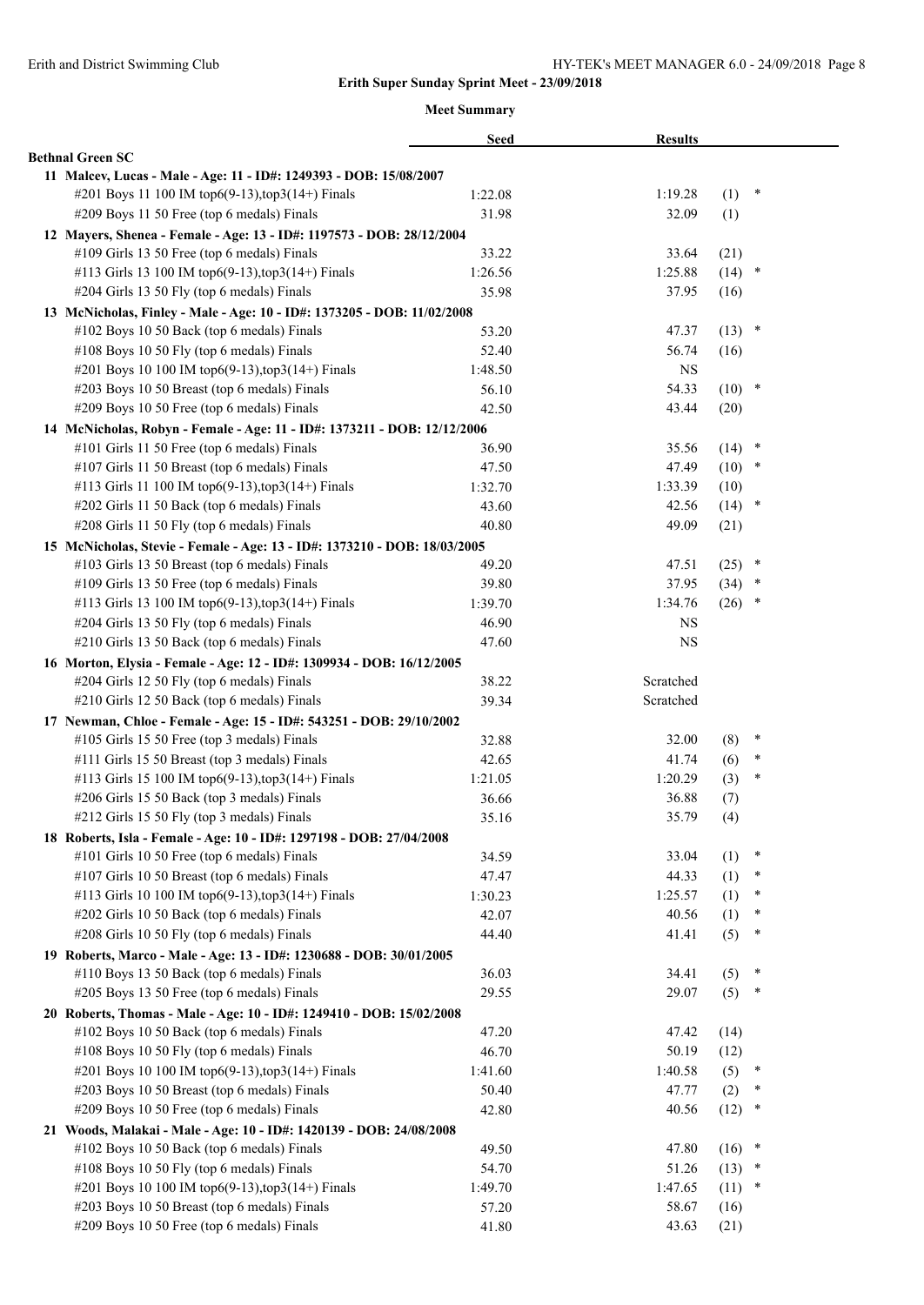|                                                                           | <b>Seed</b> | <b>Results</b> |          |        |  |
|---------------------------------------------------------------------------|-------------|----------------|----------|--------|--|
| <b>Bethnal Green SC</b>                                                   |             |                |          |        |  |
| 11 Malcev, Lucas - Male - Age: 11 - ID#: 1249393 - DOB: 15/08/2007        |             |                |          |        |  |
| #201 Boys 11 100 IM top6(9-13),top3(14+) Finals                           | 1:22.08     | 1:19.28        | (1)      | $\ast$ |  |
| #209 Boys 11 50 Free (top 6 medals) Finals                                | 31.98       | 32.09          | (1)      |        |  |
| 12 Mayers, Shenea - Female - Age: 13 - ID#: 1197573 - DOB: 28/12/2004     |             |                |          |        |  |
| #109 Girls 13 50 Free (top 6 medals) Finals                               | 33.22       | 33.64          | (21)     |        |  |
| #113 Girls 13 100 IM top6(9-13), top3(14+) Finals                         | 1:26.56     | 1:25.88        | (14)     | $\ast$ |  |
| #204 Girls 13 50 Fly (top 6 medals) Finals                                | 35.98       | 37.95          | (16)     |        |  |
| 13 McNicholas, Finley - Male - Age: 10 - ID#: 1373205 - DOB: 11/02/2008   |             |                |          |        |  |
| #102 Boys 10 50 Back (top 6 medals) Finals                                | 53.20       | 47.37          | $(13)$ * |        |  |
| #108 Boys 10 50 Fly (top 6 medals) Finals                                 | 52.40       | 56.74          | (16)     |        |  |
| #201 Boys 10 100 IM top6(9-13), top3(14+) Finals                          | 1:48.50     | <b>NS</b>      |          |        |  |
| #203 Boys 10 50 Breast (top 6 medals) Finals                              | 56.10       | 54.33          | $(10)$ * |        |  |
| #209 Boys 10 50 Free (top 6 medals) Finals                                | 42.50       | 43.44          | (20)     |        |  |
| 14 McNicholas, Robyn - Female - Age: 11 - ID#: 1373211 - DOB: 12/12/2006  |             |                |          |        |  |
| #101 Girls 11 50 Free (top 6 medals) Finals                               | 36.90       | 35.56          | (14)     | *      |  |
| #107 Girls 11 50 Breast (top 6 medals) Finals                             | 47.50       | 47.49          | (10)     | $\ast$ |  |
| #113 Girls 11 100 IM top6(9-13), top3(14+) Finals                         | 1:32.70     | 1:33.39        | (10)     |        |  |
| #202 Girls 11 50 Back (top 6 medals) Finals                               | 43.60       | 42.56          | (14)     | $\ast$ |  |
| #208 Girls 11 50 Fly (top 6 medals) Finals                                | 40.80       | 49.09          | (21)     |        |  |
| 15 McNicholas, Stevie - Female - Age: 13 - ID#: 1373210 - DOB: 18/03/2005 |             |                |          |        |  |
| #103 Girls 13 50 Breast (top 6 medals) Finals                             | 49.20       | 47.51          | (25)     | $\ast$ |  |
| #109 Girls 13 50 Free (top 6 medals) Finals                               | 39.80       | 37.95          | (34)     | $\ast$ |  |
| #113 Girls 13 100 IM top6(9-13), top3(14+) Finals                         | 1:39.70     | 1:34.76        | (26)     | $\ast$ |  |
| #204 Girls 13 50 Fly (top 6 medals) Finals                                | 46.90       | NS             |          |        |  |
| #210 Girls 13 50 Back (top 6 medals) Finals                               | 47.60       | <b>NS</b>      |          |        |  |
| 16 Morton, Elysia - Female - Age: 12 - ID#: 1309934 - DOB: 16/12/2005     |             |                |          |        |  |
| #204 Girls 12 50 Fly (top 6 medals) Finals                                | 38.22       | Scratched      |          |        |  |
| #210 Girls 12 50 Back (top 6 medals) Finals                               | 39.34       | Scratched      |          |        |  |
| 17 Newman, Chloe - Female - Age: 15 - ID#: 543251 - DOB: 29/10/2002       |             |                |          |        |  |
| #105 Girls 15 50 Free (top 3 medals) Finals                               | 32.88       | 32.00          | (8)      | $\ast$ |  |
| #111 Girls 15 50 Breast (top 3 medals) Finals                             | 42.65       | 41.74          | (6)      | $\ast$ |  |
| #113 Girls 15 100 IM top6(9-13), top3(14+) Finals                         | 1:21.05     | 1:20.29        | (3)      | ∗      |  |
| #206 Girls 15 50 Back (top 3 medals) Finals                               | 36.66       | 36.88          | (7)      |        |  |
| #212 Girls 15 50 Fly (top 3 medals) Finals                                | 35.16       | 35.79          | (4)      |        |  |
| 18 Roberts, Isla - Female - Age: 10 - ID#: 1297198 - DOB: 27/04/2008      |             |                |          |        |  |
| #101 Girls 10 50 Free (top 6 medals) Finals                               | 34.59       | 33.04          | (1)      | $\ast$ |  |
| #107 Girls 10 50 Breast (top 6 medals) Finals                             | 47.47       | 44.33          | (1)      | ∗      |  |
| #113 Girls 10 100 IM top6(9-13), top3(14+) Finals                         | 1:30.23     | 1:25.57        | (1)      | ∗      |  |
| #202 Girls 10 50 Back (top 6 medals) Finals                               | 42.07       | 40.56          | (1)      | ∗      |  |
| #208 Girls 10 50 Fly (top 6 medals) Finals                                | 44.40       | 41.41          | (5)      | ∗      |  |
| 19 Roberts, Marco - Male - Age: 13 - ID#: 1230688 - DOB: 30/01/2005       |             |                |          |        |  |
| #110 Boys 13 50 Back (top 6 medals) Finals                                | 36.03       | 34.41          | (5)      | $\ast$ |  |
| #205 Boys 13 50 Free (top 6 medals) Finals                                | 29.55       | 29.07          | (5)      | ×      |  |
| 20 Roberts, Thomas - Male - Age: 10 - ID#: 1249410 - DOB: 15/02/2008      |             |                |          |        |  |
| #102 Boys 10 50 Back (top 6 medals) Finals                                | 47.20       | 47.42          | (14)     |        |  |
| #108 Boys 10 50 Fly (top 6 medals) Finals                                 | 46.70       | 50.19          | (12)     |        |  |
| #201 Boys 10 100 IM top6(9-13),top3(14+) Finals                           | 1:41.60     | 1:40.58        | (5)      | ×      |  |
| #203 Boys 10 50 Breast (top 6 medals) Finals                              | 50.40       | 47.77          | (2)      | ∗      |  |
| #209 Boys 10 50 Free (top 6 medals) Finals                                | 42.80       | 40.56          | (12)     | ×      |  |
| 21 Woods, Malakai - Male - Age: 10 - ID#: 1420139 - DOB: 24/08/2008       |             |                |          |        |  |
| #102 Boys 10 50 Back (top 6 medals) Finals                                | 49.50       | 47.80          | (16)     | ×      |  |
| #108 Boys 10 50 Fly (top 6 medals) Finals                                 | 54.70       | 51.26          | (13)     | $\ast$ |  |
| #201 Boys 10 100 IM top6(9-13), top3(14+) Finals                          | 1:49.70     | 1:47.65        | (11)     | ∗      |  |
| #203 Boys 10 50 Breast (top 6 medals) Finals                              | 57.20       | 58.67          | (16)     |        |  |
| #209 Boys 10 50 Free (top 6 medals) Finals                                | 41.80       | 43.63          | (21)     |        |  |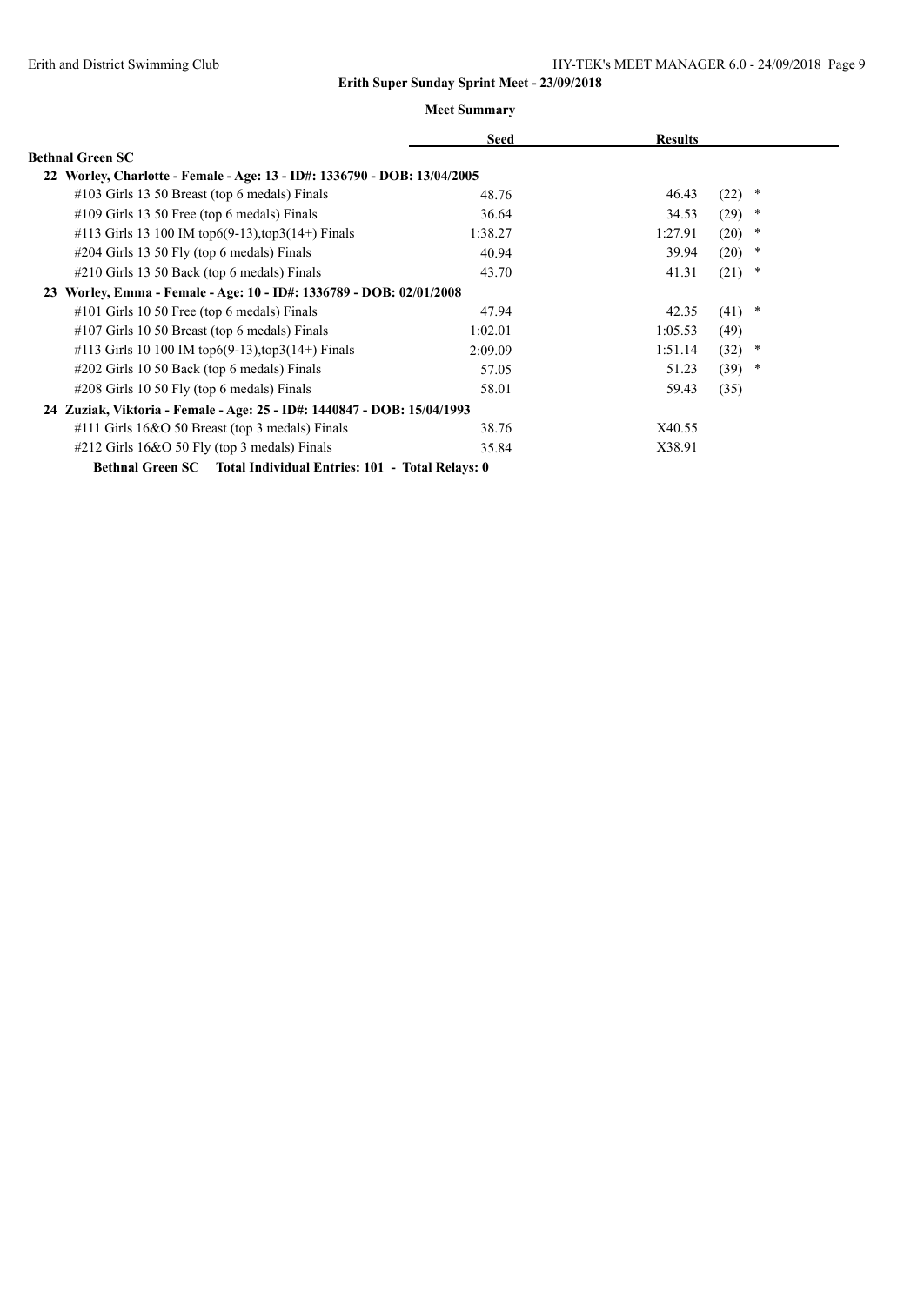|                                                                          | <b>Seed</b> | <b>Results</b> |                |
|--------------------------------------------------------------------------|-------------|----------------|----------------|
| <b>Bethnal Green SC</b>                                                  |             |                |                |
| 22 Worley, Charlotte - Female - Age: 13 - ID#: 1336790 - DOB: 13/04/2005 |             |                |                |
| #103 Girls 13 50 Breast (top 6 medals) Finals                            | 48.76       | 46.43          | (22)<br>*      |
| $\#109$ Girls 13 50 Free (top 6 medals) Finals                           | 36.64       | 34.53          | (29)<br>*      |
| #113 Girls 13 100 IM top6(9-13), top3(14+) Finals                        | 1:38.27     | 1:27.91        | (20)<br>$\ast$ |
| #204 Girls 13 50 Fly (top 6 medals) Finals                               | 40.94       | 39.94          | (20)<br>*      |
| $\#210$ Girls 13 50 Back (top 6 medals) Finals                           | 43.70       | 41.31          | (21)<br>*      |
| Worley, Emma - Female - Age: 10 - ID#: 1336789 - DOB: 02/01/2008<br>23   |             |                |                |
| $\#101$ Girls 10 50 Free (top 6 medals) Finals                           | 47.94       | 42.35          | $(41)$ *       |
| #107 Girls 10 50 Breast (top 6 medals) Finals                            | 1:02.01     | 1:05.53        | (49)           |
| #113 Girls 10 100 IM top6(9-13), top3(14+) Finals                        | 2:09.09     | 1:51.14        | (32)<br>*      |
| #202 Girls 10 50 Back (top 6 medals) Finals                              | 57.05       | 51.23          | (39)<br>*      |
| #208 Girls 10 50 Fly (top 6 medals) Finals                               | 58.01       | 59.43          | (35)           |
| 24 Zuziak, Viktoria - Female - Age: 25 - ID#: 1440847 - DOB: 15/04/1993  |             |                |                |
| #111 Girls $16&O 50$ Breast (top 3 medals) Finals                        | 38.76       | X40.55         |                |
| $\#212$ Girls 16&O 50 Fly (top 3 medals) Finals                          | 35.84       | X38.91         |                |
| Bethnal Green SC Total Individual Entries: 101 - Total Relays: 0         |             |                |                |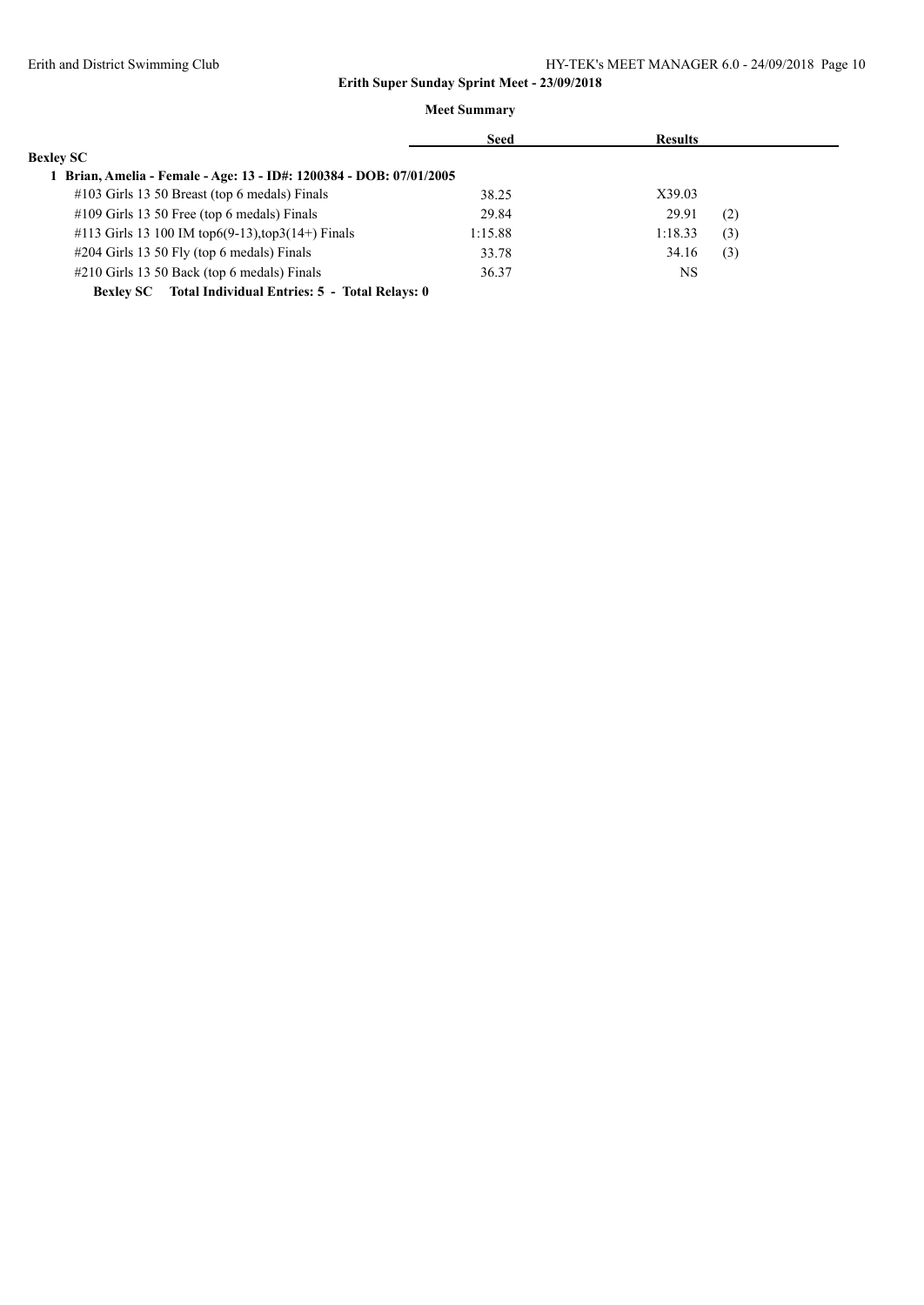|                                                                   | Seed    | <b>Results</b> |     |
|-------------------------------------------------------------------|---------|----------------|-----|
| <b>Bexley SC</b>                                                  |         |                |     |
| Brian, Amelia - Female - Age: 13 - ID#: 1200384 - DOB: 07/01/2005 |         |                |     |
| #103 Girls 13 50 Breast (top 6 medals) Finals                     | 38.25   | X39.03         |     |
| #109 Girls 13 50 Free (top 6 medals) Finals                       | 29.84   | 29.91          | (2) |
| #113 Girls 13 100 IM top6(9-13), top3(14+) Finals                 | 1:15.88 | 1:18.33        | (3) |
| $\#204$ Girls 13 50 Fly (top 6 medals) Finals                     | 33.78   | 34.16          | (3) |
| $\#210$ Girls 13 50 Back (top 6 medals) Finals                    | 36.37   | NS             |     |
| Total Individual Entries: 5 - Total Relays: 0<br><b>Bexlev SC</b> |         |                |     |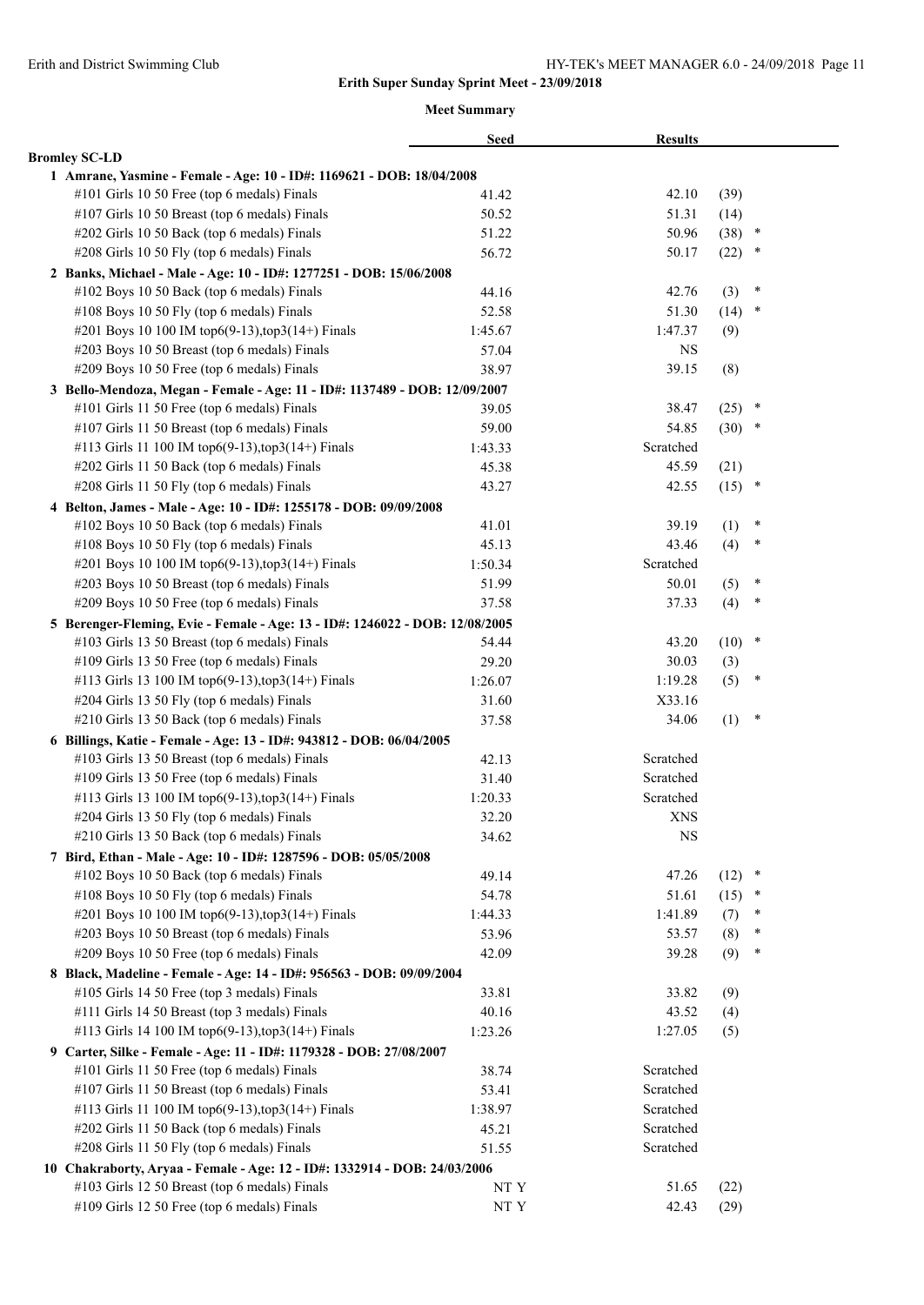|                                                                              | <b>Seed</b> | <b>Results</b> |          |        |
|------------------------------------------------------------------------------|-------------|----------------|----------|--------|
| <b>Bromley SC-LD</b>                                                         |             |                |          |        |
| 1 Amrane, Yasmine - Female - Age: 10 - ID#: 1169621 - DOB: 18/04/2008        |             |                |          |        |
| #101 Girls 10 50 Free (top 6 medals) Finals                                  | 41.42       | 42.10          | (39)     |        |
| #107 Girls 10 50 Breast (top 6 medals) Finals                                | 50.52       | 51.31          | (14)     |        |
| #202 Girls 10 50 Back (top 6 medals) Finals                                  | 51.22       | 50.96          | (38)     | $\ast$ |
| #208 Girls 10 50 Fly (top 6 medals) Finals                                   | 56.72       | 50.17          | (22)     | $\ast$ |
| 2 Banks, Michael - Male - Age: 10 - ID#: 1277251 - DOB: 15/06/2008           |             |                |          |        |
| #102 Boys 10 50 Back (top 6 medals) Finals                                   | 44.16       | 42.76          | (3)      | $\ast$ |
| #108 Boys 10 50 Fly (top 6 medals) Finals                                    | 52.58       | 51.30          | $(14)$ * |        |
| #201 Boys 10 100 IM top6(9-13), top3(14+) Finals                             | 1:45.67     | 1:47.37        | (9)      |        |
| #203 Boys 10 50 Breast (top 6 medals) Finals                                 | 57.04       | <b>NS</b>      |          |        |
| #209 Boys 10 50 Free (top 6 medals) Finals                                   | 38.97       | 39.15          | (8)      |        |
| 3 Bello-Mendoza, Megan - Female - Age: 11 - ID#: 1137489 - DOB: 12/09/2007   |             |                |          |        |
| #101 Girls 11 50 Free (top 6 medals) Finals                                  | 39.05       | 38.47          | (25)     | $\ast$ |
| #107 Girls 11 50 Breast (top 6 medals) Finals                                | 59.00       | 54.85          | (30)     | $\ast$ |
| #113 Girls 11 100 IM top6(9-13),top3(14+) Finals                             | 1:43.33     | Scratched      |          |        |
| #202 Girls 11 50 Back (top 6 medals) Finals                                  | 45.38       | 45.59          | (21)     |        |
| #208 Girls 11 50 Fly (top 6 medals) Finals                                   | 43.27       | 42.55          | $(15)$ * |        |
| 4 Belton, James - Male - Age: 10 - ID#: 1255178 - DOB: 09/09/2008            |             |                |          |        |
| #102 Boys 10 50 Back (top 6 medals) Finals                                   | 41.01       | 39.19          | (1)      | ×      |
| #108 Boys 10 50 Fly (top 6 medals) Finals                                    | 45.13       | 43.46          | (4)      | *      |
| #201 Boys 10 100 IM top6(9-13),top3(14+) Finals                              | 1:50.34     | Scratched      |          |        |
| #203 Boys 10 50 Breast (top 6 medals) Finals                                 | 51.99       | 50.01          | (5)      | $\ast$ |
| #209 Boys 10 50 Free (top 6 medals) Finals                                   | 37.58       | 37.33          | (4)      | $\ast$ |
| 5 Berenger-Fleming, Evie - Female - Age: 13 - ID#: 1246022 - DOB: 12/08/2005 |             |                |          |        |
| #103 Girls 13 50 Breast (top 6 medals) Finals                                | 54.44       | 43.20          | (10)     | $\ast$ |
| #109 Girls 13 50 Free (top 6 medals) Finals                                  | 29.20       | 30.03          | (3)      |        |
| #113 Girls 13 100 IM top6(9-13), top3(14+) Finals                            | 1:26.07     | 1:19.28        | (5)      | $\ast$ |
| #204 Girls 13 50 Fly (top 6 medals) Finals                                   | 31.60       | X33.16         |          |        |
| #210 Girls 13 50 Back (top 6 medals) Finals                                  | 37.58       | 34.06          | (1)      | $\ast$ |
| 6 Billings, Katie - Female - Age: 13 - ID#: 943812 - DOB: 06/04/2005         |             |                |          |        |
| #103 Girls 13 50 Breast (top 6 medals) Finals                                | 42.13       | Scratched      |          |        |
| #109 Girls 13 50 Free (top 6 medals) Finals                                  | 31.40       | Scratched      |          |        |
| #113 Girls 13 100 IM top6(9-13),top3(14+) Finals                             | 1:20.33     | Scratched      |          |        |
| #204 Girls 13 50 Fly (top 6 medals) Finals                                   | 32.20       | <b>XNS</b>     |          |        |
| #210 Girls 13 50 Back (top 6 medals) Finals                                  | 34.62       | <b>NS</b>      |          |        |
| 7 Bird, Ethan - Male - Age: 10 - ID#: 1287596 - DOB: 05/05/2008              |             |                |          |        |
| #102 Boys 10 50 Back (top 6 medals) Finals                                   | 49.14       | 47.26          | (12)     | $\ast$ |
| #108 Boys 10 50 Fly (top 6 medals) Finals                                    | 54.78       | 51.61          | (15)     | $\ast$ |
| #201 Boys 10 100 IM top6(9-13),top3(14+) Finals                              | 1:44.33     | 1:41.89        | (7)      | *      |
| #203 Boys 10 50 Breast (top 6 medals) Finals                                 | 53.96       | 53.57          | (8)      | ∗      |
| #209 Boys 10 50 Free (top 6 medals) Finals                                   | 42.09       | 39.28          | (9)      | $\ast$ |
| 8 Black, Madeline - Female - Age: 14 - ID#: 956563 - DOB: 09/09/2004         |             |                |          |        |
| #105 Girls 14 50 Free (top 3 medals) Finals                                  | 33.81       | 33.82          | (9)      |        |
| #111 Girls 14 50 Breast (top 3 medals) Finals                                | 40.16       | 43.52          | (4)      |        |
| #113 Girls 14 100 IM top6(9-13), top3(14+) Finals                            | 1:23.26     | 1:27.05        | (5)      |        |
| 9 Carter, Silke - Female - Age: 11 - ID#: 1179328 - DOB: 27/08/2007          |             |                |          |        |
| #101 Girls 11 50 Free (top 6 medals) Finals                                  | 38.74       | Scratched      |          |        |
| #107 Girls 11 50 Breast (top 6 medals) Finals                                | 53.41       | Scratched      |          |        |
| #113 Girls 11 100 IM top6(9-13),top3(14+) Finals                             | 1:38.97     | Scratched      |          |        |
| #202 Girls 11 50 Back (top 6 medals) Finals                                  | 45.21       | Scratched      |          |        |
| #208 Girls 11 50 Fly (top 6 medals) Finals                                   | 51.55       | Scratched      |          |        |
| 10 Chakraborty, Aryaa - Female - Age: 12 - ID#: 1332914 - DOB: 24/03/2006    |             |                |          |        |
| #103 Girls 12 50 Breast (top 6 medals) Finals                                | NT Y        | 51.65          | (22)     |        |
| #109 Girls 12 50 Free (top 6 medals) Finals                                  | $\rm{NT}$ Y | 42.43          | (29)     |        |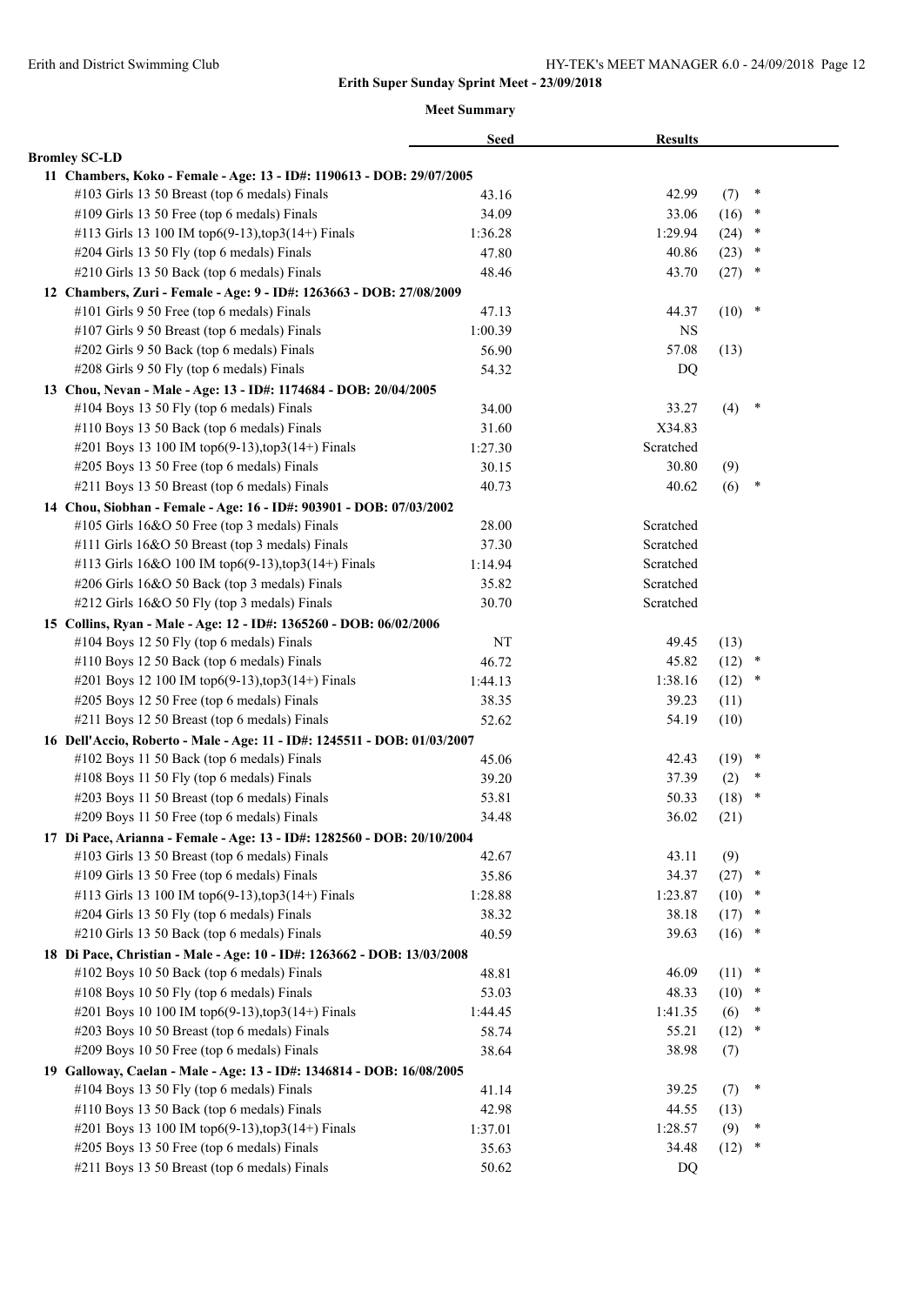|                                                                                                                        | <b>Seed</b> | <b>Results</b> |          |                  |  |
|------------------------------------------------------------------------------------------------------------------------|-------------|----------------|----------|------------------|--|
| <b>Bromley SC-LD</b>                                                                                                   |             |                |          |                  |  |
| 11 Chambers, Koko - Female - Age: 13 - ID#: 1190613 - DOB: 29/07/2005                                                  |             |                |          |                  |  |
| #103 Girls 13 50 Breast (top 6 medals) Finals                                                                          | 43.16       | 42.99          | (7)      | ×                |  |
| #109 Girls 13 50 Free (top 6 medals) Finals                                                                            | 34.09       | 33.06          | (16)     | $\ast$           |  |
| #113 Girls 13 100 IM top6(9-13), top3(14+) Finals                                                                      | 1:36.28     | 1:29.94        | (24)     | $\ast$           |  |
| #204 Girls 13 50 Fly (top 6 medals) Finals                                                                             | 47.80       | 40.86          | (23)     | $\ast$           |  |
| #210 Girls 13 50 Back (top 6 medals) Finals                                                                            | 48.46       | 43.70          | (27)     | $\ast$           |  |
| 12 Chambers, Zuri - Female - Age: 9 - ID#: 1263663 - DOB: 27/08/2009                                                   |             |                |          |                  |  |
| #101 Girls 9 50 Free (top 6 medals) Finals                                                                             | 47.13       | 44.37          | $(10)$ * |                  |  |
| #107 Girls 9 50 Breast (top 6 medals) Finals                                                                           | 1:00.39     | NS             |          |                  |  |
| #202 Girls 9 50 Back (top 6 medals) Finals                                                                             | 56.90       | 57.08          | (13)     |                  |  |
| #208 Girls 9 50 Fly (top 6 medals) Finals                                                                              | 54.32       | DQ             |          |                  |  |
| 13 Chou, Nevan - Male - Age: 13 - ID#: 1174684 - DOB: 20/04/2005                                                       |             |                |          |                  |  |
| #104 Boys 13 50 Fly (top 6 medals) Finals                                                                              | 34.00       | 33.27          | (4)      | $\ast$           |  |
| #110 Boys 13 50 Back (top 6 medals) Finals                                                                             | 31.60       | X34.83         |          |                  |  |
| #201 Boys 13 100 IM top6(9-13), top3(14+) Finals                                                                       | 1:27.30     | Scratched      |          |                  |  |
| #205 Boys 13 50 Free (top 6 medals) Finals                                                                             | 30.15       | 30.80          | (9)      |                  |  |
| #211 Boys 13 50 Breast (top 6 medals) Finals                                                                           | 40.73       | 40.62          | (6)      | $\ast$           |  |
| 14 Chou, Siobhan - Female - Age: 16 - ID#: 903901 - DOB: 07/03/2002                                                    |             |                |          |                  |  |
| #105 Girls 16&O 50 Free (top 3 medals) Finals                                                                          | 28.00       | Scratched      |          |                  |  |
| #111 Girls 16&O 50 Breast (top 3 medals) Finals                                                                        | 37.30       | Scratched      |          |                  |  |
| #113 Girls 16&O 100 IM top6(9-13),top3(14+) Finals                                                                     | 1:14.94     | Scratched      |          |                  |  |
| #206 Girls 16&O 50 Back (top 3 medals) Finals                                                                          | 35.82       | Scratched      |          |                  |  |
| #212 Girls 16&O 50 Fly (top 3 medals) Finals                                                                           | 30.70       | Scratched      |          |                  |  |
| 15 Collins, Ryan - Male - Age: 12 - ID#: 1365260 - DOB: 06/02/2006                                                     |             |                |          |                  |  |
| #104 Boys 12 50 Fly (top 6 medals) Finals                                                                              | NT          | 49.45          | (13)     |                  |  |
| #110 Boys 12 50 Back (top 6 medals) Finals                                                                             | 46.72       | 45.82          | $(12)$ * |                  |  |
| #201 Boys 12 100 IM top6(9-13), top3(14+) Finals                                                                       | 1:44.13     | 1:38.16        | $(12)$ * |                  |  |
| #205 Boys 12 50 Free (top 6 medals) Finals                                                                             | 38.35       | 39.23          | (11)     |                  |  |
| #211 Boys 12 50 Breast (top 6 medals) Finals                                                                           | 52.62       | 54.19          | (10)     |                  |  |
|                                                                                                                        |             |                |          |                  |  |
| 16 Dell'Accio, Roberto - Male - Age: 11 - ID#: 1245511 - DOB: 01/03/2007<br>#102 Boys 11 50 Back (top 6 medals) Finals |             | 42.43          | (19)     | $\ast$           |  |
|                                                                                                                        | 45.06       |                |          | $\ast$           |  |
| #108 Boys 11 50 Fly (top 6 medals) Finals                                                                              | 39.20       | 37.39          | (2)      | $\ast$           |  |
| #203 Boys 11 50 Breast (top 6 medals) Finals                                                                           | 53.81       | 50.33          | (18)     |                  |  |
| #209 Boys 11 50 Free (top 6 medals) Finals                                                                             | 34.48       | 36.02          | (21)     |                  |  |
| 17 Di Pace, Arianna - Female - Age: 13 - ID#: 1282560 - DOB: 20/10/2004                                                |             |                |          |                  |  |
| #103 Girls 13 50 Breast (top 6 medals) Finals                                                                          | 42.67       | 43.11          | (9)      |                  |  |
| #109 Girls 13 50 Free (top 6 medals) Finals                                                                            | 35.86       | 34.37          | (27)     | $\ast$<br>$\ast$ |  |
| #113 Girls 13 100 IM top6(9-13), top3(14+) Finals                                                                      | 1:28.88     | 1:23.87        | (10)     | $\ast$           |  |
| #204 Girls 13 50 Fly (top 6 medals) Finals                                                                             | 38.32       | 38.18          | (17)     | $\ast$           |  |
| #210 Girls 13 50 Back (top 6 medals) Finals                                                                            | 40.59       | 39.63          | (16)     |                  |  |
| 18 Di Pace, Christian - Male - Age: 10 - ID#: 1263662 - DOB: 13/03/2008                                                |             |                |          | $\ast$           |  |
| #102 Boys 10 50 Back (top 6 medals) Finals                                                                             | 48.81       | 46.09          | (11)     |                  |  |
| #108 Boys 10 50 Fly (top 6 medals) Finals                                                                              | 53.03       | 48.33          | (10)     | *                |  |
| #201 Boys 10 100 IM top6(9-13), top3(14+) Finals                                                                       | 1:44.45     | 1:41.35        | (6)      | *                |  |
| #203 Boys 10 50 Breast (top 6 medals) Finals                                                                           | 58.74       | 55.21          | (12)     | $\ast$           |  |
| #209 Boys 10 50 Free (top 6 medals) Finals                                                                             | 38.64       | 38.98          | (7)      |                  |  |
| 19 Galloway, Caelan - Male - Age: 13 - ID#: 1346814 - DOB: 16/08/2005                                                  |             |                |          |                  |  |
| #104 Boys 13 50 Fly (top 6 medals) Finals                                                                              | 41.14       | 39.25          | (7)      | $\ast$           |  |
| #110 Boys 13 50 Back (top 6 medals) Finals                                                                             | 42.98       | 44.55          | (13)     |                  |  |
| #201 Boys 13 100 IM top6(9-13), top3(14+) Finals                                                                       | 1:37.01     | 1:28.57        | (9)      | $\ast$           |  |
| #205 Boys 13 50 Free (top 6 medals) Finals                                                                             | 35.63       | 34.48          | (12)     | *                |  |
| #211 Boys 13 50 Breast (top 6 medals) Finals                                                                           | 50.62       | DQ             |          |                  |  |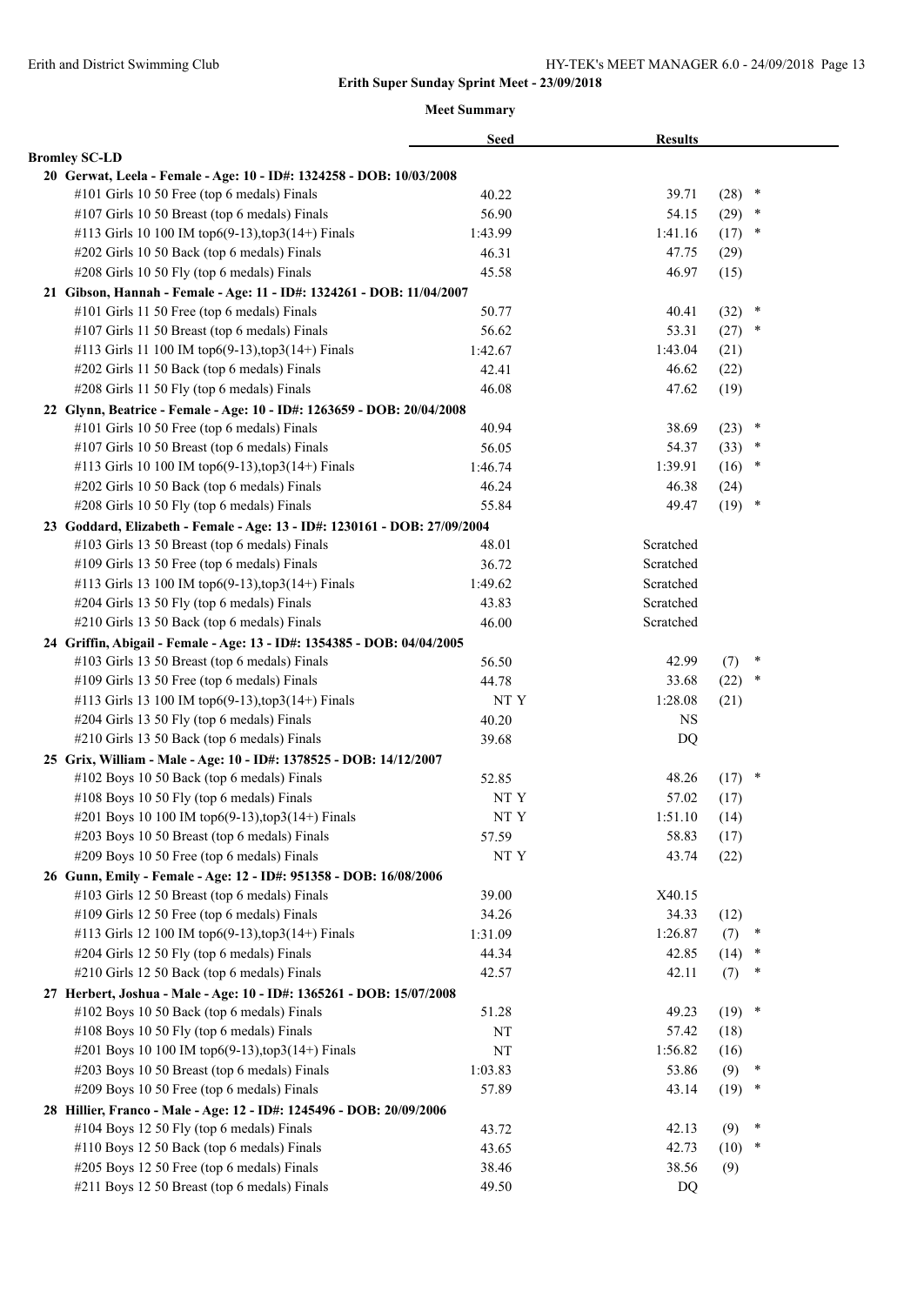|                                                                           | <b>Seed</b> | <b>Results</b> |             |        |  |
|---------------------------------------------------------------------------|-------------|----------------|-------------|--------|--|
| <b>Bromley SC-LD</b>                                                      |             |                |             |        |  |
| 20 Gerwat, Leela - Female - Age: 10 - ID#: 1324258 - DOB: 10/03/2008      |             |                |             |        |  |
| #101 Girls 10 50 Free (top 6 medals) Finals                               | 40.22       | 39.71          | (28)        | $\ast$ |  |
| #107 Girls 10 50 Breast (top 6 medals) Finals                             | 56.90       | 54.15          | (29)        | $\ast$ |  |
| #113 Girls 10 100 IM top6(9-13), top3(14+) Finals                         | 1:43.99     | 1:41.16        | (17)        | ×      |  |
| #202 Girls 10 50 Back (top 6 medals) Finals                               | 46.31       | 47.75          | (29)        |        |  |
| #208 Girls 10 50 Fly (top 6 medals) Finals                                | 45.58       | 46.97          | (15)        |        |  |
| 21 Gibson, Hannah - Female - Age: 11 - ID#: 1324261 - DOB: 11/04/2007     |             |                |             |        |  |
| #101 Girls 11 50 Free (top 6 medals) Finals                               | 50.77       | 40.41          | (32)        | $\ast$ |  |
| #107 Girls 11 50 Breast (top 6 medals) Finals                             | 56.62       | 53.31          | (27)        | $\ast$ |  |
| #113 Girls 11 100 IM top6(9-13), top3(14+) Finals                         | 1:42.67     | 1:43.04        | (21)        |        |  |
| #202 Girls 11 50 Back (top 6 medals) Finals                               | 42.41       | 46.62          | (22)        |        |  |
| #208 Girls 11 50 Fly (top 6 medals) Finals                                | 46.08       | 47.62          | (19)        |        |  |
| 22 Glynn, Beatrice - Female - Age: 10 - ID#: 1263659 - DOB: 20/04/2008    |             |                |             |        |  |
| #101 Girls 10 50 Free (top 6 medals) Finals                               | 40.94       | 38.69          | (23)        | $\ast$ |  |
| #107 Girls 10 50 Breast (top 6 medals) Finals                             | 56.05       | 54.37          | (33)        | $\ast$ |  |
| #113 Girls 10 100 IM top6(9-13), top3(14+) Finals                         | 1:46.74     | 1:39.91        | (16)        | $\ast$ |  |
| #202 Girls 10 50 Back (top 6 medals) Finals                               | 46.24       | 46.38          | (24)        |        |  |
| #208 Girls 10 50 Fly (top 6 medals) Finals                                | 55.84       | 49.47          | $(19)$ *    |        |  |
| 23 Goddard, Elizabeth - Female - Age: 13 - ID#: 1230161 - DOB: 27/09/2004 |             |                |             |        |  |
| #103 Girls 13 50 Breast (top 6 medals) Finals                             | 48.01       | Scratched      |             |        |  |
| #109 Girls 13 50 Free (top 6 medals) Finals                               | 36.72       | Scratched      |             |        |  |
| #113 Girls 13 100 IM top6(9-13), top3(14+) Finals                         | 1:49.62     | Scratched      |             |        |  |
| #204 Girls 13 50 Fly (top 6 medals) Finals                                | 43.83       | Scratched      |             |        |  |
| #210 Girls 13 50 Back (top 6 medals) Finals                               | 46.00       | Scratched      |             |        |  |
| 24 Griffin, Abigail - Female - Age: 13 - ID#: 1354385 - DOB: 04/04/2005   |             |                |             |        |  |
| #103 Girls 13 50 Breast (top 6 medals) Finals                             | 56.50       | 42.99          | (7)         | ×      |  |
| #109 Girls 13 50 Free (top 6 medals) Finals                               | 44.78       | 33.68          | (22)        | $\ast$ |  |
| #113 Girls 13 100 IM top6(9-13), top3(14+) Finals                         | NT Y        | 1:28.08        | (21)        |        |  |
| #204 Girls 13 50 Fly (top 6 medals) Finals                                | 40.20       | <b>NS</b>      |             |        |  |
| #210 Girls 13 50 Back (top 6 medals) Finals                               | 39.68       | DQ             |             |        |  |
| 25 Grix, William - Male - Age: 10 - ID#: 1378525 - DOB: 14/12/2007        |             |                |             |        |  |
| #102 Boys 10 50 Back (top 6 medals) Finals                                | 52.85       | 48.26          | $(17)$ *    |        |  |
| #108 Boys 10 50 Fly (top 6 medals) Finals                                 | NT Y        | 57.02          | (17)        |        |  |
| #201 Boys 10 100 IM top6(9-13), top3(14+) Finals                          | NT Y        | 1:51.10        | (14)        |        |  |
| #203 Boys 10 50 Breast (top 6 medals) Finals                              | 57.59       | 58.83          | (17)        |        |  |
| #209 Boys 10 50 Free (top 6 medals) Finals                                | NT Y        | 43.74          | (22)        |        |  |
| 26 Gunn, Emily - Female - Age: 12 - ID#: 951358 - DOB: 16/08/2006         |             |                |             |        |  |
| #103 Girls 12 50 Breast (top 6 medals) Finals                             | 39.00       | X40.15         |             |        |  |
| #109 Girls 12 50 Free (top 6 medals) Finals                               | 34.26       | 34.33          | (12)        |        |  |
| #113 Girls 12 100 IM top6(9-13), top3(14+) Finals                         | 1:31.09     | 1:26.87        | (7)         | *      |  |
| #204 Girls 12 50 Fly (top 6 medals) Finals                                | 44.34       | 42.85          | (14)        | $\ast$ |  |
| #210 Girls 12 50 Back (top 6 medals) Finals                               | 42.57       | 42.11          | (7)         |        |  |
| 27 Herbert, Joshua - Male - Age: 10 - ID#: 1365261 - DOB: 15/07/2008      |             |                |             |        |  |
| #102 Boys 10 50 Back (top 6 medals) Finals                                | 51.28       | 49.23          | (19)        | $\ast$ |  |
| #108 Boys 10 50 Fly (top 6 medals) Finals                                 | NT          | 57.42          | (18)        |        |  |
| #201 Boys 10 100 IM top6(9-13), top3(14+) Finals                          | NT          | 1:56.82        |             |        |  |
| #203 Boys 10 50 Breast (top 6 medals) Finals                              |             |                | (16)        | $\ast$ |  |
| #209 Boys 10 50 Free (top 6 medals) Finals                                | 1:03.83     | 53.86<br>43.14 | (9)<br>(19) | *      |  |
|                                                                           | 57.89       |                |             |        |  |
| 28 Hillier, Franco - Male - Age: 12 - ID#: 1245496 - DOB: 20/09/2006      |             |                |             | $\ast$ |  |
| #104 Boys 12 50 Fly (top 6 medals) Finals                                 | 43.72       | 42.13          | (9)         | $\ast$ |  |
| #110 Boys 12 50 Back (top 6 medals) Finals                                | 43.65       | 42.73          | (10)        |        |  |
| #205 Boys 12 50 Free (top 6 medals) Finals                                | 38.46       | 38.56          | (9)         |        |  |
| #211 Boys 12 50 Breast (top 6 medals) Finals                              | 49.50       | DQ             |             |        |  |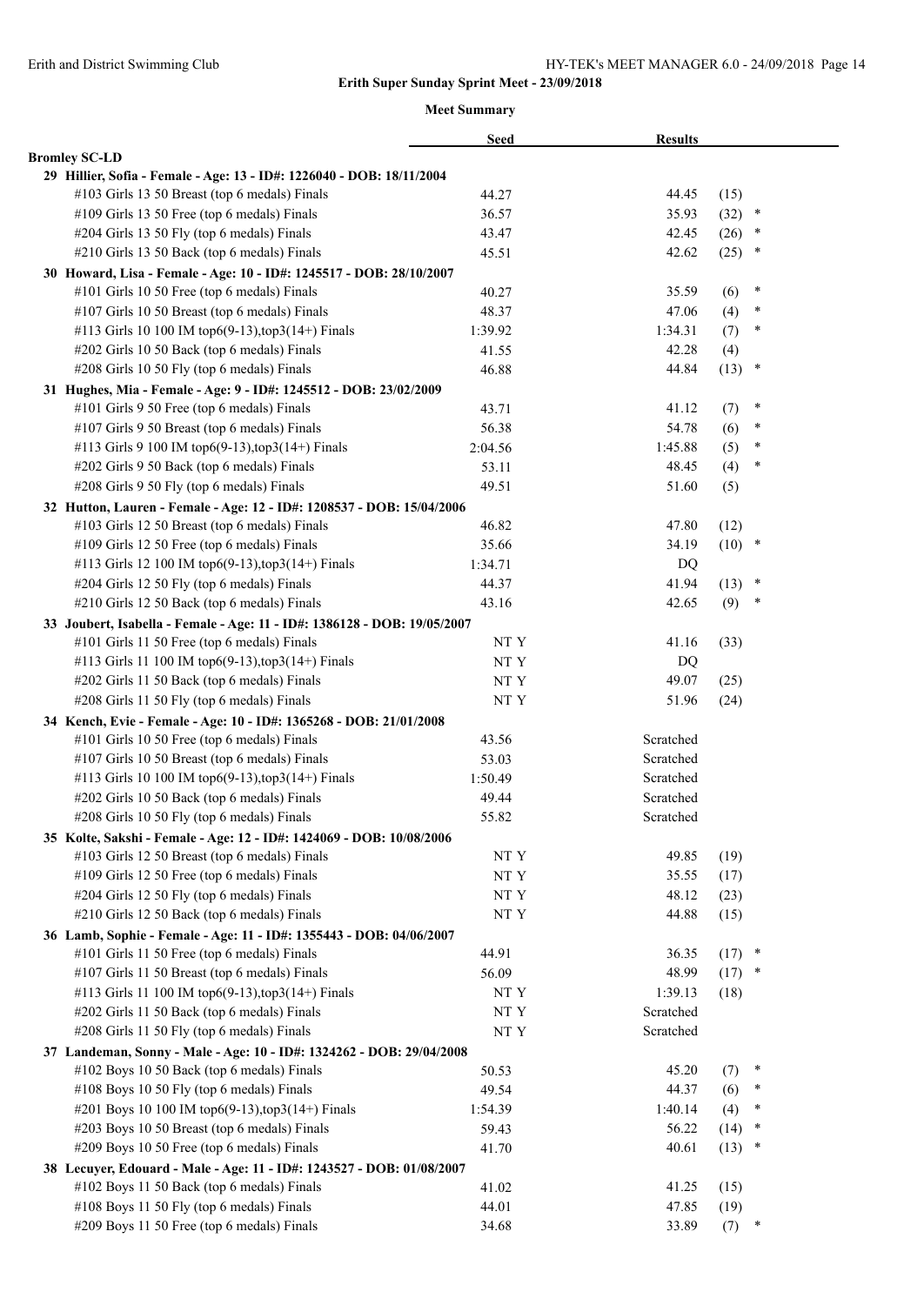|                                                                          | <b>Seed</b>        | <b>Results</b> |          |        |  |
|--------------------------------------------------------------------------|--------------------|----------------|----------|--------|--|
| <b>Bromley SC-LD</b>                                                     |                    |                |          |        |  |
| 29 Hillier, Sofia - Female - Age: 13 - ID#: 1226040 - DOB: 18/11/2004    |                    |                |          |        |  |
| #103 Girls 13 50 Breast (top 6 medals) Finals                            | 44.27              | 44.45          | (15)     |        |  |
| #109 Girls 13 50 Free (top 6 medals) Finals                              | 36.57              | 35.93          | (32)     | $\ast$ |  |
| #204 Girls 13 50 Fly (top 6 medals) Finals                               | 43.47              | 42.45          | (26)     | $\ast$ |  |
| #210 Girls 13 50 Back (top 6 medals) Finals                              | 45.51              | 42.62          | (25)     | $\ast$ |  |
| 30 Howard, Lisa - Female - Age: 10 - ID#: 1245517 - DOB: 28/10/2007      |                    |                |          |        |  |
| #101 Girls 10 50 Free (top 6 medals) Finals                              | 40.27              | 35.59          | (6)      | ×      |  |
| #107 Girls 10 50 Breast (top 6 medals) Finals                            | 48.37              | 47.06          | (4)      | $\ast$ |  |
| #113 Girls 10 100 IM top6(9-13), top3(14+) Finals                        | 1:39.92            | 1:34.31        | (7)      | $\ast$ |  |
| #202 Girls 10 50 Back (top 6 medals) Finals                              | 41.55              | 42.28          | (4)      |        |  |
| #208 Girls 10 50 Fly (top 6 medals) Finals                               | 46.88              | 44.84          | (13)     | $\ast$ |  |
| 31 Hughes, Mia - Female - Age: 9 - ID#: 1245512 - DOB: 23/02/2009        |                    |                |          |        |  |
| #101 Girls 9 50 Free (top 6 medals) Finals                               | 43.71              | 41.12          | (7)      | ×      |  |
| #107 Girls 9 50 Breast (top 6 medals) Finals                             | 56.38              | 54.78          | (6)      | ×      |  |
| #113 Girls 9 100 IM top6(9-13), top3(14+) Finals                         | 2:04.56            | 1:45.88        | (5)      | $\ast$ |  |
| #202 Girls 9 50 Back (top 6 medals) Finals                               | 53.11              | 48.45          | (4)      | ∗      |  |
| #208 Girls 9 50 Fly (top 6 medals) Finals                                | 49.51              | 51.60          | (5)      |        |  |
| 32 Hutton, Lauren - Female - Age: 12 - ID#: 1208537 - DOB: 15/04/2006    |                    |                |          |        |  |
| #103 Girls 12 50 Breast (top 6 medals) Finals                            | 46.82              | 47.80          | (12)     |        |  |
| #109 Girls 12 50 Free (top 6 medals) Finals                              | 35.66              | 34.19          | $(10)$ * |        |  |
| #113 Girls 12 100 IM top6(9-13), top3(14+) Finals                        | 1:34.71            | DQ             |          |        |  |
| #204 Girls 12 50 Fly (top 6 medals) Finals                               | 44.37              | 41.94          | (13)     | $\ast$ |  |
| #210 Girls 12 50 Back (top 6 medals) Finals                              | 43.16              | 42.65          | (9)      | $\ast$ |  |
| 33 Joubert, Isabella - Female - Age: 11 - ID#: 1386128 - DOB: 19/05/2007 |                    |                |          |        |  |
| #101 Girls 11 50 Free (top 6 medals) Finals                              | NT Y               | 41.16          | (33)     |        |  |
| #113 Girls 11 100 IM top6(9-13),top3(14+) Finals                         | NT Y               | DQ             |          |        |  |
| #202 Girls 11 50 Back (top 6 medals) Finals                              | $\rm{NT}$ $\rm{Y}$ | 49.07          | (25)     |        |  |
| #208 Girls 11 50 Fly (top 6 medals) Finals                               | NT Y               | 51.96          |          |        |  |
|                                                                          |                    |                | (24)     |        |  |
| 34 Kench, Evie - Female - Age: 10 - ID#: 1365268 - DOB: 21/01/2008       |                    | Scratched      |          |        |  |
| #101 Girls 10 50 Free (top 6 medals) Finals                              | 43.56              |                |          |        |  |
| #107 Girls 10 50 Breast (top 6 medals) Finals                            | 53.03              | Scratched      |          |        |  |
| #113 Girls 10 100 IM top6(9-13),top3(14+) Finals                         | 1:50.49            | Scratched      |          |        |  |
| #202 Girls 10 50 Back (top 6 medals) Finals                              | 49.44              | Scratched      |          |        |  |
| #208 Girls 10 50 Fly (top 6 medals) Finals                               | 55.82              | Scratched      |          |        |  |
| 35 Kolte, Sakshi - Female - Age: 12 - ID#: 1424069 - DOB: 10/08/2006     |                    |                |          |        |  |
| #103 Girls 12 50 Breast (top 6 medals) Finals                            | $\rm{NT}$ Y        | 49.85          | (19)     |        |  |
| #109 Girls 12 50 Free (top 6 medals) Finals                              | $\rm{NT}$ $\rm{Y}$ | 35.55          | (17)     |        |  |
| #204 Girls 12 50 Fly (top 6 medals) Finals                               | $\rm{NT}$ $\rm{Y}$ | 48.12          | (23)     |        |  |
| #210 Girls 12 50 Back (top 6 medals) Finals                              | NT Y               | 44.88          | (15)     |        |  |
| 36 Lamb, Sophie - Female - Age: 11 - ID#: 1355443 - DOB: 04/06/2007      |                    |                |          |        |  |
| #101 Girls 11 50 Free (top 6 medals) Finals                              | 44.91              | 36.35          | (17)     | $\ast$ |  |
| #107 Girls 11 50 Breast (top 6 medals) Finals                            | 56.09              | 48.99          | (17)     | $\ast$ |  |
| #113 Girls 11 100 IM top6(9-13),top3(14+) Finals                         | NT Y               | 1:39.13        | (18)     |        |  |
| #202 Girls 11 50 Back (top 6 medals) Finals                              | NT Y               | Scratched      |          |        |  |
| #208 Girls 11 50 Fly (top 6 medals) Finals                               | NT Y               | Scratched      |          |        |  |
| 37 Landeman, Sonny - Male - Age: 10 - ID#: 1324262 - DOB: 29/04/2008     |                    |                |          |        |  |
| #102 Boys 10 50 Back (top 6 medals) Finals                               | 50.53              | 45.20          | (7)      | ×      |  |
| #108 Boys 10 50 Fly (top 6 medals) Finals                                | 49.54              | 44.37          | (6)      | $\ast$ |  |
| #201 Boys 10 100 IM top6(9-13), top3(14+) Finals                         | 1:54.39            | 1:40.14        | (4)      | ∗      |  |
| #203 Boys 10 50 Breast (top 6 medals) Finals                             | 59.43              | 56.22          | (14)     | $\ast$ |  |
| #209 Boys 10 50 Free (top 6 medals) Finals                               | 41.70              | 40.61          | (13)     | *      |  |
| 38 Lecuyer, Edouard - Male - Age: 11 - ID#: 1243527 - DOB: 01/08/2007    |                    |                |          |        |  |
| #102 Boys 11 50 Back (top 6 medals) Finals                               | 41.02              | 41.25          | (15)     |        |  |
| #108 Boys 11 50 Fly (top 6 medals) Finals                                | 44.01              | 47.85          | (19)     |        |  |
| #209 Boys 11 50 Free (top 6 medals) Finals                               | 34.68              | 33.89          | (7)      | $\ast$ |  |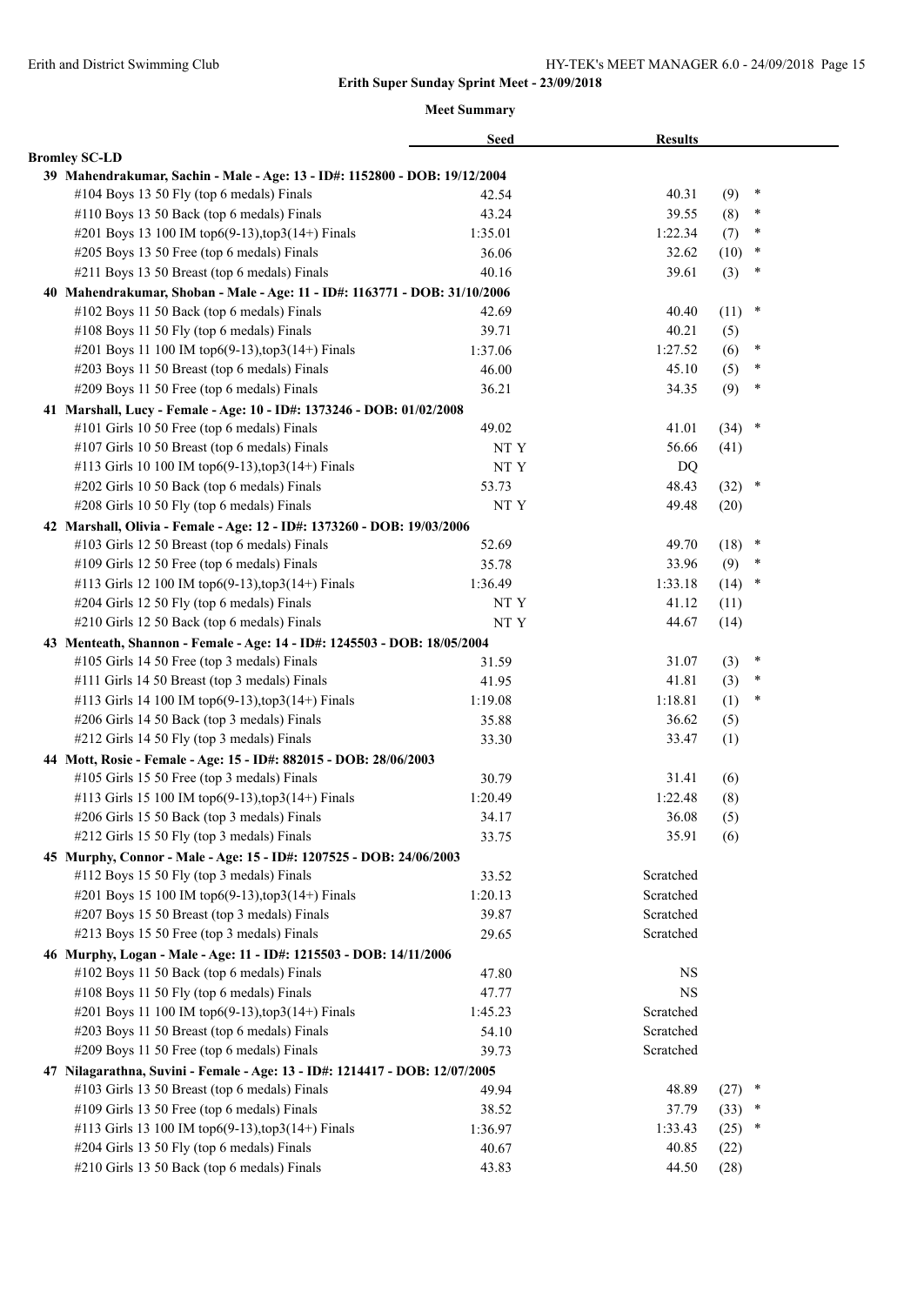|                                                                             | <b>Seed</b> | <b>Results</b> |          |        |  |
|-----------------------------------------------------------------------------|-------------|----------------|----------|--------|--|
| <b>Bromley SC-LD</b>                                                        |             |                |          |        |  |
| 39 Mahendrakumar, Sachin - Male - Age: 13 - ID#: 1152800 - DOB: 19/12/2004  |             |                |          |        |  |
| #104 Boys 13 50 Fly (top 6 medals) Finals                                   | 42.54       | 40.31          | (9)      | $\ast$ |  |
| #110 Boys 13 50 Back (top 6 medals) Finals                                  | 43.24       | 39.55          | (8)      | $\ast$ |  |
| #201 Boys 13 100 IM top6(9-13), top3(14+) Finals                            | 1:35.01     | 1:22.34        | (7)      | ∗      |  |
| #205 Boys 13 50 Free (top 6 medals) Finals                                  | 36.06       | 32.62          | (10)     | $\ast$ |  |
| #211 Boys 13 50 Breast (top 6 medals) Finals                                | 40.16       | 39.61          | (3)      | $\ast$ |  |
| 40 Mahendrakumar, Shoban - Male - Age: 11 - ID#: 1163771 - DOB: 31/10/2006  |             |                |          |        |  |
| #102 Boys 11 50 Back (top 6 medals) Finals                                  | 42.69       | 40.40          | (11)     | $\ast$ |  |
| #108 Boys 11 50 Fly (top 6 medals) Finals                                   | 39.71       | 40.21          | (5)      |        |  |
| #201 Boys 11 100 IM top6(9-13),top3(14+) Finals                             | 1:37.06     | 1:27.52        | (6)      | ∗      |  |
| #203 Boys 11 50 Breast (top 6 medals) Finals                                | 46.00       | 45.10          | (5)      | $\ast$ |  |
| #209 Boys 11 50 Free (top 6 medals) Finals                                  | 36.21       | 34.35          | (9)      | *      |  |
| 41 Marshall, Lucy - Female - Age: 10 - ID#: 1373246 - DOB: 01/02/2008       |             |                |          |        |  |
| #101 Girls 10 50 Free (top 6 medals) Finals                                 | 49.02       | 41.01          | $(34)$ * |        |  |
| #107 Girls 10 50 Breast (top 6 medals) Finals                               | NT Y        | 56.66          | (41)     |        |  |
| #113 Girls 10 100 IM top6(9-13), top3(14+) Finals                           | NT Y        | DQ             |          |        |  |
| #202 Girls 10 50 Back (top 6 medals) Finals                                 | 53.73       | 48.43          | $(32)$ * |        |  |
| #208 Girls 10 50 Fly (top 6 medals) Finals                                  | NT Y        | 49.48          | (20)     |        |  |
| 42 Marshall, Olivia - Female - Age: 12 - ID#: 1373260 - DOB: 19/03/2006     |             |                |          |        |  |
| #103 Girls 12 50 Breast (top 6 medals) Finals                               | 52.69       | 49.70          | (18)     | ×      |  |
| #109 Girls 12 50 Free (top 6 medals) Finals                                 | 35.78       | 33.96          | (9)      | ∗      |  |
| #113 Girls 12 100 IM top6(9-13), top3(14+) Finals                           | 1:36.49     | 1:33.18        | (14)     | $\ast$ |  |
| #204 Girls 12 50 Fly (top 6 medals) Finals                                  | NT Y        | 41.12          | (11)     |        |  |
| #210 Girls 12 50 Back (top 6 medals) Finals                                 | NT Y        | 44.67          | (14)     |        |  |
| 43 Menteath, Shannon - Female - Age: 14 - ID#: 1245503 - DOB: 18/05/2004    |             |                |          |        |  |
| #105 Girls 14 50 Free (top 3 medals) Finals                                 | 31.59       | 31.07          | (3)      | $\ast$ |  |
| #111 Girls 14 50 Breast (top 3 medals) Finals                               | 41.95       | 41.81          | (3)      | ∗      |  |
| #113 Girls 14 100 IM top6(9-13), top3(14+) Finals                           | 1:19.08     | 1:18.81        | (1)      | $\ast$ |  |
| #206 Girls 14 50 Back (top 3 medals) Finals                                 | 35.88       | 36.62          | (5)      |        |  |
| #212 Girls 14 50 Fly (top 3 medals) Finals                                  | 33.30       | 33.47          | (1)      |        |  |
| 44 Mott, Rosie - Female - Age: 15 - ID#: 882015 - DOB: 28/06/2003           |             |                |          |        |  |
| #105 Girls 15 50 Free (top 3 medals) Finals                                 | 30.79       | 31.41          | (6)      |        |  |
| #113 Girls 15 100 IM top6(9-13), top3(14+) Finals                           | 1:20.49     | 1:22.48        | (8)      |        |  |
| #206 Girls 15 50 Back (top 3 medals) Finals                                 | 34.17       | 36.08          | (5)      |        |  |
| #212 Girls 15 50 Fly (top 3 medals) Finals                                  | 33.75       | 35.91          | (6)      |        |  |
| 45 Murphy, Connor - Male - Age: 15 - ID#: 1207525 - DOB: 24/06/2003         |             |                |          |        |  |
| #112 Boys 15 50 Fly (top 3 medals) Finals                                   | 33.52       | Scratched      |          |        |  |
| #201 Boys 15 100 IM top6(9-13),top3(14+) Finals                             | 1:20.13     | Scratched      |          |        |  |
| #207 Boys 15 50 Breast (top 3 medals) Finals                                | 39.87       | Scratched      |          |        |  |
| #213 Boys 15 50 Free (top 3 medals) Finals                                  | 29.65       | Scratched      |          |        |  |
| 46 Murphy, Logan - Male - Age: 11 - ID#: 1215503 - DOB: 14/11/2006          |             |                |          |        |  |
| #102 Boys 11 50 Back (top 6 medals) Finals                                  | 47.80       | NS             |          |        |  |
| #108 Boys 11 50 Fly (top 6 medals) Finals                                   | 47.77       | <b>NS</b>      |          |        |  |
| #201 Boys 11 100 IM top6(9-13), top3(14+) Finals                            | 1:45.23     | Scratched      |          |        |  |
| #203 Boys 11 50 Breast (top 6 medals) Finals                                | 54.10       | Scratched      |          |        |  |
| #209 Boys 11 50 Free (top 6 medals) Finals                                  | 39.73       | Scratched      |          |        |  |
| 47 Nilagarathna, Suvini - Female - Age: 13 - ID#: 1214417 - DOB: 12/07/2005 |             |                |          |        |  |
| #103 Girls 13 50 Breast (top 6 medals) Finals                               | 49.94       | 48.89          | $(27)$ * |        |  |
| #109 Girls 13 50 Free (top 6 medals) Finals                                 | 38.52       | 37.79          | (33)     | *      |  |
| #113 Girls 13 100 IM top6(9-13), top3(14+) Finals                           | 1:36.97     | 1:33.43        | (25)     | *      |  |
| #204 Girls 13 50 Fly (top 6 medals) Finals                                  | 40.67       | 40.85          | (22)     |        |  |
| #210 Girls 13 50 Back (top 6 medals) Finals                                 | 43.83       | 44.50          | (28)     |        |  |
|                                                                             |             |                |          |        |  |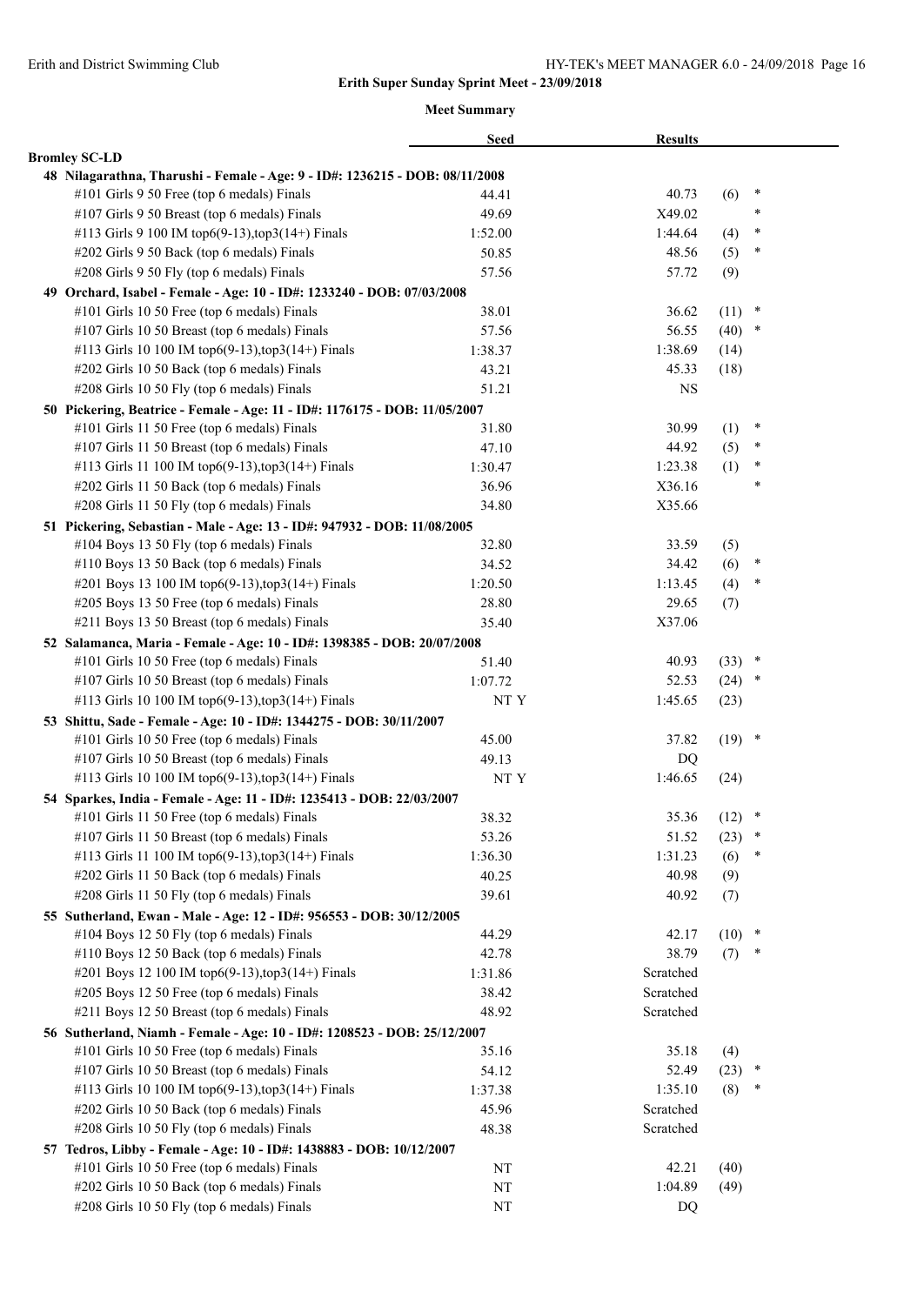|                                                                              | <b>Seed</b>    | <b>Results</b> |          |        |  |
|------------------------------------------------------------------------------|----------------|----------------|----------|--------|--|
| <b>Bromley SC-LD</b>                                                         |                |                |          |        |  |
| 48 Nilagarathna, Tharushi - Female - Age: 9 - ID#: 1236215 - DOB: 08/11/2008 |                |                |          |        |  |
| #101 Girls 9 50 Free (top 6 medals) Finals                                   | 44.41          | 40.73          | (6)      | $\ast$ |  |
| #107 Girls 9 50 Breast (top 6 medals) Finals                                 | 49.69          | X49.02         |          | $\ast$ |  |
| #113 Girls 9 100 IM top6(9-13), top3(14+) Finals                             | 1:52.00        | 1:44.64        | (4)      | $\ast$ |  |
| #202 Girls 9 50 Back (top 6 medals) Finals                                   | 50.85          | 48.56          | (5)      | $\ast$ |  |
| #208 Girls 9 50 Fly (top 6 medals) Finals                                    | 57.56          | 57.72          | (9)      |        |  |
| 49 Orchard, Isabel - Female - Age: 10 - ID#: 1233240 - DOB: 07/03/2008       |                |                |          |        |  |
| #101 Girls 10 50 Free (top 6 medals) Finals                                  | 38.01          | 36.62          | (11)     | $\ast$ |  |
| #107 Girls 10 50 Breast (top 6 medals) Finals                                | 57.56          | 56.55          | (40)     | $\ast$ |  |
| #113 Girls 10 100 IM top6(9-13), top3(14+) Finals                            | 1:38.37        | 1:38.69        | (14)     |        |  |
| #202 Girls 10 50 Back (top 6 medals) Finals                                  | 43.21          | 45.33          | (18)     |        |  |
| #208 Girls 10 50 Fly (top 6 medals) Finals                                   | 51.21          | <b>NS</b>      |          |        |  |
| 50 Pickering, Beatrice - Female - Age: 11 - ID#: 1176175 - DOB: 11/05/2007   |                |                |          |        |  |
| #101 Girls 11 50 Free (top 6 medals) Finals                                  | 31.80          | 30.99          | (1)      | $\ast$ |  |
| #107 Girls 11 50 Breast (top 6 medals) Finals                                | 47.10          | 44.92          | (5)      | $\ast$ |  |
| #113 Girls 11 100 IM top6(9-13), top3(14+) Finals                            | 1:30.47        | 1:23.38        | (1)      | $\ast$ |  |
| #202 Girls 11 50 Back (top 6 medals) Finals                                  | 36.96          | X36.16         |          | $\ast$ |  |
| #208 Girls 11 50 Fly (top 6 medals) Finals                                   | 34.80          | X35.66         |          |        |  |
| 51 Pickering, Sebastian - Male - Age: 13 - ID#: 947932 - DOB: 11/08/2005     |                |                |          |        |  |
| #104 Boys 13 50 Fly (top 6 medals) Finals                                    | 32.80          | 33.59          | (5)      |        |  |
| #110 Boys 13 50 Back (top 6 medals) Finals                                   | 34.52          | 34.42          | (6)      | $\ast$ |  |
| #201 Boys 13 100 IM top6(9-13), top3(14+) Finals                             | 1:20.50        | 1:13.45        | (4)      | $\ast$ |  |
| #205 Boys 13 50 Free (top 6 medals) Finals                                   | 28.80          | 29.65          | (7)      |        |  |
| #211 Boys 13 50 Breast (top 6 medals) Finals                                 | 35.40          | X37.06         |          |        |  |
| 52 Salamanca, Maria - Female - Age: 10 - ID#: 1398385 - DOB: 20/07/2008      |                |                |          |        |  |
| #101 Girls 10 50 Free (top 6 medals) Finals                                  | 51.40          | 40.93          | (33)     | $\ast$ |  |
| #107 Girls 10 50 Breast (top 6 medals) Finals                                | 1:07.72        | 52.53          | (24)     | $\ast$ |  |
| #113 Girls 10 100 IM top6(9-13), top3(14+) Finals                            | NT Y           | 1:45.65        | (23)     |        |  |
| 53 Shittu, Sade - Female - Age: 10 - ID#: 1344275 - DOB: 30/11/2007          |                |                |          |        |  |
| #101 Girls 10 50 Free (top 6 medals) Finals                                  | 45.00          | 37.82          | $(19)$ * |        |  |
| #107 Girls 10 50 Breast (top 6 medals) Finals                                | 49.13          | DQ             |          |        |  |
| #113 Girls 10 100 IM top6(9-13), top3(14+) Finals                            | NT Y           | 1:46.65        | (24)     |        |  |
| 54 Sparkes, India - Female - Age: 11 - ID#: 1235413 - DOB: 22/03/2007        |                |                |          |        |  |
| #101 Girls 11 50 Free (top 6 medals) Finals                                  |                | 35.36          | (12)     | $\ast$ |  |
| #107 Girls 11 50 Breast (top 6 medals) Finals                                | 38.32<br>53.26 | 51.52          | (23)     | $\ast$ |  |
| #113 Girls 11 100 IM top6(9-13), top3(14+) Finals                            |                |                |          | ∗      |  |
|                                                                              | 1:36.30        | 1:31.23        | (6)      |        |  |
| #202 Girls 11 50 Back (top 6 medals) Finals                                  | 40.25          | 40.98          | (9)      |        |  |
| #208 Girls 11 50 Fly (top 6 medals) Finals                                   | 39.61          | 40.92          | (7)      |        |  |
| 55 Sutherland, Ewan - Male - Age: 12 - ID#: 956553 - DOB: 30/12/2005         |                |                |          | $\ast$ |  |
| #104 Boys 12 50 Fly (top 6 medals) Finals                                    | 44.29          | 42.17          | (10)     | *      |  |
| #110 Boys 12 50 Back (top 6 medals) Finals                                   | 42.78          | 38.79          | (7)      |        |  |
| #201 Boys 12 100 IM top6(9-13), top3(14+) Finals                             | 1:31.86        | Scratched      |          |        |  |
| #205 Boys 12 50 Free (top 6 medals) Finals                                   | 38.42          | Scratched      |          |        |  |
| #211 Boys 12 50 Breast (top 6 medals) Finals                                 | 48.92          | Scratched      |          |        |  |
| 56 Sutherland, Niamh - Female - Age: 10 - ID#: 1208523 - DOB: 25/12/2007     |                |                |          |        |  |
| #101 Girls 10 50 Free (top 6 medals) Finals                                  | 35.16          | 35.18          | (4)      |        |  |
| #107 Girls 10 50 Breast (top 6 medals) Finals                                | 54.12          | 52.49          | (23)     | $\ast$ |  |
| #113 Girls 10 100 IM top6(9-13), top3(14+) Finals                            | 1:37.38        | 1:35.10        | (8)      | *      |  |
| #202 Girls 10 50 Back (top 6 medals) Finals                                  | 45.96          | Scratched      |          |        |  |
| #208 Girls 10 50 Fly (top 6 medals) Finals                                   | 48.38          | Scratched      |          |        |  |
| 57 Tedros, Libby - Female - Age: 10 - ID#: 1438883 - DOB: 10/12/2007         |                |                |          |        |  |
| #101 Girls 10 50 Free (top 6 medals) Finals                                  | NT             | 42.21          | (40)     |        |  |
| #202 Girls 10 50 Back (top 6 medals) Finals                                  | NT             | 1:04.89        | (49)     |        |  |
| #208 Girls 10 50 Fly (top 6 medals) Finals                                   | NT             | DQ             |          |        |  |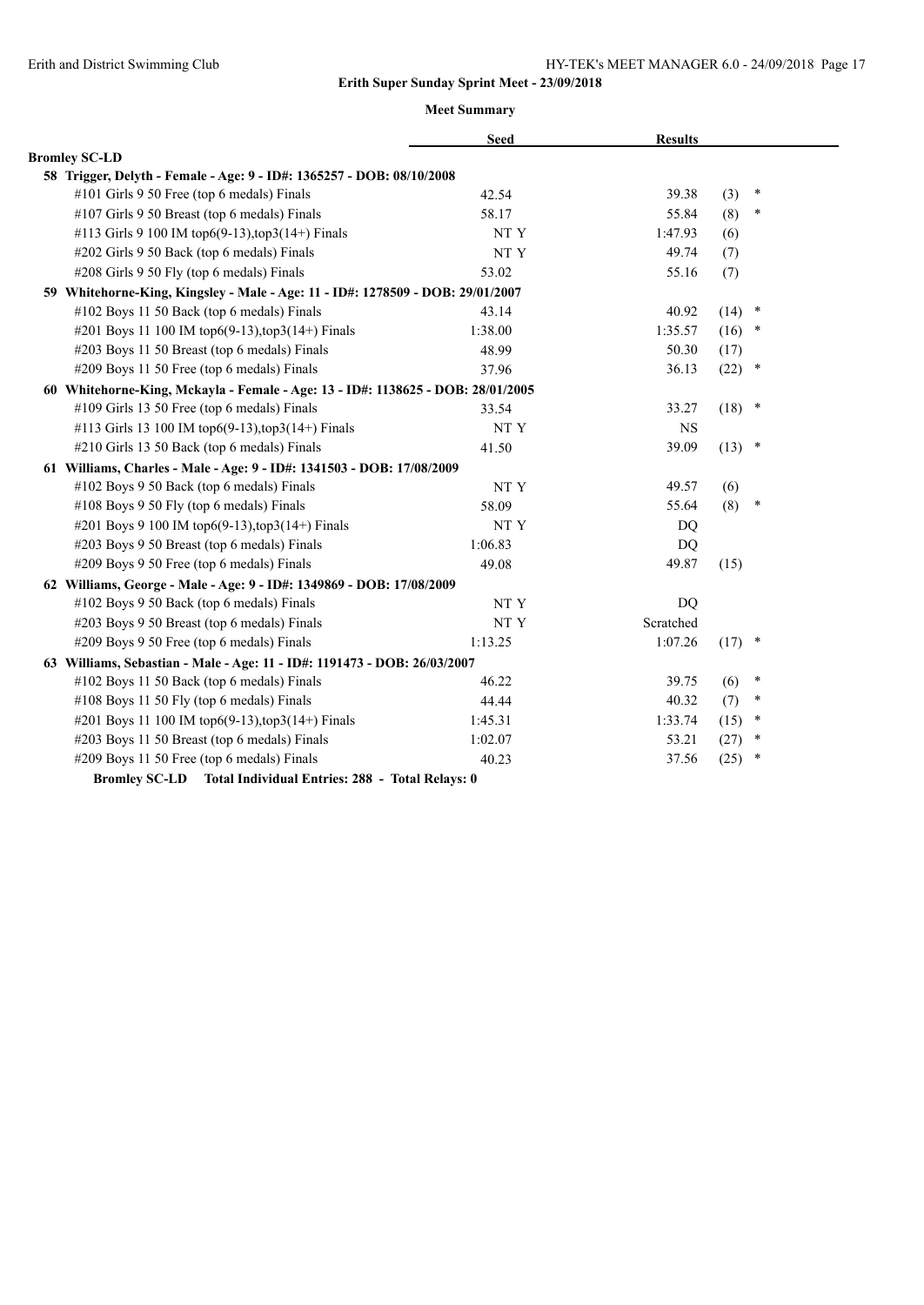|                                                                                 | <b>Seed</b> | <b>Results</b> |          |        |
|---------------------------------------------------------------------------------|-------------|----------------|----------|--------|
| <b>Bromley SC-LD</b>                                                            |             |                |          |        |
| 58 Trigger, Delyth - Female - Age: 9 - ID#: 1365257 - DOB: 08/10/2008           |             |                |          |        |
| #101 Girls 9 50 Free (top 6 medals) Finals                                      | 42.54       | 39.38          | (3)      | $\ast$ |
| #107 Girls 9 50 Breast (top 6 medals) Finals                                    | 58.17       | 55.84          | (8)      | $\ast$ |
| #113 Girls 9 100 IM top6(9-13), top3(14+) Finals                                | NT Y        | 1:47.93        | (6)      |        |
| #202 Girls 9 50 Back (top 6 medals) Finals                                      | NT Y        | 49.74          | (7)      |        |
| #208 Girls 9 50 Fly (top 6 medals) Finals                                       | 53.02       | 55.16          | (7)      |        |
| 59 Whitehorne-King, Kingsley - Male - Age: 11 - ID#: 1278509 - DOB: 29/01/2007  |             |                |          |        |
| #102 Boys 11 50 Back (top 6 medals) Finals                                      | 43.14       | 40.92          | (14)     | $\ast$ |
| #201 Boys 11 100 IM top6(9-13),top3(14+) Finals                                 | 1:38.00     | 1:35.57        | $(16)$ * |        |
| #203 Boys 11 50 Breast (top 6 medals) Finals                                    | 48.99       | 50.30          | (17)     |        |
| #209 Boys 11 50 Free (top 6 medals) Finals                                      | 37.96       | 36.13          | $(22)$ * |        |
| 60 Whitehorne-King, Mckayla - Female - Age: 13 - ID#: 1138625 - DOB: 28/01/2005 |             |                |          |        |
| #109 Girls 13 50 Free (top 6 medals) Finals                                     | 33.54       | 33.27          | $(18)$ * |        |
| #113 Girls 13 100 IM top6(9-13),top3(14+) Finals                                | NT Y        | <b>NS</b>      |          |        |
| #210 Girls 13 50 Back (top 6 medals) Finals                                     | 41.50       | 39.09          | $(13)$ * |        |
| 61 Williams, Charles - Male - Age: 9 - ID#: 1341503 - DOB: 17/08/2009           |             |                |          |        |
| #102 Boys 9 50 Back (top 6 medals) Finals                                       | NT Y        | 49.57          | (6)      |        |
| #108 Boys 9 50 Fly (top 6 medals) Finals                                        | 58.09       | 55.64          | (8)      | $\ast$ |
| #201 Boys 9 100 IM top6(9-13), top3(14+) Finals                                 | NT Y        | DQ             |          |        |
| #203 Boys 9 50 Breast (top 6 medals) Finals                                     | 1:06.83     | DQ             |          |        |
| #209 Boys 9 50 Free (top 6 medals) Finals                                       | 49.08       | 49.87          | (15)     |        |
| 62 Williams, George - Male - Age: 9 - ID#: 1349869 - DOB: 17/08/2009            |             |                |          |        |
| #102 Boys 9 50 Back (top 6 medals) Finals                                       | NT Y        | D <sub>O</sub> |          |        |
| #203 Boys 9 50 Breast (top 6 medals) Finals                                     | NT Y        | Scratched      |          |        |
| #209 Boys 9 50 Free (top 6 medals) Finals                                       | 1:13.25     | 1:07.26        | $(17)$ * |        |
| 63 Williams, Sebastian - Male - Age: 11 - ID#: 1191473 - DOB: 26/03/2007        |             |                |          |        |
| #102 Boys 11 50 Back (top 6 medals) Finals                                      | 46.22       | 39.75          | (6)      | $\ast$ |
| #108 Boys 11 50 Fly (top 6 medals) Finals                                       | 44.44       | 40.32          | (7)      | $\ast$ |
| #201 Boys 11 100 IM top6(9-13), top3(14+) Finals                                | 1:45.31     | 1:33.74        | (15)     | $\ast$ |
| #203 Boys 11 50 Breast (top 6 medals) Finals                                    | 1:02.07     | 53.21          | (27)     | $\ast$ |
| #209 Boys 11 50 Free (top 6 medals) Finals                                      | 40.23       | 37.56          | (25)     | $\ast$ |
| Bromley SC-LD Total Individual Entries: 288 - Total Relays: 0                   |             |                |          |        |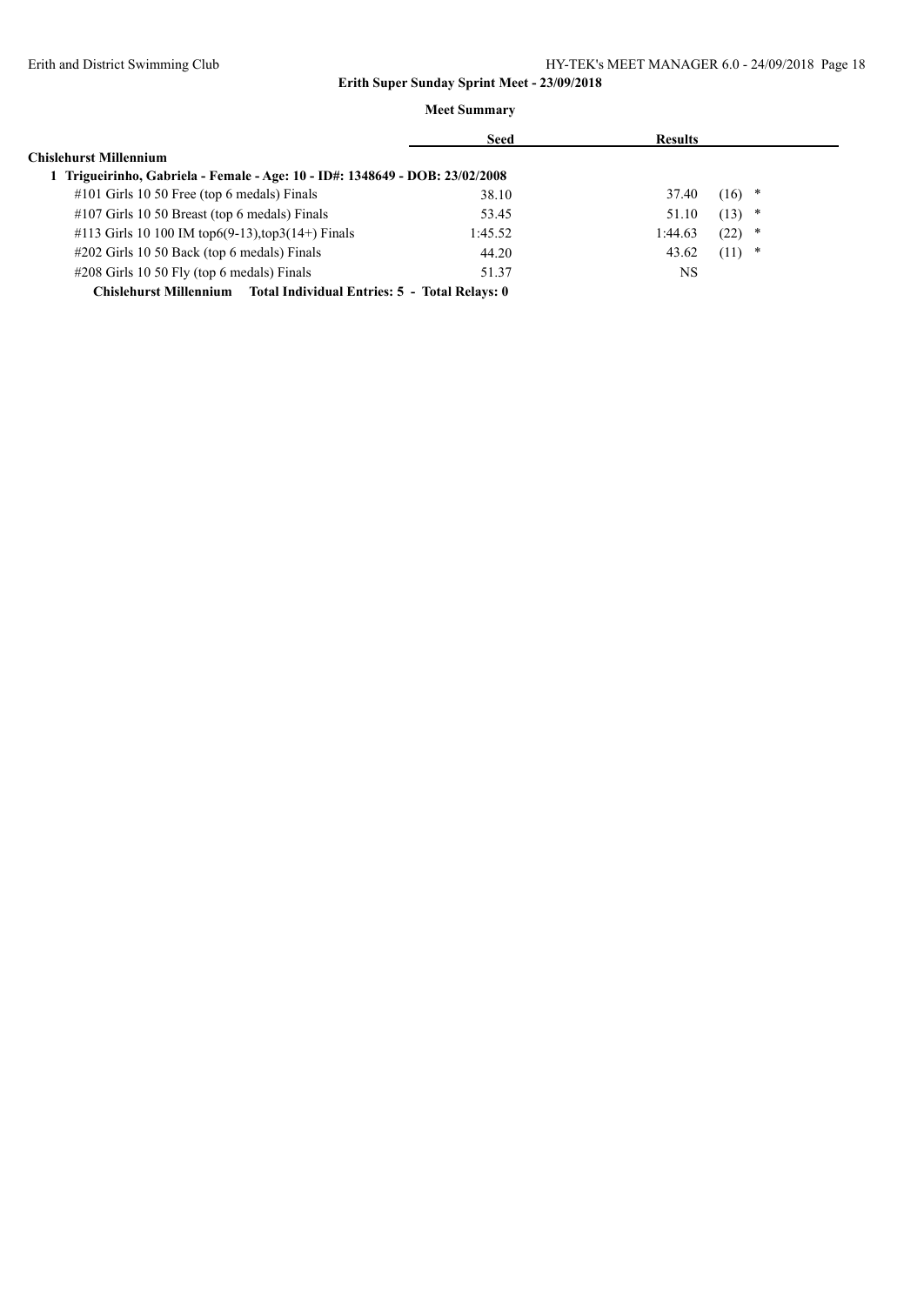|                                                                            | <b>Seed</b> | <b>Results</b> |           |
|----------------------------------------------------------------------------|-------------|----------------|-----------|
| <b>Chislehurst Millennium</b>                                              |             |                |           |
| Trigueirinho, Gabriela - Female - Age: 10 - ID#: 1348649 - DOB: 23/02/2008 |             |                |           |
| #101 Girls 10 50 Free (top 6 medals) Finals                                | 38.10       | 37.40          | *<br>(16) |
| #107 Girls 10 50 Breast (top 6 medals) Finals                              | 53.45       | 51.10          | (13)<br>∗ |
| #113 Girls 10 100 IM top6(9-13), top3(14+) Finals                          | 1:45.52     | 1:44.63        | (22)<br>* |
| #202 Girls 10 50 Back (top 6 medals) Finals                                | 44.20       | 43.62          | (11)<br>* |
| $\#208$ Girls 10 50 Fly (top 6 medals) Finals                              | 51.37       | NS             |           |
| Chislehurst Millennium Total Individual Entries: 5 - Total Relays: 0       |             |                |           |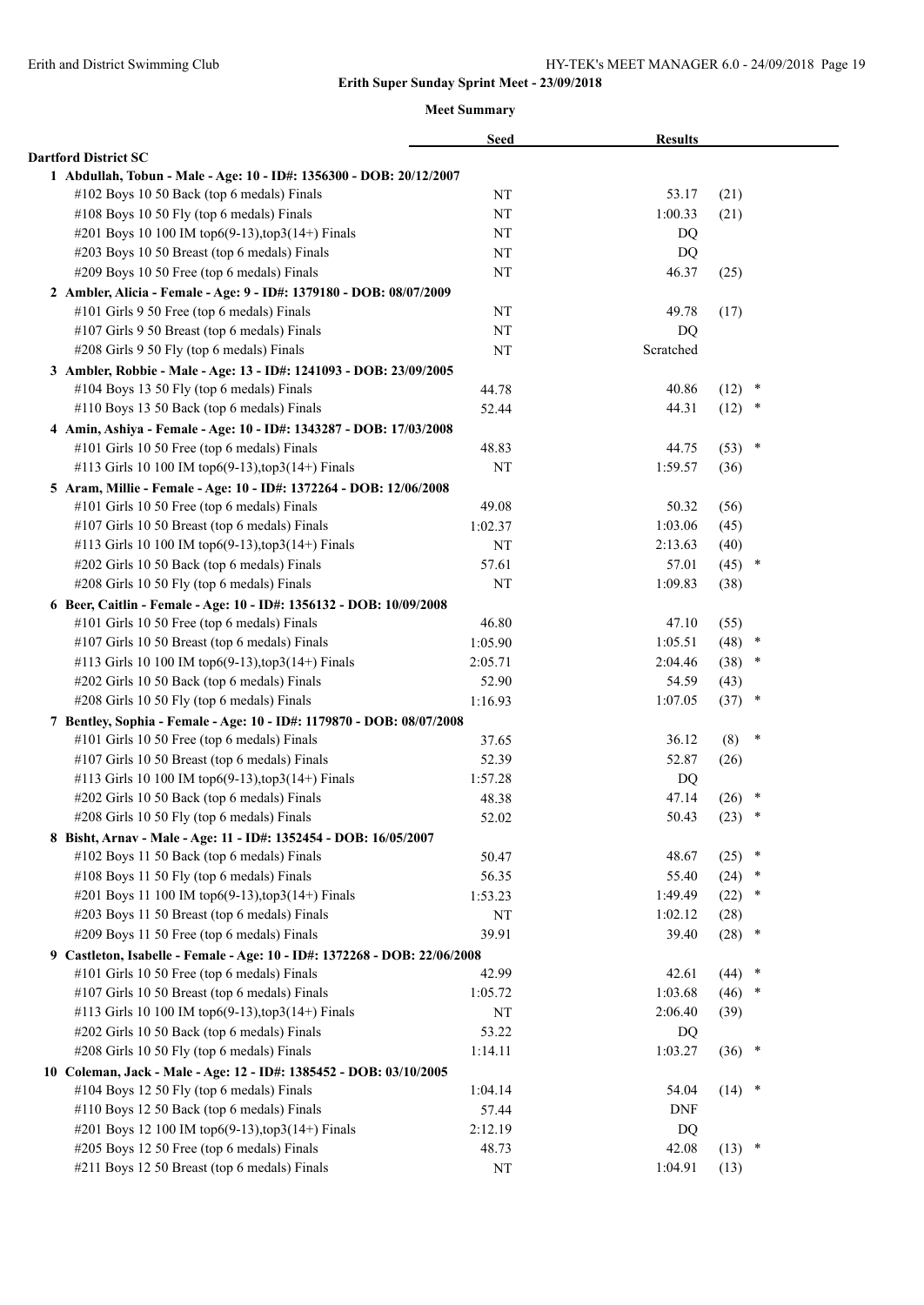|                                                                           | <b>Seed</b> | <b>Results</b> |                |
|---------------------------------------------------------------------------|-------------|----------------|----------------|
| <b>Dartford District SC</b>                                               |             |                |                |
| 1 Abdullah, Tobun - Male - Age: 10 - ID#: 1356300 - DOB: 20/12/2007       |             |                |                |
| #102 Boys 10 50 Back (top 6 medals) Finals                                | NT          | 53.17          | (21)           |
| #108 Boys 10 50 Fly (top 6 medals) Finals                                 | NT          | 1:00.33        | (21)           |
| #201 Boys 10 100 IM top6(9-13), top3(14+) Finals                          | NT          | DQ             |                |
| #203 Boys 10 50 Breast (top 6 medals) Finals                              | NT          | DQ             |                |
| #209 Boys 10 50 Free (top 6 medals) Finals                                | NT          | 46.37          | (25)           |
| 2 Ambler, Alicia - Female - Age: 9 - ID#: 1379180 - DOB: 08/07/2009       |             |                |                |
| #101 Girls 9 50 Free (top 6 medals) Finals                                | NT          | 49.78          | (17)           |
| #107 Girls 9 50 Breast (top 6 medals) Finals                              | NT          | DQ             |                |
| #208 Girls 9 50 Fly (top 6 medals) Finals                                 | NT          | Scratched      |                |
| 3 Ambler, Robbie - Male - Age: 13 - ID#: 1241093 - DOB: 23/09/2005        |             |                |                |
| #104 Boys 13 50 Fly (top 6 medals) Finals                                 | 44.78       | 40.86          | $(12)$ *       |
| #110 Boys 13 50 Back (top 6 medals) Finals                                | 52.44       | 44.31          | (12)<br>$\ast$ |
| 4 Amin, Ashiya - Female - Age: 10 - ID#: 1343287 - DOB: 17/03/2008        |             |                |                |
| #101 Girls 10 50 Free (top 6 medals) Finals                               | 48.83       | 44.75          | $\ast$<br>(53) |
| #113 Girls 10 100 IM top6(9-13), top3(14+) Finals                         | NT          | 1:59.57        | (36)           |
| 5 Aram, Millie - Female - Age: 10 - ID#: 1372264 - DOB: 12/06/2008        |             |                |                |
| #101 Girls 10 50 Free (top 6 medals) Finals                               | 49.08       | 50.32          | (56)           |
| #107 Girls 10 50 Breast (top 6 medals) Finals                             | 1:02.37     | 1:03.06        | (45)           |
| #113 Girls 10 100 IM top6(9-13), top3(14+) Finals                         | NT          | 2:13.63        | (40)           |
| #202 Girls 10 50 Back (top 6 medals) Finals                               | 57.61       | 57.01          | (45)<br>$\ast$ |
| #208 Girls 10 50 Fly (top 6 medals) Finals                                | NT          | 1:09.83        | (38)           |
| 6 Beer, Caitlin - Female - Age: 10 - ID#: 1356132 - DOB: 10/09/2008       |             |                |                |
| #101 Girls 10 50 Free (top 6 medals) Finals                               | 46.80       | 47.10          | (55)           |
| #107 Girls 10 50 Breast (top 6 medals) Finals                             | 1:05.90     | 1:05.51        | (48)<br>$\ast$ |
| #113 Girls 10 100 IM top6(9-13),top3(14+) Finals                          | 2:05.71     | 2:04.46        | (38)<br>$\ast$ |
| #202 Girls 10 50 Back (top 6 medals) Finals                               | 52.90       | 54.59          | (43)           |
| #208 Girls 10 50 Fly (top 6 medals) Finals                                | 1:16.93     | 1:07.05        | $\ast$<br>(37) |
| 7 Bentley, Sophia - Female - Age: 10 - ID#: 1179870 - DOB: 08/07/2008     |             |                |                |
| #101 Girls 10 50 Free (top 6 medals) Finals                               | 37.65       | 36.12          | $\ast$<br>(8)  |
| #107 Girls 10 50 Breast (top 6 medals) Finals                             | 52.39       | 52.87          | (26)           |
| #113 Girls 10 100 IM top6(9-13), top3(14+) Finals                         | 1:57.28     | DQ             |                |
| #202 Girls 10 50 Back (top 6 medals) Finals                               | 48.38       | 47.14          | $\ast$<br>(26) |
| #208 Girls 10 50 Fly (top 6 medals) Finals                                | 52.02       | 50.43          | (23)<br>$\ast$ |
| 8 Bisht, Arnav - Male - Age: 11 - ID#: 1352454 - DOB: 16/05/2007          |             |                |                |
| #102 Boys 11 50 Back (top 6 medals) Finals                                | 50.47       | 48.67          | $\ast$<br>(25) |
| #108 Boys 11 50 Fly (top 6 medals) Finals                                 | 56.35       | 55.40          | (24)<br>$\ast$ |
| #201 Boys 11 100 IM top6(9-13), top3(14+) Finals                          | 1:53.23     | 1:49.49        | (22)<br>*      |
| #203 Boys 11 50 Breast (top 6 medals) Finals                              | NT          | 1:02.12        | (28)           |
| #209 Boys 11 50 Free (top 6 medals) Finals                                | 39.91       | 39.40          | (28)<br>$\ast$ |
| 9 Castleton, Isabelle - Female - Age: 10 - ID#: 1372268 - DOB: 22/06/2008 |             |                |                |
| #101 Girls 10 50 Free (top 6 medals) Finals                               | 42.99       | 42.61          | $\ast$<br>(44) |
| #107 Girls 10 50 Breast (top 6 medals) Finals                             | 1:05.72     | 1:03.68        | (46)           |
| #113 Girls 10 100 IM top6(9-13),top3(14+) Finals                          | NT          | 2:06.40        | (39)           |
| #202 Girls 10 50 Back (top 6 medals) Finals                               | 53.22       | DQ             |                |
| #208 Girls 10 50 Fly (top 6 medals) Finals                                | 1:14.11     | 1:03.27        | $(36)$ *       |
| 10 Coleman, Jack - Male - Age: 12 - ID#: 1385452 - DOB: 03/10/2005        |             |                |                |
| #104 Boys 12 50 Fly (top 6 medals) Finals                                 | 1:04.14     | 54.04          | $(14)$ *       |
| #110 Boys 12 50 Back (top 6 medals) Finals                                | 57.44       | <b>DNF</b>     |                |
| #201 Boys 12 100 IM top6(9-13), top3(14+) Finals                          | 2:12.19     | DQ             |                |
| #205 Boys 12 50 Free (top 6 medals) Finals                                | 48.73       | 42.08          | $(13)$ *       |
| #211 Boys 12 50 Breast (top 6 medals) Finals                              | $\rm{NT}$   | 1:04.91        | (13)           |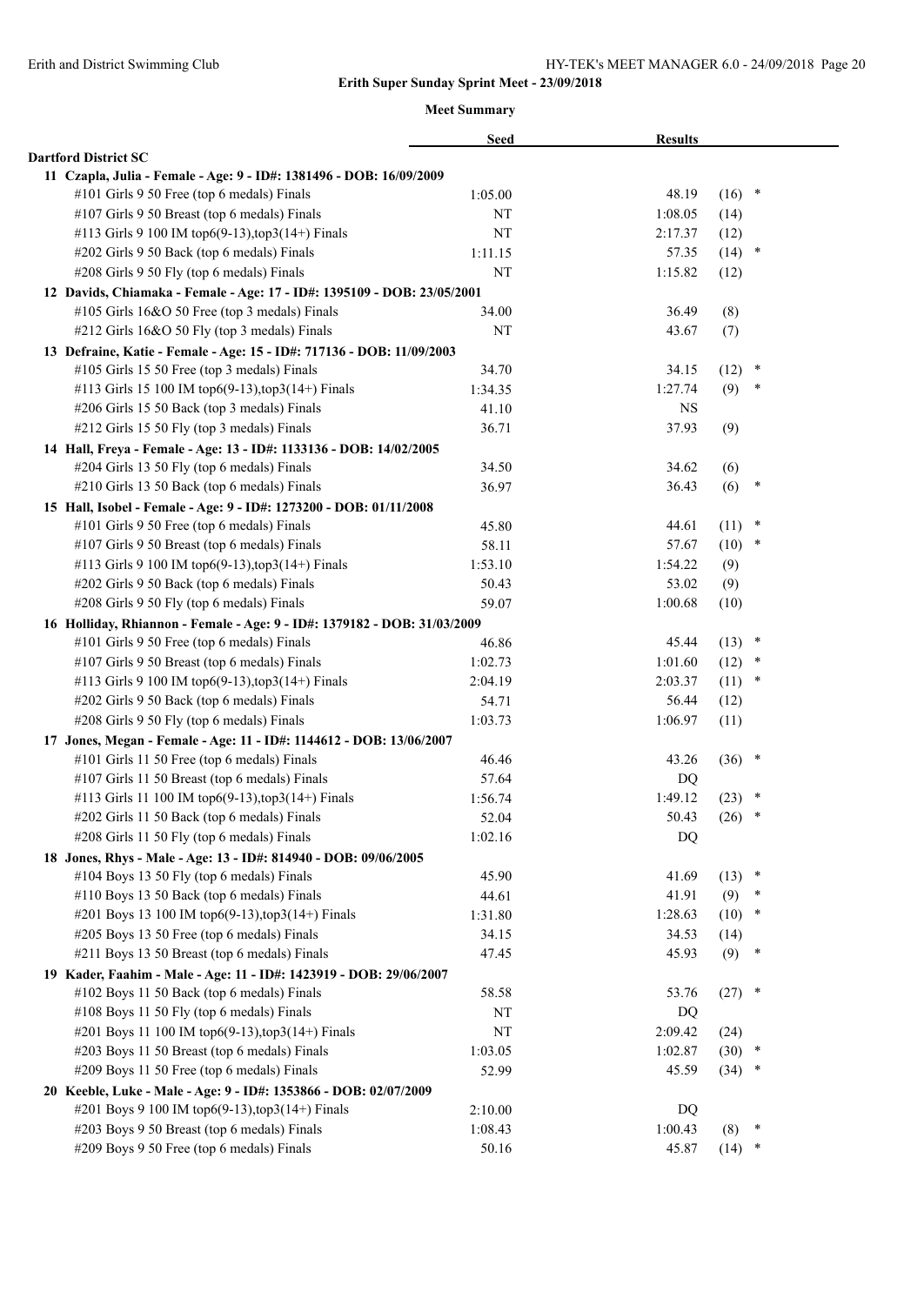|                                                                          | <b>Seed</b> | <b>Results</b> |      |        |
|--------------------------------------------------------------------------|-------------|----------------|------|--------|
| <b>Dartford District SC</b>                                              |             |                |      |        |
| 11 Czapla, Julia - Female - Age: 9 - ID#: 1381496 - DOB: 16/09/2009      |             |                |      |        |
| #101 Girls 9 50 Free (top 6 medals) Finals                               | 1:05.00     | 48.19          | (16) | $\ast$ |
| #107 Girls 9 50 Breast (top 6 medals) Finals                             | NT          | 1:08.05        | (14) |        |
| #113 Girls 9 100 IM top6(9-13), top3(14+) Finals                         | NT          | 2:17.37        | (12) |        |
| #202 Girls 9 50 Back (top 6 medals) Finals                               | 1:11.15     | 57.35          | (14) | $\ast$ |
| #208 Girls 9 50 Fly (top 6 medals) Finals                                | NT          | 1:15.82        | (12) |        |
| 12 Davids, Chiamaka - Female - Age: 17 - ID#: 1395109 - DOB: 23/05/2001  |             |                |      |        |
| #105 Girls 16&O 50 Free (top 3 medals) Finals                            | 34.00       | 36.49          | (8)  |        |
| #212 Girls 16&O 50 Fly (top 3 medals) Finals                             | NT          | 43.67          | (7)  |        |
| 13 Defraine, Katie - Female - Age: 15 - ID#: 717136 - DOB: 11/09/2003    |             |                |      |        |
| #105 Girls 15 50 Free (top 3 medals) Finals                              | 34.70       | 34.15          | (12) | $\ast$ |
| #113 Girls 15 100 IM top6(9-13), top3(14+) Finals                        | 1:34.35     | 1:27.74        | (9)  | $\ast$ |
| #206 Girls 15 50 Back (top 3 medals) Finals                              | 41.10       | <b>NS</b>      |      |        |
| #212 Girls 15 50 Fly (top 3 medals) Finals                               | 36.71       | 37.93          | (9)  |        |
| 14 Hall, Freya - Female - Age: 13 - ID#: 1133136 - DOB: 14/02/2005       |             |                |      |        |
| #204 Girls 13 50 Fly (top 6 medals) Finals                               | 34.50       | 34.62          | (6)  |        |
| #210 Girls 13 50 Back (top 6 medals) Finals                              | 36.97       | 36.43          | (6)  | $\ast$ |
| 15 Hall, Isobel - Female - Age: 9 - ID#: 1273200 - DOB: 01/11/2008       |             |                |      |        |
| #101 Girls 9 50 Free (top 6 medals) Finals                               | 45.80       | 44.61          | (11) | $\ast$ |
| #107 Girls 9 50 Breast (top 6 medals) Finals                             | 58.11       | 57.67          | (10) | $\ast$ |
| #113 Girls 9 100 IM top6(9-13), top3(14+) Finals                         | 1:53.10     | 1:54.22        | (9)  |        |
| #202 Girls 9 50 Back (top 6 medals) Finals                               | 50.43       | 53.02          | (9)  |        |
| #208 Girls 9 50 Fly (top 6 medals) Finals                                | 59.07       | 1:00.68        | (10) |        |
| 16 Holliday, Rhiannon - Female - Age: 9 - ID#: 1379182 - DOB: 31/03/2009 |             |                |      |        |
| #101 Girls 9 50 Free (top 6 medals) Finals                               | 46.86       | 45.44          | (13) | $\ast$ |
| #107 Girls 9 50 Breast (top 6 medals) Finals                             | 1:02.73     | 1:01.60        | (12) | ×      |
| #113 Girls 9 100 IM top6(9-13), top3(14+) Finals                         | 2:04.19     | 2:03.37        | (11) | $\ast$ |
| #202 Girls 9 50 Back (top 6 medals) Finals                               | 54.71       | 56.44          | (12) |        |
| #208 Girls 9 50 Fly (top 6 medals) Finals                                | 1:03.73     | 1:06.97        | (11) |        |
| 17 Jones, Megan - Female - Age: 11 - ID#: 1144612 - DOB: 13/06/2007      |             |                |      |        |
| #101 Girls 11 50 Free (top 6 medals) Finals                              | 46.46       | 43.26          | (36) | $\ast$ |
| #107 Girls 11 50 Breast (top 6 medals) Finals                            | 57.64       | DQ             |      |        |
| #113 Girls 11 100 IM top6(9-13),top3(14+) Finals                         | 1:56.74     | 1:49.12        | (23) | $\ast$ |
| #202 Girls 11 50 Back (top 6 medals) Finals                              | 52.04       | 50.43          | (26) | $\ast$ |
| #208 Girls 11 50 Fly (top 6 medals) Finals                               | 1:02.16     | DQ             |      |        |
| 18 Jones, Rhys - Male - Age: 13 - ID#: 814940 - DOB: 09/06/2005          |             |                |      |        |
| #104 Boys 13 50 Fly (top 6 medals) Finals                                | 45.90       | 41.69          | (13) | ×      |
| #110 Boys 13 50 Back (top 6 medals) Finals                               | 44.61       | 41.91          | (9)  | *      |
| #201 Boys 13 100 IM top6(9-13), top3(14+) Finals                         | 1:31.80     | 1:28.63        | (10) | $\ast$ |
| #205 Boys 13 50 Free (top 6 medals) Finals                               | 34.15       | 34.53          | (14) |        |
| #211 Boys 13 50 Breast (top 6 medals) Finals                             | 47.45       | 45.93          | (9)  | ∗      |
| 19 Kader, Faahim - Male - Age: 11 - ID#: 1423919 - DOB: 29/06/2007       |             |                |      |        |
| #102 Boys 11 50 Back (top 6 medals) Finals                               | 58.58       | 53.76          | (27) | $\ast$ |
| #108 Boys 11 50 Fly (top 6 medals) Finals                                | NT          | DQ             |      |        |
| #201 Boys 11 100 IM top6(9-13), top3(14+) Finals                         | NT          | 2:09.42        | (24) |        |
| #203 Boys 11 50 Breast (top 6 medals) Finals                             | 1:03.05     | 1:02.87        | (30) | $\ast$ |
| #209 Boys 11 50 Free (top 6 medals) Finals                               | 52.99       | 45.59          | (34) | *      |
| 20 Keeble, Luke - Male - Age: 9 - ID#: 1353866 - DOB: 02/07/2009         |             |                |      |        |
| #201 Boys 9 100 IM top6(9-13), top3(14+) Finals                          | 2:10.00     | DQ             |      |        |
| #203 Boys 9 50 Breast (top 6 medals) Finals                              | 1:08.43     | 1:00.43        | (8)  | ×      |
| #209 Boys 9 50 Free (top 6 medals) Finals                                | 50.16       | 45.87          | (14) | $\ast$ |
|                                                                          |             |                |      |        |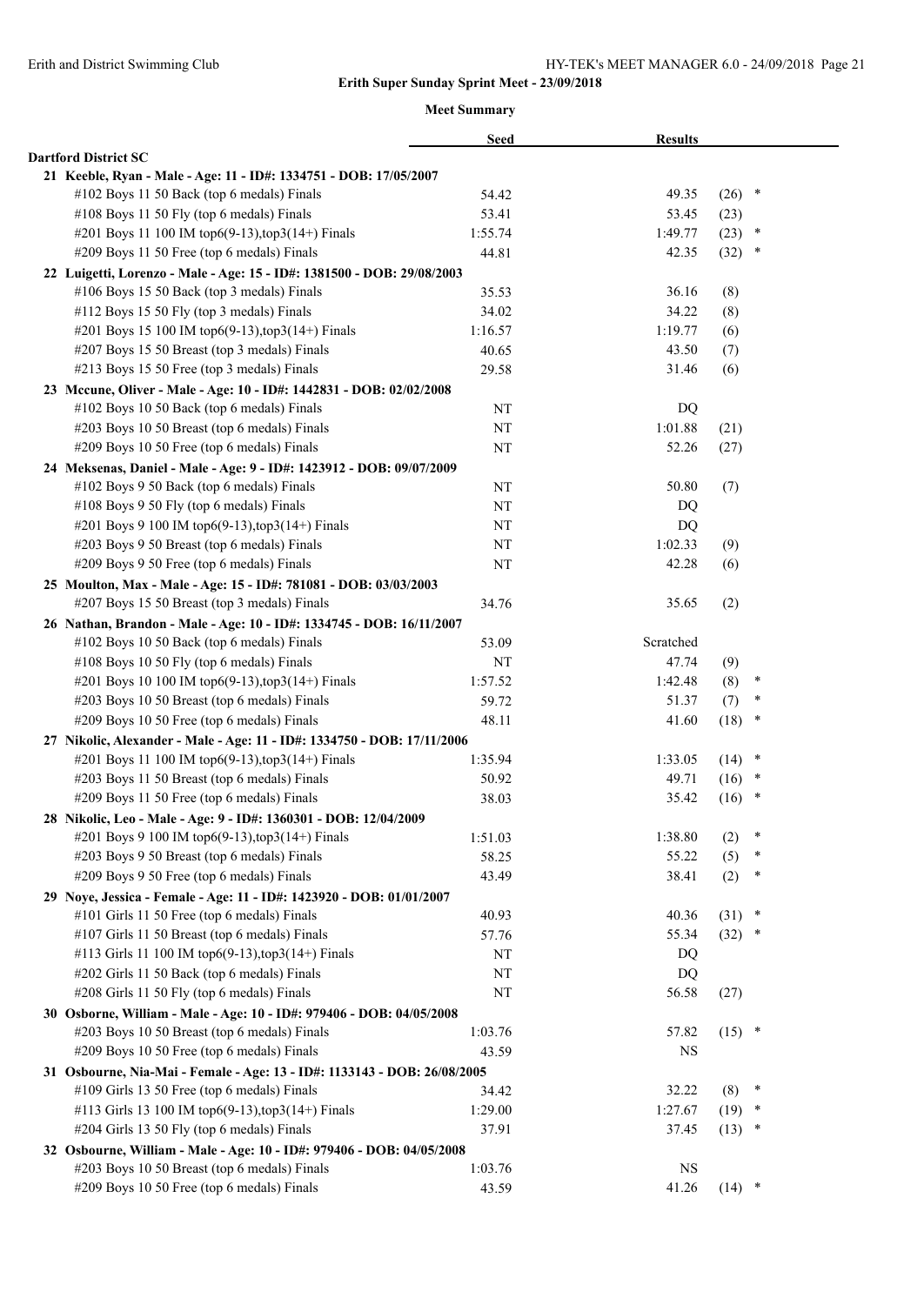|                                                                          | <b>Seed</b> | <b>Results</b> |                |  |
|--------------------------------------------------------------------------|-------------|----------------|----------------|--|
| <b>Dartford District SC</b>                                              |             |                |                |  |
| 21 Keeble, Ryan - Male - Age: 11 - ID#: 1334751 - DOB: 17/05/2007        |             |                |                |  |
| #102 Boys 11 50 Back (top 6 medals) Finals                               | 54.42       | 49.35          | $\ast$<br>(26) |  |
| #108 Boys 11 50 Fly (top 6 medals) Finals                                | 53.41       | 53.45          | (23)           |  |
| #201 Boys 11 100 IM top6(9-13), top3(14+) Finals                         | 1:55.74     | 1:49.77        | (23)<br>×      |  |
| #209 Boys 11 50 Free (top 6 medals) Finals                               | 44.81       | 42.35          | (32)<br>*      |  |
| 22 Luigetti, Lorenzo - Male - Age: 15 - ID#: 1381500 - DOB: 29/08/2003   |             |                |                |  |
| #106 Boys 15 50 Back (top 3 medals) Finals                               | 35.53       | 36.16          | (8)            |  |
| #112 Boys 15 50 Fly (top 3 medals) Finals                                | 34.02       | 34.22          | (8)            |  |
| #201 Boys 15 100 IM top6(9-13), top3(14+) Finals                         | 1:16.57     | 1:19.77        | (6)            |  |
| #207 Boys 15 50 Breast (top 3 medals) Finals                             | 40.65       | 43.50          | (7)            |  |
| #213 Boys 15 50 Free (top 3 medals) Finals                               | 29.58       | 31.46          | (6)            |  |
| 23 Mccune, Oliver - Male - Age: 10 - ID#: 1442831 - DOB: 02/02/2008      |             |                |                |  |
| #102 Boys 10 50 Back (top 6 medals) Finals                               | NT          | DQ             |                |  |
| #203 Boys 10 50 Breast (top 6 medals) Finals                             | NT          | 1:01.88        | (21)           |  |
| #209 Boys 10 50 Free (top 6 medals) Finals                               | NT          | 52.26          | (27)           |  |
| 24 Meksenas, Daniel - Male - Age: 9 - ID#: 1423912 - DOB: 09/07/2009     |             |                |                |  |
| #102 Boys 9 50 Back (top 6 medals) Finals                                | NT          | 50.80          | (7)            |  |
| #108 Boys 9 50 Fly (top 6 medals) Finals                                 | NT          | DQ             |                |  |
| #201 Boys 9 100 IM top6(9-13), top3(14+) Finals                          | NT          | DQ             |                |  |
| #203 Boys 9 50 Breast (top 6 medals) Finals                              | NT          | 1:02.33        | (9)            |  |
| #209 Boys 9 50 Free (top 6 medals) Finals                                | NT          | 42.28          | (6)            |  |
| 25 Moulton, Max - Male - Age: 15 - ID#: 781081 - DOB: 03/03/2003         |             |                |                |  |
| #207 Boys 15 50 Breast (top 3 medals) Finals                             | 34.76       | 35.65          | (2)            |  |
| 26 Nathan, Brandon - Male - Age: 10 - ID#: 1334745 - DOB: 16/11/2007     |             |                |                |  |
| #102 Boys 10 50 Back (top 6 medals) Finals                               | 53.09       | Scratched      |                |  |
| #108 Boys 10 50 Fly (top 6 medals) Finals                                | NT          | 47.74          | (9)            |  |
| #201 Boys 10 100 IM top6(9-13), top3(14+) Finals                         | 1:57.52     | 1:42.48        | (8)<br>×       |  |
| #203 Boys 10 50 Breast (top 6 medals) Finals                             | 59.72       | 51.37          | ∗<br>(7)       |  |
| #209 Boys 10 50 Free (top 6 medals) Finals                               | 48.11       | 41.60          | (18)<br>$\ast$ |  |
| 27 Nikolic, Alexander - Male - Age: 11 - ID#: 1334750 - DOB: 17/11/2006  |             |                |                |  |
| #201 Boys 11 100 IM top6(9-13), top3(14+) Finals                         | 1:35.94     | 1:33.05        | $\ast$<br>(14) |  |
| #203 Boys 11 50 Breast (top 6 medals) Finals                             | 50.92       | 49.71          | $\ast$<br>(16) |  |
| #209 Boys 11 50 Free (top 6 medals) Finals                               | 38.03       | 35.42          | (16)<br>$\ast$ |  |
| 28 Nikolic, Leo - Male - Age: 9 - ID#: 1360301 - DOB: 12/04/2009         |             |                |                |  |
| #201 Boys 9 100 IM top6(9-13), top3(14+) Finals                          | 1:51.03     | 1:38.80        | $\ast$<br>(2)  |  |
| #203 Boys 9 50 Breast (top 6 medals) Finals                              | 58.25       | 55.22          | (5)            |  |
| #209 Boys 9 50 Free (top 6 medals) Finals                                | 43.49       | 38.41          | *<br>(2)       |  |
| 29 Noye, Jessica - Female - Age: 11 - ID#: 1423920 - DOB: 01/01/2007     |             |                |                |  |
| #101 Girls 11 50 Free (top 6 medals) Finals                              | 40.93       | 40.36          | $\ast$<br>(31) |  |
| #107 Girls 11 50 Breast (top 6 medals) Finals                            | 57.76       | 55.34          | (32)<br>$\ast$ |  |
| #113 Girls 11 100 IM top6(9-13),top3(14+) Finals                         | NT          |                |                |  |
| #202 Girls 11 50 Back (top 6 medals) Finals                              |             | DQ             |                |  |
| #208 Girls 11 50 Fly (top 6 medals) Finals                               | NT          | DQ             |                |  |
|                                                                          | NT          | 56.58          | (27)           |  |
| 30 Osborne, William - Male - Age: 10 - ID#: 979406 - DOB: 04/05/2008     |             |                | $\ast$         |  |
| #203 Boys 10 50 Breast (top 6 medals) Finals                             | 1:03.76     | 57.82          | (15)           |  |
| #209 Boys 10 50 Free (top 6 medals) Finals                               | 43.59       | NS             |                |  |
| 31 Osbourne, Nia-Mai - Female - Age: 13 - ID#: 1133143 - DOB: 26/08/2005 |             |                |                |  |
| #109 Girls 13 50 Free (top 6 medals) Finals                              | 34.42       | 32.22          | (8)<br>∗       |  |
| #113 Girls 13 100 IM top6(9-13), top3(14+) Finals                        | 1:29.00     | 1:27.67        | (19)<br>∗      |  |
| #204 Girls 13 50 Fly (top 6 medals) Finals                               | 37.91       | 37.45          | (13)<br>∗      |  |
| 32 Osbourne, William - Male - Age: 10 - ID#: 979406 - DOB: 04/05/2008    |             |                |                |  |
| #203 Boys 10 50 Breast (top 6 medals) Finals                             | 1:03.76     | <b>NS</b>      |                |  |
| #209 Boys 10 50 Free (top 6 medals) Finals                               | 43.59       | 41.26          | $(14)$ *       |  |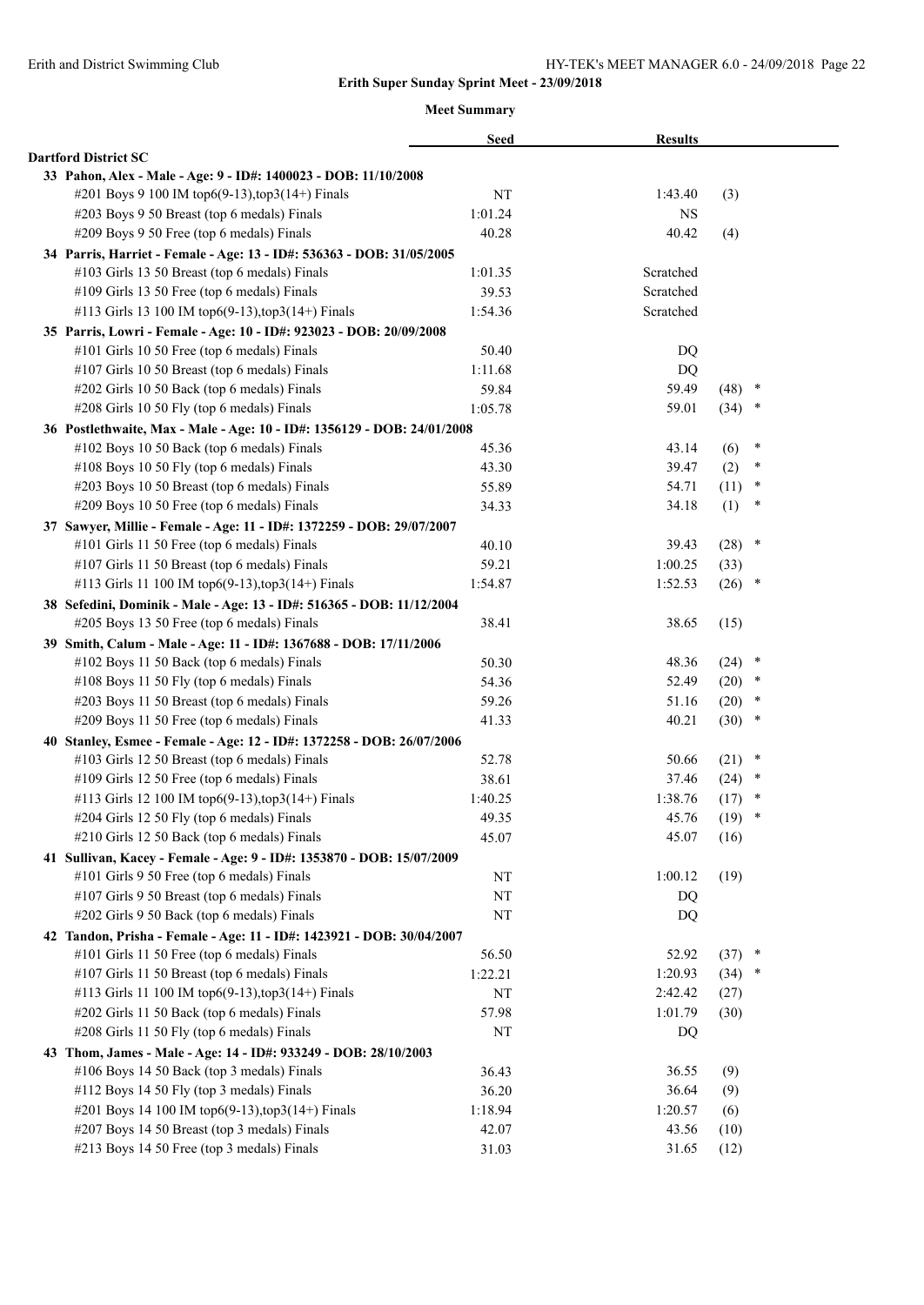|                                                                         | <b>Seed</b> | <b>Results</b> |          |        |  |
|-------------------------------------------------------------------------|-------------|----------------|----------|--------|--|
| <b>Dartford District SC</b>                                             |             |                |          |        |  |
| 33 Pahon, Alex - Male - Age: 9 - ID#: 1400023 - DOB: 11/10/2008         |             |                |          |        |  |
| #201 Boys 9 100 IM top6(9-13), top3(14+) Finals                         | NT          | 1:43.40        | (3)      |        |  |
| #203 Boys 9 50 Breast (top 6 medals) Finals                             | 1:01.24     | NS             |          |        |  |
| #209 Boys 9 50 Free (top 6 medals) Finals                               | 40.28       | 40.42          | (4)      |        |  |
| 34 Parris, Harriet - Female - Age: 13 - ID#: 536363 - DOB: 31/05/2005   |             |                |          |        |  |
| #103 Girls 13 50 Breast (top 6 medals) Finals                           | 1:01.35     | Scratched      |          |        |  |
| #109 Girls 13 50 Free (top 6 medals) Finals                             | 39.53       | Scratched      |          |        |  |
| #113 Girls 13 100 IM top6(9-13), top3(14+) Finals                       | 1:54.36     | Scratched      |          |        |  |
| 35 Parris, Lowri - Female - Age: 10 - ID#: 923023 - DOB: 20/09/2008     |             |                |          |        |  |
| #101 Girls 10 50 Free (top 6 medals) Finals                             | 50.40       | DQ             |          |        |  |
| #107 Girls 10 50 Breast (top 6 medals) Finals                           | 1:11.68     | DQ             |          |        |  |
| #202 Girls 10 50 Back (top 6 medals) Finals                             | 59.84       | 59.49          | (48)     | $\ast$ |  |
| #208 Girls 10 50 Fly (top 6 medals) Finals                              | 1:05.78     | 59.01          | (34)     | $\ast$ |  |
| 36 Postlethwaite, Max - Male - Age: 10 - ID#: 1356129 - DOB: 24/01/2008 |             |                |          |        |  |
| #102 Boys 10 50 Back (top 6 medals) Finals                              | 45.36       | 43.14          | (6)      | ∗      |  |
| #108 Boys 10 50 Fly (top 6 medals) Finals                               | 43.30       | 39.47          | (2)      | *      |  |
| #203 Boys 10 50 Breast (top 6 medals) Finals                            | 55.89       | 54.71          | (11)     | ∗      |  |
| #209 Boys 10 50 Free (top 6 medals) Finals                              | 34.33       | 34.18          | (1)      | ∗      |  |
| 37 Sawyer, Millie - Female - Age: 11 - ID#: 1372259 - DOB: 29/07/2007   |             |                |          |        |  |
| #101 Girls 11 50 Free (top 6 medals) Finals                             | 40.10       | 39.43          | (28)     | $\ast$ |  |
| #107 Girls 11 50 Breast (top 6 medals) Finals                           | 59.21       | 1:00.25        | (33)     |        |  |
| #113 Girls 11 100 IM top6(9-13), top3(14+) Finals                       | 1:54.87     | 1:52.53        | $(26)$ * |        |  |
| 38 Sefedini, Dominik - Male - Age: 13 - ID#: 516365 - DOB: 11/12/2004   |             |                |          |        |  |
| #205 Boys 13 50 Free (top 6 medals) Finals                              | 38.41       | 38.65          | (15)     |        |  |
| 39 Smith, Calum - Male - Age: 11 - ID#: 1367688 - DOB: 17/11/2006       |             |                |          |        |  |
| #102 Boys 11 50 Back (top 6 medals) Finals                              | 50.30       | 48.36          | (24)     | $\ast$ |  |
| #108 Boys 11 50 Fly (top 6 medals) Finals                               | 54.36       | 52.49          | (20)     | *      |  |
| #203 Boys 11 50 Breast (top 6 medals) Finals                            | 59.26       | 51.16          | (20)     | $\ast$ |  |
| #209 Boys 11 50 Free (top 6 medals) Finals                              | 41.33       | 40.21          | (30)     | $\ast$ |  |
| 40 Stanley, Esmee - Female - Age: 12 - ID#: 1372258 - DOB: 26/07/2006   |             |                |          |        |  |
| #103 Girls 12 50 Breast (top 6 medals) Finals                           | 52.78       | 50.66          | (21)     | ×      |  |
| #109 Girls 12 50 Free (top 6 medals) Finals                             | 38.61       | 37.46          | (24)     | *      |  |
| #113 Girls 12 100 IM top6(9-13), top3(14+) Finals                       | 1:40.25     | 1:38.76        | (17)     | $\ast$ |  |
| #204 Girls 12 50 Fly (top 6 medals) Finals                              | 49.35       | 45.76          | (19)     | $\ast$ |  |
| #210 Girls 12 50 Back (top 6 medals) Finals                             | 45.07       | 45.07          | (16)     |        |  |
| 41 Sullivan, Kacey - Female - Age: 9 - ID#: 1353870 - DOB: 15/07/2009   |             |                |          |        |  |
| #101 Girls 9 50 Free (top 6 medals) Finals                              | NT          | 1:00.12        | (19)     |        |  |
| #107 Girls 9 50 Breast (top 6 medals) Finals                            | NT          | DQ             |          |        |  |
| #202 Girls 9 50 Back (top 6 medals) Finals                              | NT          | DQ             |          |        |  |
| 42 Tandon, Prisha - Female - Age: 11 - ID#: 1423921 - DOB: 30/04/2007   |             |                |          |        |  |
| #101 Girls 11 50 Free (top 6 medals) Finals                             | 56.50       | 52.92          | $(37)$ * |        |  |
| #107 Girls 11 50 Breast (top 6 medals) Finals                           | 1:22.21     | 1:20.93        | (34)     | *      |  |
| #113 Girls 11 100 IM top6(9-13), top3(14+) Finals                       | NT          | 2:42.42        | (27)     |        |  |
| #202 Girls 11 50 Back (top 6 medals) Finals                             | 57.98       | 1:01.79        | (30)     |        |  |
| #208 Girls 11 50 Fly (top 6 medals) Finals                              | NT          | DQ             |          |        |  |
| 43 Thom, James - Male - Age: 14 - ID#: 933249 - DOB: 28/10/2003         |             |                |          |        |  |
| #106 Boys 14 50 Back (top 3 medals) Finals                              | 36.43       | 36.55          | (9)      |        |  |
| #112 Boys 14 50 Fly (top 3 medals) Finals                               | 36.20       | 36.64          | (9)      |        |  |
| #201 Boys 14 100 IM top6(9-13), top3(14+) Finals                        | 1:18.94     | 1:20.57        | (6)      |        |  |
| #207 Boys 14 50 Breast (top 3 medals) Finals                            | 42.07       | 43.56          | (10)     |        |  |
| #213 Boys 14 50 Free (top 3 medals) Finals                              | 31.03       | 31.65          | (12)     |        |  |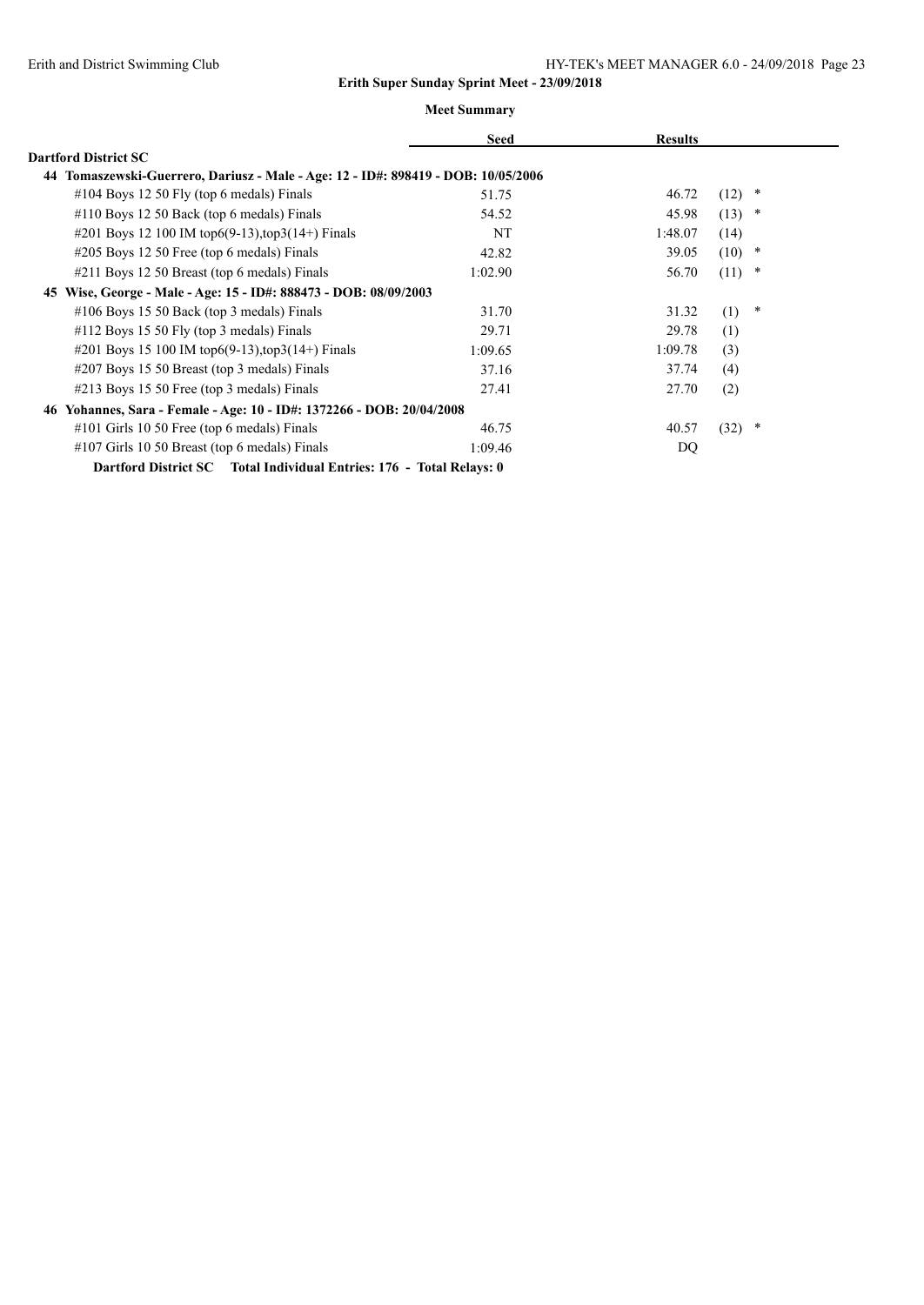|                                                                                   | <b>Seed</b> | <b>Results</b> |               |
|-----------------------------------------------------------------------------------|-------------|----------------|---------------|
| <b>Dartford District SC</b>                                                       |             |                |               |
| 44 Tomaszewski-Guerrero, Dariusz - Male - Age: 12 - ID#: 898419 - DOB: 10/05/2006 |             |                |               |
| $\#104$ Boys 12 50 Fly (top 6 medals) Finals                                      | 51.75       | 46.72          | (12)<br>*     |
| $\#110$ Boys 12 50 Back (top 6 medals) Finals                                     | 54.52       | 45.98          | (13)<br>*     |
| #201 Boys 12 100 IM top6(9-13), top3(14+) Finals                                  | NT          | 1:48.07        | (14)          |
| $\#205$ Boys 12 50 Free (top 6 medals) Finals                                     | 42.82       | 39.05          | (10)<br>*     |
| #211 Boys 12 50 Breast (top 6 medals) Finals                                      | 1:02.90     | 56.70          | (11)<br>*     |
| 45 Wise, George - Male - Age: 15 - ID#: 888473 - DOB: 08/09/2003                  |             |                |               |
| $\#106$ Boys 15 50 Back (top 3 medals) Finals                                     | 31.70       | 31.32          | (1)<br>$\ast$ |
| $\#112$ Boys 15 50 Fly (top 3 medals) Finals                                      | 29.71       | 29.78          | (1)           |
| #201 Boys 15 100 IM top6(9-13), top3(14+) Finals                                  | 1:09.65     | 1:09.78        | (3)           |
| #207 Boys 15 50 Breast (top 3 medals) Finals                                      | 37.16       | 37.74          | (4)           |
| $\#213$ Boys 15 50 Free (top 3 medals) Finals                                     | 27.41       | 27.70          | (2)           |
| 46 Yohannes, Sara - Female - Age: 10 - ID#: 1372266 - DOB: 20/04/2008             |             |                |               |
| $\#101$ Girls 10 50 Free (top 6 medals) Finals                                    | 46.75       | 40.57          | (32)<br>*     |
| #107 Girls 10 50 Breast (top 6 medals) Finals                                     | 1:09.46     | DQ             |               |
| Dartford District SC Total Individual Entries: 176 - Total Relays: 0              |             |                |               |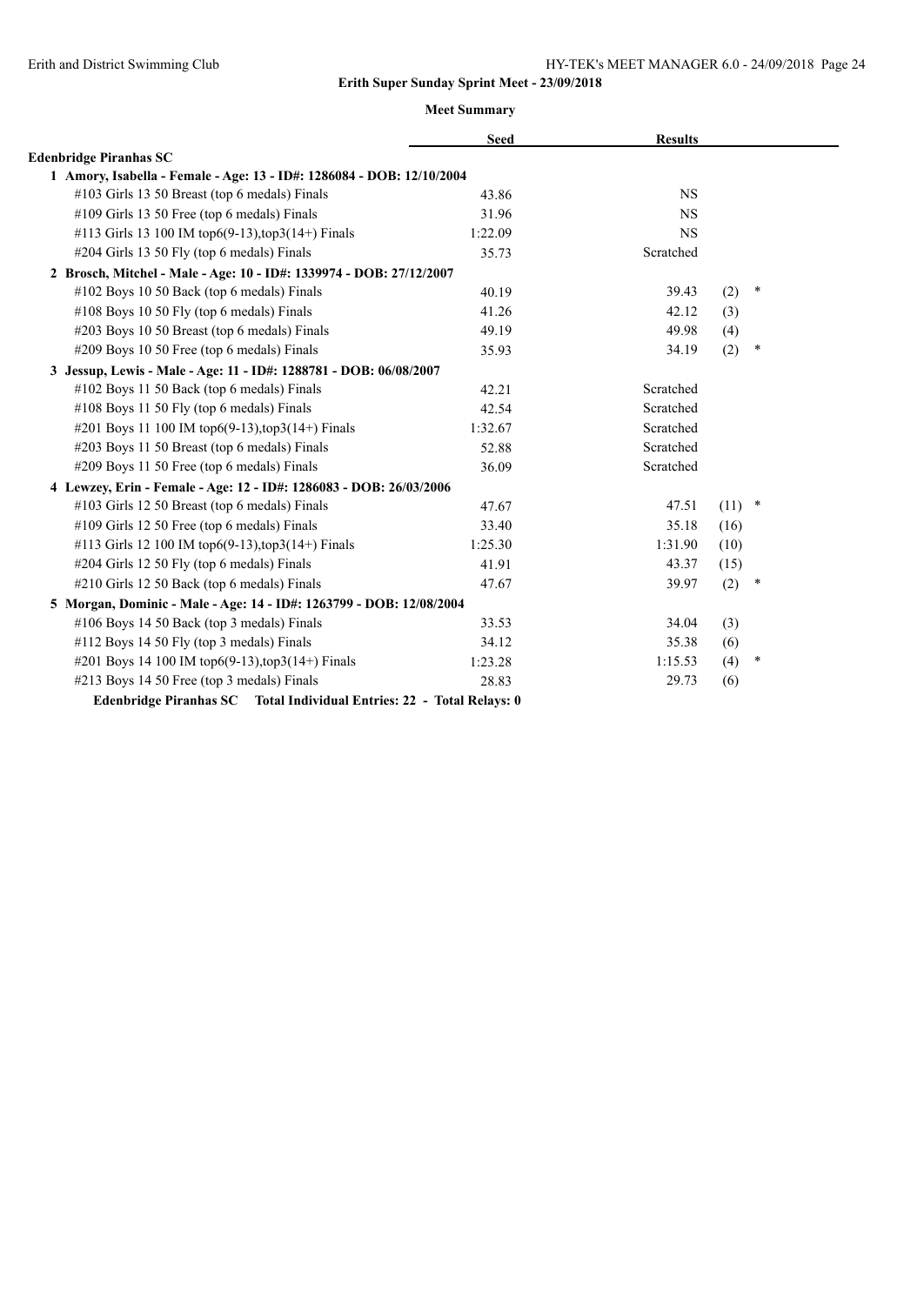|                                                                       | <b>Seed</b> | <b>Results</b> |          |        |
|-----------------------------------------------------------------------|-------------|----------------|----------|--------|
| <b>Edenbridge Piranhas SC</b>                                         |             |                |          |        |
| 1 Amory, Isabella - Female - Age: 13 - ID#: 1286084 - DOB: 12/10/2004 |             |                |          |        |
| #103 Girls 13 50 Breast (top 6 medals) Finals                         | 43.86       | <b>NS</b>      |          |        |
| #109 Girls 13 50 Free (top 6 medals) Finals                           | 31.96       | <b>NS</b>      |          |        |
| #113 Girls 13 100 IM top6(9-13), top3(14+) Finals                     | 1:22.09     | <b>NS</b>      |          |        |
| #204 Girls 13 50 Fly (top 6 medals) Finals                            | 35.73       | Scratched      |          |        |
| 2 Brosch, Mitchel - Male - Age: 10 - ID#: 1339974 - DOB: 27/12/2007   |             |                |          |        |
| #102 Boys 10 50 Back (top 6 medals) Finals                            | 40.19       | 39.43          | (2)      | $\ast$ |
| #108 Boys 10 50 Fly (top 6 medals) Finals                             | 41.26       | 42.12          | (3)      |        |
| #203 Boys 10 50 Breast (top 6 medals) Finals                          | 49.19       | 49.98          | (4)      |        |
| #209 Boys 10 50 Free (top 6 medals) Finals                            | 35.93       | 34.19          | (2)      | $\ast$ |
| 3 Jessup, Lewis - Male - Age: 11 - ID#: 1288781 - DOB: 06/08/2007     |             |                |          |        |
| #102 Boys 11 50 Back (top 6 medals) Finals                            | 42.21       | Scratched      |          |        |
| #108 Boys 11 50 Fly (top 6 medals) Finals                             | 42.54       | Scratched      |          |        |
| #201 Boys 11 100 IM top6(9-13), top3(14+) Finals                      | 1:32.67     | Scratched      |          |        |
| #203 Boys 11 50 Breast (top 6 medals) Finals                          | 52.88       | Scratched      |          |        |
| #209 Boys 11 50 Free (top 6 medals) Finals                            | 36.09       | Scratched      |          |        |
| 4 Lewzey, Erin - Female - Age: 12 - ID#: 1286083 - DOB: 26/03/2006    |             |                |          |        |
| #103 Girls 12 50 Breast (top 6 medals) Finals                         | 47.67       | 47.51          | $(11)$ * |        |
| #109 Girls 12 50 Free (top 6 medals) Finals                           | 33.40       | 35.18          | (16)     |        |
| #113 Girls 12 100 IM top6(9-13), top3(14+) Finals                     | 1:25.30     | 1:31.90        | (10)     |        |
| #204 Girls 12 50 Fly (top 6 medals) Finals                            | 41.91       | 43.37          | (15)     |        |
| #210 Girls 12 50 Back (top 6 medals) Finals                           | 47.67       | 39.97          | (2)      | $\ast$ |
| 5 Morgan, Dominic - Male - Age: 14 - ID#: 1263799 - DOB: 12/08/2004   |             |                |          |        |
| #106 Boys 14 50 Back (top 3 medals) Finals                            | 33.53       | 34.04          | (3)      |        |
| #112 Boys 14 50 Fly (top 3 medals) Finals                             | 34.12       | 35.38          | (6)      |        |
| #201 Boys 14 100 IM top6(9-13), top3(14+) Finals                      | 1:23.28     | 1:15.53        | (4)      | *      |
| #213 Boys 14 50 Free (top 3 medals) Finals                            | 28.83       | 29.73          | (6)      |        |
| Edenbridge Piranhas SC Total Individual Entries: 22 - Total Relays: 0 |             |                |          |        |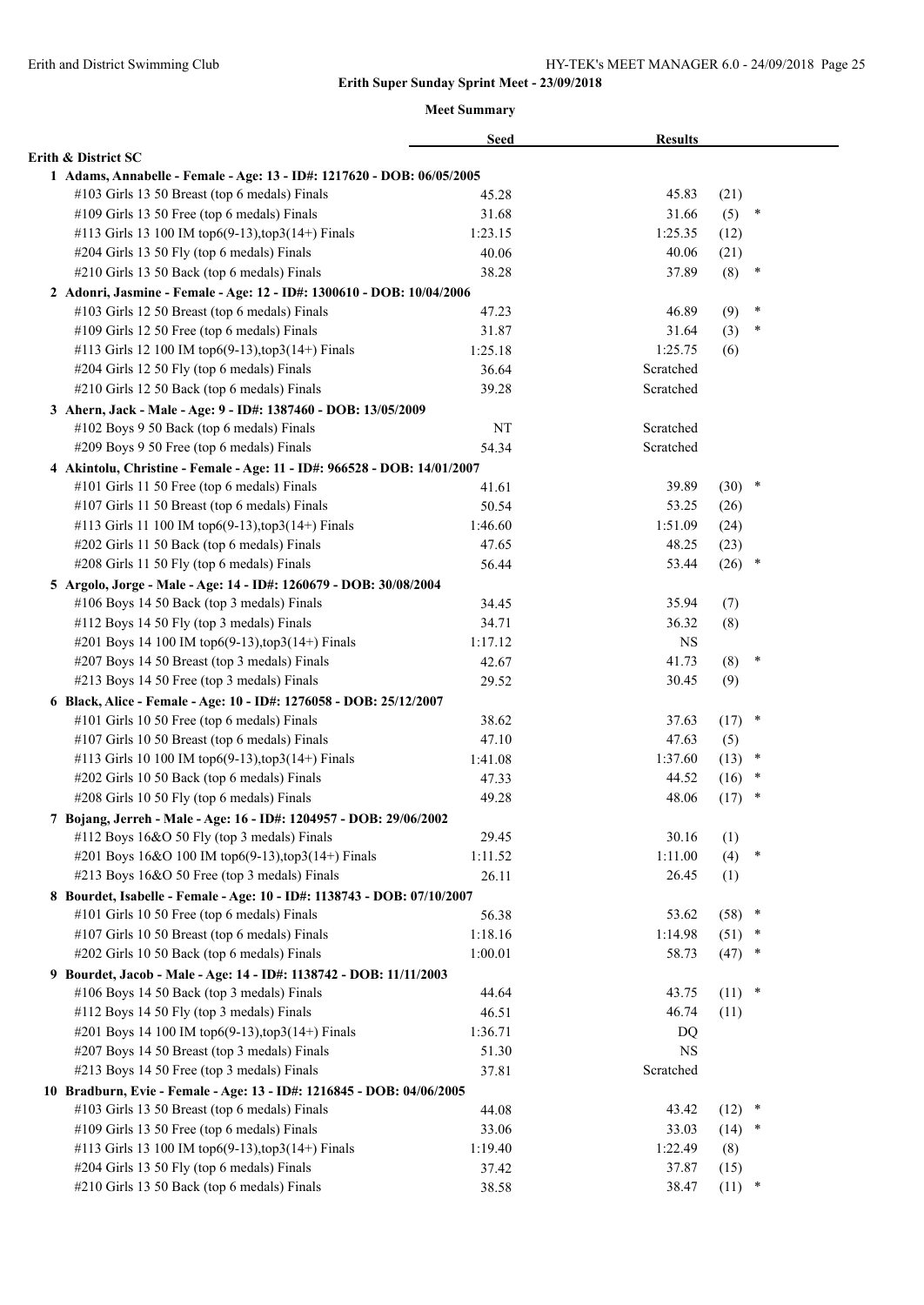|                                                                          | <b>Seed</b> | <b>Results</b> |                |  |
|--------------------------------------------------------------------------|-------------|----------------|----------------|--|
| Erith & District SC                                                      |             |                |                |  |
| 1 Adams, Annabelle - Female - Age: 13 - ID#: 1217620 - DOB: 06/05/2005   |             |                |                |  |
| #103 Girls 13 50 Breast (top 6 medals) Finals                            | 45.28       | 45.83          | (21)           |  |
| #109 Girls 13 50 Free (top 6 medals) Finals                              | 31.68       | 31.66          | (5)<br>$\ast$  |  |
| #113 Girls 13 100 IM top6(9-13), top3(14+) Finals                        | 1:23.15     | 1:25.35        | (12)           |  |
| #204 Girls 13 50 Fly (top 6 medals) Finals                               | 40.06       | 40.06          | (21)           |  |
| #210 Girls 13 50 Back (top 6 medals) Finals                              | 38.28       | 37.89          | (8)<br>$\ast$  |  |
| 2 Adonri, Jasmine - Female - Age: 12 - ID#: 1300610 - DOB: 10/04/2006    |             |                |                |  |
| #103 Girls 12 50 Breast (top 6 medals) Finals                            | 47.23       | 46.89          | ×<br>(9)       |  |
| #109 Girls 12 50 Free (top 6 medals) Finals                              | 31.87       | 31.64          | *<br>(3)       |  |
| #113 Girls 12 100 IM top6(9-13),top3(14+) Finals                         | 1:25.18     | 1:25.75        | (6)            |  |
| #204 Girls 12 50 Fly (top 6 medals) Finals                               | 36.64       | Scratched      |                |  |
| #210 Girls 12 50 Back (top 6 medals) Finals                              | 39.28       | Scratched      |                |  |
| 3 Ahern, Jack - Male - Age: 9 - ID#: 1387460 - DOB: 13/05/2009           |             |                |                |  |
| #102 Boys 9 50 Back (top 6 medals) Finals                                | NT          | Scratched      |                |  |
| #209 Boys 9 50 Free (top 6 medals) Finals                                | 54.34       | Scratched      |                |  |
| 4 Akintolu, Christine - Female - Age: 11 - ID#: 966528 - DOB: 14/01/2007 |             |                |                |  |
| #101 Girls 11 50 Free (top 6 medals) Finals                              | 41.61       | 39.89          | $\ast$<br>(30) |  |
| #107 Girls 11 50 Breast (top 6 medals) Finals                            | 50.54       | 53.25          | (26)           |  |
| #113 Girls 11 100 IM top6(9-13),top3(14+) Finals                         | 1:46.60     | 1:51.09        | (24)           |  |
| #202 Girls 11 50 Back (top 6 medals) Finals                              | 47.65       | 48.25          | (23)           |  |
| #208 Girls 11 50 Fly (top 6 medals) Finals                               | 56.44       | 53.44          | (26)<br>$\ast$ |  |
| 5 Argolo, Jorge - Male - Age: 14 - ID#: 1260679 - DOB: 30/08/2004        |             |                |                |  |
| #106 Boys 14 50 Back (top 3 medals) Finals                               | 34.45       | 35.94          | (7)            |  |
| #112 Boys 14 50 Fly (top 3 medals) Finals                                | 34.71       | 36.32          | (8)            |  |
| #201 Boys 14 100 IM top6(9-13),top3(14+) Finals                          | 1:17.12     | <b>NS</b>      |                |  |
| #207 Boys 14 50 Breast (top 3 medals) Finals                             | 42.67       | 41.73          | $\ast$<br>(8)  |  |
| #213 Boys 14 50 Free (top 3 medals) Finals                               | 29.52       | 30.45          | (9)            |  |
|                                                                          |             |                |                |  |
| 6 Black, Alice - Female - Age: 10 - ID#: 1276058 - DOB: 25/12/2007       |             |                | $\ast$         |  |
| #101 Girls 10 50 Free (top 6 medals) Finals                              | 38.62       | 37.63          | (17)           |  |
| #107 Girls 10 50 Breast (top 6 medals) Finals                            | 47.10       | 47.63          | (5)<br>$\ast$  |  |
| #113 Girls 10 100 IM top6(9-13), top3(14+) Finals                        | 1:41.08     | 1:37.60        | (13)<br>$\ast$ |  |
| #202 Girls 10 50 Back (top 6 medals) Finals                              | 47.33       | 44.52          | (16)<br>$\ast$ |  |
| #208 Girls 10 50 Fly (top 6 medals) Finals                               | 49.28       | 48.06          | (17)           |  |
| 7 Bojang, Jerreh - Male - Age: 16 - ID#: 1204957 - DOB: 29/06/2002       |             |                |                |  |
| #112 Boys 16&O 50 Fly (top 3 medals) Finals                              | 29.45       | 30.16          | (1)            |  |
| #201 Boys 16&O 100 IM top6(9-13),top3(14+) Finals                        | 1:11.52     | 1:11.00        | (4)<br>$\ast$  |  |
| #213 Boys 16&O 50 Free (top 3 medals) Finals                             | 26.11       | 26.45          | (1)            |  |
| 8 Bourdet, Isabelle - Female - Age: 10 - ID#: 1138743 - DOB: 07/10/2007  |             |                |                |  |
| #101 Girls 10 50 Free (top 6 medals) Finals                              | 56.38       | 53.62          | $\ast$<br>(58) |  |
| #107 Girls 10 50 Breast (top 6 medals) Finals                            | 1:18.16     | 1:14.98        | (51)<br>$\ast$ |  |
| #202 Girls 10 50 Back (top 6 medals) Finals                              | 1:00.01     | 58.73          | (47)<br>$\ast$ |  |
| 9 Bourdet, Jacob - Male - Age: 14 - ID#: 1138742 - DOB: 11/11/2003       |             |                |                |  |
| #106 Boys 14 50 Back (top 3 medals) Finals                               | 44.64       | 43.75          | $\ast$<br>(11) |  |
| #112 Boys 14 50 Fly (top 3 medals) Finals                                | 46.51       | 46.74          | (11)           |  |
| #201 Boys 14 100 IM top6(9-13), top3(14+) Finals                         | 1:36.71     | DQ             |                |  |
| #207 Boys 14 50 Breast (top 3 medals) Finals                             | 51.30       | <b>NS</b>      |                |  |
| #213 Boys 14 50 Free (top 3 medals) Finals                               | 37.81       | Scratched      |                |  |
| 10 Bradburn, Evie - Female - Age: 13 - ID#: 1216845 - DOB: 04/06/2005    |             |                |                |  |
| #103 Girls 13 50 Breast (top 6 medals) Finals                            | 44.08       | 43.42          | $(12)$ *       |  |
| #109 Girls 13 50 Free (top 6 medals) Finals                              | 33.06       | 33.03          | (14)<br>$\ast$ |  |
| #113 Girls 13 100 IM top6(9-13), top3(14+) Finals                        | 1:19.40     | 1:22.49        | (8)            |  |
| #204 Girls 13 50 Fly (top 6 medals) Finals                               | 37.42       | 37.87          | (15)           |  |
| #210 Girls 13 50 Back (top 6 medals) Finals                              | 38.58       | 38.47          | (11)<br>*      |  |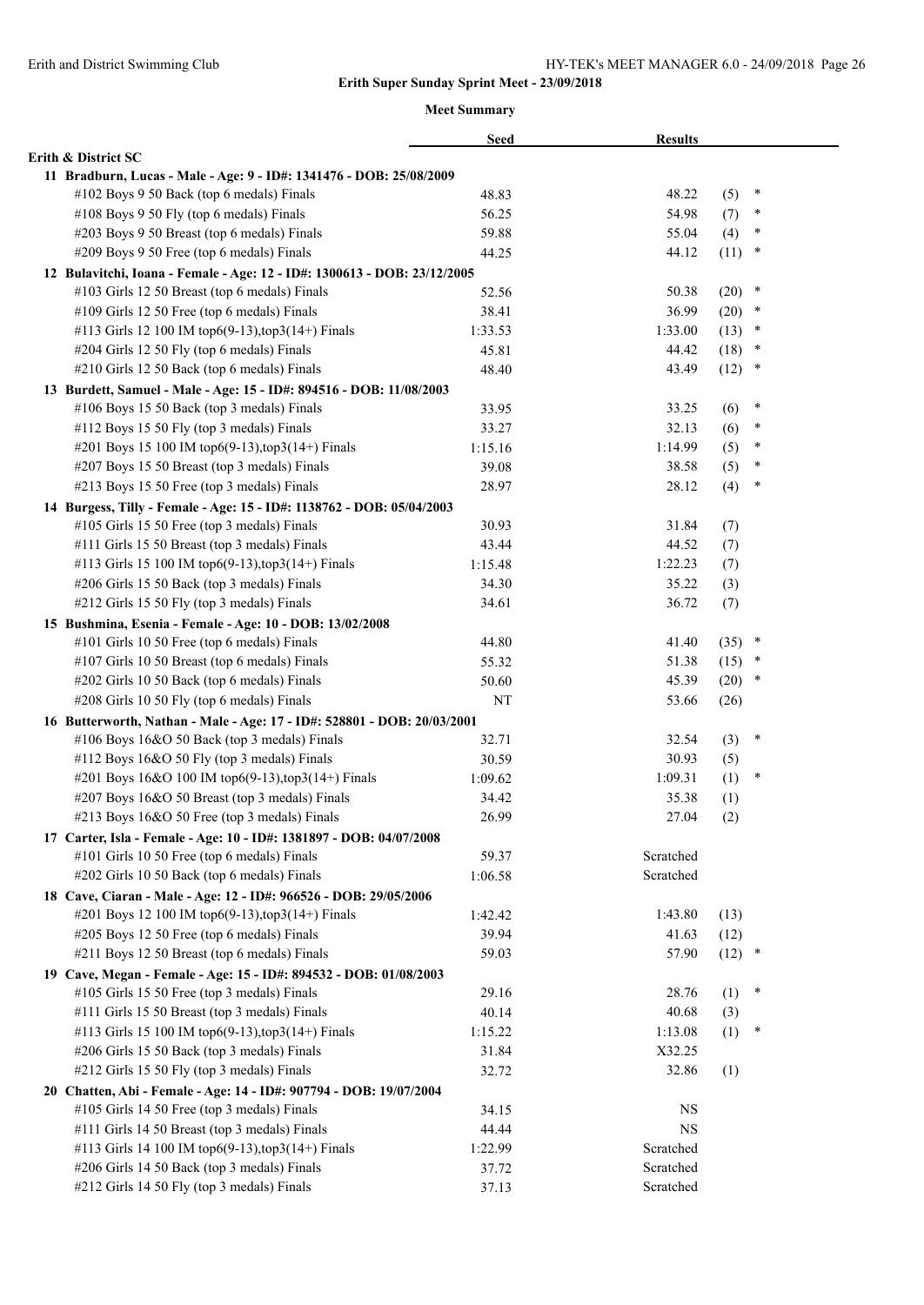|                                                                          | <b>Seed</b> | <b>Results</b> |          |        |
|--------------------------------------------------------------------------|-------------|----------------|----------|--------|
| Erith & District SC                                                      |             |                |          |        |
| 11 Bradburn, Lucas - Male - Age: 9 - ID#: 1341476 - DOB: 25/08/2009      |             |                |          |        |
| #102 Boys 9 50 Back (top 6 medals) Finals                                | 48.83       | 48.22          | (5)      | ×      |
| #108 Boys 9 50 Fly (top 6 medals) Finals                                 | 56.25       | 54.98          | (7)      | ×      |
| #203 Boys 9 50 Breast (top 6 medals) Finals                              | 59.88       | 55.04          | (4)      | $\ast$ |
| #209 Boys 9 50 Free (top 6 medals) Finals                                | 44.25       | 44.12          | (11)     | $\ast$ |
| 12 Bulavitchi, Ioana - Female - Age: 12 - ID#: 1300613 - DOB: 23/12/2005 |             |                |          |        |
| #103 Girls 12 50 Breast (top 6 medals) Finals                            | 52.56       | 50.38          | (20)     | $\ast$ |
| #109 Girls 12 50 Free (top 6 medals) Finals                              | 38.41       | 36.99          | $(20)$ * |        |
| #113 Girls 12 100 IM top6(9-13), top3(14+) Finals                        | 1:33.53     | 1:33.00        | $(13)$ * |        |
| #204 Girls 12 50 Fly (top 6 medals) Finals                               | 45.81       | 44.42          | (18)     | $\ast$ |
| #210 Girls 12 50 Back (top 6 medals) Finals                              | 48.40       | 43.49          | (12)     | $\ast$ |
| 13 Burdett, Samuel - Male - Age: 15 - ID#: 894516 - DOB: 11/08/2003      |             |                |          |        |
| #106 Boys 15 50 Back (top 3 medals) Finals                               | 33.95       | 33.25          | (6)      | ∗      |
| #112 Boys 15 50 Fly (top 3 medals) Finals                                | 33.27       | 32.13          | (6)      | ×      |
| #201 Boys 15 100 IM top6(9-13), top3(14+) Finals                         | 1:15.16     | 1:14.99        | (5)      | $\ast$ |
| #207 Boys 15 50 Breast (top 3 medals) Finals                             | 39.08       | 38.58          | (5)      | *      |
| #213 Boys 15 50 Free (top 3 medals) Finals                               | 28.97       | 28.12          | (4)      | $\ast$ |
| 14 Burgess, Tilly - Female - Age: 15 - ID#: 1138762 - DOB: 05/04/2003    |             |                |          |        |
| #105 Girls 15 50 Free (top 3 medals) Finals                              | 30.93       | 31.84          | (7)      |        |
| #111 Girls 15 50 Breast (top 3 medals) Finals                            | 43.44       | 44.52          | (7)      |        |
| #113 Girls 15 100 IM top6(9-13), top3(14+) Finals                        | 1:15.48     | 1:22.23        | (7)      |        |
| #206 Girls 15 50 Back (top 3 medals) Finals                              | 34.30       | 35.22          | (3)      |        |
| #212 Girls 15 50 Fly (top 3 medals) Finals                               | 34.61       | 36.72          | (7)      |        |
| 15 Bushmina, Esenia - Female - Age: 10 - DOB: 13/02/2008                 |             |                |          |        |
| #101 Girls 10 50 Free (top 6 medals) Finals                              | 44.80       | 41.40          | (35)     | $\ast$ |
| #107 Girls 10 50 Breast (top 6 medals) Finals                            | 55.32       | 51.38          | (15)     | $\ast$ |
| #202 Girls 10 50 Back (top 6 medals) Finals                              | 50.60       | 45.39          | $(20)$ * |        |
| #208 Girls 10 50 Fly (top 6 medals) Finals                               | NT          | 53.66          | (26)     |        |
| 16 Butterworth, Nathan - Male - Age: 17 - ID#: 528801 - DOB: 20/03/2001  |             |                |          |        |
| #106 Boys 16&O 50 Back (top 3 medals) Finals                             | 32.71       | 32.54          | (3)      | $\ast$ |
| #112 Boys 16&O 50 Fly (top 3 medals) Finals                              | 30.59       | 30.93          | (5)      |        |
| #201 Boys 16&O 100 IM top6(9-13),top3(14+) Finals                        | 1:09.62     | 1:09.31        | (1)      | $\ast$ |
| #207 Boys 16&O 50 Breast (top 3 medals) Finals                           | 34.42       | 35.38          | (1)      |        |
| #213 Boys 16&O 50 Free (top 3 medals) Finals                             | 26.99       | 27.04          | (2)      |        |
| 17 Carter, Isla - Female - Age: 10 - ID#: 1381897 - DOB: 04/07/2008      |             |                |          |        |
| #101 Girls 10 50 Free (top 6 medals) Finals                              | 59.37       | Scratched      |          |        |
| #202 Girls 10 50 Back (top 6 medals) Finals                              | 1:06.58     | Scratched      |          |        |
| 18 Cave, Ciaran - Male - Age: 12 - ID#: 966526 - DOB: 29/05/2006         |             |                |          |        |
| #201 Boys 12 100 IM top6(9-13), top3(14+) Finals                         | 1:42.42     | 1:43.80        | (13)     |        |
| #205 Boys 12 50 Free (top 6 medals) Finals                               | 39.94       | 41.63          | (12)     |        |
| #211 Boys 12 50 Breast (top 6 medals) Finals                             | 59.03       | 57.90          | $(12)$ * |        |
| 19 Cave, Megan - Female - Age: 15 - ID#: 894532 - DOB: 01/08/2003        |             |                |          |        |
| #105 Girls 15 50 Free (top 3 medals) Finals                              | 29.16       | 28.76          | (1)      | $\ast$ |
| #111 Girls 15 50 Breast (top 3 medals) Finals                            | 40.14       | 40.68          | (3)      |        |
| #113 Girls 15 100 IM top6(9-13), top3(14+) Finals                        | 1:15.22     | 1:13.08        | (1)      | $\ast$ |
| #206 Girls 15 50 Back (top 3 medals) Finals                              | 31.84       | X32.25         |          |        |
| #212 Girls 15 50 Fly (top 3 medals) Finals                               | 32.72       | 32.86          | (1)      |        |
| 20 Chatten, Abi - Female - Age: 14 - ID#: 907794 - DOB: 19/07/2004       |             |                |          |        |
| #105 Girls 14 50 Free (top 3 medals) Finals                              | 34.15       | <b>NS</b>      |          |        |
| #111 Girls 14 50 Breast (top 3 medals) Finals                            | 44.44       | <b>NS</b>      |          |        |
| #113 Girls 14 100 IM top6(9-13), top3(14+) Finals                        | 1:22.99     | Scratched      |          |        |
| #206 Girls 14 50 Back (top 3 medals) Finals                              | 37.72       | Scratched      |          |        |
| #212 Girls 14 50 Fly (top 3 medals) Finals                               | 37.13       | Scratched      |          |        |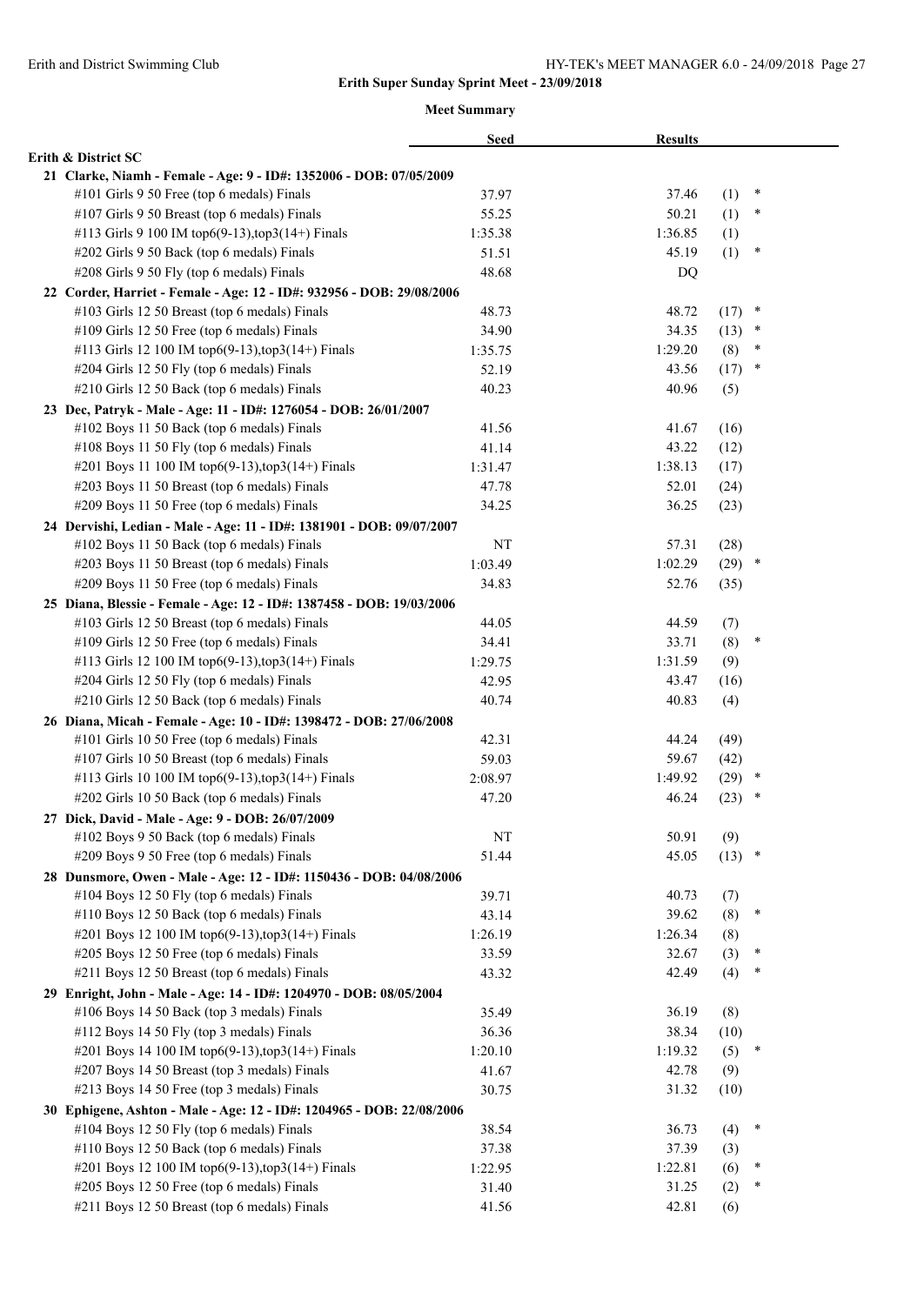|                                                                                                                        | <b>Seed</b> | <b>Results</b> |      |        |  |
|------------------------------------------------------------------------------------------------------------------------|-------------|----------------|------|--------|--|
| Erith & District SC                                                                                                    |             |                |      |        |  |
| 21 Clarke, Niamh - Female - Age: 9 - ID#: 1352006 - DOB: 07/05/2009                                                    |             |                |      |        |  |
| #101 Girls 9 50 Free (top 6 medals) Finals                                                                             | 37.97       | 37.46          | (1)  | ×      |  |
| #107 Girls 9 50 Breast (top 6 medals) Finals                                                                           | 55.25       | 50.21          | (1)  | $\ast$ |  |
| #113 Girls 9 100 IM top6(9-13), top3(14+) Finals                                                                       | 1:35.38     | 1:36.85        | (1)  |        |  |
| #202 Girls 9 50 Back (top 6 medals) Finals                                                                             | 51.51       | 45.19          | (1)  | ×      |  |
| #208 Girls 9 50 Fly (top 6 medals) Finals                                                                              | 48.68       | DQ             |      |        |  |
| 22 Corder, Harriet - Female - Age: 12 - ID#: 932956 - DOB: 29/08/2006                                                  |             |                |      |        |  |
| #103 Girls 12 50 Breast (top 6 medals) Finals                                                                          | 48.73       | 48.72          | (17) | $\ast$ |  |
| #109 Girls 12 50 Free (top 6 medals) Finals                                                                            | 34.90       | 34.35          | (13) | $\ast$ |  |
| #113 Girls 12 100 IM top6(9-13), top3(14+) Finals                                                                      | 1:35.75     | 1:29.20        | (8)  | $\ast$ |  |
| #204 Girls 12 50 Fly (top 6 medals) Finals                                                                             | 52.19       | 43.56          | (17) | $\ast$ |  |
| #210 Girls 12 50 Back (top 6 medals) Finals                                                                            | 40.23       | 40.96          | (5)  |        |  |
| 23 Dec, Patryk - Male - Age: 11 - ID#: 1276054 - DOB: 26/01/2007                                                       |             |                |      |        |  |
| #102 Boys 11 50 Back (top 6 medals) Finals                                                                             | 41.56       | 41.67          | (16) |        |  |
| #108 Boys 11 50 Fly (top 6 medals) Finals                                                                              | 41.14       | 43.22          | (12) |        |  |
| #201 Boys 11 100 IM top6(9-13), top3(14+) Finals                                                                       | 1:31.47     | 1:38.13        | (17) |        |  |
| #203 Boys 11 50 Breast (top 6 medals) Finals                                                                           | 47.78       | 52.01          | (24) |        |  |
| #209 Boys 11 50 Free (top 6 medals) Finals                                                                             | 34.25       | 36.25          | (23) |        |  |
| 24 Dervishi, Ledian - Male - Age: 11 - ID#: 1381901 - DOB: 09/07/2007                                                  |             |                |      |        |  |
| #102 Boys 11 50 Back (top 6 medals) Finals                                                                             | NT          | 57.31          | (28) |        |  |
| #203 Boys 11 50 Breast (top 6 medals) Finals                                                                           | 1:03.49     | 1:02.29        | (29) | $\ast$ |  |
| #209 Boys 11 50 Free (top 6 medals) Finals                                                                             | 34.83       | 52.76          | (35) |        |  |
|                                                                                                                        |             |                |      |        |  |
| 25 Diana, Blessie - Female - Age: 12 - ID#: 1387458 - DOB: 19/03/2006<br>#103 Girls 12 50 Breast (top 6 medals) Finals | 44.05       | 44.59          | (7)  |        |  |
| #109 Girls 12 50 Free (top 6 medals) Finals                                                                            | 34.41       | 33.71          |      | $\ast$ |  |
|                                                                                                                        |             |                | (8)  |        |  |
| #113 Girls 12 100 IM top6(9-13), top3(14+) Finals                                                                      | 1:29.75     | 1:31.59        | (9)  |        |  |
| #204 Girls 12 50 Fly (top 6 medals) Finals                                                                             | 42.95       | 43.47          | (16) |        |  |
| #210 Girls 12 50 Back (top 6 medals) Finals                                                                            | 40.74       | 40.83          | (4)  |        |  |
| 26 Diana, Micah - Female - Age: 10 - ID#: 1398472 - DOB: 27/06/2008                                                    |             |                |      |        |  |
| #101 Girls 10 50 Free (top 6 medals) Finals                                                                            | 42.31       | 44.24          | (49) |        |  |
| #107 Girls 10 50 Breast (top 6 medals) Finals                                                                          | 59.03       | 59.67          | (42) |        |  |
| #113 Girls 10 100 IM top6(9-13),top3(14+) Finals                                                                       | 2:08.97     | 1:49.92        | (29) | $\ast$ |  |
| #202 Girls 10 50 Back (top 6 medals) Finals                                                                            | 47.20       | 46.24          | (23) | $\ast$ |  |
| 27 Dick, David - Male - Age: 9 - DOB: 26/07/2009                                                                       |             |                |      |        |  |
| #102 Boys 9 50 Back (top 6 medals) Finals                                                                              | NT          | 50.91          | (9)  |        |  |
| #209 Boys 9 50 Free (top 6 medals) Finals                                                                              | 51.44       | 45.05          | (13) | $\ast$ |  |
| 28 Dunsmore, Owen - Male - Age: 12 - ID#: 1150436 - DOB: 04/08/2006                                                    |             |                |      |        |  |
| #104 Boys 12 50 Fly (top 6 medals) Finals                                                                              | 39.71       | 40.73          | (7)  |        |  |
| #110 Boys 12 50 Back (top 6 medals) Finals                                                                             | 43.14       | 39.62          | (8)  | $\ast$ |  |
| #201 Boys 12 100 IM top6(9-13),top3(14+) Finals                                                                        | 1:26.19     | 1:26.34        | (8)  |        |  |
| #205 Boys 12 50 Free (top 6 medals) Finals                                                                             | 33.59       | 32.67          | (3)  | $\ast$ |  |
| #211 Boys 12 50 Breast (top 6 medals) Finals                                                                           | 43.32       | 42.49          | (4)  | $\ast$ |  |
| 29 Enright, John - Male - Age: 14 - ID#: 1204970 - DOB: 08/05/2004                                                     |             |                |      |        |  |
| #106 Boys 14 50 Back (top 3 medals) Finals                                                                             | 35.49       | 36.19          | (8)  |        |  |
| #112 Boys 14 50 Fly (top 3 medals) Finals                                                                              | 36.36       | 38.34          | (10) |        |  |
| #201 Boys 14 100 IM top6(9-13), top3(14+) Finals                                                                       | 1:20.10     | 1:19.32        | (5)  | ×      |  |
| #207 Boys 14 50 Breast (top 3 medals) Finals                                                                           | 41.67       | 42.78          | (9)  |        |  |
| #213 Boys 14 50 Free (top 3 medals) Finals                                                                             | 30.75       | 31.32          | (10) |        |  |
| 30 Ephigene, Ashton - Male - Age: 12 - ID#: 1204965 - DOB: 22/08/2006                                                  |             |                |      |        |  |
| #104 Boys 12 50 Fly (top 6 medals) Finals                                                                              | 38.54       | 36.73          | (4)  | ×      |  |
| #110 Boys 12 50 Back (top 6 medals) Finals                                                                             | 37.38       | 37.39          | (3)  |        |  |
| #201 Boys 12 100 IM top6(9-13), top3(14+) Finals                                                                       | 1:22.95     | 1:22.81        | (6)  | $\ast$ |  |
| #205 Boys 12 50 Free (top 6 medals) Finals                                                                             | 31.40       | 31.25          | (2)  | *      |  |
| #211 Boys 12 50 Breast (top 6 medals) Finals                                                                           | 41.56       | 42.81          | (6)  |        |  |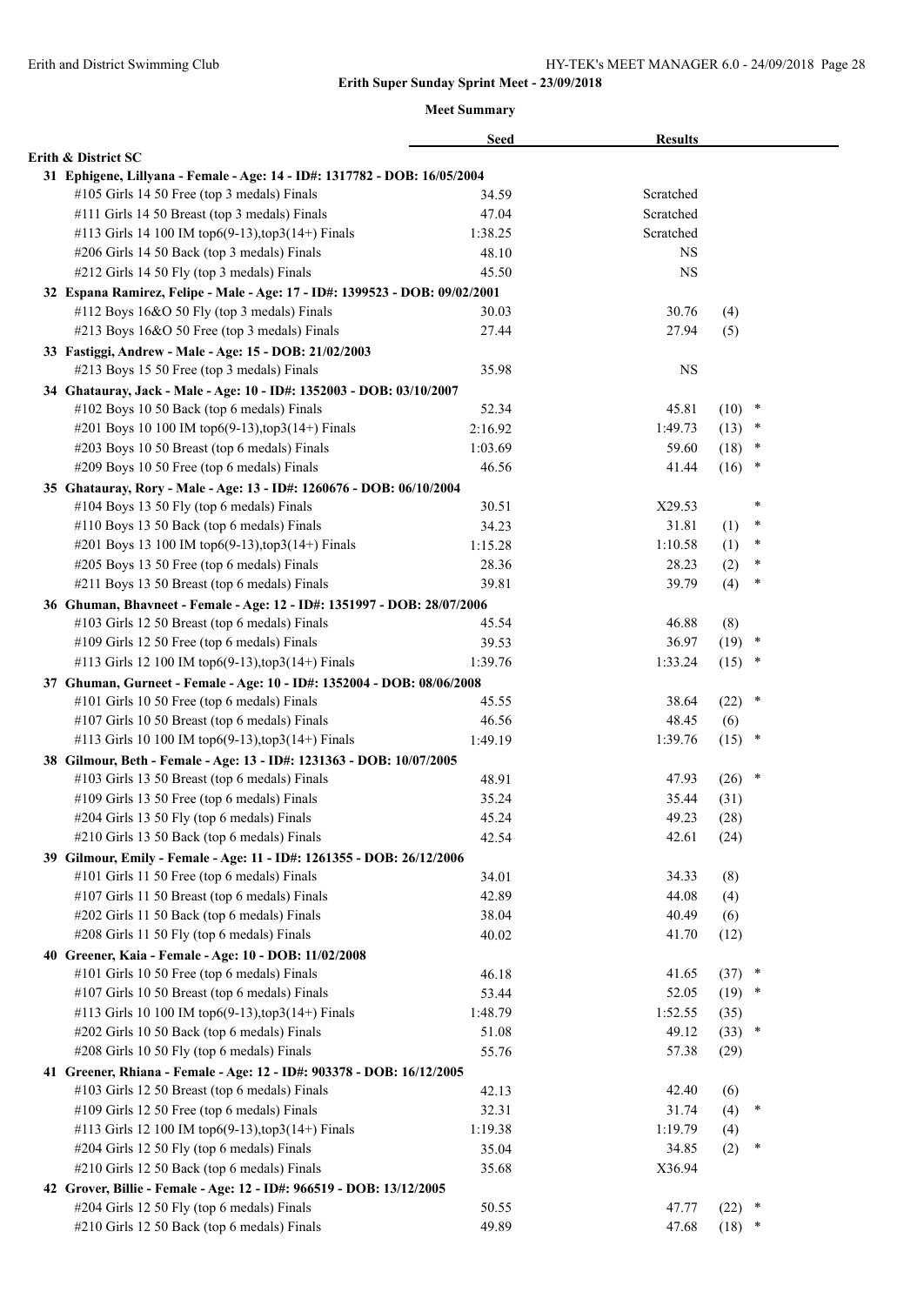|                                                                                                                        | <b>Seed</b>      | <b>Results</b> |          |        |
|------------------------------------------------------------------------------------------------------------------------|------------------|----------------|----------|--------|
| Erith & District SC                                                                                                    |                  |                |          |        |
| 31 Ephigene, Lillyana - Female - Age: 14 - ID#: 1317782 - DOB: 16/05/2004                                              |                  |                |          |        |
| #105 Girls 14 50 Free (top 3 medals) Finals                                                                            | 34.59            | Scratched      |          |        |
| #111 Girls 14 50 Breast (top 3 medals) Finals                                                                          | 47.04            | Scratched      |          |        |
| #113 Girls 14 100 IM top6(9-13), top3(14+) Finals                                                                      | 1:38.25          | Scratched      |          |        |
| #206 Girls 14 50 Back (top 3 medals) Finals                                                                            | 48.10            | <b>NS</b>      |          |        |
| #212 Girls 14 50 Fly (top 3 medals) Finals                                                                             | 45.50            | <b>NS</b>      |          |        |
| 32 Espana Ramirez, Felipe - Male - Age: 17 - ID#: 1399523 - DOB: 09/02/2001                                            |                  |                |          |        |
| #112 Boys 16&O 50 Fly (top 3 medals) Finals                                                                            | 30.03            | 30.76          | (4)      |        |
| #213 Boys 16&O 50 Free (top 3 medals) Finals                                                                           | 27.44            | 27.94          | (5)      |        |
| 33 Fastiggi, Andrew - Male - Age: 15 - DOB: 21/02/2003                                                                 |                  |                |          |        |
| #213 Boys 15 50 Free (top 3 medals) Finals                                                                             | 35.98            | <b>NS</b>      |          |        |
| 34 Ghatauray, Jack - Male - Age: 10 - ID#: 1352003 - DOB: 03/10/2007                                                   |                  |                |          |        |
| #102 Boys 10 50 Back (top 6 medals) Finals                                                                             | 52.34            | 45.81          | $(10)$ * |        |
| #201 Boys 10 100 IM top6(9-13),top3(14+) Finals                                                                        | 2:16.92          | 1:49.73        | $(13)$ * |        |
| #203 Boys 10 50 Breast (top 6 medals) Finals                                                                           | 1:03.69          | 59.60          | $(18)$ * |        |
| #209 Boys 10 50 Free (top 6 medals) Finals                                                                             | 46.56            | 41.44          | $(16)$ * |        |
| 35 Ghatauray, Rory - Male - Age: 13 - ID#: 1260676 - DOB: 06/10/2004                                                   |                  |                |          |        |
| #104 Boys 13 50 Fly (top 6 medals) Finals                                                                              | 30.51            | X29.53         |          | $\ast$ |
| #110 Boys 13 50 Back (top 6 medals) Finals                                                                             | 34.23            | 31.81          | (1)      | $\ast$ |
| #201 Boys 13 100 IM top6(9-13), top3(14+) Finals                                                                       | 1:15.28          | 1:10.58        | (1)      | *      |
| #205 Boys 13 50 Free (top 6 medals) Finals                                                                             | 28.36            | 28.23          | (2)      | ∗      |
| #211 Boys 13 50 Breast (top 6 medals) Finals                                                                           | 39.81            | 39.79          | (4)      | $\ast$ |
| 36 Ghuman, Bhavneet - Female - Age: 12 - ID#: 1351997 - DOB: 28/07/2006                                                |                  |                |          |        |
| #103 Girls 12 50 Breast (top 6 medals) Finals                                                                          | 45.54            | 46.88          | (8)      |        |
| #109 Girls 12 50 Free (top 6 medals) Finals                                                                            | 39.53            | 36.97          | $(19)$ * |        |
| #113 Girls 12 100 IM top6(9-13), top3(14+) Finals                                                                      | 1:39.76          | 1:33.24        | $(15)$ * |        |
| 37 Ghuman, Gurneet - Female - Age: 10 - ID#: 1352004 - DOB: 08/06/2008                                                 |                  |                |          |        |
| #101 Girls 10 50 Free (top 6 medals) Finals                                                                            | 45.55            | 38.64          | (22)     | $\ast$ |
| #107 Girls 10 50 Breast (top 6 medals) Finals                                                                          | 46.56            | 48.45          | (6)      |        |
| #113 Girls 10 100 IM top6(9-13),top3(14+) Finals                                                                       | 1:49.19          | 1:39.76        | $(15)$ * |        |
| 38 Gilmour, Beth - Female - Age: 13 - ID#: 1231363 - DOB: 10/07/2005                                                   |                  |                |          |        |
| #103 Girls 13 50 Breast (top 6 medals) Finals                                                                          | 48.91            | 47.93          | (26)     | $\ast$ |
| #109 Girls 13 50 Free (top 6 medals) Finals                                                                            | 35.24            | 35.44          | (31)     |        |
| #204 Girls 13 50 Fly (top 6 medals) Finals                                                                             | 45.24            | 49.23          | (28)     |        |
| #210 Girls 13 50 Back (top 6 medals) Finals                                                                            | 42.54            | 42.61          | (24)     |        |
| 39 Gilmour, Emily - Female - Age: 11 - ID#: 1261355 - DOB: 26/12/2006                                                  |                  |                |          |        |
| #101 Girls 11 50 Free (top 6 medals) Finals                                                                            | 34.01            | 34.33          | (8)      |        |
| #107 Girls 11 50 Breast (top 6 medals) Finals                                                                          | 42.89            | 44.08          | (4)      |        |
| #202 Girls 11 50 Back (top 6 medals) Finals                                                                            | 38.04            | 40.49          | (6)      |        |
| #208 Girls 11 50 Fly (top 6 medals) Finals                                                                             | 40.02            | 41.70          | (12)     |        |
| 40 Greener, Kaia - Female - Age: 10 - DOB: 11/02/2008                                                                  |                  |                |          |        |
| #101 Girls 10 50 Free (top 6 medals) Finals                                                                            | 46.18            | 41.65          | (37)     | $\ast$ |
| #107 Girls 10 50 Breast (top 6 medals) Finals                                                                          | 53.44            | 52.05          | $(19)$ * |        |
| #113 Girls 10 100 IM top6(9-13), top3(14+) Finals                                                                      | 1:48.79          | 1:52.55        | (35)     |        |
| #202 Girls 10 50 Back (top 6 medals) Finals                                                                            | 51.08            | 49.12          | $(33)$ * |        |
| #208 Girls 10 50 Fly (top 6 medals) Finals                                                                             | 55.76            | 57.38          | (29)     |        |
|                                                                                                                        |                  |                |          |        |
| 41 Greener, Rhiana - Female - Age: 12 - ID#: 903378 - DOB: 16/12/2005<br>#103 Girls 12 50 Breast (top 6 medals) Finals | 42.13            | 42.40          | (6)      |        |
|                                                                                                                        |                  | 31.74          |          | $\ast$ |
| #109 Girls 12 50 Free (top 6 medals) Finals<br>#113 Girls 12 100 IM top6(9-13), top3(14+) Finals                       | 32.31<br>1:19.38 | 1:19.79        | (4)      |        |
| #204 Girls 12 50 Fly (top 6 medals) Finals                                                                             |                  | 34.85          | (4)      | $\ast$ |
| #210 Girls 12 50 Back (top 6 medals) Finals                                                                            | 35.04            |                | (2)      |        |
|                                                                                                                        | 35.68            | X36.94         |          |        |
| 42 Grover, Billie - Female - Age: 12 - ID#: 966519 - DOB: 13/12/2005<br>#204 Girls 12 50 Fly (top 6 medals) Finals     |                  | 47.77          |          | $\ast$ |
| #210 Girls 12 50 Back (top 6 medals) Finals                                                                            | 50.55<br>49.89   | 47.68          | (22)     | $\ast$ |
|                                                                                                                        |                  |                | (18)     |        |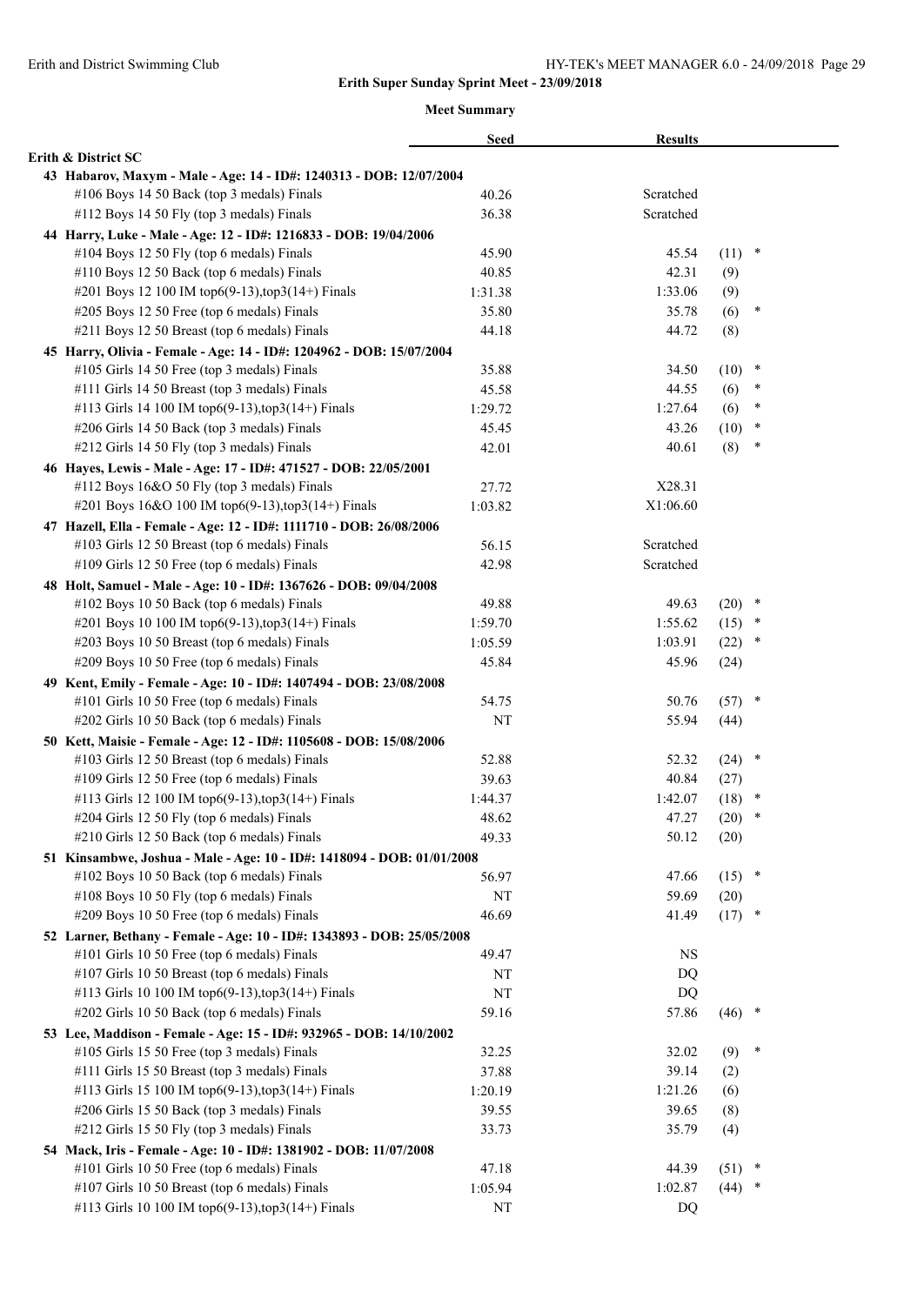|                                                                        | <b>Seed</b> | <b>Results</b> |          |        |
|------------------------------------------------------------------------|-------------|----------------|----------|--------|
| Erith & District SC                                                    |             |                |          |        |
| 43 Habarov, Maxym - Male - Age: 14 - ID#: 1240313 - DOB: 12/07/2004    |             |                |          |        |
| #106 Boys 14 50 Back (top 3 medals) Finals                             | 40.26       | Scratched      |          |        |
| #112 Boys 14 50 Fly (top 3 medals) Finals                              | 36.38       | Scratched      |          |        |
| 44 Harry, Luke - Male - Age: 12 - ID#: 1216833 - DOB: 19/04/2006       |             |                |          |        |
| #104 Boys 12 50 Fly (top 6 medals) Finals                              | 45.90       | 45.54          | $(11)$ * |        |
| #110 Boys 12 50 Back (top 6 medals) Finals                             | 40.85       | 42.31          | (9)      |        |
| #201 Boys 12 100 IM top6(9-13),top3(14+) Finals                        | 1:31.38     | 1:33.06        | (9)      |        |
| #205 Boys 12 50 Free (top 6 medals) Finals                             | 35.80       | 35.78          | (6)      | *      |
| #211 Boys 12 50 Breast (top 6 medals) Finals                           | 44.18       | 44.72          | (8)      |        |
| 45 Harry, Olivia - Female - Age: 14 - ID#: 1204962 - DOB: 15/07/2004   |             |                |          |        |
| #105 Girls 14 50 Free (top 3 medals) Finals                            | 35.88       | 34.50          | (10)     | $\ast$ |
| #111 Girls 14 50 Breast (top 3 medals) Finals                          | 45.58       | 44.55          | (6)      | $\ast$ |
| #113 Girls 14 100 IM top6(9-13), top3(14+) Finals                      | 1:29.72     | 1:27.64        | (6)      | $\ast$ |
| #206 Girls 14 50 Back (top 3 medals) Finals                            | 45.45       | 43.26          | (10)     | $\ast$ |
| #212 Girls 14 50 Fly (top 3 medals) Finals                             | 42.01       | 40.61          | (8)      | ×      |
| 46 Hayes, Lewis - Male - Age: 17 - ID#: 471527 - DOB: 22/05/2001       |             |                |          |        |
| #112 Boys 16&O 50 Fly (top 3 medals) Finals                            | 27.72       | X28.31         |          |        |
| #201 Boys 16&O 100 IM top6(9-13),top3(14+) Finals                      | 1:03.82     | X1:06.60       |          |        |
| 47 Hazell, Ella - Female - Age: 12 - ID#: 1111710 - DOB: 26/08/2006    |             |                |          |        |
| #103 Girls 12 50 Breast (top 6 medals) Finals                          | 56.15       | Scratched      |          |        |
| #109 Girls 12 50 Free (top 6 medals) Finals                            | 42.98       | Scratched      |          |        |
| 48 Holt, Samuel - Male - Age: 10 - ID#: 1367626 - DOB: 09/04/2008      |             |                |          |        |
| #102 Boys 10 50 Back (top 6 medals) Finals                             | 49.88       | 49.63          | $(20)$ * |        |
| #201 Boys 10 100 IM top6(9-13), top3(14+) Finals                       | 1:59.70     | 1:55.62        | $(15)$ * |        |
| #203 Boys 10 50 Breast (top 6 medals) Finals                           | 1:05.59     | 1:03.91        | (22)     | $\ast$ |
| #209 Boys 10 50 Free (top 6 medals) Finals                             | 45.84       | 45.96          | (24)     |        |
| 49 Kent, Emily - Female - Age: 10 - ID#: 1407494 - DOB: 23/08/2008     |             |                |          |        |
| #101 Girls 10 50 Free (top 6 medals) Finals                            | 54.75       | 50.76          | $(57)$ * |        |
| #202 Girls 10 50 Back (top 6 medals) Finals                            | NT          | 55.94          | (44)     |        |
| 50 Kett, Maisie - Female - Age: 12 - ID#: 1105608 - DOB: 15/08/2006    |             |                |          |        |
| #103 Girls 12 50 Breast (top 6 medals) Finals                          | 52.88       | 52.32          | $(24)$ * |        |
| #109 Girls 12 50 Free (top 6 medals) Finals                            | 39.63       | 40.84          | (27)     |        |
| #113 Girls 12 100 IM top6(9-13), top3(14+) Finals                      | 1:44.37     | 1:42.07        | (18)     | $\ast$ |
| #204 Girls 12 50 Fly (top 6 medals) Finals                             | 48.62       | 47.27          | (20)     | $\ast$ |
| #210 Girls 12 50 Back (top 6 medals) Finals                            | 49.33       | 50.12          | (20)     |        |
| 51 Kinsambwe, Joshua - Male - Age: 10 - ID#: 1418094 - DOB: 01/01/2008 |             |                |          |        |
| #102 Boys 10 50 Back (top 6 medals) Finals                             | 56.97       | 47.66          | $(15)$ * |        |
| #108 Boys 10 50 Fly (top 6 medals) Finals                              | NT          | 59.69          | (20)     |        |
| #209 Boys 10 50 Free (top 6 medals) Finals                             | 46.69       | 41.49          | $(17)$ * |        |
| 52 Larner, Bethany - Female - Age: 10 - ID#: 1343893 - DOB: 25/05/2008 |             |                |          |        |
| #101 Girls 10 50 Free (top 6 medals) Finals                            | 49.47       | <b>NS</b>      |          |        |
| #107 Girls 10 50 Breast (top 6 medals) Finals                          | NT          | DQ             |          |        |
| #113 Girls 10 100 IM top6(9-13), top3(14+) Finals                      | NT          | DQ             |          |        |
| #202 Girls 10 50 Back (top 6 medals) Finals                            | 59.16       | 57.86          | $(46)$ * |        |
| 53 Lee, Maddison - Female - Age: 15 - ID#: 932965 - DOB: 14/10/2002    |             |                |          |        |
| #105 Girls 15 50 Free (top 3 medals) Finals                            | 32.25       | 32.02          | (9)      | $\ast$ |
| #111 Girls 15 50 Breast (top 3 medals) Finals                          | 37.88       | 39.14          | (2)      |        |
| #113 Girls 15 100 IM top6(9-13), top3(14+) Finals                      | 1:20.19     | 1:21.26        | (6)      |        |
| #206 Girls 15 50 Back (top 3 medals) Finals                            | 39.55       | 39.65          | (8)      |        |
| #212 Girls 15 50 Fly (top 3 medals) Finals                             | 33.73       | 35.79          | (4)      |        |
| 54 Mack, Iris - Female - Age: 10 - ID#: 1381902 - DOB: 11/07/2008      |             |                |          |        |
| #101 Girls 10 50 Free (top 6 medals) Finals                            | 47.18       | 44.39          | (51)     | $\ast$ |
| #107 Girls 10 50 Breast (top 6 medals) Finals                          | 1:05.94     | 1:02.87        | (44)     |        |
| #113 Girls 10 100 IM top6(9-13), top3(14+) Finals                      | NT          | DQ             |          |        |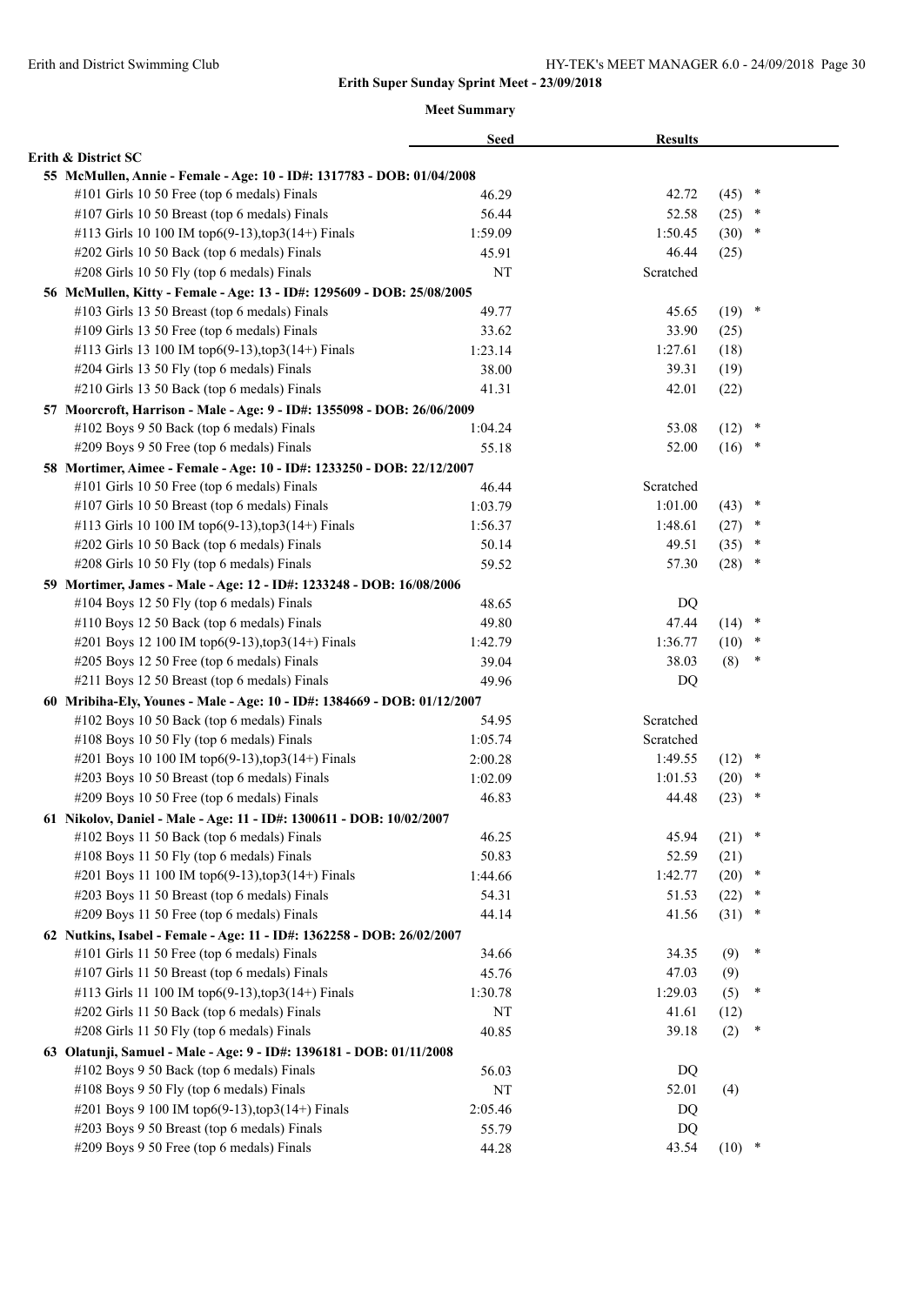|                                                                          | <b>Seed</b> | <b>Results</b> |          |        |  |
|--------------------------------------------------------------------------|-------------|----------------|----------|--------|--|
| Erith & District SC                                                      |             |                |          |        |  |
| 55 McMullen, Annie - Female - Age: 10 - ID#: 1317783 - DOB: 01/04/2008   |             |                |          |        |  |
| #101 Girls 10 50 Free (top 6 medals) Finals                              | 46.29       | 42.72          | (45)     | $\ast$ |  |
| #107 Girls 10 50 Breast (top 6 medals) Finals                            | 56.44       | 52.58          | (25)     | $\ast$ |  |
| #113 Girls 10 100 IM top6(9-13), top3(14+) Finals                        | 1:59.09     | 1:50.45        | $(30)$ * |        |  |
| #202 Girls 10 50 Back (top 6 medals) Finals                              | 45.91       | 46.44          | (25)     |        |  |
| #208 Girls 10 50 Fly (top 6 medals) Finals                               | NT          | Scratched      |          |        |  |
| 56 McMullen, Kitty - Female - Age: 13 - ID#: 1295609 - DOB: 25/08/2005   |             |                |          |        |  |
| #103 Girls 13 50 Breast (top 6 medals) Finals                            | 49.77       | 45.65          | $(19)$ * |        |  |
| #109 Girls 13 50 Free (top 6 medals) Finals                              | 33.62       | 33.90          | (25)     |        |  |
| #113 Girls 13 100 IM top6(9-13), top3(14+) Finals                        | 1:23.14     | 1:27.61        | (18)     |        |  |
| #204 Girls 13 50 Fly (top 6 medals) Finals                               | 38.00       | 39.31          | (19)     |        |  |
| #210 Girls 13 50 Back (top 6 medals) Finals                              | 41.31       | 42.01          | (22)     |        |  |
| 57 Moorcroft, Harrison - Male - Age: 9 - ID#: 1355098 - DOB: 26/06/2009  |             |                |          |        |  |
| #102 Boys 9 50 Back (top 6 medals) Finals                                | 1:04.24     | 53.08          | (12)     | $\ast$ |  |
| #209 Boys 9 50 Free (top 6 medals) Finals                                | 55.18       | 52.00          | $(16)$ * |        |  |
| 58 Mortimer, Aimee - Female - Age: 10 - ID#: 1233250 - DOB: 22/12/2007   |             |                |          |        |  |
| #101 Girls 10 50 Free (top 6 medals) Finals                              | 46.44       | Scratched      |          |        |  |
| #107 Girls 10 50 Breast (top 6 medals) Finals                            | 1:03.79     | 1:01.00        | (43)     | $\ast$ |  |
| #113 Girls 10 100 IM top6(9-13), top3(14+) Finals                        | 1:56.37     | 1:48.61        | (27)     | ×      |  |
| #202 Girls 10 50 Back (top 6 medals) Finals                              | 50.14       | 49.51          | (35)     | *      |  |
| #208 Girls 10 50 Fly (top 6 medals) Finals                               | 59.52       | 57.30          | (28)     | $\ast$ |  |
| 59 Mortimer, James - Male - Age: 12 - ID#: 1233248 - DOB: 16/08/2006     |             |                |          |        |  |
| #104 Boys 12 50 Fly (top 6 medals) Finals                                | 48.65       | DQ             |          |        |  |
| #110 Boys 12 50 Back (top 6 medals) Finals                               | 49.80       | 47.44          | $(14)$ * |        |  |
| #201 Boys 12 100 IM top6(9-13), top3(14+) Finals                         | 1:42.79     | 1:36.77        | (10)     | $\ast$ |  |
| #205 Boys 12 50 Free (top 6 medals) Finals                               | 39.04       | 38.03          | (8)      | ×      |  |
| #211 Boys 12 50 Breast (top 6 medals) Finals                             | 49.96       | DQ             |          |        |  |
| 60 Mribiha-Ely, Younes - Male - Age: 10 - ID#: 1384669 - DOB: 01/12/2007 |             |                |          |        |  |
| #102 Boys 10 50 Back (top 6 medals) Finals                               | 54.95       | Scratched      |          |        |  |
| #108 Boys 10 50 Fly (top 6 medals) Finals                                | 1:05.74     | Scratched      |          |        |  |
| #201 Boys 10 100 IM top6(9-13),top3(14+) Finals                          | 2:00.28     | 1:49.55        | $(12)$ * |        |  |
| #203 Boys 10 50 Breast (top 6 medals) Finals                             | 1:02.09     | 1:01.53        | (20)     | *      |  |
| #209 Boys 10 50 Free (top 6 medals) Finals                               | 46.83       | 44.48          | (23)     | ∗      |  |
| 61 Nikolov, Daniel - Male - Age: 11 - ID#: 1300611 - DOB: 10/02/2007     |             |                |          |        |  |
| #102 Boys 11 50 Back (top 6 medals) Finals                               | 46.25       | 45.94          | $(21)$ * |        |  |
| #108 Boys 11 50 Fly (top 6 medals) Finals                                | 50.83       | 52.59          | (21)     |        |  |
| #201 Boys 11 100 IM top6(9-13), top3(14+) Finals                         | 1:44.66     | 1:42.77        | (20)     | $\ast$ |  |
| #203 Boys 11 50 Breast (top 6 medals) Finals                             | 54.31       | 51.53          | (22)     | ×      |  |
| #209 Boys 11 50 Free (top 6 medals) Finals                               | 44.14       | 41.56          | (31)     | $\ast$ |  |
| 62 Nutkins, Isabel - Female - Age: 11 - ID#: 1362258 - DOB: 26/02/2007   |             |                |          |        |  |
| #101 Girls 11 50 Free (top 6 medals) Finals                              | 34.66       | 34.35          | (9)      | ∗      |  |
| #107 Girls 11 50 Breast (top 6 medals) Finals                            | 45.76       | 47.03          | (9)      |        |  |
| #113 Girls 11 100 IM top6(9-13),top3(14+) Finals                         | 1:30.78     | 1:29.03        | (5)      | ∗      |  |
| #202 Girls 11 50 Back (top 6 medals) Finals                              | NT          | 41.61          | (12)     |        |  |
| #208 Girls 11 50 Fly (top 6 medals) Finals                               | 40.85       | 39.18          | (2)      | $\ast$ |  |
| 63 Olatunji, Samuel - Male - Age: 9 - ID#: 1396181 - DOB: 01/11/2008     |             |                |          |        |  |
| #102 Boys 9 50 Back (top 6 medals) Finals                                | 56.03       | DQ             |          |        |  |
| #108 Boys 9 50 Fly (top 6 medals) Finals                                 | NT          | 52.01          | (4)      |        |  |
| #201 Boys 9 100 IM top6(9-13), top3(14+) Finals                          | 2:05.46     | DQ             |          |        |  |
| #203 Boys 9 50 Breast (top 6 medals) Finals                              | 55.79       | DQ             |          |        |  |
| #209 Boys 9 50 Free (top 6 medals) Finals                                | 44.28       | 43.54          | $(10)$ * |        |  |
|                                                                          |             |                |          |        |  |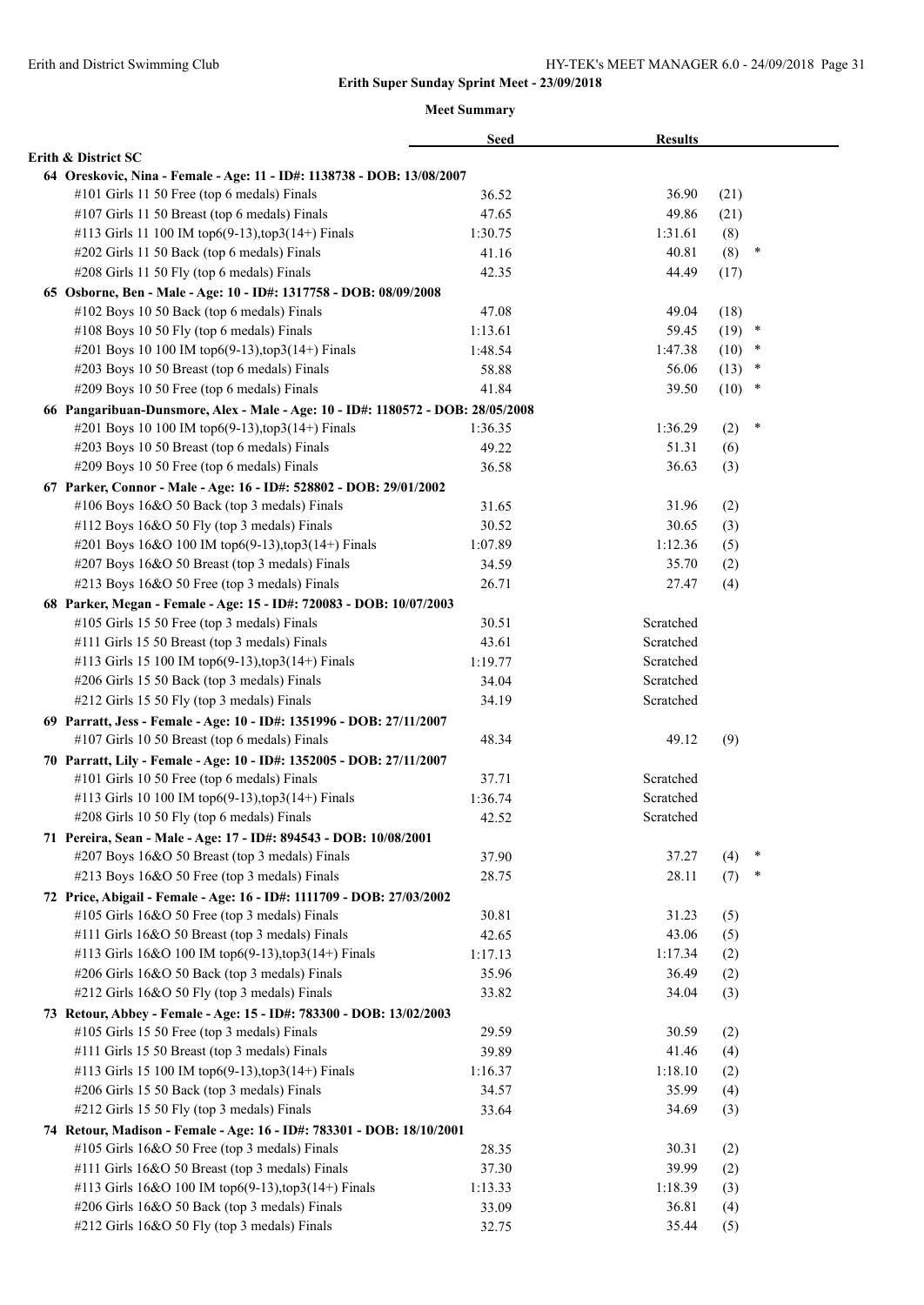|                                                                                 | <b>Seed</b> | <b>Results</b> |      |        |  |
|---------------------------------------------------------------------------------|-------------|----------------|------|--------|--|
| Erith & District SC                                                             |             |                |      |        |  |
| 64 Oreskovic, Nina - Female - Age: 11 - ID#: 1138738 - DOB: 13/08/2007          |             |                |      |        |  |
| #101 Girls 11 50 Free (top 6 medals) Finals                                     | 36.52       | 36.90          | (21) |        |  |
| #107 Girls 11 50 Breast (top 6 medals) Finals                                   | 47.65       | 49.86          | (21) |        |  |
| #113 Girls 11 100 IM top6(9-13), top3(14+) Finals                               | 1:30.75     | 1:31.61        | (8)  |        |  |
| #202 Girls 11 50 Back (top 6 medals) Finals                                     | 41.16       | 40.81          | (8)  | $\ast$ |  |
| #208 Girls 11 50 Fly (top 6 medals) Finals                                      | 42.35       | 44.49          | (17) |        |  |
| 65 Osborne, Ben - Male - Age: 10 - ID#: 1317758 - DOB: 08/09/2008               |             |                |      |        |  |
| #102 Boys 10 50 Back (top 6 medals) Finals                                      | 47.08       | 49.04          | (18) |        |  |
| #108 Boys 10 50 Fly (top 6 medals) Finals                                       | 1:13.61     | 59.45          | (19) | $\ast$ |  |
| #201 Boys 10 100 IM top6(9-13), top3(14+) Finals                                | 1:48.54     | 1:47.38        | (10) | $\ast$ |  |
| #203 Boys 10 50 Breast (top 6 medals) Finals                                    | 58.88       | 56.06          | (13) | $\ast$ |  |
| #209 Boys 10 50 Free (top 6 medals) Finals                                      | 41.84       | 39.50          | (10) | $\ast$ |  |
| 66 Pangaribuan-Dunsmore, Alex - Male - Age: 10 - ID#: 1180572 - DOB: 28/05/2008 |             |                |      |        |  |
| #201 Boys 10 100 IM top6(9-13), top3(14+) Finals                                | 1:36.35     | 1:36.29        | (2)  | ×      |  |
| #203 Boys 10 50 Breast (top 6 medals) Finals                                    | 49.22       | 51.31          | (6)  |        |  |
| #209 Boys 10 50 Free (top 6 medals) Finals                                      | 36.58       | 36.63          | (3)  |        |  |
| 67 Parker, Connor - Male - Age: 16 - ID#: 528802 - DOB: 29/01/2002              |             |                |      |        |  |
| #106 Boys 16&O 50 Back (top 3 medals) Finals                                    | 31.65       | 31.96          | (2)  |        |  |
| #112 Boys 16&O 50 Fly (top 3 medals) Finals                                     | 30.52       | 30.65          | (3)  |        |  |
| #201 Boys 16&O 100 IM top6(9-13),top3(14+) Finals                               | 1:07.89     | 1:12.36        | (5)  |        |  |
| #207 Boys 16&O 50 Breast (top 3 medals) Finals                                  | 34.59       | 35.70          | (2)  |        |  |
| #213 Boys 16&O 50 Free (top 3 medals) Finals                                    | 26.71       | 27.47          | (4)  |        |  |
| 68 Parker, Megan - Female - Age: 15 - ID#: 720083 - DOB: 10/07/2003             |             |                |      |        |  |
| #105 Girls 15 50 Free (top 3 medals) Finals                                     | 30.51       | Scratched      |      |        |  |
| #111 Girls 15 50 Breast (top 3 medals) Finals                                   | 43.61       | Scratched      |      |        |  |
| #113 Girls 15 100 IM top6(9-13), top3(14+) Finals                               | 1:19.77     | Scratched      |      |        |  |
| #206 Girls 15 50 Back (top 3 medals) Finals                                     | 34.04       | Scratched      |      |        |  |
| #212 Girls 15 50 Fly (top 3 medals) Finals                                      | 34.19       | Scratched      |      |        |  |
| 69 Parratt, Jess - Female - Age: 10 - ID#: 1351996 - DOB: 27/11/2007            |             |                |      |        |  |
| #107 Girls 10 50 Breast (top 6 medals) Finals                                   | 48.34       | 49.12          | (9)  |        |  |
| 70 Parratt, Lily - Female - Age: 10 - ID#: 1352005 - DOB: 27/11/2007            |             |                |      |        |  |
| #101 Girls 10 50 Free (top 6 medals) Finals                                     | 37.71       | Scratched      |      |        |  |
| #113 Girls 10 100 IM top6(9-13), top3(14+) Finals                               | 1:36.74     | Scratched      |      |        |  |
| #208 Girls 10 50 Fly (top 6 medals) Finals                                      | 42.52       | Scratched      |      |        |  |
| 71 Pereira, Sean - Male - Age: 17 - ID#: 894543 - DOB: 10/08/2001               |             |                |      |        |  |
| #207 Boys 16&O 50 Breast (top 3 medals) Finals                                  | 37.90       | 37.27          | (4)  | ∗      |  |
| #213 Boys 16&O 50 Free (top 3 medals) Finals                                    | 28.75       | 28.11          | (7)  | $\ast$ |  |
| 72 Price, Abigail - Female - Age: 16 - ID#: 1111709 - DOB: 27/03/2002           |             |                |      |        |  |
| #105 Girls 16&O 50 Free (top 3 medals) Finals                                   | 30.81       | 31.23          | (5)  |        |  |
| #111 Girls 16&O 50 Breast (top 3 medals) Finals                                 | 42.65       | 43.06          | (5)  |        |  |
| #113 Girls 16&O 100 IM top6(9-13),top3(14+) Finals                              | 1:17.13     | 1:17.34        | (2)  |        |  |
| #206 Girls 16&O 50 Back (top 3 medals) Finals                                   | 35.96       | 36.49          | (2)  |        |  |
| #212 Girls 16&O 50 Fly (top 3 medals) Finals                                    | 33.82       | 34.04          | (3)  |        |  |
| 73 Retour, Abbey - Female - Age: 15 - ID#: 783300 - DOB: 13/02/2003             |             |                |      |        |  |
| #105 Girls 15 50 Free (top 3 medals) Finals                                     | 29.59       | 30.59          | (2)  |        |  |
| #111 Girls 15 50 Breast (top 3 medals) Finals                                   | 39.89       | 41.46          | (4)  |        |  |
| #113 Girls 15 100 IM top6(9-13), top3(14+) Finals                               | 1:16.37     | 1:18.10        | (2)  |        |  |
| #206 Girls 15 50 Back (top 3 medals) Finals                                     | 34.57       | 35.99          | (4)  |        |  |
| #212 Girls 15 50 Fly (top 3 medals) Finals                                      | 33.64       | 34.69          | (3)  |        |  |
| 74 Retour, Madison - Female - Age: 16 - ID#: 783301 - DOB: 18/10/2001           |             |                |      |        |  |
| #105 Girls 16&O 50 Free (top 3 medals) Finals                                   | 28.35       | 30.31          | (2)  |        |  |
| #111 Girls 16&O 50 Breast (top 3 medals) Finals                                 | 37.30       | 39.99          | (2)  |        |  |
| #113 Girls 16&O 100 IM top6(9-13),top3(14+) Finals                              | 1:13.33     | 1:18.39        | (3)  |        |  |
| #206 Girls 16&O 50 Back (top 3 medals) Finals                                   | 33.09       | 36.81          | (4)  |        |  |
| #212 Girls 16&O 50 Fly (top 3 medals) Finals                                    | 32.75       | 35.44          | (5)  |        |  |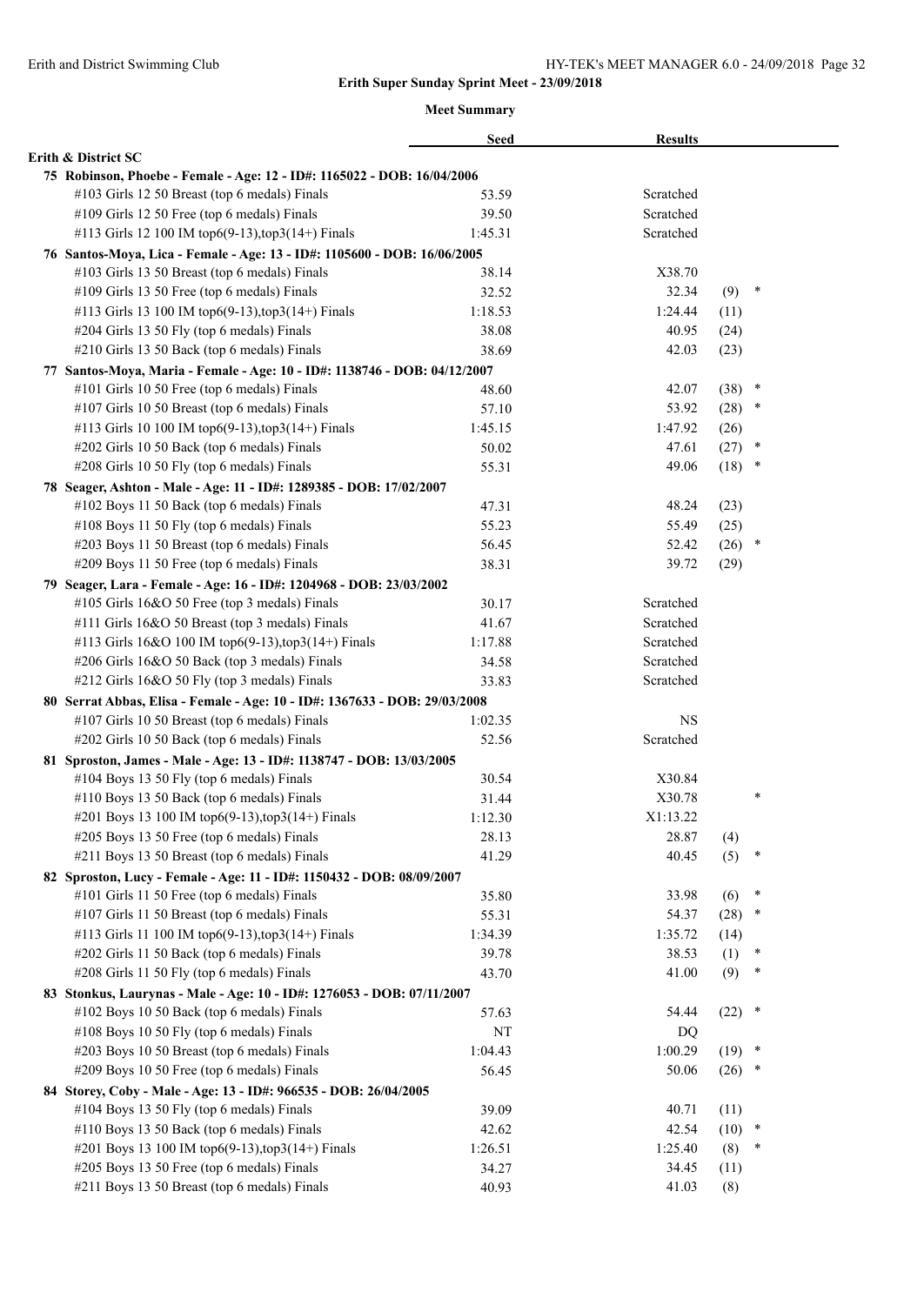|                                                                            | <b>Seed</b> | <b>Results</b> |          |        |
|----------------------------------------------------------------------------|-------------|----------------|----------|--------|
| Erith & District SC                                                        |             |                |          |        |
| 75 Robinson, Phoebe - Female - Age: 12 - ID#: 1165022 - DOB: 16/04/2006    |             |                |          |        |
| #103 Girls 12 50 Breast (top 6 medals) Finals                              | 53.59       | Scratched      |          |        |
| #109 Girls 12 50 Free (top 6 medals) Finals                                | 39.50       | Scratched      |          |        |
| #113 Girls 12 100 IM top6(9-13), top3(14+) Finals                          | 1:45.31     | Scratched      |          |        |
| 76 Santos-Moya, Lica - Female - Age: 13 - ID#: 1105600 - DOB: 16/06/2005   |             |                |          |        |
| #103 Girls 13 50 Breast (top 6 medals) Finals                              | 38.14       | X38.70         |          |        |
| #109 Girls 13 50 Free (top 6 medals) Finals                                | 32.52       | 32.34          | (9)      | $\ast$ |
| #113 Girls 13 100 IM top6(9-13), top3(14+) Finals                          | 1:18.53     | 1:24.44        | (11)     |        |
| #204 Girls 13 50 Fly (top 6 medals) Finals                                 | 38.08       | 40.95          | (24)     |        |
| #210 Girls 13 50 Back (top 6 medals) Finals                                | 38.69       | 42.03          | (23)     |        |
| 77 Santos-Moya, Maria - Female - Age: 10 - ID#: 1138746 - DOB: 04/12/2007  |             |                |          |        |
| #101 Girls 10 50 Free (top 6 medals) Finals                                | 48.60       | 42.07          | (38)     | $\ast$ |
| #107 Girls 10 50 Breast (top 6 medals) Finals                              | 57.10       | 53.92          | (28)     | $\ast$ |
| #113 Girls 10 100 IM top6(9-13), top3(14+) Finals                          | 1:45.15     | 1:47.92        | (26)     |        |
| #202 Girls 10 50 Back (top 6 medals) Finals                                | 50.02       | 47.61          | (27)     | $\ast$ |
| #208 Girls 10 50 Fly (top 6 medals) Finals                                 | 55.31       | 49.06          | (18)     | $\ast$ |
| 78 Seager, Ashton - Male - Age: 11 - ID#: 1289385 - DOB: 17/02/2007        |             |                |          |        |
| #102 Boys 11 50 Back (top 6 medals) Finals                                 | 47.31       | 48.24          | (23)     |        |
| #108 Boys 11 50 Fly (top 6 medals) Finals                                  | 55.23       | 55.49          | (25)     |        |
| #203 Boys 11 50 Breast (top 6 medals) Finals                               | 56.45       | 52.42          | (26)     | $\ast$ |
| #209 Boys 11 50 Free (top 6 medals) Finals                                 | 38.31       | 39.72          | (29)     |        |
| 79 Seager, Lara - Female - Age: 16 - ID#: 1204968 - DOB: 23/03/2002        |             |                |          |        |
| #105 Girls 16&O 50 Free (top 3 medals) Finals                              | 30.17       | Scratched      |          |        |
| #111 Girls 16&O 50 Breast (top 3 medals) Finals                            | 41.67       | Scratched      |          |        |
| #113 Girls 16&O 100 IM top6(9-13),top3(14+) Finals                         | 1:17.88     | Scratched      |          |        |
| #206 Girls 16&O 50 Back (top 3 medals) Finals                              | 34.58       | Scratched      |          |        |
| #212 Girls 16&O 50 Fly (top 3 medals) Finals                               | 33.83       | Scratched      |          |        |
| 80 Serrat Abbas, Elisa - Female - Age: 10 - ID#: 1367633 - DOB: 29/03/2008 |             |                |          |        |
| #107 Girls 10 50 Breast (top 6 medals) Finals                              | 1:02.35     | <b>NS</b>      |          |        |
| #202 Girls 10 50 Back (top 6 medals) Finals                                | 52.56       | Scratched      |          |        |
| 81 Sproston, James - Male - Age: 13 - ID#: 1138747 - DOB: 13/03/2005       |             |                |          |        |
| #104 Boys 13 50 Fly (top 6 medals) Finals                                  | 30.54       | X30.84         |          |        |
| #110 Boys 13 50 Back (top 6 medals) Finals                                 | 31.44       | X30.78         |          | $\ast$ |
| #201 Boys 13 100 IM top6(9-13), top3(14+) Finals                           | 1:12.30     | X1:13.22       |          |        |
| #205 Boys 13 50 Free (top 6 medals) Finals                                 | 28.13       | 28.87          | (4)      |        |
| #211 Boys 13 50 Breast (top 6 medals) Finals                               | 41.29       | 40.45          | (5)      | ∗      |
| 82 Sproston, Lucy - Female - Age: 11 - ID#: 1150432 - DOB: 08/09/2007      |             |                |          |        |
| #101 Girls 11 50 Free (top 6 medals) Finals                                | 35.80       | 33.98          | (6)      | ×      |
| #107 Girls 11 50 Breast (top 6 medals) Finals                              | 55.31       | 54.37          | (28)     | $\ast$ |
| #113 Girls 11 100 IM top6(9-13),top3(14+) Finals                           | 1:34.39     | 1:35.72        | (14)     |        |
| #202 Girls 11 50 Back (top 6 medals) Finals                                | 39.78       | 38.53          | (1)      | $\ast$ |
| #208 Girls 11 50 Fly (top 6 medals) Finals                                 | 43.70       | 41.00          | (9)      | $\ast$ |
|                                                                            |             |                |          |        |
| 83 Stonkus, Laurynas - Male - Age: 10 - ID#: 1276053 - DOB: 07/11/2007     |             |                | $(22)$ * |        |
| #102 Boys 10 50 Back (top 6 medals) Finals                                 | 57.63       | 54.44          |          |        |
| #108 Boys 10 50 Fly (top 6 medals) Finals                                  | NT          | DQ             |          |        |
| #203 Boys 10 50 Breast (top 6 medals) Finals                               | 1:04.43     | 1:00.29        | $(19)$ * |        |
| #209 Boys 10 50 Free (top 6 medals) Finals                                 | 56.45       | 50.06          | (26)     | $\ast$ |
| 84 Storey, Coby - Male - Age: 13 - ID#: 966535 - DOB: 26/04/2005           |             |                |          |        |
| #104 Boys 13 50 Fly (top 6 medals) Finals                                  | 39.09       | 40.71          | (11)     |        |
| #110 Boys 13 50 Back (top 6 medals) Finals                                 | 42.62       | 42.54          | $(10)$ * |        |
| #201 Boys 13 100 IM top6(9-13), top3(14+) Finals                           | 1:26.51     | 1:25.40        | (8)      |        |
| #205 Boys 13 50 Free (top 6 medals) Finals                                 | 34.27       | 34.45          | (11)     |        |
| #211 Boys 13 50 Breast (top 6 medals) Finals                               | 40.93       | 41.03          | (8)      |        |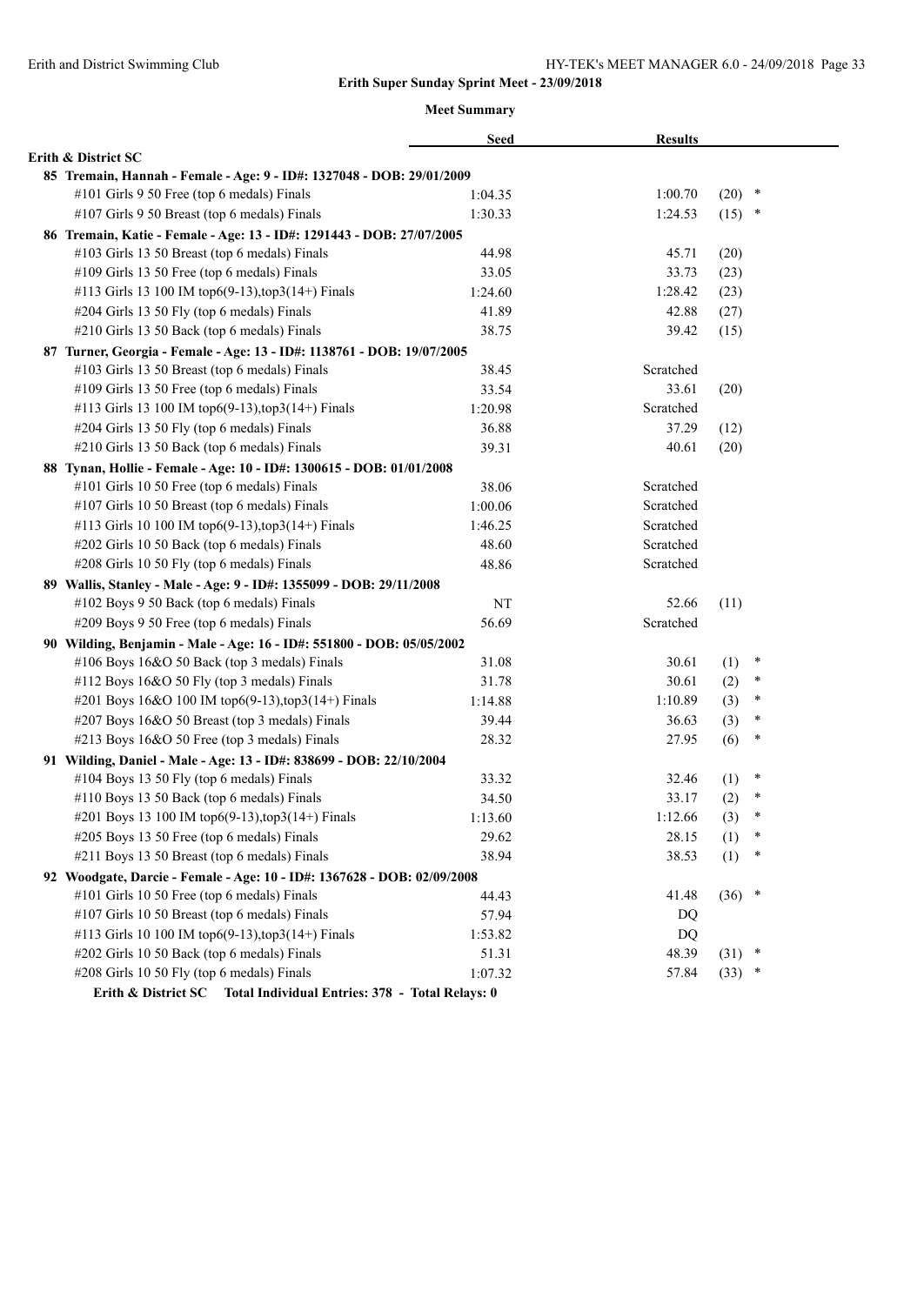|                                                                         | <b>Seed</b> | <b>Results</b> |      |        |
|-------------------------------------------------------------------------|-------------|----------------|------|--------|
| Erith & District SC                                                     |             |                |      |        |
| 85 Tremain, Hannah - Female - Age: 9 - ID#: 1327048 - DOB: 29/01/2009   |             |                |      |        |
| #101 Girls 9 50 Free (top 6 medals) Finals                              | 1:04.35     | 1:00.70        | (20) | $\ast$ |
| #107 Girls 9 50 Breast (top 6 medals) Finals                            | 1:30.33     | 1:24.53        | (15) | $\ast$ |
| 86 Tremain, Katie - Female - Age: 13 - ID#: 1291443 - DOB: 27/07/2005   |             |                |      |        |
| #103 Girls 13 50 Breast (top 6 medals) Finals                           | 44.98       | 45.71          | (20) |        |
| #109 Girls 13 50 Free (top 6 medals) Finals                             | 33.05       | 33.73          | (23) |        |
| #113 Girls 13 100 IM top6(9-13), top3(14+) Finals                       | 1:24.60     | 1:28.42        | (23) |        |
| #204 Girls 13 50 Fly (top 6 medals) Finals                              | 41.89       | 42.88          | (27) |        |
| #210 Girls 13 50 Back (top 6 medals) Finals                             | 38.75       | 39.42          | (15) |        |
| 87 Turner, Georgia - Female - Age: 13 - ID#: 1138761 - DOB: 19/07/2005  |             |                |      |        |
| #103 Girls 13 50 Breast (top 6 medals) Finals                           | 38.45       | Scratched      |      |        |
| #109 Girls 13 50 Free (top 6 medals) Finals                             | 33.54       | 33.61          | (20) |        |
| #113 Girls 13 100 IM top6(9-13), top3(14+) Finals                       | 1:20.98     | Scratched      |      |        |
| #204 Girls 13 50 Fly (top 6 medals) Finals                              | 36.88       | 37.29          | (12) |        |
| #210 Girls 13 50 Back (top 6 medals) Finals                             | 39.31       | 40.61          | (20) |        |
| 88 Tynan, Hollie - Female - Age: 10 - ID#: 1300615 - DOB: 01/01/2008    |             |                |      |        |
| #101 Girls 10 50 Free (top 6 medals) Finals                             | 38.06       | Scratched      |      |        |
| #107 Girls 10 50 Breast (top 6 medals) Finals                           | 1:00.06     | Scratched      |      |        |
| #113 Girls 10 100 IM top6(9-13), top3(14+) Finals                       | 1:46.25     | Scratched      |      |        |
| #202 Girls 10 50 Back (top 6 medals) Finals                             | 48.60       | Scratched      |      |        |
| #208 Girls 10 50 Fly (top 6 medals) Finals                              | 48.86       | Scratched      |      |        |
| 89 Wallis, Stanley - Male - Age: 9 - ID#: 1355099 - DOB: 29/11/2008     |             |                |      |        |
| #102 Boys 9 50 Back (top 6 medals) Finals                               | NT          | 52.66          | (11) |        |
| #209 Boys 9 50 Free (top 6 medals) Finals                               | 56.69       | Scratched      |      |        |
| 90 Wilding, Benjamin - Male - Age: 16 - ID#: 551800 - DOB: 05/05/2002   |             |                |      |        |
| #106 Boys 16&O 50 Back (top 3 medals) Finals                            | 31.08       | 30.61          | (1)  | $\ast$ |
| #112 Boys 16&O 50 Fly (top 3 medals) Finals                             | 31.78       | 30.61          | (2)  | $\ast$ |
| #201 Boys 16&O 100 IM top6(9-13),top3(14+) Finals                       | 1:14.88     | 1:10.89        | (3)  | $\ast$ |
| #207 Boys 16&O 50 Breast (top 3 medals) Finals                          | 39.44       | 36.63          | (3)  | ∗      |
| #213 Boys 16&O 50 Free (top 3 medals) Finals                            | 28.32       | 27.95          | (6)  | ∗      |
| 91 Wilding, Daniel - Male - Age: 13 - ID#: 838699 - DOB: 22/10/2004     |             |                |      |        |
| #104 Boys 13 50 Fly (top 6 medals) Finals                               | 33.32       | 32.46          | (1)  | $\ast$ |
| #110 Boys 13 50 Back (top 6 medals) Finals                              | 34.50       | 33.17          | (2)  | ∗      |
| #201 Boys 13 100 IM top6(9-13), top3(14+) Finals                        | 1:13.60     | 1:12.66        | (3)  | *      |
| #205 Boys 13 50 Free (top 6 medals) Finals                              | 29.62       | 28.15          | (1)  | ∗      |
| #211 Boys 13 50 Breast (top 6 medals) Finals                            | 38.94       | 38.53          | (1)  |        |
| 92 Woodgate, Darcie - Female - Age: 10 - ID#: 1367628 - DOB: 02/09/2008 |             |                |      |        |
| #101 Girls 10 50 Free (top 6 medals) Finals                             | 44.43       | 41.48          | (36) | $\ast$ |
| #107 Girls 10 50 Breast (top 6 medals) Finals                           | 57.94       | DQ             |      |        |
| #113 Girls 10 100 IM top6(9-13), top3(14+) Finals                       | 1:53.82     | DQ             |      |        |
| #202 Girls 10 50 Back (top 6 medals) Finals                             | 51.31       | 48.39          | (31) | $\ast$ |
| #208 Girls 10 50 Fly (top 6 medals) Finals                              | 1:07.32     | 57.84          | (33) | ×      |
| Erith & District SC Total Individual Entries: 378 - Total Relays: 0     |             |                |      |        |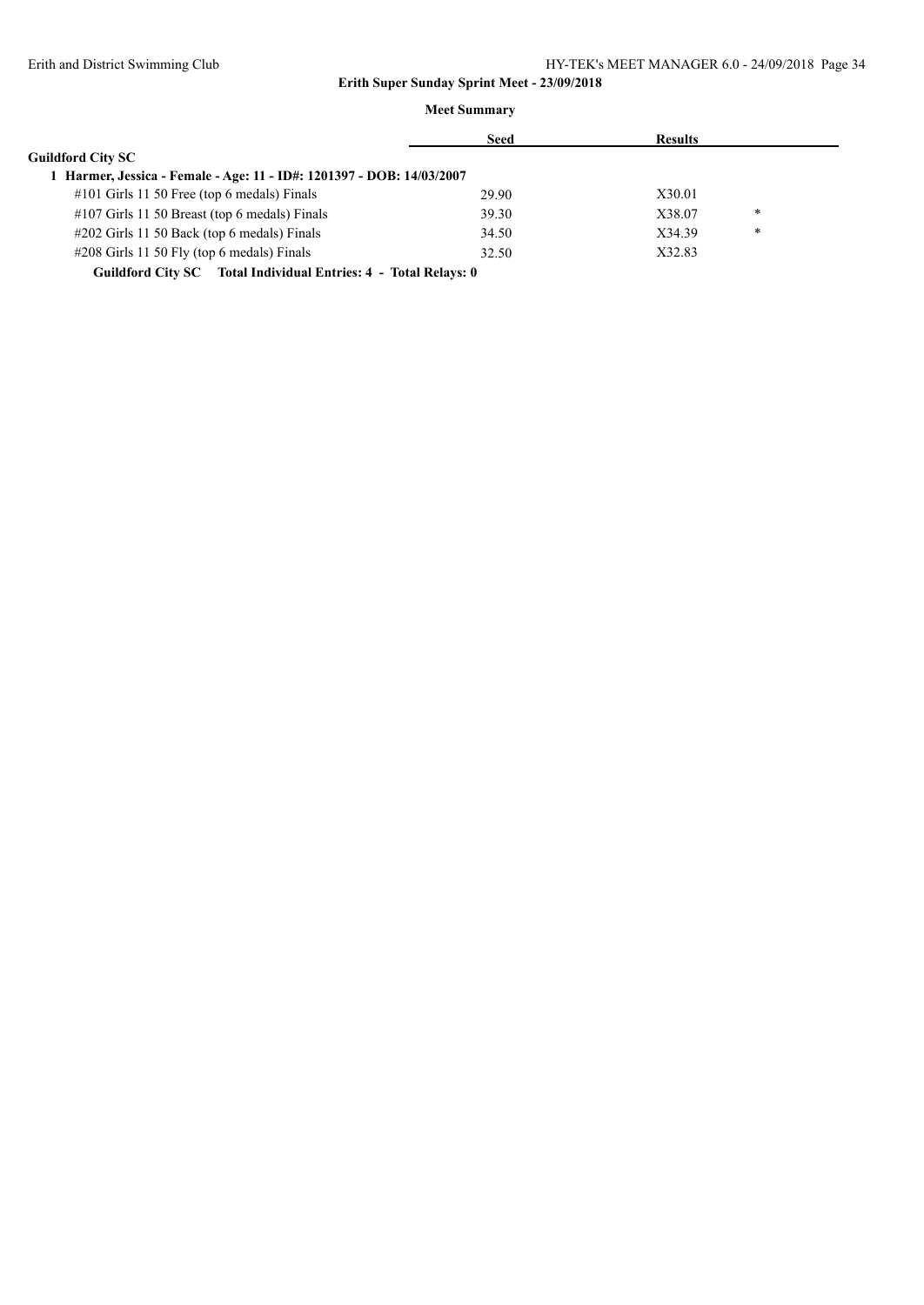|                                                                       | <b>Seed</b> | <b>Results</b> |   |
|-----------------------------------------------------------------------|-------------|----------------|---|
| <b>Guildford City SC</b>                                              |             |                |   |
| 1 Harmer, Jessica - Female - Age: 11 - ID#: 1201397 - DOB: 14/03/2007 |             |                |   |
| $\#101$ Girls 11 50 Free (top 6 medals) Finals                        | 29.90       | X30.01         |   |
| $\#107$ Girls 11 50 Breast (top 6 medals) Finals                      | 39.30       | X38.07         | * |
| $\#202$ Girls 11 50 Back (top 6 medals) Finals                        | 34.50       | X34.39         | * |
| $\#208$ Girls 11 50 Fly (top 6 medals) Finals                         | 32.50       | X32.83         |   |
| Guildford City SC Total Individual Entries: 4 - Total Relays: 0       |             |                |   |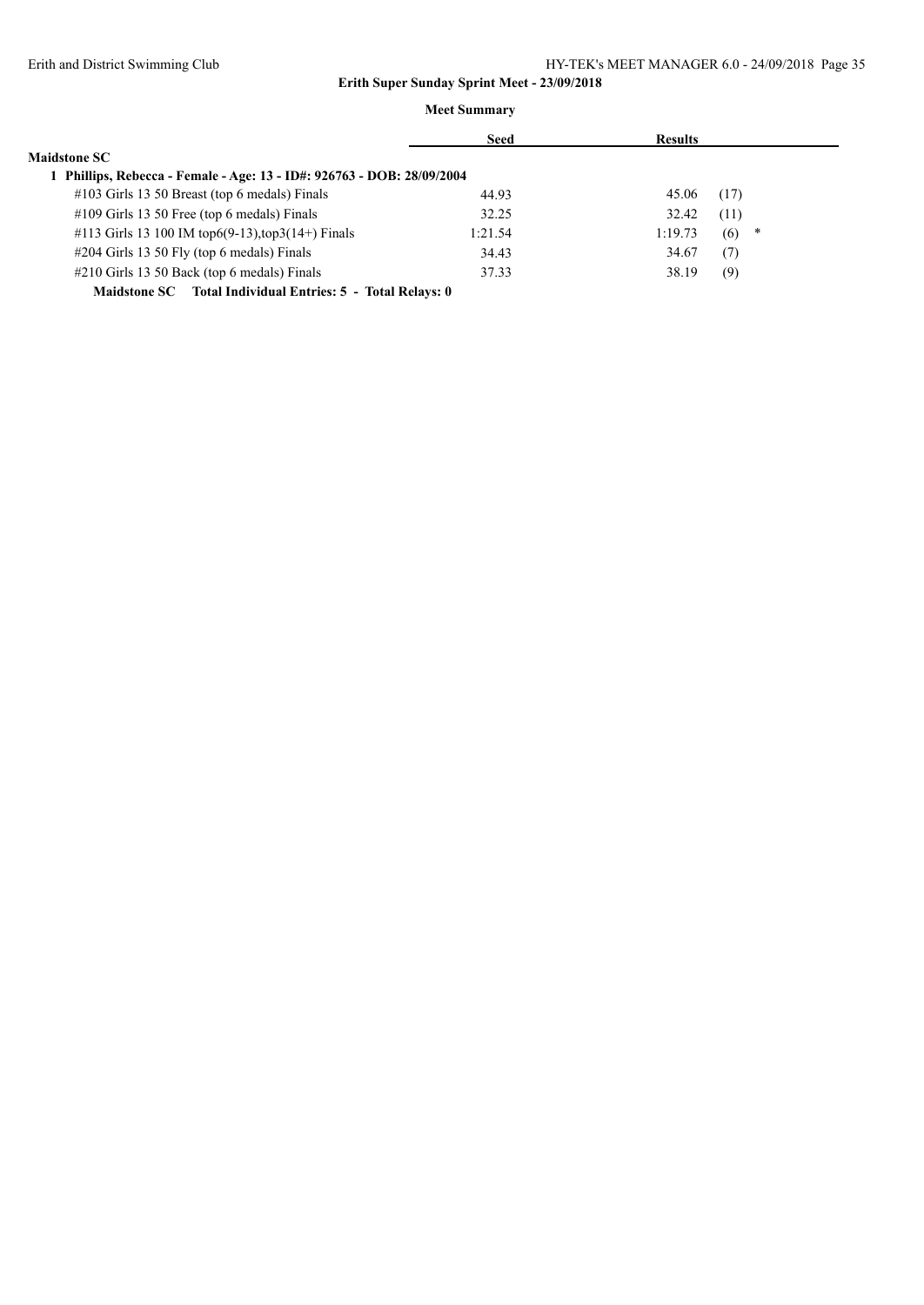|                                                                      | <b>Seed</b> | <b>Results</b> |          |
|----------------------------------------------------------------------|-------------|----------------|----------|
| <b>Maidstone SC</b>                                                  |             |                |          |
| Phillips, Rebecca - Female - Age: 13 - ID#: 926763 - DOB: 28/09/2004 |             |                |          |
| $\#103$ Girls 13 50 Breast (top 6 medals) Finals                     | 44.93       | 45.06          | (17)     |
| #109 Girls 13 50 Free (top 6 medals) Finals                          | 32.25       | 32.42          | (11)     |
| #113 Girls 13 100 IM top6(9-13), top3(14+) Finals                    | 1:21.54     | 1:19.73        | (6)<br>∗ |
| #204 Girls 13 50 Fly (top 6 medals) Finals                           | 34.43       | 34.67          | (7)      |
| #210 Girls 13 50 Back (top 6 medals) Finals                          | 37.33       | 38.19          | (9)      |
| Maidstone SC Total Individual Entries: 5 - Total Relays: 0           |             |                |          |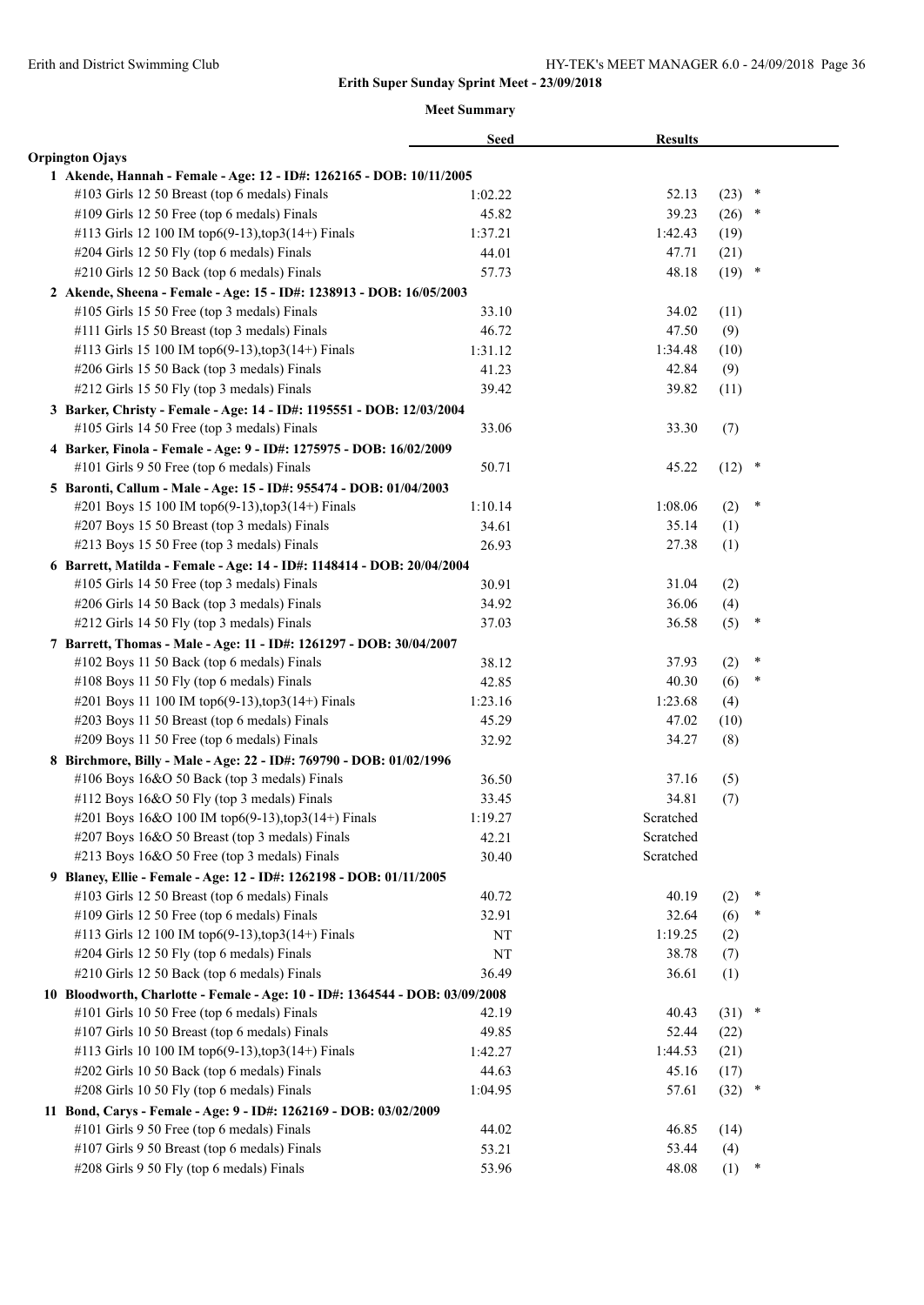|                                                                                                     | <b>Seed</b>    | <b>Results</b> |          |        |
|-----------------------------------------------------------------------------------------------------|----------------|----------------|----------|--------|
| <b>Orpington Ojays</b>                                                                              |                |                |          |        |
| 1 Akende, Hannah - Female - Age: 12 - ID#: 1262165 - DOB: 10/11/2005                                |                |                |          |        |
| #103 Girls 12 50 Breast (top 6 medals) Finals                                                       | 1:02.22        | 52.13          | (23)     | $\ast$ |
| #109 Girls 12 50 Free (top 6 medals) Finals                                                         | 45.82          | 39.23          | (26)     | $\ast$ |
| #113 Girls 12 100 IM top6(9-13), top3(14+) Finals                                                   | 1:37.21        | 1:42.43        | (19)     |        |
| #204 Girls 12 50 Fly (top 6 medals) Finals                                                          | 44.01          | 47.71          | (21)     |        |
| #210 Girls 12 50 Back (top 6 medals) Finals                                                         | 57.73          | 48.18          | $(19)$ * |        |
| 2 Akende, Sheena - Female - Age: 15 - ID#: 1238913 - DOB: 16/05/2003                                |                |                |          |        |
| #105 Girls 15 50 Free (top 3 medals) Finals                                                         | 33.10          | 34.02          | (11)     |        |
| #111 Girls 15 50 Breast (top 3 medals) Finals                                                       | 46.72          | 47.50          | (9)      |        |
| #113 Girls 15 100 IM top6(9-13),top3(14+) Finals                                                    | 1:31.12        | 1:34.48        | (10)     |        |
| #206 Girls 15 50 Back (top 3 medals) Finals                                                         | 41.23          | 42.84          | (9)      |        |
| #212 Girls 15 50 Fly (top 3 medals) Finals                                                          | 39.42          | 39.82          | (11)     |        |
| 3 Barker, Christy - Female - Age: 14 - ID#: 1195551 - DOB: 12/03/2004                               |                |                |          |        |
| #105 Girls 14 50 Free (top 3 medals) Finals                                                         | 33.06          | 33.30          | (7)      |        |
| 4 Barker, Finola - Female - Age: 9 - ID#: 1275975 - DOB: 16/02/2009                                 |                |                |          |        |
| #101 Girls 9 50 Free (top 6 medals) Finals                                                          | 50.71          | 45.22          | (12)     | $\ast$ |
| 5 Baronti, Callum - Male - Age: 15 - ID#: 955474 - DOB: 01/04/2003                                  |                |                |          |        |
| #201 Boys 15 100 IM top6(9-13), top3(14+) Finals                                                    | 1:10.14        | 1:08.06        | (2)      | ∗      |
| #207 Boys 15 50 Breast (top 3 medals) Finals                                                        | 34.61          | 35.14          | (1)      |        |
| #213 Boys 15 50 Free (top 3 medals) Finals                                                          | 26.93          | 27.38          | (1)      |        |
| 6 Barrett, Matilda - Female - Age: 14 - ID#: 1148414 - DOB: 20/04/2004                              |                |                |          |        |
| #105 Girls 14 50 Free (top 3 medals) Finals                                                         | 30.91          | 31.04          | (2)      |        |
| #206 Girls 14 50 Back (top 3 medals) Finals                                                         | 34.92          | 36.06          | (4)      |        |
| #212 Girls 14 50 Fly (top 3 medals) Finals                                                          | 37.03          | 36.58          | (5)      | $\ast$ |
| 7 Barrett, Thomas - Male - Age: 11 - ID#: 1261297 - DOB: 30/04/2007                                 |                |                |          |        |
| #102 Boys 11 50 Back (top 6 medals) Finals                                                          | 38.12          | 37.93          | (2)      | $\ast$ |
| #108 Boys 11 50 Fly (top 6 medals) Finals                                                           | 42.85          | 40.30          | (6)      | ∗      |
| #201 Boys 11 100 IM top6(9-13), top3(14+) Finals                                                    | 1:23.16        | 1:23.68        |          |        |
| #203 Boys 11 50 Breast (top 6 medals) Finals                                                        |                | 47.02          | (4)      |        |
| #209 Boys 11 50 Free (top 6 medals) Finals                                                          | 45.29<br>32.92 | 34.27          | (10)     |        |
|                                                                                                     |                |                | (8)      |        |
| 8 Birchmore, Billy - Male - Age: 22 - ID#: 769790 - DOB: 01/02/1996                                 |                |                |          |        |
| #106 Boys 16&O 50 Back (top 3 medals) Finals<br>#112 Boys 16&O 50 Fly (top 3 medals) Finals         | 36.50          | 37.16<br>34.81 | (5)      |        |
|                                                                                                     | 33.45          | Scratched      | (7)      |        |
| #201 Boys 16&O 100 IM top6(9-13),top3(14+) Finals<br>#207 Boys 16&O 50 Breast (top 3 medals) Finals | 1:19.27        | Scratched      |          |        |
| #213 Boys 16&O 50 Free (top 3 medals) Finals                                                        | 42.21          | Scratched      |          |        |
|                                                                                                     | 30.40          |                |          |        |
| 9 Blaney, Ellie - Female - Age: 12 - ID#: 1262198 - DOB: 01/11/2005                                 |                |                |          | ×      |
| #103 Girls 12 50 Breast (top 6 medals) Finals                                                       | 40.72          | 40.19          | (2)      | ∗      |
| #109 Girls 12 50 Free (top 6 medals) Finals                                                         | 32.91          | 32.64          | (6)      |        |
| #113 Girls 12 100 IM top6(9-13), top3(14+) Finals                                                   | NT             | 1:19.25        | (2)      |        |
| #204 Girls 12 50 Fly (top 6 medals) Finals                                                          | NT             | 38.78          | (7)      |        |
| #210 Girls 12 50 Back (top 6 medals) Finals                                                         | 36.49          | 36.61          | (1)      |        |
| 10 Bloodworth, Charlotte - Female - Age: 10 - ID#: 1364544 - DOB: 03/09/2008                        |                |                |          |        |
| #101 Girls 10 50 Free (top 6 medals) Finals                                                         | 42.19          | 40.43          | $(31)$ * |        |
| #107 Girls 10 50 Breast (top 6 medals) Finals                                                       | 49.85          | 52.44          | (22)     |        |
| #113 Girls 10 100 IM top6(9-13), top3(14+) Finals                                                   | 1:42.27        | 1:44.53        | (21)     |        |
| #202 Girls 10 50 Back (top 6 medals) Finals                                                         | 44.63          | 45.16          | (17)     |        |
| #208 Girls 10 50 Fly (top 6 medals) Finals                                                          | 1:04.95        | 57.61          | (32)     | $\ast$ |
| 11 Bond, Carys - Female - Age: 9 - ID#: 1262169 - DOB: 03/02/2009                                   |                |                |          |        |
| #101 Girls 9 50 Free (top 6 medals) Finals                                                          | 44.02          | 46.85          | (14)     |        |
| #107 Girls 9 50 Breast (top 6 medals) Finals                                                        | 53.21          | 53.44          | (4)      |        |
| #208 Girls 9 50 Fly (top 6 medals) Finals                                                           | 53.96          | 48.08          | (1)      | ∗      |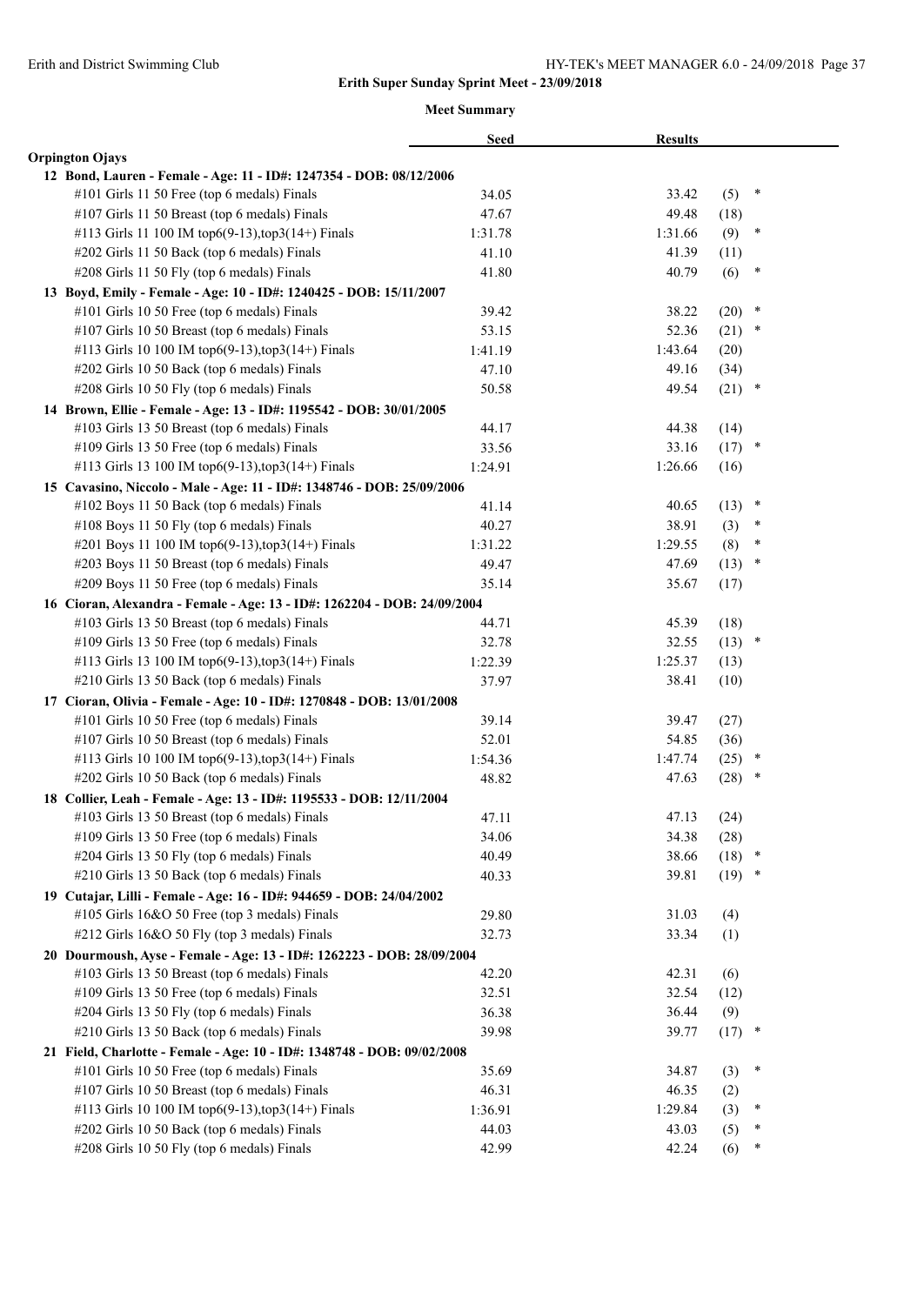|                                                                          | <b>Seed</b> | <b>Results</b> |             |        |  |
|--------------------------------------------------------------------------|-------------|----------------|-------------|--------|--|
| <b>Orpington Ojays</b>                                                   |             |                |             |        |  |
| 12 Bond, Lauren - Female - Age: 11 - ID#: 1247354 - DOB: 08/12/2006      |             |                |             |        |  |
| #101 Girls 11 50 Free (top 6 medals) Finals                              | 34.05       | 33.42          | (5)         | ×      |  |
| #107 Girls 11 50 Breast (top 6 medals) Finals                            | 47.67       | 49.48          | (18)        |        |  |
| #113 Girls 11 100 IM top6(9-13), top3(14+) Finals                        | 1:31.78     | 1:31.66        | (9)         | $\ast$ |  |
| #202 Girls 11 50 Back (top 6 medals) Finals                              | 41.10       | 41.39          | (11)        |        |  |
| #208 Girls 11 50 Fly (top 6 medals) Finals                               | 41.80       | 40.79          | (6)         | $\ast$ |  |
| 13 Boyd, Emily - Female - Age: 10 - ID#: 1240425 - DOB: 15/11/2007       |             |                |             |        |  |
| #101 Girls 10 50 Free (top 6 medals) Finals                              | 39.42       | 38.22          | (20)        | $\ast$ |  |
| #107 Girls 10 50 Breast (top 6 medals) Finals                            | 53.15       | 52.36          | (21)        | $\ast$ |  |
| #113 Girls 10 100 IM top6(9-13),top3(14+) Finals                         | 1:41.19     | 1:43.64        | (20)        |        |  |
| #202 Girls 10 50 Back (top 6 medals) Finals                              | 47.10       | 49.16          | (34)        |        |  |
| #208 Girls 10 50 Fly (top 6 medals) Finals                               | 50.58       | 49.54          | (21)        | $\ast$ |  |
| 14 Brown, Ellie - Female - Age: 13 - ID#: 1195542 - DOB: 30/01/2005      |             |                |             |        |  |
| #103 Girls 13 50 Breast (top 6 medals) Finals                            | 44.17       | 44.38          | (14)        |        |  |
| #109 Girls 13 50 Free (top 6 medals) Finals                              | 33.56       | 33.16          | (17)        | $\ast$ |  |
| #113 Girls 13 100 IM top6(9-13), top3(14+) Finals                        | 1:24.91     | 1:26.66        | (16)        |        |  |
| 15 Cavasino, Niccolo - Male - Age: 11 - ID#: 1348746 - DOB: 25/09/2006   |             |                |             |        |  |
| #102 Boys 11 50 Back (top 6 medals) Finals                               | 41.14       | 40.65          | (13)        | $\ast$ |  |
| #108 Boys 11 50 Fly (top 6 medals) Finals                                | 40.27       | 38.91          | (3)         | ∗      |  |
| #201 Boys 11 100 IM top6(9-13),top3(14+) Finals                          | 1:31.22     | 1:29.55        | (8)         | $\ast$ |  |
| #203 Boys 11 50 Breast (top 6 medals) Finals                             | 49.47       | 47.69          | (13)        | $\ast$ |  |
| #209 Boys 11 50 Free (top 6 medals) Finals                               | 35.14       | 35.67          | (17)        |        |  |
| 16 Cioran, Alexandra - Female - Age: 13 - ID#: 1262204 - DOB: 24/09/2004 |             |                |             |        |  |
| #103 Girls 13 50 Breast (top 6 medals) Finals                            | 44.71       | 45.39          | (18)        |        |  |
| #109 Girls 13 50 Free (top 6 medals) Finals                              | 32.78       | 32.55          | $(13)$ *    |        |  |
| #113 Girls 13 100 IM top6(9-13), top3(14+) Finals                        | 1:22.39     | 1:25.37        | (13)        |        |  |
| #210 Girls 13 50 Back (top 6 medals) Finals                              | 37.97       | 38.41          | (10)        |        |  |
| 17 Cioran, Olivia - Female - Age: 10 - ID#: 1270848 - DOB: 13/01/2008    |             |                |             |        |  |
| #101 Girls 10 50 Free (top 6 medals) Finals                              | 39.14       | 39.47          | (27)        |        |  |
| #107 Girls 10 50 Breast (top 6 medals) Finals                            | 52.01       | 54.85          | (36)        |        |  |
| #113 Girls 10 100 IM top6(9-13),top3(14+) Finals                         | 1:54.36     | 1:47.74        | (25)        | $\ast$ |  |
| #202 Girls 10 50 Back (top 6 medals) Finals                              | 48.82       | 47.63          | (28)        | *      |  |
| 18 Collier, Leah - Female - Age: 13 - ID#: 1195533 - DOB: 12/11/2004     |             |                |             |        |  |
| #103 Girls 13 50 Breast (top 6 medals) Finals                            | 47.11       | 47.13          | (24)        |        |  |
| #109 Girls 13 50 Free (top 6 medals) Finals                              | 34.06       | 34.38          | (28)        |        |  |
| #204 Girls 13 50 Fly (top 6 medals) Finals                               | 40.49       | 38.66          | (18)        |        |  |
| #210 Girls 13 50 Back (top 6 medals) Finals                              | 40.33       | 39.81          | $(19)$ *    |        |  |
| 19 Cutajar, Lilli - Female - Age: 16 - ID#: 944659 - DOB: 24/04/2002     |             |                |             |        |  |
| #105 Girls 16&O 50 Free (top 3 medals) Finals                            | 29.80       | 31.03          | (4)         |        |  |
| #212 Girls 16&O 50 Fly (top 3 medals) Finals                             | 32.73       | 33.34          | (1)         |        |  |
| 20 Dourmoush, Ayse - Female - Age: 13 - ID#: 1262223 - DOB: 28/09/2004   |             |                |             |        |  |
| #103 Girls 13 50 Breast (top 6 medals) Finals                            | 42.20       | 42.31          | (6)         |        |  |
| #109 Girls 13 50 Free (top 6 medals) Finals                              | 32.51       | 32.54          | (12)        |        |  |
| #204 Girls 13 50 Fly (top 6 medals) Finals                               | 36.38       | 36.44          |             |        |  |
| #210 Girls 13 50 Back (top 6 medals) Finals                              |             | 39.77          | (9)<br>(17) | $\ast$ |  |
|                                                                          | 39.98       |                |             |        |  |
| 21 Field, Charlotte - Female - Age: 10 - ID#: 1348748 - DOB: 09/02/2008  |             |                |             | ×      |  |
| #101 Girls 10 50 Free (top 6 medals) Finals                              | 35.69       | 34.87          | (3)         |        |  |
| #107 Girls 10 50 Breast (top 6 medals) Finals                            | 46.31       | 46.35          | (2)         |        |  |
| #113 Girls 10 100 IM top6(9-13), top3(14+) Finals                        | 1:36.91     | 1:29.84        | (3)         | $\ast$ |  |
| #202 Girls 10 50 Back (top 6 medals) Finals                              | 44.03       | 43.03          | (5)         | *      |  |
| #208 Girls 10 50 Fly (top 6 medals) Finals                               | 42.99       | 42.24          | (6)         | $\ast$ |  |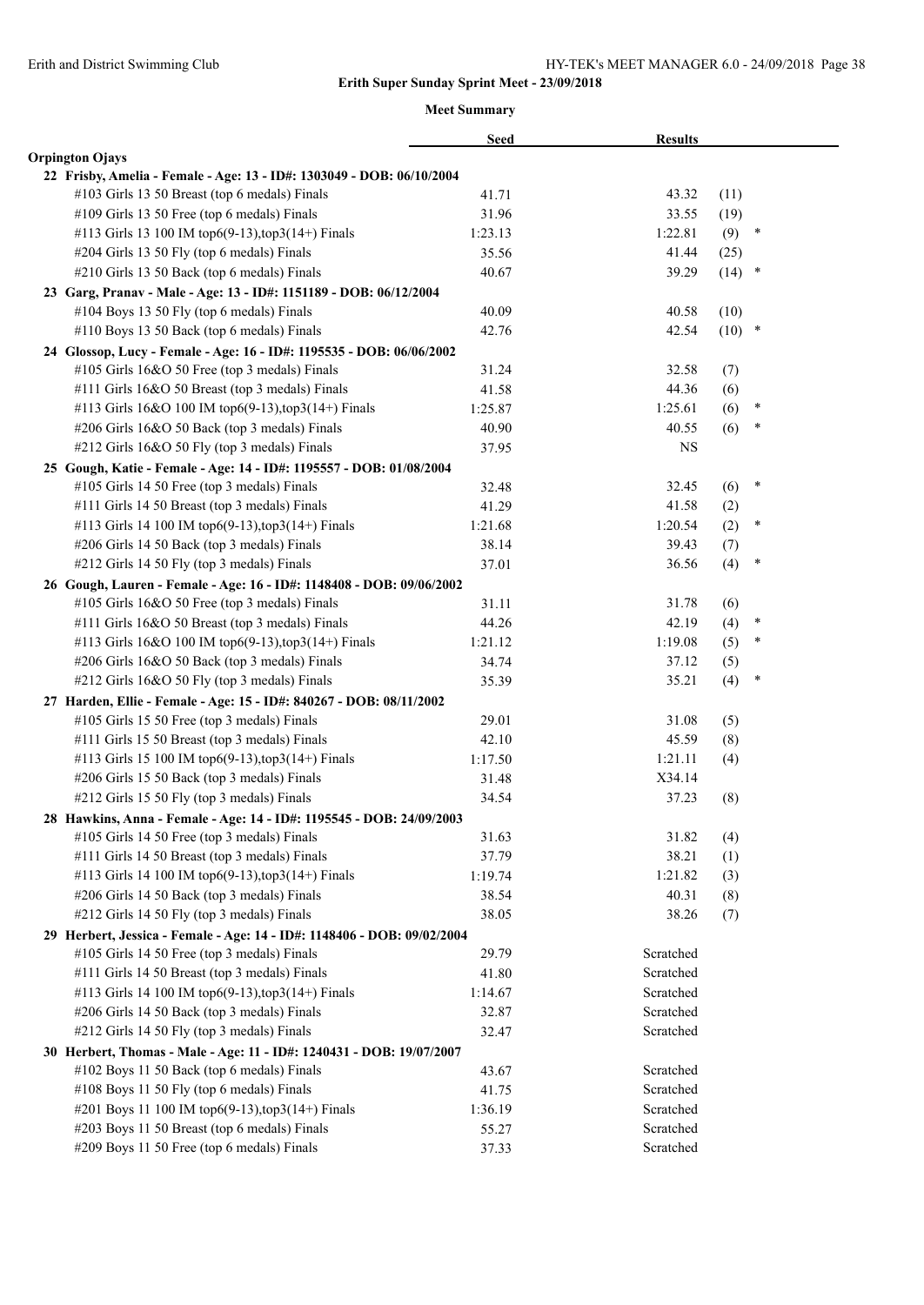|                                                                         | <b>Seed</b> | <b>Results</b> |          |        |  |
|-------------------------------------------------------------------------|-------------|----------------|----------|--------|--|
| <b>Orpington Ojays</b>                                                  |             |                |          |        |  |
| 22 Frisby, Amelia - Female - Age: 13 - ID#: 1303049 - DOB: 06/10/2004   |             |                |          |        |  |
| #103 Girls 13 50 Breast (top 6 medals) Finals                           | 41.71       | 43.32          | (11)     |        |  |
| #109 Girls 13 50 Free (top 6 medals) Finals                             | 31.96       | 33.55          | (19)     |        |  |
| #113 Girls 13 100 IM top6(9-13), top3(14+) Finals                       | 1:23.13     | 1:22.81        | (9)      | $\ast$ |  |
| #204 Girls 13 50 Fly (top 6 medals) Finals                              | 35.56       | 41.44          | (25)     |        |  |
| #210 Girls 13 50 Back (top 6 medals) Finals                             | 40.67       | 39.29          | $(14)$ * |        |  |
| 23 Garg, Pranav - Male - Age: 13 - ID#: 1151189 - DOB: 06/12/2004       |             |                |          |        |  |
| #104 Boys 13 50 Fly (top 6 medals) Finals                               | 40.09       | 40.58          | (10)     |        |  |
| #110 Boys 13 50 Back (top 6 medals) Finals                              | 42.76       | 42.54          | $(10)$ * |        |  |
| 24 Glossop, Lucy - Female - Age: 16 - ID#: 1195535 - DOB: 06/06/2002    |             |                |          |        |  |
| #105 Girls 16&O 50 Free (top 3 medals) Finals                           | 31.24       | 32.58          | (7)      |        |  |
| #111 Girls 16&O 50 Breast (top 3 medals) Finals                         | 41.58       | 44.36          | (6)      |        |  |
| #113 Girls 16&O 100 IM top6(9-13),top3(14+) Finals                      | 1:25.87     | 1:25.61        | (6)      | ∗      |  |
| #206 Girls 16&O 50 Back (top 3 medals) Finals                           | 40.90       | 40.55          | (6)      | $\ast$ |  |
| #212 Girls 16&O 50 Fly (top 3 medals) Finals                            | 37.95       | <b>NS</b>      |          |        |  |
| 25 Gough, Katie - Female - Age: 14 - ID#: 1195557 - DOB: 01/08/2004     |             |                |          |        |  |
| #105 Girls 14 50 Free (top 3 medals) Finals                             | 32.48       | 32.45          | (6)      | $\ast$ |  |
| #111 Girls 14 50 Breast (top 3 medals) Finals                           | 41.29       | 41.58          | (2)      |        |  |
| #113 Girls 14 100 IM top6(9-13), top3(14+) Finals                       | 1:21.68     | 1:20.54        | (2)      | ∗      |  |
| #206 Girls 14 50 Back (top 3 medals) Finals                             | 38.14       | 39.43          | (7)      |        |  |
| #212 Girls 14 50 Fly (top 3 medals) Finals                              | 37.01       | 36.56          | (4)      | *      |  |
| 26 Gough, Lauren - Female - Age: 16 - ID#: 1148408 - DOB: 09/06/2002    |             |                |          |        |  |
| #105 Girls 16&O 50 Free (top 3 medals) Finals                           | 31.11       | 31.78          | (6)      |        |  |
| #111 Girls 16&O 50 Breast (top 3 medals) Finals                         | 44.26       | 42.19          | (4)      | ∗      |  |
| #113 Girls 16&O 100 IM top6(9-13),top3(14+) Finals                      | 1:21.12     | 1:19.08        | (5)      | *      |  |
| #206 Girls 16&O 50 Back (top 3 medals) Finals                           | 34.74       | 37.12          | (5)      |        |  |
| #212 Girls 16&O 50 Fly (top 3 medals) Finals                            | 35.39       | 35.21          | (4)      | $\ast$ |  |
| 27 Harden, Ellie - Female - Age: 15 - ID#: 840267 - DOB: 08/11/2002     |             |                |          |        |  |
| #105 Girls 15 50 Free (top 3 medals) Finals                             | 29.01       | 31.08          | (5)      |        |  |
| #111 Girls 15 50 Breast (top 3 medals) Finals                           | 42.10       | 45.59          | (8)      |        |  |
| #113 Girls 15 100 IM top6(9-13), top3(14+) Finals                       | 1:17.50     | 1:21.11        | (4)      |        |  |
| #206 Girls 15 50 Back (top 3 medals) Finals                             | 31.48       | X34.14         |          |        |  |
| #212 Girls 15 50 Fly (top 3 medals) Finals                              | 34.54       | 37.23          | (8)      |        |  |
| 28 Hawkins, Anna - Female - Age: 14 - ID#: 1195545 - DOB: 24/09/2003    |             |                |          |        |  |
| #105 Girls 14 50 Free (top 3 medals) Finals                             | 31.63       | 31.82          | (4)      |        |  |
| #111 Girls 14 50 Breast (top 3 medals) Finals                           | 37.79       | 38.21          | (1)      |        |  |
| #113 Girls 14 100 IM top6(9-13), top3(14+) Finals                       | 1:19.74     | 1:21.82        | (3)      |        |  |
| #206 Girls 14 50 Back (top 3 medals) Finals                             | 38.54       | 40.31          | (8)      |        |  |
| #212 Girls 14 50 Fly (top 3 medals) Finals                              | 38.05       | 38.26          | (7)      |        |  |
| 29 Herbert, Jessica - Female - Age: 14 - ID#: 1148406 - DOB: 09/02/2004 |             |                |          |        |  |
| #105 Girls 14 50 Free (top 3 medals) Finals                             | 29.79       | Scratched      |          |        |  |
| #111 Girls 14 50 Breast (top 3 medals) Finals                           | 41.80       | Scratched      |          |        |  |
| #113 Girls 14 100 IM top6(9-13), top3(14+) Finals                       | 1:14.67     | Scratched      |          |        |  |
| #206 Girls 14 50 Back (top 3 medals) Finals                             | 32.87       | Scratched      |          |        |  |
| #212 Girls 14 50 Fly (top 3 medals) Finals                              | 32.47       | Scratched      |          |        |  |
| 30 Herbert, Thomas - Male - Age: 11 - ID#: 1240431 - DOB: 19/07/2007    |             |                |          |        |  |
| #102 Boys 11 50 Back (top 6 medals) Finals                              | 43.67       | Scratched      |          |        |  |
| #108 Boys 11 50 Fly (top 6 medals) Finals                               | 41.75       | Scratched      |          |        |  |
| #201 Boys 11 100 IM top6(9-13), top3(14+) Finals                        | 1:36.19     | Scratched      |          |        |  |
| #203 Boys 11 50 Breast (top 6 medals) Finals                            | 55.27       | Scratched      |          |        |  |
| #209 Boys 11 50 Free (top 6 medals) Finals                              | 37.33       | Scratched      |          |        |  |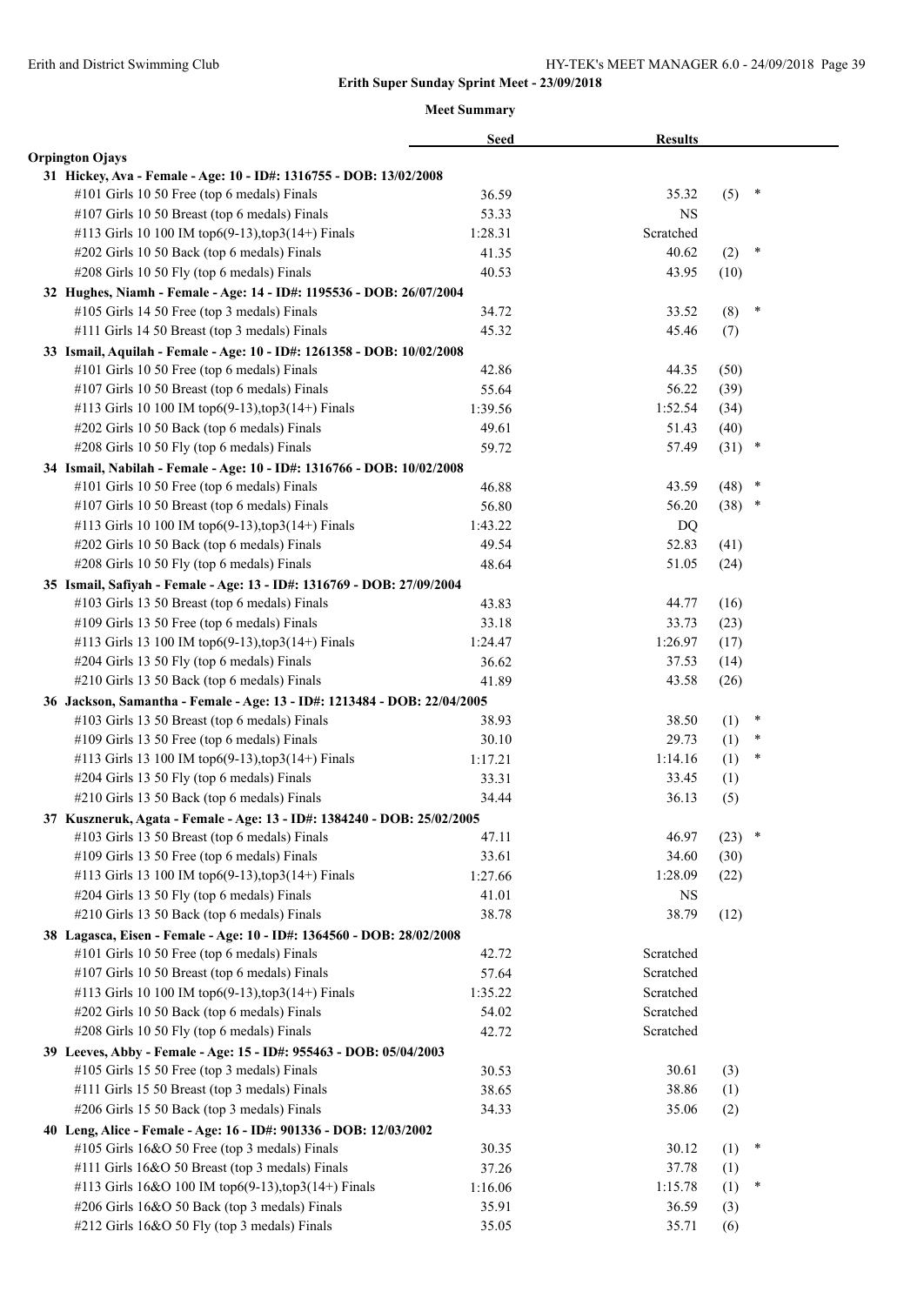|                                                                                                                          | <b>Seed</b>    | <b>Results</b> |      |        |  |
|--------------------------------------------------------------------------------------------------------------------------|----------------|----------------|------|--------|--|
| <b>Orpington Ojays</b>                                                                                                   |                |                |      |        |  |
| 31 Hickey, Ava - Female - Age: 10 - ID#: 1316755 - DOB: 13/02/2008                                                       |                |                |      |        |  |
| #101 Girls 10 50 Free (top 6 medals) Finals                                                                              | 36.59          | 35.32          | (5)  | ∗      |  |
| #107 Girls 10 50 Breast (top 6 medals) Finals                                                                            | 53.33          | <b>NS</b>      |      |        |  |
| #113 Girls 10 100 IM top6(9-13), top3(14+) Finals                                                                        | 1:28.31        | Scratched      |      |        |  |
| #202 Girls 10 50 Back (top 6 medals) Finals                                                                              | 41.35          | 40.62          | (2)  | $\ast$ |  |
| #208 Girls 10 50 Fly (top 6 medals) Finals                                                                               | 40.53          | 43.95          | (10) |        |  |
| 32 Hughes, Niamh - Female - Age: 14 - ID#: 1195536 - DOB: 26/07/2004                                                     |                |                |      |        |  |
| #105 Girls 14 50 Free (top 3 medals) Finals                                                                              | 34.72          | 33.52          | (8)  | $\ast$ |  |
| #111 Girls 14 50 Breast (top 3 medals) Finals                                                                            | 45.32          | 45.46          | (7)  |        |  |
| 33 Ismail, Aquilah - Female - Age: 10 - ID#: 1261358 - DOB: 10/02/2008                                                   |                |                |      |        |  |
| #101 Girls 10 50 Free (top 6 medals) Finals                                                                              | 42.86          | 44.35          | (50) |        |  |
| #107 Girls 10 50 Breast (top 6 medals) Finals                                                                            | 55.64          | 56.22          | (39) |        |  |
| #113 Girls 10 100 IM top6(9-13),top3(14+) Finals                                                                         | 1:39.56        | 1:52.54        | (34) |        |  |
| #202 Girls 10 50 Back (top 6 medals) Finals                                                                              | 49.61          | 51.43          | (40) |        |  |
| #208 Girls 10 50 Fly (top 6 medals) Finals                                                                               | 59.72          | 57.49          | (31) | $\ast$ |  |
| 34 Ismail, Nabilah - Female - Age: 10 - ID#: 1316766 - DOB: 10/02/2008                                                   |                |                |      |        |  |
| #101 Girls 10 50 Free (top 6 medals) Finals                                                                              | 46.88          | 43.59          | (48) | ×      |  |
| #107 Girls 10 50 Breast (top 6 medals) Finals                                                                            | 56.80          | 56.20          | (38) | $\ast$ |  |
| #113 Girls 10 100 IM top6(9-13), top3(14+) Finals                                                                        | 1:43.22        | DQ             |      |        |  |
| #202 Girls 10 50 Back (top 6 medals) Finals                                                                              | 49.54          | 52.83          | (41) |        |  |
| #208 Girls 10 50 Fly (top 6 medals) Finals                                                                               | 48.64          | 51.05          | (24) |        |  |
| 35 Ismail, Safiyah - Female - Age: 13 - ID#: 1316769 - DOB: 27/09/2004                                                   |                |                |      |        |  |
| #103 Girls 13 50 Breast (top 6 medals) Finals                                                                            | 43.83          | 44.77          | (16) |        |  |
| #109 Girls 13 50 Free (top 6 medals) Finals                                                                              | 33.18          | 33.73          | (23) |        |  |
| #113 Girls 13 100 IM top6(9-13), top3(14+) Finals                                                                        | 1:24.47        | 1:26.97        | (17) |        |  |
| #204 Girls 13 50 Fly (top 6 medals) Finals                                                                               | 36.62          | 37.53          | (14) |        |  |
| #210 Girls 13 50 Back (top 6 medals) Finals                                                                              | 41.89          | 43.58          | (26) |        |  |
| 36 Jackson, Samantha - Female - Age: 13 - ID#: 1213484 - DOB: 22/04/2005                                                 |                |                |      |        |  |
| #103 Girls 13 50 Breast (top 6 medals) Finals                                                                            | 38.93          | 38.50          | (1)  | $\ast$ |  |
| #109 Girls 13 50 Free (top 6 medals) Finals                                                                              | 30.10          | 29.73          | (1)  | $\ast$ |  |
| #113 Girls 13 100 IM top6(9-13), top3(14+) Finals                                                                        | 1:17.21        | 1:14.16        | (1)  | ∗      |  |
| #204 Girls 13 50 Fly (top 6 medals) Finals                                                                               | 33.31          | 33.45          | (1)  |        |  |
| #210 Girls 13 50 Back (top 6 medals) Finals                                                                              | 34.44          | 36.13          | (5)  |        |  |
| 37 Kuszneruk, Agata - Female - Age: 13 - ID#: 1384240 - DOB: 25/02/2005<br>#103 Girls 13 50 Breast (top 6 medals) Finals |                | 46.97          | (23) | $\ast$ |  |
| #109 Girls 13 50 Free (top 6 medals) Finals                                                                              | 47.11<br>33.61 | 34.60          | (30) |        |  |
| #113 Girls 13 100 IM top6(9-13), top3(14+) Finals                                                                        | 1:27.66        | 1:28.09        | (22) |        |  |
| #204 Girls 13 50 Fly (top 6 medals) Finals                                                                               | 41.01          | NS             |      |        |  |
| #210 Girls 13 50 Back (top 6 medals) Finals                                                                              | 38.78          | 38.79          | (12) |        |  |
| 38 Lagasca, Eisen - Female - Age: 10 - ID#: 1364560 - DOB: 28/02/2008                                                    |                |                |      |        |  |
| #101 Girls 10 50 Free (top 6 medals) Finals                                                                              | 42.72          | Scratched      |      |        |  |
| #107 Girls 10 50 Breast (top 6 medals) Finals                                                                            | 57.64          | Scratched      |      |        |  |
| #113 Girls 10 100 IM top6(9-13),top3(14+) Finals                                                                         | 1:35.22        | Scratched      |      |        |  |
| #202 Girls 10 50 Back (top 6 medals) Finals                                                                              | 54.02          | Scratched      |      |        |  |
| #208 Girls 10 50 Fly (top 6 medals) Finals                                                                               | 42.72          | Scratched      |      |        |  |
| 39 Leeves, Abby - Female - Age: 15 - ID#: 955463 - DOB: 05/04/2003                                                       |                |                |      |        |  |
| #105 Girls 15 50 Free (top 3 medals) Finals                                                                              | 30.53          | 30.61          | (3)  |        |  |
| #111 Girls 15 50 Breast (top 3 medals) Finals                                                                            | 38.65          | 38.86          | (1)  |        |  |
| #206 Girls 15 50 Back (top 3 medals) Finals                                                                              | 34.33          | 35.06          | (2)  |        |  |
| 40 Leng, Alice - Female - Age: 16 - ID#: 901336 - DOB: 12/03/2002                                                        |                |                |      |        |  |
| #105 Girls 16&O 50 Free (top 3 medals) Finals                                                                            | 30.35          | 30.12          | (1)  | ∗      |  |
| #111 Girls 16&O 50 Breast (top 3 medals) Finals                                                                          | 37.26          | 37.78          | (1)  |        |  |
| #113 Girls 16&O 100 IM top6(9-13),top3(14+) Finals                                                                       | 1:16.06        | 1:15.78        | (1)  | ∗      |  |
| #206 Girls 16&O 50 Back (top 3 medals) Finals                                                                            | 35.91          | 36.59          | (3)  |        |  |
| #212 Girls 16&O 50 Fly (top 3 medals) Finals                                                                             | 35.05          | 35.71          | (6)  |        |  |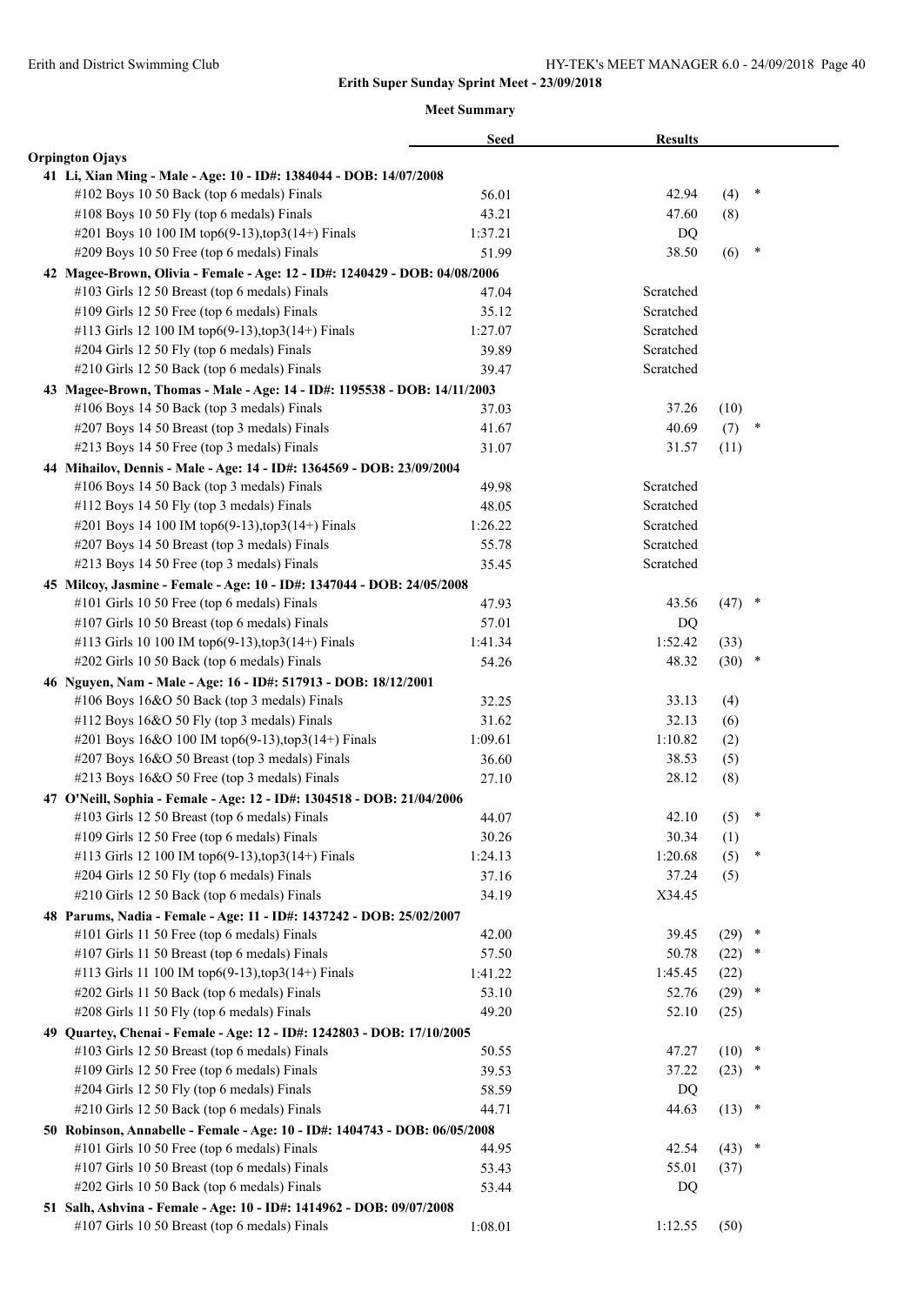|                                                                            | <b>Seed</b> | <b>Results</b> |          |        |  |
|----------------------------------------------------------------------------|-------------|----------------|----------|--------|--|
| <b>Orpington Ojays</b>                                                     |             |                |          |        |  |
| 41 Li, Xian Ming - Male - Age: 10 - ID#: 1384044 - DOB: 14/07/2008         |             |                |          |        |  |
| #102 Boys 10 50 Back (top 6 medals) Finals                                 | 56.01       | 42.94          | (4)      | ∗      |  |
| #108 Boys 10 50 Fly (top 6 medals) Finals                                  | 43.21       | 47.60          | (8)      |        |  |
| #201 Boys 10 100 IM top6(9-13), top3(14+) Finals                           | 1:37.21     | DQ             |          |        |  |
| #209 Boys 10 50 Free (top 6 medals) Finals                                 | 51.99       | 38.50          | (6)      | *      |  |
| 42 Magee-Brown, Olivia - Female - Age: 12 - ID#: 1240429 - DOB: 04/08/2006 |             |                |          |        |  |
| #103 Girls 12 50 Breast (top 6 medals) Finals                              | 47.04       | Scratched      |          |        |  |
| #109 Girls 12 50 Free (top 6 medals) Finals                                | 35.12       | Scratched      |          |        |  |
| #113 Girls 12 100 IM top6(9-13), top3(14+) Finals                          | 1:27.07     | Scratched      |          |        |  |
| #204 Girls 12 50 Fly (top 6 medals) Finals                                 | 39.89       | Scratched      |          |        |  |
| #210 Girls 12 50 Back (top 6 medals) Finals                                | 39.47       | Scratched      |          |        |  |
| 43 Magee-Brown, Thomas - Male - Age: 14 - ID#: 1195538 - DOB: 14/11/2003   |             |                |          |        |  |
| #106 Boys 14 50 Back (top 3 medals) Finals                                 | 37.03       | 37.26          | (10)     |        |  |
| #207 Boys 14 50 Breast (top 3 medals) Finals                               | 41.67       | 40.69          | (7)      | $\ast$ |  |
| #213 Boys 14 50 Free (top 3 medals) Finals                                 | 31.07       | 31.57          | (11)     |        |  |
| 44 Mihailov, Dennis - Male - Age: 14 - ID#: 1364569 - DOB: 23/09/2004      |             |                |          |        |  |
| #106 Boys 14 50 Back (top 3 medals) Finals                                 | 49.98       | Scratched      |          |        |  |
| #112 Boys 14 50 Fly (top 3 medals) Finals                                  | 48.05       | Scratched      |          |        |  |
| #201 Boys 14 100 IM top6(9-13), top3(14+) Finals                           | 1:26.22     | Scratched      |          |        |  |
| #207 Boys 14 50 Breast (top 3 medals) Finals                               | 55.78       | Scratched      |          |        |  |
| #213 Boys 14 50 Free (top 3 medals) Finals                                 | 35.45       | Scratched      |          |        |  |
| 45 Milcoy, Jasmine - Female - Age: 10 - ID#: 1347044 - DOB: 24/05/2008     |             |                |          |        |  |
| #101 Girls 10 50 Free (top 6 medals) Finals                                | 47.93       | 43.56          | $(47)$ * |        |  |
| #107 Girls 10 50 Breast (top 6 medals) Finals                              | 57.01       | DQ             |          |        |  |
| #113 Girls 10 100 IM top6(9-13), top3(14+) Finals                          | 1:41.34     | 1:52.42        | (33)     |        |  |
| #202 Girls 10 50 Back (top 6 medals) Finals                                | 54.26       | 48.32          | $(30)$ * |        |  |
| 46 Nguyen, Nam - Male - Age: 16 - ID#: 517913 - DOB: 18/12/2001            |             |                |          |        |  |
| #106 Boys 16&O 50 Back (top 3 medals) Finals                               | 32.25       | 33.13          | (4)      |        |  |
| #112 Boys 16&O 50 Fly (top 3 medals) Finals                                | 31.62       | 32.13          | (6)      |        |  |
| #201 Boys 16&O 100 IM top6(9-13),top3(14+) Finals                          | 1:09.61     | 1:10.82        | (2)      |        |  |
| #207 Boys 16&O 50 Breast (top 3 medals) Finals                             | 36.60       | 38.53          | (5)      |        |  |
| #213 Boys 16&O 50 Free (top 3 medals) Finals                               | 27.10       | 28.12          | (8)      |        |  |
| 47 O'Neill, Sophia - Female - Age: 12 - ID#: 1304518 - DOB: 21/04/2006     |             |                |          |        |  |
| #103 Girls 12 50 Breast (top 6 medals) Finals                              | 44.07       | 42.10          | (5)      | $\ast$ |  |
| #109 Girls 12 50 Free (top 6 medals) Finals                                | 30.26       | 30.34          | (1)      |        |  |
| #113 Girls 12 100 IM top6(9-13), top3(14+) Finals                          | 1:24.13     | 1:20.68        | (5)      | ∗      |  |
| #204 Girls 12 50 Fly (top 6 medals) Finals                                 | 37.16       | 37.24          | (5)      |        |  |
| #210 Girls 12 50 Back (top 6 medals) Finals                                | 34.19       | X34.45         |          |        |  |
| 48 Parums, Nadia - Female - Age: 11 - ID#: 1437242 - DOB: 25/02/2007       |             |                |          |        |  |
| #101 Girls 11 50 Free (top 6 medals) Finals                                | 42.00       | 39.45          | $(29)$ * |        |  |
| #107 Girls 11 50 Breast (top 6 medals) Finals                              | 57.50       | 50.78          | (22)     | *      |  |
| #113 Girls 11 100 IM top6(9-13),top3(14+) Finals                           | 1:41.22     | 1:45.45        | (22)     |        |  |
| #202 Girls 11 50 Back (top 6 medals) Finals                                | 53.10       | 52.76          | (29)     | $\ast$ |  |
| #208 Girls 11 50 Fly (top 6 medals) Finals                                 | 49.20       | 52.10          | (25)     |        |  |
| 49 Quartey, Chenai - Female - Age: 12 - ID#: 1242803 - DOB: 17/10/2005     |             |                |          |        |  |
| #103 Girls 12 50 Breast (top 6 medals) Finals                              | 50.55       | 47.27          | (10)     | $\ast$ |  |
| #109 Girls 12 50 Free (top 6 medals) Finals                                | 39.53       | 37.22          | $(23)$ * |        |  |
| #204 Girls 12 50 Fly (top 6 medals) Finals                                 | 58.59       | DQ             |          |        |  |
| #210 Girls 12 50 Back (top 6 medals) Finals                                | 44.71       | 44.63          | $(13)$ * |        |  |
| 50 Robinson, Annabelle - Female - Age: 10 - ID#: 1404743 - DOB: 06/05/2008 |             |                |          |        |  |
| #101 Girls 10 50 Free (top 6 medals) Finals                                | 44.95       | 42.54          | (43)     | $\ast$ |  |
| #107 Girls 10 50 Breast (top 6 medals) Finals                              | 53.43       | 55.01          | (37)     |        |  |
| #202 Girls 10 50 Back (top 6 medals) Finals                                | 53.44       | DQ             |          |        |  |
| 51 Salh, Ashvina - Female - Age: 10 - ID#: 1414962 - DOB: 09/07/2008       |             |                |          |        |  |
| #107 Girls 10 50 Breast (top 6 medals) Finals                              | 1:08.01     | 1:12.55        | (50)     |        |  |
|                                                                            |             |                |          |        |  |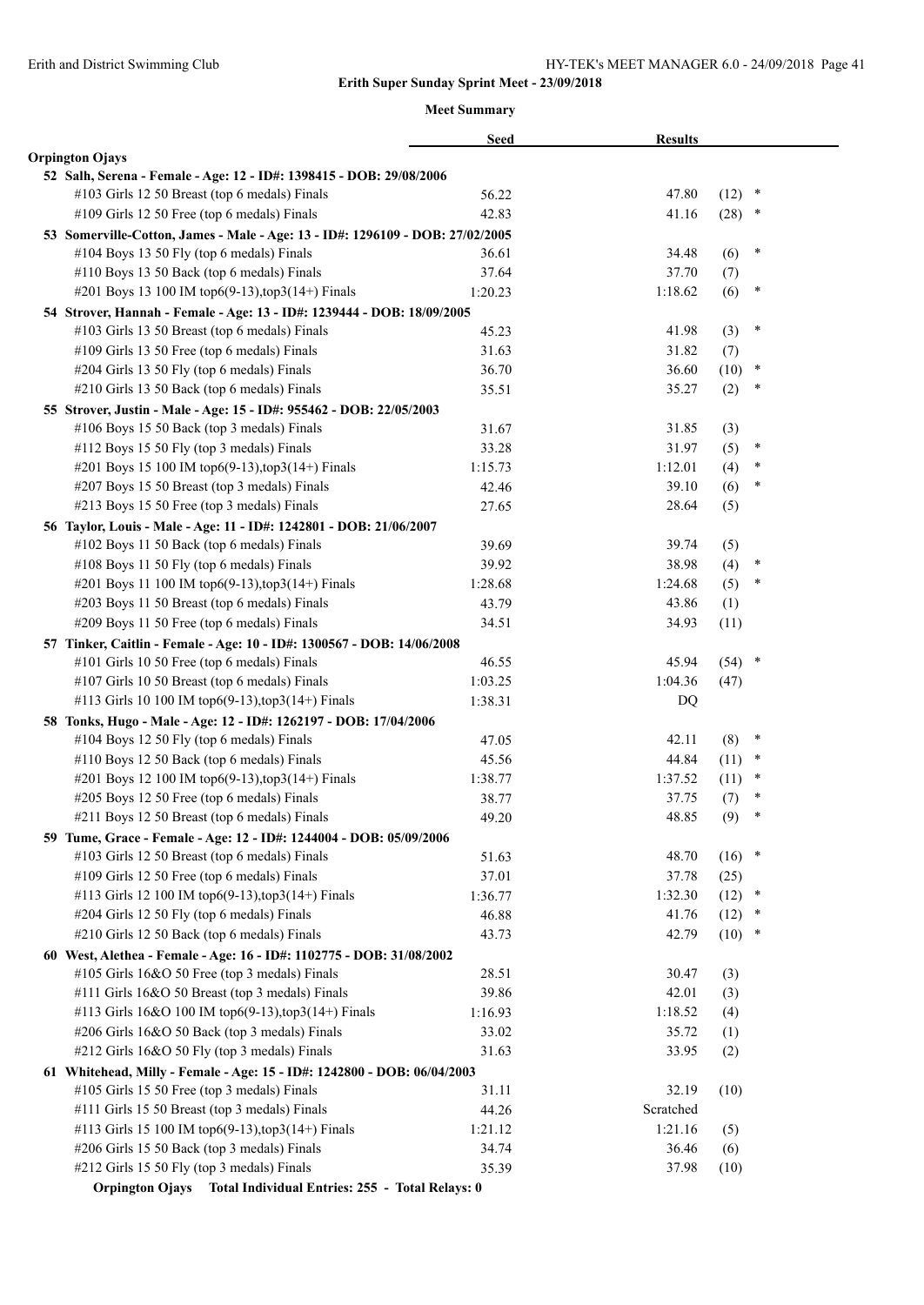|                                                                                         | <b>Seed</b> | <b>Results</b> |             |        |
|-----------------------------------------------------------------------------------------|-------------|----------------|-------------|--------|
| <b>Orpington Ojays</b>                                                                  |             |                |             |        |
| 52 Salh, Serena - Female - Age: 12 - ID#: 1398415 - DOB: 29/08/2006                     |             |                |             |        |
| #103 Girls 12 50 Breast (top 6 medals) Finals                                           | 56.22       | 47.80          | (12)        | $\ast$ |
| #109 Girls 12 50 Free (top 6 medals) Finals                                             | 42.83       | 41.16          | (28)        | $\ast$ |
| 53 Somerville-Cotton, James - Male - Age: 13 - ID#: 1296109 - DOB: 27/02/2005           |             |                |             |        |
| #104 Boys 13 50 Fly (top 6 medals) Finals                                               | 36.61       | 34.48          | (6)         | *      |
| #110 Boys 13 50 Back (top 6 medals) Finals                                              | 37.64       | 37.70          | (7)         |        |
| #201 Boys 13 100 IM top6(9-13), top3(14+) Finals                                        | 1:20.23     | 1:18.62        | (6)         | $\ast$ |
| 54 Strover, Hannah - Female - Age: 13 - ID#: 1239444 - DOB: 18/09/2005                  |             |                |             |        |
| #103 Girls 13 50 Breast (top 6 medals) Finals                                           | 45.23       | 41.98          | (3)         | $\ast$ |
| #109 Girls 13 50 Free (top 6 medals) Finals                                             | 31.63       | 31.82          | (7)         |        |
| #204 Girls 13 50 Fly (top 6 medals) Finals                                              | 36.70       | 36.60          | (10)        | $\ast$ |
| #210 Girls 13 50 Back (top 6 medals) Finals                                             | 35.51       | 35.27          | (2)         | $\ast$ |
| 55 Strover, Justin - Male - Age: 15 - ID#: 955462 - DOB: 22/05/2003                     |             |                |             |        |
| #106 Boys 15 50 Back (top 3 medals) Finals                                              | 31.67       | 31.85          | (3)         |        |
| #112 Boys 15 50 Fly (top 3 medals) Finals                                               | 33.28       | 31.97          | (5)         | $\ast$ |
| #201 Boys 15 100 IM top6(9-13), top3(14+) Finals                                        | 1:15.73     | 1:12.01        | (4)         | $\ast$ |
| #207 Boys 15 50 Breast (top 3 medals) Finals                                            | 42.46       | 39.10          | (6)         | ∗      |
| #213 Boys 15 50 Free (top 3 medals) Finals                                              | 27.65       | 28.64          | (5)         |        |
| 56 Taylor, Louis - Male - Age: 11 - ID#: 1242801 - DOB: 21/06/2007                      |             |                |             |        |
| #102 Boys 11 50 Back (top 6 medals) Finals                                              | 39.69       | 39.74          | (5)         |        |
| #108 Boys 11 50 Fly (top 6 medals) Finals                                               | 39.92       | 38.98          | (4)         | $\ast$ |
| #201 Boys 11 100 IM top6(9-13), top3(14+) Finals                                        | 1:28.68     | 1:24.68        | (5)         | $\ast$ |
| #203 Boys 11 50 Breast (top 6 medals) Finals                                            | 43.79       | 43.86          | (1)         |        |
| #209 Boys 11 50 Free (top 6 medals) Finals                                              | 34.51       | 34.93          | (11)        |        |
| 57 Tinker, Caitlin - Female - Age: 10 - ID#: 1300567 - DOB: 14/06/2008                  |             |                |             |        |
| #101 Girls 10 50 Free (top 6 medals) Finals                                             | 46.55       | 45.94          | $(54)$ *    |        |
| #107 Girls 10 50 Breast (top 6 medals) Finals                                           | 1:03.25     | 1:04.36        | (47)        |        |
| #113 Girls 10 100 IM top6(9-13), top3(14+) Finals                                       | 1:38.31     | DQ             |             |        |
|                                                                                         |             |                |             |        |
| 58 Tonks, Hugo - Male - Age: 12 - ID#: 1262197 - DOB: 17/04/2006                        |             |                |             | $\ast$ |
| #104 Boys 12 50 Fly (top 6 medals) Finals<br>#110 Boys 12 50 Back (top 6 medals) Finals | 47.05       | 42.11<br>44.84 | (8)<br>(11) | $\ast$ |
| #201 Boys 12 100 IM top6(9-13), top3(14+) Finals                                        | 45.56       | 1:37.52        | (11)        | $\ast$ |
|                                                                                         | 1:38.77     |                |             | $\ast$ |
| #205 Boys 12 50 Free (top 6 medals) Finals                                              | 38.77       | 37.75          | (7)         | $\ast$ |
| #211 Boys 12 50 Breast (top 6 medals) Finals                                            | 49.20       | 48.85          | (9)         |        |
| 59 Tume, Grace - Female - Age: 12 - ID#: 1244004 - DOB: 05/09/2006                      |             |                |             | $\ast$ |
| #103 Girls 12 50 Breast (top 6 medals) Finals                                           | 51.63       | 48.70          | (16)        |        |
| #109 Girls 12 50 Free (top 6 medals) Finals                                             | 37.01       | 37.78          | (25)        | $\ast$ |
| #113 Girls 12 100 IM top6(9-13), top3(14+) Finals                                       | 1:36.77     | 1:32.30        | (12)        |        |
| #204 Girls 12 50 Fly (top 6 medals) Finals                                              | 46.88       | 41.76          | (12)        | ×      |
| #210 Girls 12 50 Back (top 6 medals) Finals                                             | 43.73       | 42.79          | (10)        | $\ast$ |
| 60 West, Alethea - Female - Age: 16 - ID#: 1102775 - DOB: 31/08/2002                    |             |                |             |        |
| #105 Girls 16&O 50 Free (top 3 medals) Finals                                           | 28.51       | 30.47          | (3)         |        |
| #111 Girls 16&O 50 Breast (top 3 medals) Finals                                         | 39.86       | 42.01          | (3)         |        |
| #113 Girls 16&O 100 IM top6(9-13),top3(14+) Finals                                      | 1:16.93     | 1:18.52        | (4)         |        |
| #206 Girls 16&O 50 Back (top 3 medals) Finals                                           | 33.02       | 35.72          | (1)         |        |
| #212 Girls 16&O 50 Fly (top 3 medals) Finals                                            | 31.63       | 33.95          | (2)         |        |
| 61 Whitehead, Milly - Female - Age: 15 - ID#: 1242800 - DOB: 06/04/2003                 |             |                |             |        |
| #105 Girls 15 50 Free (top 3 medals) Finals                                             | 31.11       | 32.19          | (10)        |        |
| #111 Girls 15 50 Breast (top 3 medals) Finals                                           | 44.26       | Scratched      |             |        |
| #113 Girls 15 100 IM top6(9-13), top3(14+) Finals                                       | 1:21.12     | 1:21.16        | (5)         |        |
| #206 Girls 15 50 Back (top 3 medals) Finals                                             | 34.74       | 36.46          | (6)         |        |
| #212 Girls 15 50 Fly (top 3 medals) Finals                                              | 35.39       | 37.98          | (10)        |        |
| Orpington Ojays Total Individual Entries: 255 - Total Relays: 0                         |             |                |             |        |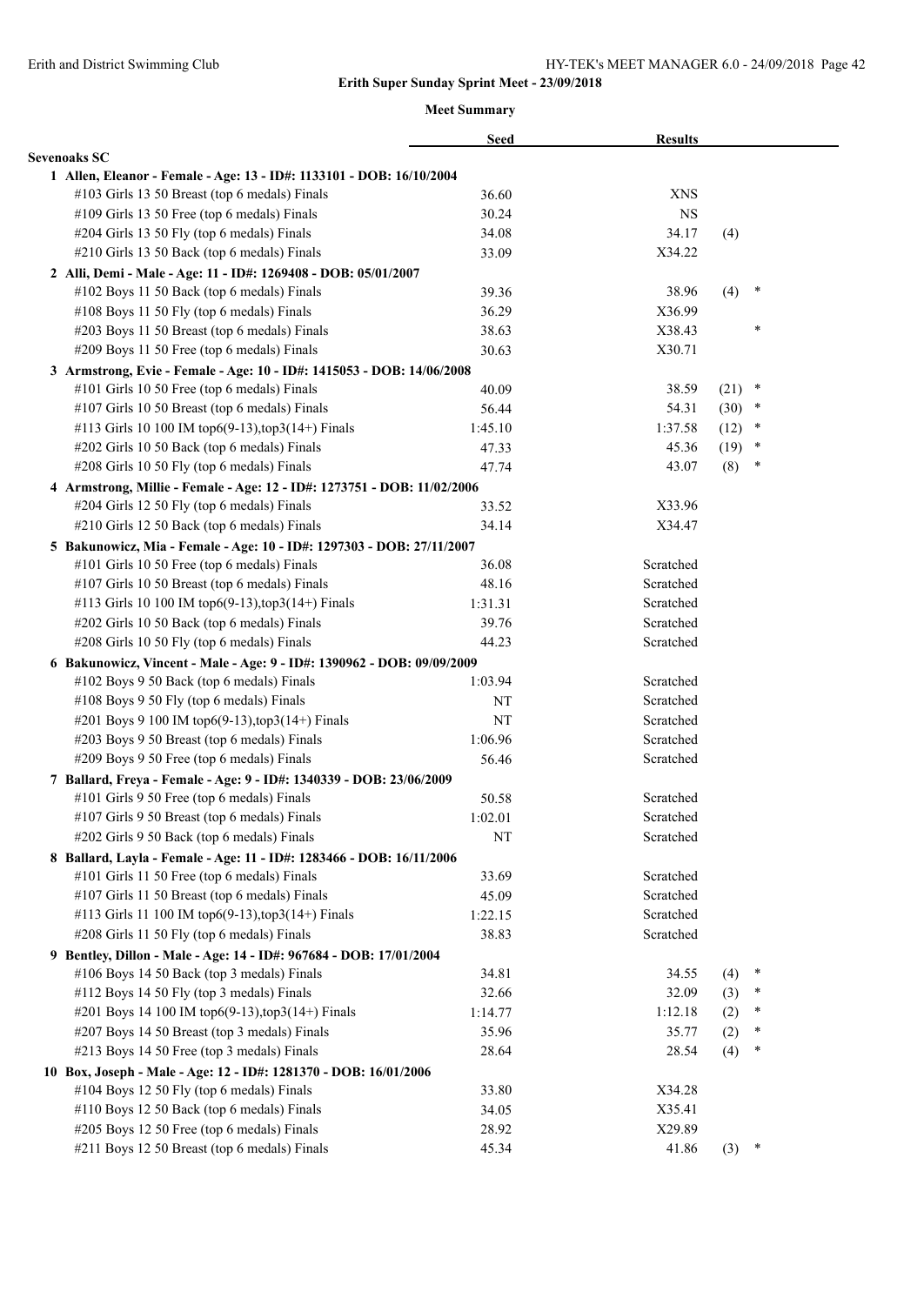|                                                                         | <b>Seed</b> | <b>Results</b> |          |        |  |
|-------------------------------------------------------------------------|-------------|----------------|----------|--------|--|
| <b>Sevenoaks SC</b>                                                     |             |                |          |        |  |
| 1 Allen, Eleanor - Female - Age: 13 - ID#: 1133101 - DOB: 16/10/2004    |             |                |          |        |  |
| #103 Girls 13 50 Breast (top 6 medals) Finals                           | 36.60       | <b>XNS</b>     |          |        |  |
| #109 Girls 13 50 Free (top 6 medals) Finals                             | 30.24       | <b>NS</b>      |          |        |  |
| #204 Girls 13 50 Fly (top 6 medals) Finals                              | 34.08       | 34.17          | (4)      |        |  |
| #210 Girls 13 50 Back (top 6 medals) Finals                             | 33.09       | X34.22         |          |        |  |
| 2 Alli, Demi - Male - Age: 11 - ID#: 1269408 - DOB: 05/01/2007          |             |                |          |        |  |
| #102 Boys 11 50 Back (top 6 medals) Finals                              | 39.36       | 38.96          | (4)      | $\ast$ |  |
| #108 Boys 11 50 Fly (top 6 medals) Finals                               | 36.29       | X36.99         |          |        |  |
| #203 Boys 11 50 Breast (top 6 medals) Finals                            | 38.63       | X38.43         |          | $\ast$ |  |
| #209 Boys 11 50 Free (top 6 medals) Finals                              | 30.63       | X30.71         |          |        |  |
| 3 Armstrong, Evie - Female - Age: 10 - ID#: 1415053 - DOB: 14/06/2008   |             |                |          |        |  |
| #101 Girls 10 50 Free (top 6 medals) Finals                             | 40.09       | 38.59          | $(21)$ * |        |  |
| #107 Girls 10 50 Breast (top 6 medals) Finals                           | 56.44       | 54.31          | $(30)$ * |        |  |
| #113 Girls 10 100 IM top6(9-13), top3(14+) Finals                       | 1:45.10     | 1:37.58        | (12)     | $\ast$ |  |
| #202 Girls 10 50 Back (top 6 medals) Finals                             | 47.33       | 45.36          | (19)     | $\ast$ |  |
| #208 Girls 10 50 Fly (top 6 medals) Finals                              | 47.74       | 43.07          | (8)      | $\ast$ |  |
| 4 Armstrong, Millie - Female - Age: 12 - ID#: 1273751 - DOB: 11/02/2006 |             |                |          |        |  |
| #204 Girls 12 50 Fly (top 6 medals) Finals                              | 33.52       | X33.96         |          |        |  |
| #210 Girls 12 50 Back (top 6 medals) Finals                             | 34.14       | X34.47         |          |        |  |
| 5 Bakunowicz, Mia - Female - Age: 10 - ID#: 1297303 - DOB: 27/11/2007   |             |                |          |        |  |
| #101 Girls 10 50 Free (top 6 medals) Finals                             | 36.08       | Scratched      |          |        |  |
| #107 Girls 10 50 Breast (top 6 medals) Finals                           | 48.16       | Scratched      |          |        |  |
| #113 Girls 10 100 IM top6(9-13), top3(14+) Finals                       | 1:31.31     | Scratched      |          |        |  |
| #202 Girls 10 50 Back (top 6 medals) Finals                             | 39.76       | Scratched      |          |        |  |
| #208 Girls 10 50 Fly (top 6 medals) Finals                              | 44.23       | Scratched      |          |        |  |
| 6 Bakunowicz, Vincent - Male - Age: 9 - ID#: 1390962 - DOB: 09/09/2009  |             |                |          |        |  |
| #102 Boys 9 50 Back (top 6 medals) Finals                               | 1:03.94     | Scratched      |          |        |  |
| #108 Boys 9 50 Fly (top 6 medals) Finals                                | NΤ          | Scratched      |          |        |  |
| #201 Boys 9 100 IM top6(9-13), top3(14+) Finals                         | NT          | Scratched      |          |        |  |
| #203 Boys 9 50 Breast (top 6 medals) Finals                             | 1:06.96     | Scratched      |          |        |  |
| #209 Boys 9 50 Free (top 6 medals) Finals                               | 56.46       | Scratched      |          |        |  |
| 7 Ballard, Freya - Female - Age: 9 - ID#: 1340339 - DOB: 23/06/2009     |             |                |          |        |  |
| #101 Girls 9 50 Free (top 6 medals) Finals                              | 50.58       | Scratched      |          |        |  |
| #107 Girls 9 50 Breast (top 6 medals) Finals                            | 1:02.01     | Scratched      |          |        |  |
| #202 Girls 9 50 Back (top 6 medals) Finals                              | NT          | Scratched      |          |        |  |
| 8 Ballard, Layla - Female - Age: 11 - ID#: 1283466 - DOB: 16/11/2006    |             |                |          |        |  |
| #101 Girls 11 50 Free (top 6 medals) Finals                             | 33.69       | Scratched      |          |        |  |
| #107 Girls 11 50 Breast (top 6 medals) Finals                           | 45.09       | Scratched      |          |        |  |
| #113 Girls 11 100 IM top6(9-13),top3(14+) Finals                        | 1:22.15     | Scratched      |          |        |  |
| #208 Girls 11 50 Fly (top 6 medals) Finals                              | 38.83       | Scratched      |          |        |  |
| 9 Bentley, Dillon - Male - Age: 14 - ID#: 967684 - DOB: 17/01/2004      |             |                |          |        |  |
| #106 Boys 14 50 Back (top 3 medals) Finals                              | 34.81       | 34.55          | (4)      | $\ast$ |  |
| #112 Boys 14 50 Fly (top 3 medals) Finals                               | 32.66       | 32.09          | (3)      | ∗      |  |
| #201 Boys 14 100 IM top6(9-13), top3(14+) Finals                        | 1:14.77     | 1:12.18        | (2)      | $\ast$ |  |
| #207 Boys 14 50 Breast (top 3 medals) Finals                            | 35.96       | 35.77          | (2)      | ∗      |  |
| #213 Boys 14 50 Free (top 3 medals) Finals                              | 28.64       | 28.54          | (4)      | ∗      |  |
| 10 Box, Joseph - Male - Age: 12 - ID#: 1281370 - DOB: 16/01/2006        |             |                |          |        |  |
| #104 Boys 12 50 Fly (top 6 medals) Finals                               | 33.80       | X34.28         |          |        |  |
| #110 Boys 12 50 Back (top 6 medals) Finals                              | 34.05       | X35.41         |          |        |  |
| #205 Boys 12 50 Free (top 6 medals) Finals                              | 28.92       | X29.89         |          |        |  |
| #211 Boys 12 50 Breast (top 6 medals) Finals                            | 45.34       | 41.86          | (3)      | $\ast$ |  |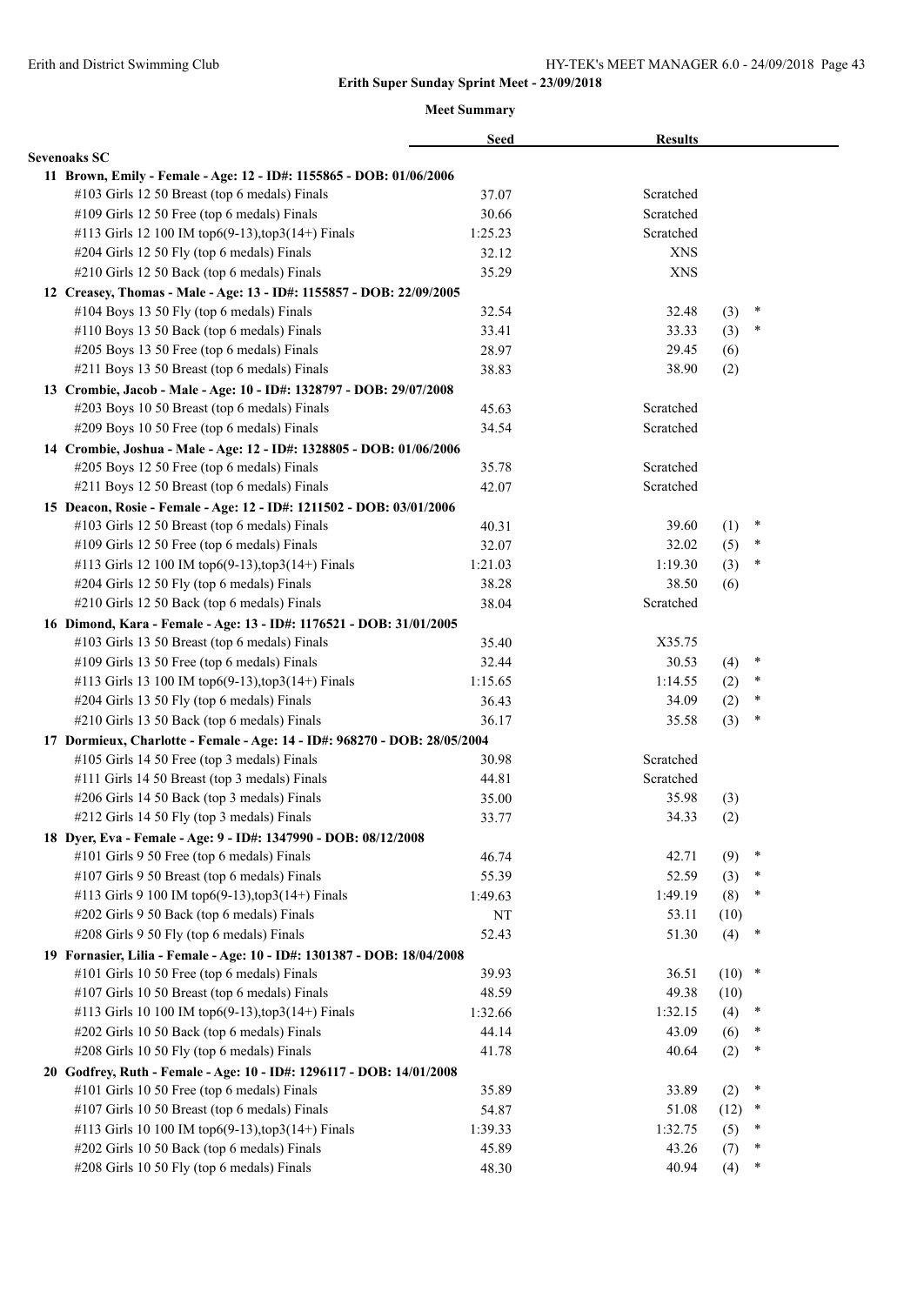|                                                                                              | <b>Seed</b> | <b>Results</b> |            |        |  |
|----------------------------------------------------------------------------------------------|-------------|----------------|------------|--------|--|
| <b>Sevenoaks SC</b>                                                                          |             |                |            |        |  |
| 11 Brown, Emily - Female - Age: 12 - ID#: 1155865 - DOB: 01/06/2006                          |             |                |            |        |  |
| #103 Girls 12 50 Breast (top 6 medals) Finals                                                | 37.07       | Scratched      |            |        |  |
| #109 Girls 12 50 Free (top 6 medals) Finals                                                  | 30.66       | Scratched      |            |        |  |
| #113 Girls 12 100 IM top6(9-13),top3(14+) Finals                                             | 1:25.23     | Scratched      |            |        |  |
| #204 Girls 12 50 Fly (top 6 medals) Finals                                                   | 32.12       | <b>XNS</b>     |            |        |  |
| #210 Girls 12 50 Back (top 6 medals) Finals                                                  | 35.29       | <b>XNS</b>     |            |        |  |
| 12 Creasey, Thomas - Male - Age: 13 - ID#: 1155857 - DOB: 22/09/2005                         |             |                |            |        |  |
| #104 Boys 13 50 Fly (top 6 medals) Finals                                                    | 32.54       | 32.48          | (3)        | $\ast$ |  |
| #110 Boys 13 50 Back (top 6 medals) Finals                                                   | 33.41       | 33.33          | (3)        | $\ast$ |  |
| #205 Boys 13 50 Free (top 6 medals) Finals                                                   | 28.97       | 29.45          | (6)        |        |  |
| #211 Boys 13 50 Breast (top 6 medals) Finals                                                 | 38.83       | 38.90          | (2)        |        |  |
| 13 Crombie, Jacob - Male - Age: 10 - ID#: 1328797 - DOB: 29/07/2008                          |             |                |            |        |  |
| #203 Boys 10 50 Breast (top 6 medals) Finals                                                 | 45.63       | Scratched      |            |        |  |
| #209 Boys 10 50 Free (top 6 medals) Finals                                                   | 34.54       | Scratched      |            |        |  |
| 14 Crombie, Joshua - Male - Age: 12 - ID#: 1328805 - DOB: 01/06/2006                         |             |                |            |        |  |
| #205 Boys 12 50 Free (top 6 medals) Finals                                                   | 35.78       | Scratched      |            |        |  |
| #211 Boys 12 50 Breast (top 6 medals) Finals                                                 | 42.07       | Scratched      |            |        |  |
| 15 Deacon, Rosie - Female - Age: 12 - ID#: 1211502 - DOB: 03/01/2006                         |             |                |            |        |  |
| #103 Girls 12 50 Breast (top 6 medals) Finals                                                | 40.31       | 39.60          | (1)        | $\ast$ |  |
| #109 Girls 12 50 Free (top 6 medals) Finals                                                  | 32.07       | 32.02          | (5)        | $\ast$ |  |
| #113 Girls 12 100 IM top6(9-13), top3(14+) Finals                                            | 1:21.03     | 1:19.30        | (3)        | $\ast$ |  |
| #204 Girls 12 50 Fly (top 6 medals) Finals                                                   | 38.28       | 38.50          | (6)        |        |  |
| #210 Girls 12 50 Back (top 6 medals) Finals                                                  | 38.04       | Scratched      |            |        |  |
| 16 Dimond, Kara - Female - Age: 13 - ID#: 1176521 - DOB: 31/01/2005                          |             |                |            |        |  |
| #103 Girls 13 50 Breast (top 6 medals) Finals                                                | 35.40       | X35.75         |            |        |  |
| #109 Girls 13 50 Free (top 6 medals) Finals                                                  | 32.44       | 30.53          |            | $\ast$ |  |
| #113 Girls 13 100 IM top6(9-13), top3(14+) Finals                                            | 1:15.65     | 1:14.55        | (4)<br>(2) | $\ast$ |  |
| #204 Girls 13 50 Fly (top 6 medals) Finals                                                   | 36.43       | 34.09          | (2)        | $\ast$ |  |
| #210 Girls 13 50 Back (top 6 medals) Finals                                                  | 36.17       | 35.58          | (3)        | $\ast$ |  |
|                                                                                              |             |                |            |        |  |
| 17 Dormieux, Charlotte - Female - Age: 14 - ID#: 968270 - DOB: 28/05/2004                    |             | Scratched      |            |        |  |
| #105 Girls 14 50 Free (top 3 medals) Finals<br>#111 Girls 14 50 Breast (top 3 medals) Finals | 30.98       | Scratched      |            |        |  |
|                                                                                              | 44.81       | 35.98          |            |        |  |
| #206 Girls 14 50 Back (top 3 medals) Finals                                                  | 35.00       |                | (3)        |        |  |
| #212 Girls 14 50 Fly (top 3 medals) Finals                                                   | 33.77       | 34.33          | (2)        |        |  |
| 18 Dyer, Eva - Female - Age: 9 - ID#: 1347990 - DOB: 08/12/2008                              |             |                |            | $\ast$ |  |
| #101 Girls 9 50 Free (top 6 medals) Finals                                                   | 46.74       | 42.71          | (9)        |        |  |
| #107 Girls 9 50 Breast (top 6 medals) Finals                                                 | 55.39       | 52.59          | (3)        | $\ast$ |  |
| #113 Girls 9 100 IM top6(9-13), top3(14+) Finals                                             | 1:49.63     | 1:49.19        | (8)        | $\ast$ |  |
| #202 Girls 9 50 Back (top 6 medals) Finals                                                   | NT          | 53.11          | (10)       |        |  |
| #208 Girls 9 50 Fly (top 6 medals) Finals                                                    | 52.43       | 51.30          | (4)        | $\ast$ |  |
| 19 Fornasier, Lilia - Female - Age: 10 - ID#: 1301387 - DOB: 18/04/2008                      |             |                |            |        |  |
| #101 Girls 10 50 Free (top 6 medals) Finals                                                  | 39.93       | 36.51          | $(10)$ *   |        |  |
| #107 Girls 10 50 Breast (top 6 medals) Finals                                                | 48.59       | 49.38          | (10)       |        |  |
| #113 Girls 10 100 IM top6(9-13),top3(14+) Finals                                             | 1:32.66     | 1:32.15        | (4)        | $\ast$ |  |
| #202 Girls 10 50 Back (top 6 medals) Finals                                                  | 44.14       | 43.09          | (6)        | $\ast$ |  |
| #208 Girls 10 50 Fly (top 6 medals) Finals                                                   | 41.78       | 40.64          | (2)        | $\ast$ |  |
| 20 Godfrey, Ruth - Female - Age: 10 - ID#: 1296117 - DOB: 14/01/2008                         |             |                |            |        |  |
| #101 Girls 10 50 Free (top 6 medals) Finals                                                  | 35.89       | 33.89          | (2)        | $\ast$ |  |
| #107 Girls 10 50 Breast (top 6 medals) Finals                                                | 54.87       | 51.08          | (12)       | $\ast$ |  |
| #113 Girls 10 100 IM top6(9-13),top3(14+) Finals                                             | 1:39.33     | 1:32.75        | (5)        | $\ast$ |  |
| #202 Girls 10 50 Back (top 6 medals) Finals                                                  | 45.89       | 43.26          | (7)        | $\ast$ |  |
| #208 Girls 10 50 Fly (top 6 medals) Finals                                                   | 48.30       | 40.94          | (4)        | $\ast$ |  |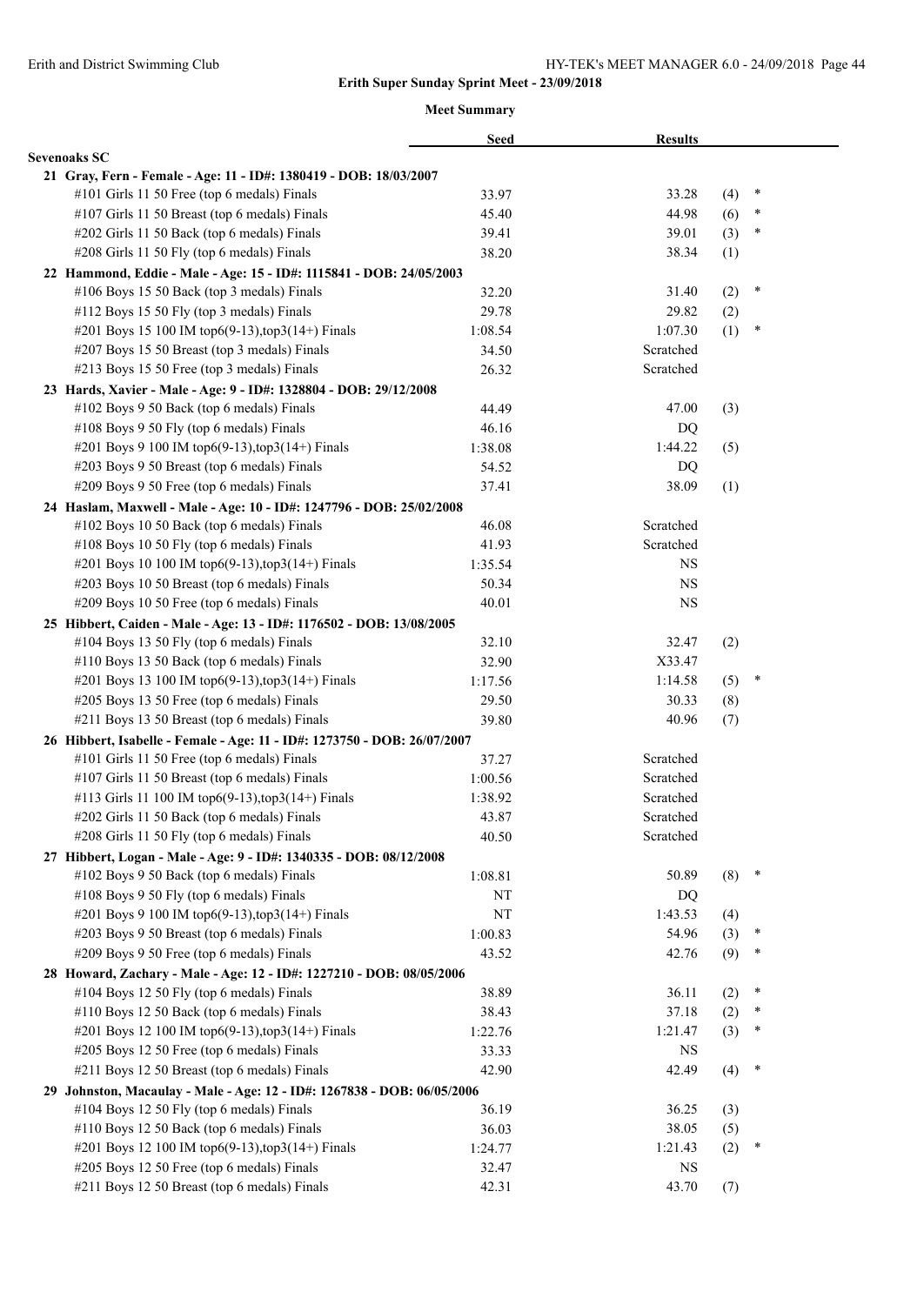|                                                                          | <b>Seed</b> | <b>Results</b> |     |        |  |
|--------------------------------------------------------------------------|-------------|----------------|-----|--------|--|
| <b>Sevenoaks SC</b>                                                      |             |                |     |        |  |
| 21 Gray, Fern - Female - Age: 11 - ID#: 1380419 - DOB: 18/03/2007        |             |                |     |        |  |
| #101 Girls 11 50 Free (top 6 medals) Finals                              | 33.97       | 33.28          | (4) | $\ast$ |  |
| #107 Girls 11 50 Breast (top 6 medals) Finals                            | 45.40       | 44.98          | (6) | ∗      |  |
| #202 Girls 11 50 Back (top 6 medals) Finals                              | 39.41       | 39.01          | (3) | ∗      |  |
| #208 Girls 11 50 Fly (top 6 medals) Finals                               | 38.20       | 38.34          | (1) |        |  |
| 22 Hammond, Eddie - Male - Age: 15 - ID#: 1115841 - DOB: 24/05/2003      |             |                |     |        |  |
| #106 Boys 15 50 Back (top 3 medals) Finals                               | 32.20       | 31.40          | (2) | $\ast$ |  |
| #112 Boys 15 50 Fly (top 3 medals) Finals                                | 29.78       | 29.82          | (2) |        |  |
| #201 Boys 15 100 IM top6(9-13), top3(14+) Finals                         | 1:08.54     | 1:07.30        | (1) | $\ast$ |  |
| #207 Boys 15 50 Breast (top 3 medals) Finals                             | 34.50       | Scratched      |     |        |  |
| #213 Boys 15 50 Free (top 3 medals) Finals                               | 26.32       | Scratched      |     |        |  |
| 23 Hards, Xavier - Male - Age: 9 - ID#: 1328804 - DOB: 29/12/2008        |             |                |     |        |  |
| #102 Boys 9 50 Back (top 6 medals) Finals                                | 44.49       | 47.00          | (3) |        |  |
| #108 Boys 9 50 Fly (top 6 medals) Finals                                 | 46.16       | DQ             |     |        |  |
| #201 Boys 9 100 IM top6(9-13), top3(14+) Finals                          | 1:38.08     | 1:44.22        | (5) |        |  |
| #203 Boys 9 50 Breast (top 6 medals) Finals                              | 54.52       | DQ             |     |        |  |
| #209 Boys 9 50 Free (top 6 medals) Finals                                | 37.41       | 38.09          | (1) |        |  |
| 24 Haslam, Maxwell - Male - Age: 10 - ID#: 1247796 - DOB: 25/02/2008     |             |                |     |        |  |
| #102 Boys 10 50 Back (top 6 medals) Finals                               | 46.08       | Scratched      |     |        |  |
| #108 Boys 10 50 Fly (top 6 medals) Finals                                | 41.93       | Scratched      |     |        |  |
| #201 Boys 10 100 IM top6(9-13), top3(14+) Finals                         | 1:35.54     | NS             |     |        |  |
| #203 Boys 10 50 Breast (top 6 medals) Finals                             | 50.34       | <b>NS</b>      |     |        |  |
| #209 Boys 10 50 Free (top 6 medals) Finals                               | 40.01       | <b>NS</b>      |     |        |  |
| 25 Hibbert, Caiden - Male - Age: 13 - ID#: 1176502 - DOB: 13/08/2005     |             |                |     |        |  |
| #104 Boys 13 50 Fly (top 6 medals) Finals                                | 32.10       | 32.47          | (2) |        |  |
| #110 Boys 13 50 Back (top 6 medals) Finals                               | 32.90       | X33.47         |     |        |  |
| #201 Boys 13 100 IM top6(9-13), top3(14+) Finals                         | 1:17.56     | 1:14.58        | (5) | $\ast$ |  |
| #205 Boys 13 50 Free (top 6 medals) Finals                               | 29.50       | 30.33          | (8) |        |  |
| #211 Boys 13 50 Breast (top 6 medals) Finals                             | 39.80       | 40.96          | (7) |        |  |
| 26 Hibbert, Isabelle - Female - Age: 11 - ID#: 1273750 - DOB: 26/07/2007 |             |                |     |        |  |
| #101 Girls 11 50 Free (top 6 medals) Finals                              | 37.27       | Scratched      |     |        |  |
| #107 Girls 11 50 Breast (top 6 medals) Finals                            | 1:00.56     | Scratched      |     |        |  |
| #113 Girls 11 100 IM top6(9-13), top3(14+) Finals                        | 1:38.92     | Scratched      |     |        |  |
| #202 Girls 11 50 Back (top 6 medals) Finals                              | 43.87       | Scratched      |     |        |  |
| #208 Girls 11 50 Fly (top 6 medals) Finals                               | 40.50       | Scratched      |     |        |  |
| 27 Hibbert, Logan - Male - Age: 9 - ID#: 1340335 - DOB: 08/12/2008       |             |                |     |        |  |
| #102 Boys 9 50 Back (top 6 medals) Finals                                | 1:08.81     | 50.89          | (8) | $\ast$ |  |
| #108 Boys 9 50 Fly (top 6 medals) Finals                                 | NT          | DQ             |     |        |  |
| #201 Boys 9 100 IM top6(9-13), top3(14+) Finals                          | NT          | 1:43.53        | (4) |        |  |
| #203 Boys 9 50 Breast (top 6 medals) Finals                              | 1:00.83     | 54.96          | (3) | ×      |  |
| #209 Boys 9 50 Free (top 6 medals) Finals                                | 43.52       | 42.76          | (9) | ∗      |  |
| 28 Howard, Zachary - Male - Age: 12 - ID#: 1227210 - DOB: 08/05/2006     |             |                |     |        |  |
| #104 Boys 12 50 Fly (top 6 medals) Finals                                | 38.89       | 36.11          | (2) | $\ast$ |  |
| #110 Boys 12 50 Back (top 6 medals) Finals                               |             | 37.18          |     | *      |  |
|                                                                          | 38.43       |                | (2) | *      |  |
| #201 Boys 12 100 IM top6(9-13), top3(14+) Finals                         | 1:22.76     | 1:21.47        | (3) |        |  |
| #205 Boys 12 50 Free (top 6 medals) Finals                               | 33.33       | NS             |     | $\ast$ |  |
| #211 Boys 12 50 Breast (top 6 medals) Finals                             | 42.90       | 42.49          | (4) |        |  |
| 29 Johnston, Macaulay - Male - Age: 12 - ID#: 1267838 - DOB: 06/05/2006  |             |                |     |        |  |
| #104 Boys 12 50 Fly (top 6 medals) Finals                                | 36.19       | 36.25          | (3) |        |  |
| #110 Boys 12 50 Back (top 6 medals) Finals                               | 36.03       | 38.05          | (5) |        |  |
| #201 Boys 12 100 IM top6(9-13), top3(14+) Finals                         | 1:24.77     | 1:21.43        | (2) | ×      |  |
| #205 Boys 12 50 Free (top 6 medals) Finals                               | 32.47       | NS             |     |        |  |
| #211 Boys 12 50 Breast (top 6 medals) Finals                             | 42.31       | 43.70          | (7) |        |  |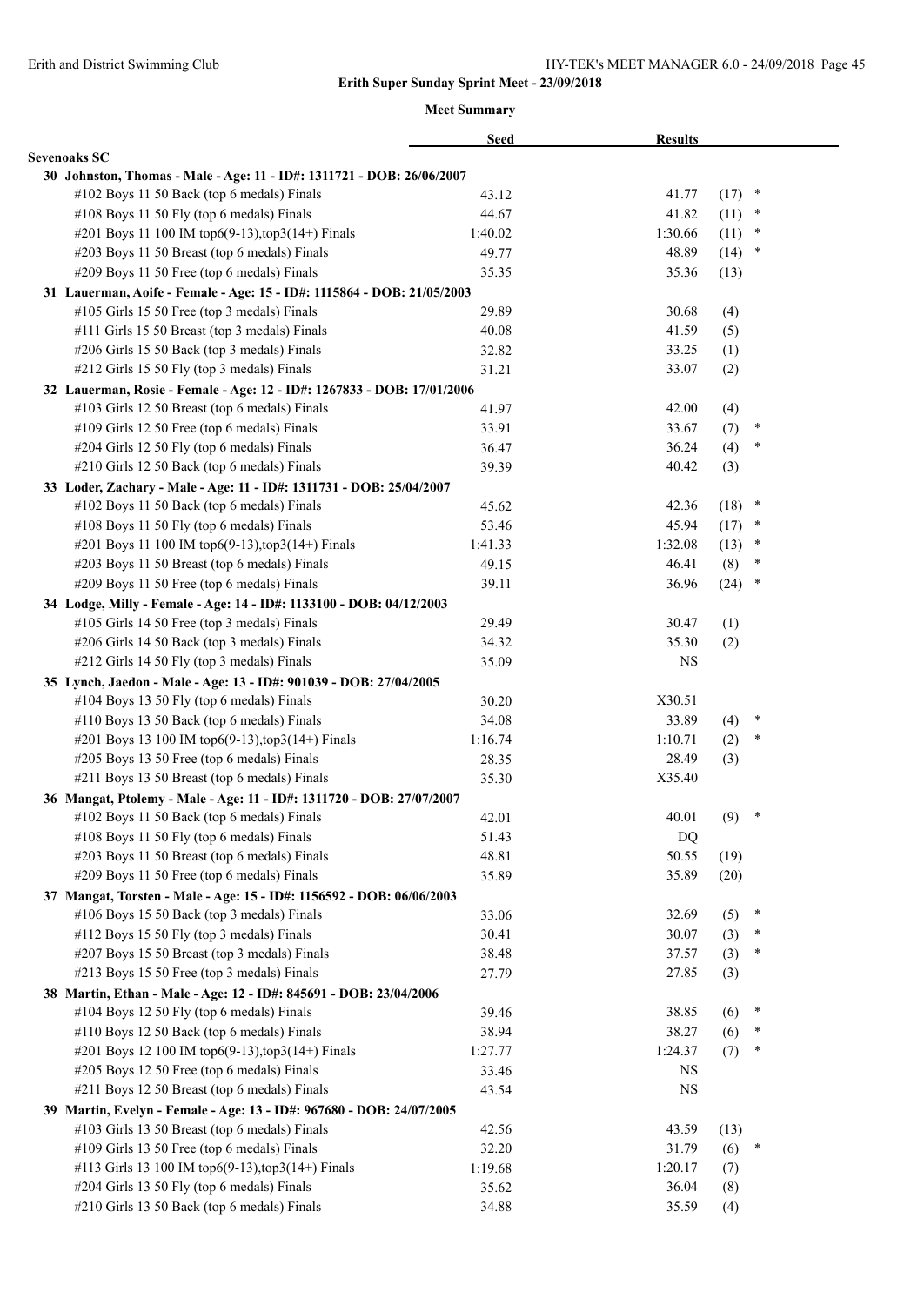|                                                                        | <b>Seed</b> | <b>Results</b> |          |        |
|------------------------------------------------------------------------|-------------|----------------|----------|--------|
| <b>Sevenoaks SC</b>                                                    |             |                |          |        |
| 30 Johnston, Thomas - Male - Age: 11 - ID#: 1311721 - DOB: 26/06/2007  |             |                |          |        |
| #102 Boys 11 50 Back (top 6 medals) Finals                             | 43.12       | 41.77          | (17)     | $\ast$ |
| #108 Boys 11 50 Fly (top 6 medals) Finals                              | 44.67       | 41.82          | (11)     | $\ast$ |
| #201 Boys 11 100 IM top6(9-13), top3(14+) Finals                       | 1:40.02     | 1:30.66        | (11)     | $\ast$ |
| #203 Boys 11 50 Breast (top 6 medals) Finals                           | 49.77       | 48.89          | $(14)$ * |        |
| #209 Boys 11 50 Free (top 6 medals) Finals                             | 35.35       | 35.36          | (13)     |        |
| 31 Lauerman, Aoife - Female - Age: 15 - ID#: 1115864 - DOB: 21/05/2003 |             |                |          |        |
| #105 Girls 15 50 Free (top 3 medals) Finals                            | 29.89       | 30.68          | (4)      |        |
| #111 Girls 15 50 Breast (top 3 medals) Finals                          | 40.08       | 41.59          | (5)      |        |
| #206 Girls 15 50 Back (top 3 medals) Finals                            | 32.82       | 33.25          | (1)      |        |
| #212 Girls 15 50 Fly (top 3 medals) Finals                             | 31.21       | 33.07          | (2)      |        |
| 32 Lauerman, Rosie - Female - Age: 12 - ID#: 1267833 - DOB: 17/01/2006 |             |                |          |        |
| #103 Girls 12 50 Breast (top 6 medals) Finals                          | 41.97       | 42.00          | (4)      |        |
| #109 Girls 12 50 Free (top 6 medals) Finals                            | 33.91       | 33.67          | (7)      | ×      |
| #204 Girls 12 50 Fly (top 6 medals) Finals                             | 36.47       | 36.24          | (4)      | $\ast$ |
| #210 Girls 12 50 Back (top 6 medals) Finals                            | 39.39       | 40.42          | (3)      |        |
| 33 Loder, Zachary - Male - Age: 11 - ID#: 1311731 - DOB: 25/04/2007    |             |                |          |        |
| #102 Boys 11 50 Back (top 6 medals) Finals                             | 45.62       | 42.36          | (18)     | ×      |
| #108 Boys 11 50 Fly (top 6 medals) Finals                              | 53.46       | 45.94          | (17)     | ×      |
| #201 Boys 11 100 IM top6(9-13), top3(14+) Finals                       | 1:41.33     | 1:32.08        | (13)     | *      |
| #203 Boys 11 50 Breast (top 6 medals) Finals                           | 49.15       | 46.41          | (8)      | ∗      |
| #209 Boys 11 50 Free (top 6 medals) Finals                             | 39.11       | 36.96          | (24)     | $\ast$ |
| 34 Lodge, Milly - Female - Age: 14 - ID#: 1133100 - DOB: 04/12/2003    |             |                |          |        |
| #105 Girls 14 50 Free (top 3 medals) Finals                            | 29.49       | 30.47          | (1)      |        |
| #206 Girls 14 50 Back (top 3 medals) Finals                            | 34.32       | 35.30          | (2)      |        |
| #212 Girls 14 50 Fly (top 3 medals) Finals                             | 35.09       | <b>NS</b>      |          |        |
| 35 Lynch, Jaedon - Male - Age: 13 - ID#: 901039 - DOB: 27/04/2005      |             |                |          |        |
| #104 Boys 13 50 Fly (top 6 medals) Finals                              | 30.20       | X30.51         |          |        |
| #110 Boys 13 50 Back (top 6 medals) Finals                             | 34.08       | 33.89          | (4)      | ×      |
| #201 Boys 13 100 IM top6(9-13), top3(14+) Finals                       | 1:16.74     | 1:10.71        | (2)      | ∗      |
| #205 Boys 13 50 Free (top 6 medals) Finals                             | 28.35       | 28.49          | (3)      |        |
| #211 Boys 13 50 Breast (top 6 medals) Finals                           | 35.30       | X35.40         |          |        |
| 36 Mangat, Ptolemy - Male - Age: 11 - ID#: 1311720 - DOB: 27/07/2007   |             |                |          |        |
| #102 Boys 11 50 Back (top 6 medals) Finals                             | 42.01       | 40.01          | (9)      | $\ast$ |
| #108 Boys 11 50 Fly (top 6 medals) Finals                              | 51.43       | DQ             |          |        |
| #203 Boys 11 50 Breast (top 6 medals) Finals                           | 48.81       | 50.55          | (19)     |        |
| #209 Boys 11 50 Free (top 6 medals) Finals                             | 35.89       | 35.89          | (20)     |        |
| 37 Mangat, Torsten - Male - Age: 15 - ID#: 1156592 - DOB: 06/06/2003   |             |                |          |        |
| #106 Boys 15 50 Back (top 3 medals) Finals                             | 33.06       | 32.69          | (5)      | ×      |
| #112 Boys 15 50 Fly (top 3 medals) Finals                              | 30.41       | 30.07          | (3)      | $\ast$ |
| #207 Boys 15 50 Breast (top 3 medals) Finals                           | 38.48       | 37.57          | (3)      | ∗      |
| #213 Boys 15 50 Free (top 3 medals) Finals                             | 27.79       | 27.85          | (3)      |        |
| 38 Martin, Ethan - Male - Age: 12 - ID#: 845691 - DOB: 23/04/2006      |             |                |          |        |
| #104 Boys 12 50 Fly (top 6 medals) Finals                              | 39.46       | 38.85          | (6)      | $\ast$ |
| #110 Boys 12 50 Back (top 6 medals) Finals                             | 38.94       | 38.27          | (6)      | $\ast$ |
| #201 Boys 12 100 IM top6(9-13), top3(14+) Finals                       | 1:27.77     | 1:24.37        | (7)      | ∗      |
| #205 Boys 12 50 Free (top 6 medals) Finals                             | 33.46       | NS             |          |        |
| #211 Boys 12 50 Breast (top 6 medals) Finals                           | 43.54       | NS             |          |        |
| 39 Martin, Evelyn - Female - Age: 13 - ID#: 967680 - DOB: 24/07/2005   |             |                |          |        |
| #103 Girls 13 50 Breast (top 6 medals) Finals                          | 42.56       | 43.59          | (13)     |        |
| #109 Girls 13 50 Free (top 6 medals) Finals                            | 32.20       | 31.79          | (6)      |        |
| #113 Girls 13 100 IM top6(9-13), top3(14+) Finals                      | 1:19.68     | 1:20.17        | (7)      |        |
| #204 Girls 13 50 Fly (top 6 medals) Finals                             | 35.62       | 36.04          | (8)      |        |
| #210 Girls 13 50 Back (top 6 medals) Finals                            | 34.88       | 35.59          | (4)      |        |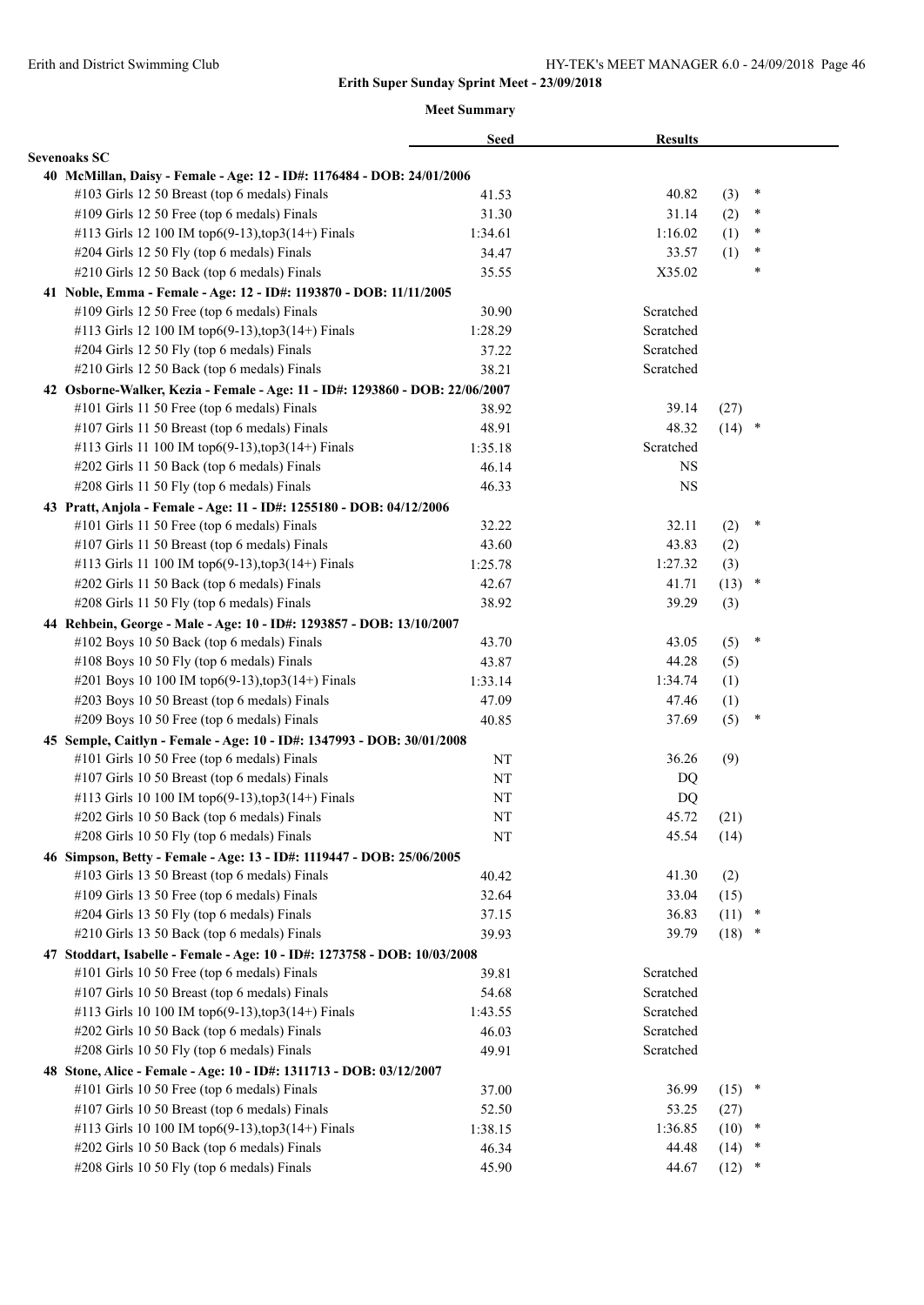|                                                                              | <b>Seed</b> | <b>Results</b> |          |        |  |
|------------------------------------------------------------------------------|-------------|----------------|----------|--------|--|
| <b>Sevenoaks SC</b>                                                          |             |                |          |        |  |
| 40 McMillan, Daisy - Female - Age: 12 - ID#: 1176484 - DOB: 24/01/2006       |             |                |          |        |  |
| #103 Girls 12 50 Breast (top 6 medals) Finals                                | 41.53       | 40.82          | (3)      | ×      |  |
| #109 Girls 12 50 Free (top 6 medals) Finals                                  | 31.30       | 31.14          | (2)      | $\ast$ |  |
| #113 Girls 12 100 IM top6(9-13), top3(14+) Finals                            | 1:34.61     | 1:16.02        | (1)      | $\ast$ |  |
| #204 Girls 12 50 Fly (top 6 medals) Finals                                   | 34.47       | 33.57          | (1)      | $\ast$ |  |
| #210 Girls 12 50 Back (top 6 medals) Finals                                  | 35.55       | X35.02         |          | $\ast$ |  |
| 41 Noble, Emma - Female - Age: 12 - ID#: 1193870 - DOB: 11/11/2005           |             |                |          |        |  |
| #109 Girls 12 50 Free (top 6 medals) Finals                                  | 30.90       | Scratched      |          |        |  |
| #113 Girls 12 100 IM top6(9-13), top3(14+) Finals                            | 1:28.29     | Scratched      |          |        |  |
| #204 Girls 12 50 Fly (top 6 medals) Finals                                   | 37.22       | Scratched      |          |        |  |
| #210 Girls 12 50 Back (top 6 medals) Finals                                  | 38.21       | Scratched      |          |        |  |
| 42 Osborne-Walker, Kezia - Female - Age: 11 - ID#: 1293860 - DOB: 22/06/2007 |             |                |          |        |  |
| #101 Girls 11 50 Free (top 6 medals) Finals                                  | 38.92       | 39.14          | (27)     |        |  |
| #107 Girls 11 50 Breast (top 6 medals) Finals                                | 48.91       | 48.32          | $(14)$ * |        |  |
| #113 Girls 11 100 IM top6(9-13), top3(14+) Finals                            | 1:35.18     | Scratched      |          |        |  |
| #202 Girls 11 50 Back (top 6 medals) Finals                                  | 46.14       | <b>NS</b>      |          |        |  |
| #208 Girls 11 50 Fly (top 6 medals) Finals                                   | 46.33       | <b>NS</b>      |          |        |  |
| 43 Pratt, Anjola - Female - Age: 11 - ID#: 1255180 - DOB: 04/12/2006         |             |                |          |        |  |
| #101 Girls 11 50 Free (top 6 medals) Finals                                  | 32.22       | 32.11          | (2)      | ∗      |  |
| #107 Girls 11 50 Breast (top 6 medals) Finals                                | 43.60       | 43.83          | (2)      |        |  |
| #113 Girls 11 100 IM top6(9-13), top3(14+) Finals                            | 1:25.78     | 1:27.32        | (3)      |        |  |
| #202 Girls 11 50 Back (top 6 medals) Finals                                  | 42.67       | 41.71          | (13)     | $\ast$ |  |
| #208 Girls 11 50 Fly (top 6 medals) Finals                                   | 38.92       | 39.29          | (3)      |        |  |
|                                                                              |             |                |          |        |  |
| 44 Rehbein, George - Male - Age: 10 - ID#: 1293857 - DOB: 13/10/2007         |             |                |          | $\ast$ |  |
| #102 Boys 10 50 Back (top 6 medals) Finals                                   | 43.70       | 43.05          | (5)      |        |  |
| #108 Boys 10 50 Fly (top 6 medals) Finals                                    | 43.87       | 44.28          | (5)      |        |  |
| #201 Boys 10 100 IM top6(9-13), top3(14+) Finals                             | 1:33.14     | 1:34.74        | (1)      |        |  |
| #203 Boys 10 50 Breast (top 6 medals) Finals                                 | 47.09       | 47.46          | (1)      |        |  |
| #209 Boys 10 50 Free (top 6 medals) Finals                                   | 40.85       | 37.69          | (5)      | ∗      |  |
| 45 Semple, Caitlyn - Female - Age: 10 - ID#: 1347993 - DOB: 30/01/2008       |             |                |          |        |  |
| #101 Girls 10 50 Free (top 6 medals) Finals                                  | NT          | 36.26          | (9)      |        |  |
| #107 Girls 10 50 Breast (top 6 medals) Finals                                | NT          | DQ             |          |        |  |
| #113 Girls 10 100 IM top6(9-13),top3(14+) Finals                             | NT          | DQ             |          |        |  |
| #202 Girls 10 50 Back (top 6 medals) Finals                                  | NT          | 45.72          | (21)     |        |  |
| #208 Girls 10 50 Fly (top 6 medals) Finals                                   | NT          | 45.54          | (14)     |        |  |
| 46 Simpson, Betty - Female - Age: 13 - ID#: 1119447 - DOB: 25/06/2005        |             |                |          |        |  |
| #103 Girls 13 50 Breast (top 6 medals) Finals                                | 40.42       | 41.30          | (2)      |        |  |
| #109 Girls 13 50 Free (top 6 medals) Finals                                  | 32.64       | 33.04          | (15)     |        |  |
| #204 Girls 13 50 Fly (top 6 medals) Finals                                   | 37.15       | 36.83          | (11)     | $\ast$ |  |
| #210 Girls 13 50 Back (top 6 medals) Finals                                  | 39.93       | 39.79          | $(18)$ * |        |  |
| 47 Stoddart, Isabelle - Female - Age: 10 - ID#: 1273758 - DOB: 10/03/2008    |             |                |          |        |  |
| #101 Girls 10 50 Free (top 6 medals) Finals                                  | 39.81       | Scratched      |          |        |  |
| #107 Girls 10 50 Breast (top 6 medals) Finals                                | 54.68       | Scratched      |          |        |  |
| #113 Girls 10 100 IM top6(9-13), top3(14+) Finals                            | 1:43.55     | Scratched      |          |        |  |
| #202 Girls 10 50 Back (top 6 medals) Finals                                  | 46.03       | Scratched      |          |        |  |
| #208 Girls 10 50 Fly (top 6 medals) Finals                                   | 49.91       | Scratched      |          |        |  |
| 48 Stone, Alice - Female - Age: 10 - ID#: 1311713 - DOB: 03/12/2007          |             |                |          |        |  |
| #101 Girls 10 50 Free (top 6 medals) Finals                                  | 37.00       | 36.99          | $(15)$ * |        |  |
| #107 Girls 10 50 Breast (top 6 medals) Finals                                | 52.50       | 53.25          | (27)     |        |  |
| #113 Girls 10 100 IM top6(9-13), top3(14+) Finals                            | 1:38.15     | 1:36.85        | (10)     | $\ast$ |  |
| #202 Girls 10 50 Back (top 6 medals) Finals                                  | 46.34       | 44.48          | (14)     | ×      |  |
| #208 Girls 10 50 Fly (top 6 medals) Finals                                   | 45.90       | 44.67          | (12)     | $\ast$ |  |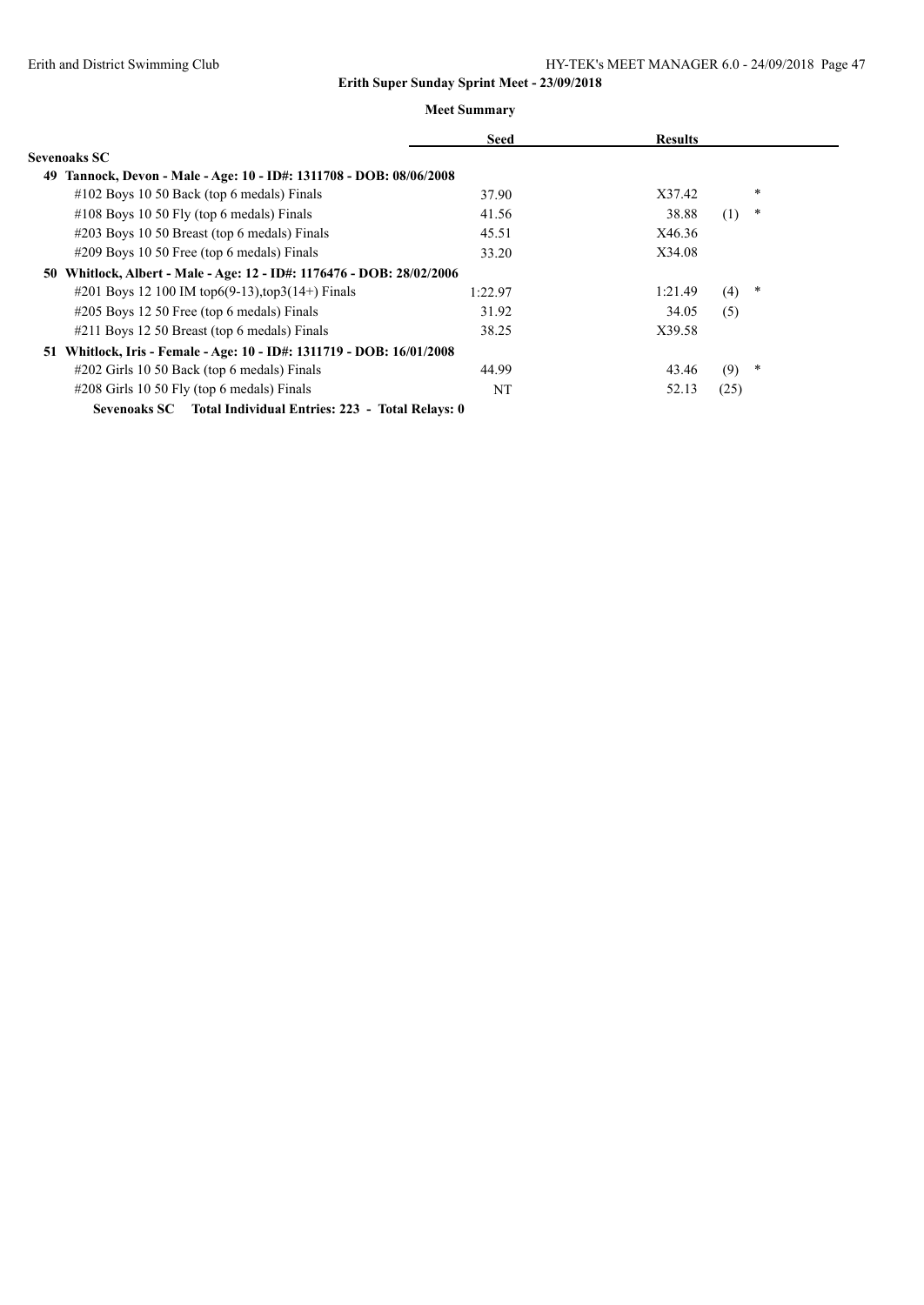|                                                                        | <b>Seed</b> | <b>Results</b> |               |  |
|------------------------------------------------------------------------|-------------|----------------|---------------|--|
| Sevenoaks SC                                                           |             |                |               |  |
| Tannock, Devon - Male - Age: 10 - ID#: 1311708 - DOB: 08/06/2008<br>49 |             |                |               |  |
| $\#102$ Boys 10 50 Back (top 6 medals) Finals                          | 37.90       | X37.42         | $\ast$        |  |
| $\#108$ Boys 10 50 Fly (top 6 medals) Finals                           | 41.56       | 38.88          | $\ast$<br>(1) |  |
| #203 Boys 10 50 Breast (top 6 medals) Finals                           | 45.51       | X46.36         |               |  |
| $\#209$ Boys 10 50 Free (top 6 medals) Finals                          | 33.20       | X34.08         |               |  |
| 50 Whitlock, Albert - Male - Age: 12 - ID#: 1176476 - DOB: 28/02/2006  |             |                |               |  |
| #201 Boys 12 100 IM top6(9-13), top3(14+) Finals                       | 1:22.97     | 1:21.49        | $\ast$<br>(4) |  |
| $\#205$ Boys 12 50 Free (top 6 medals) Finals                          | 31.92       | 34.05          | (5)           |  |
| #211 Boys 12 50 Breast (top 6 medals) Finals                           | 38.25       | X39.58         |               |  |
| 51 Whitlock, Iris - Female - Age: 10 - ID#: 1311719 - DOB: 16/01/2008  |             |                |               |  |
| #202 Girls 10 50 Back (top 6 medals) Finals                            | 44.99       | 43.46          | $\ast$<br>(9) |  |
| $\#208$ Girls 10 50 Fly (top 6 medals) Finals                          | NT          | 52.13          | (25)          |  |
| Sevenoaks SC Total Individual Entries: 223 - Total Relays: 0           |             |                |               |  |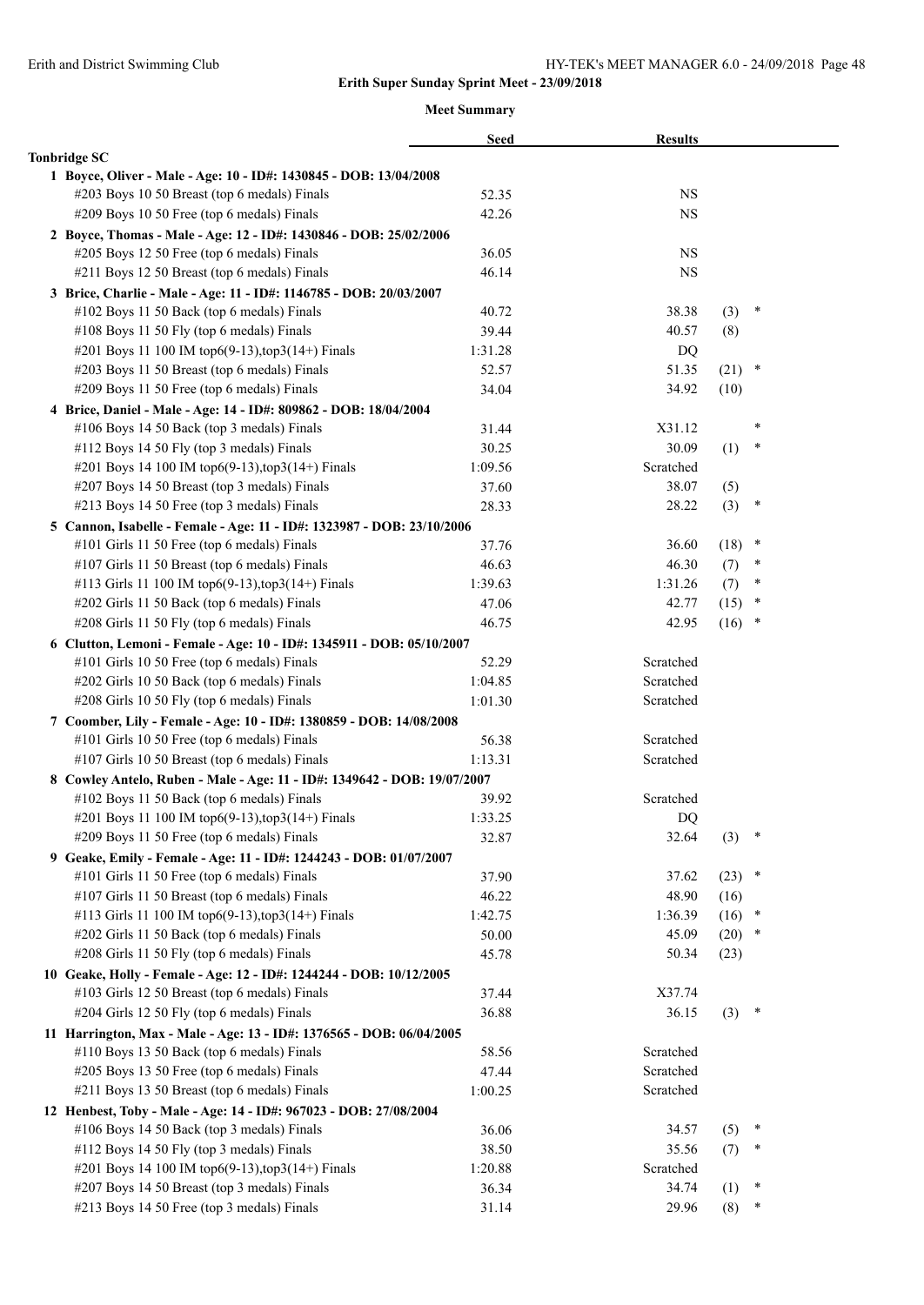|                                                                                                                        | <b>Seed</b>      | <b>Results</b> |          |        |  |
|------------------------------------------------------------------------------------------------------------------------|------------------|----------------|----------|--------|--|
| <b>Tonbridge SC</b>                                                                                                    |                  |                |          |        |  |
| 1 Boyce, Oliver - Male - Age: 10 - ID#: 1430845 - DOB: 13/04/2008                                                      |                  |                |          |        |  |
| #203 Boys 10 50 Breast (top 6 medals) Finals                                                                           | 52.35            | <b>NS</b>      |          |        |  |
| #209 Boys 10 50 Free (top 6 medals) Finals                                                                             | 42.26            | NS             |          |        |  |
| 2 Boyce, Thomas - Male - Age: 12 - ID#: 1430846 - DOB: 25/02/2006                                                      |                  |                |          |        |  |
| #205 Boys 12 50 Free (top 6 medals) Finals                                                                             | 36.05            | <b>NS</b>      |          |        |  |
| #211 Boys 12 50 Breast (top 6 medals) Finals                                                                           | 46.14            | <b>NS</b>      |          |        |  |
| 3 Brice, Charlie - Male - Age: 11 - ID#: 1146785 - DOB: 20/03/2007                                                     |                  |                |          |        |  |
| #102 Boys 11 50 Back (top 6 medals) Finals                                                                             | 40.72            | 38.38          | (3)      | $\ast$ |  |
| #108 Boys 11 50 Fly (top 6 medals) Finals                                                                              | 39.44            | 40.57          | (8)      |        |  |
| #201 Boys 11 100 IM top6(9-13), top3(14+) Finals                                                                       | 1:31.28          | DQ             |          |        |  |
| #203 Boys 11 50 Breast (top 6 medals) Finals                                                                           | 52.57            | 51.35          | (21)     | $\ast$ |  |
| #209 Boys 11 50 Free (top 6 medals) Finals                                                                             | 34.04            | 34.92          | (10)     |        |  |
| 4 Brice, Daniel - Male - Age: 14 - ID#: 809862 - DOB: 18/04/2004                                                       |                  |                |          |        |  |
| #106 Boys 14 50 Back (top 3 medals) Finals                                                                             | 31.44            | X31.12         |          | *      |  |
| #112 Boys 14 50 Fly (top 3 medals) Finals                                                                              | 30.25            | 30.09          | (1)      | $\ast$ |  |
| #201 Boys 14 100 IM top6(9-13), top3(14+) Finals                                                                       | 1:09.56          | Scratched      |          |        |  |
| #207 Boys 14 50 Breast (top 3 medals) Finals                                                                           | 37.60            | 38.07          | (5)      |        |  |
| #213 Boys 14 50 Free (top 3 medals) Finals                                                                             | 28.33            | 28.22          | (3)      | $\ast$ |  |
| 5 Cannon, Isabelle - Female - Age: 11 - ID#: 1323987 - DOB: 23/10/2006                                                 |                  |                |          |        |  |
| #101 Girls 11 50 Free (top 6 medals) Finals                                                                            | 37.76            | 36.60          | (18)     | $\ast$ |  |
| #107 Girls 11 50 Breast (top 6 medals) Finals                                                                          | 46.63            | 46.30          | (7)      | $\ast$ |  |
| #113 Girls 11 100 IM top6(9-13), top3(14+) Finals                                                                      | 1:39.63          | 1:31.26        | (7)      | $\ast$ |  |
| #202 Girls 11 50 Back (top 6 medals) Finals                                                                            | 47.06            | 42.77          | (15)     | ×      |  |
| #208 Girls 11 50 Fly (top 6 medals) Finals                                                                             | 46.75            | 42.95          | $(16)$ * |        |  |
| 6 Clutton, Lemoni - Female - Age: 10 - ID#: 1345911 - DOB: 05/10/2007                                                  |                  |                |          |        |  |
| #101 Girls 10 50 Free (top 6 medals) Finals                                                                            | 52.29            | Scratched      |          |        |  |
| #202 Girls 10 50 Back (top 6 medals) Finals                                                                            | 1:04.85          | Scratched      |          |        |  |
| #208 Girls 10 50 Fly (top 6 medals) Finals                                                                             | 1:01.30          | Scratched      |          |        |  |
|                                                                                                                        |                  |                |          |        |  |
| 7 Coomber, Lily - Female - Age: 10 - ID#: 1380859 - DOB: 14/08/2008                                                    |                  | Scratched      |          |        |  |
| #101 Girls 10 50 Free (top 6 medals) Finals<br>#107 Girls 10 50 Breast (top 6 medals) Finals                           | 56.38<br>1:13.31 | Scratched      |          |        |  |
|                                                                                                                        |                  |                |          |        |  |
| 8 Cowley Antelo, Ruben - Male - Age: 11 - ID#: 1349642 - DOB: 19/07/2007<br>#102 Boys 11 50 Back (top 6 medals) Finals |                  | Scratched      |          |        |  |
|                                                                                                                        | 39.92            |                |          |        |  |
| #201 Boys 11 100 IM top6(9-13), top3(14+) Finals                                                                       | 1:33.25          | DQ             |          | $\ast$ |  |
| #209 Boys 11 50 Free (top 6 medals) Finals                                                                             | 32.87            | 32.64          | (3)      |        |  |
| 9 Geake, Emily - Female - Age: 11 - ID#: 1244243 - DOB: 01/07/2007                                                     |                  |                |          |        |  |
| #101 Girls 11 50 Free (top 6 medals) Finals                                                                            | 37.90            | 37.62          | $(23)$ * |        |  |
| #107 Girls 11 50 Breast (top 6 medals) Finals                                                                          | 46.22            | 48.90          | (16)     |        |  |
| #113 Girls 11 100 IM top6(9-13), top3(14+) Finals                                                                      | 1:42.75          | 1:36.39        | (16)     | $\ast$ |  |
| #202 Girls 11 50 Back (top 6 medals) Finals                                                                            | 50.00            | 45.09          | (20)     | *      |  |
| #208 Girls 11 50 Fly (top 6 medals) Finals                                                                             | 45.78            | 50.34          | (23)     |        |  |
| 10 Geake, Holly - Female - Age: 12 - ID#: 1244244 - DOB: 10/12/2005                                                    |                  |                |          |        |  |
| #103 Girls 12 50 Breast (top 6 medals) Finals                                                                          | 37.44            | X37.74         |          |        |  |
| #204 Girls 12 50 Fly (top 6 medals) Finals                                                                             | 36.88            | 36.15          | (3)      | $\ast$ |  |
| 11 Harrington, Max - Male - Age: 13 - ID#: 1376565 - DOB: 06/04/2005                                                   |                  |                |          |        |  |
| #110 Boys 13 50 Back (top 6 medals) Finals                                                                             | 58.56            | Scratched      |          |        |  |
| #205 Boys 13 50 Free (top 6 medals) Finals                                                                             | 47.44            | Scratched      |          |        |  |
| #211 Boys 13 50 Breast (top 6 medals) Finals                                                                           | 1:00.25          | Scratched      |          |        |  |
| 12 Henbest, Toby - Male - Age: 14 - ID#: 967023 - DOB: 27/08/2004                                                      |                  |                |          |        |  |
| #106 Boys 14 50 Back (top 3 medals) Finals                                                                             | 36.06            | 34.57          | (5)      | ∗      |  |
| #112 Boys 14 50 Fly (top 3 medals) Finals                                                                              | 38.50            | 35.56          | (7)      |        |  |
| #201 Boys 14 100 IM top6(9-13), top3(14+) Finals                                                                       | 1:20.88          | Scratched      |          |        |  |
| #207 Boys 14 50 Breast (top 3 medals) Finals                                                                           | 36.34            | 34.74          | (1)      | $\ast$ |  |
| #213 Boys 14 50 Free (top 3 medals) Finals                                                                             | 31.14            | 29.96          | (8)      | ∗      |  |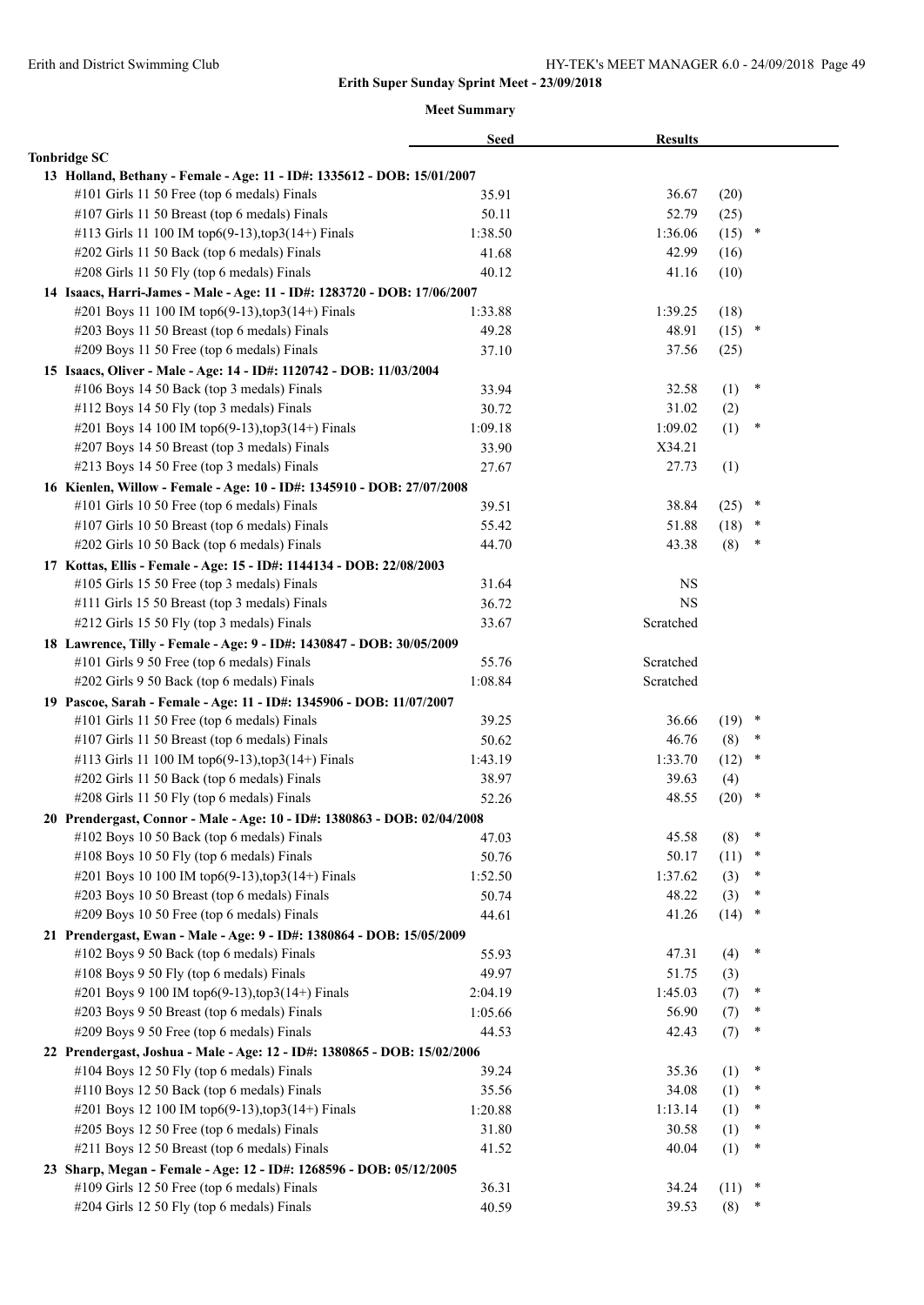|                                                                          | <b>Seed</b> | <b>Results</b> |          |        |
|--------------------------------------------------------------------------|-------------|----------------|----------|--------|
| <b>Tonbridge SC</b>                                                      |             |                |          |        |
| 13 Holland, Bethany - Female - Age: 11 - ID#: 1335612 - DOB: 15/01/2007  |             |                |          |        |
| #101 Girls 11 50 Free (top 6 medals) Finals                              | 35.91       | 36.67          | (20)     |        |
| #107 Girls 11 50 Breast (top 6 medals) Finals                            | 50.11       | 52.79          | (25)     |        |
| #113 Girls 11 100 IM top6(9-13), top3(14+) Finals                        | 1:38.50     | 1:36.06        | $(15)$ * |        |
| #202 Girls 11 50 Back (top 6 medals) Finals                              | 41.68       | 42.99          | (16)     |        |
| #208 Girls 11 50 Fly (top 6 medals) Finals                               | 40.12       | 41.16          | (10)     |        |
| 14 Isaacs, Harri-James - Male - Age: 11 - ID#: 1283720 - DOB: 17/06/2007 |             |                |          |        |
| #201 Boys 11 100 IM top6(9-13), top3(14+) Finals                         | 1:33.88     | 1:39.25        | (18)     |        |
| #203 Boys 11 50 Breast (top 6 medals) Finals                             | 49.28       | 48.91          | (15)     | $\ast$ |
| #209 Boys 11 50 Free (top 6 medals) Finals                               | 37.10       | 37.56          | (25)     |        |
| 15 Isaacs, Oliver - Male - Age: 14 - ID#: 1120742 - DOB: 11/03/2004      |             |                |          |        |
| #106 Boys 14 50 Back (top 3 medals) Finals                               | 33.94       | 32.58          | (1)      | ∗      |
| #112 Boys 14 50 Fly (top 3 medals) Finals                                | 30.72       | 31.02          | (2)      |        |
| #201 Boys 14 100 IM top6(9-13), top3(14+) Finals                         | 1:09.18     | 1:09.02        | (1)      | $\ast$ |
| #207 Boys 14 50 Breast (top 3 medals) Finals                             | 33.90       | X34.21         |          |        |
| #213 Boys 14 50 Free (top 3 medals) Finals                               | 27.67       | 27.73          | (1)      |        |
| 16 Kienlen, Willow - Female - Age: 10 - ID#: 1345910 - DOB: 27/07/2008   |             |                |          |        |
| #101 Girls 10 50 Free (top 6 medals) Finals                              | 39.51       | 38.84          | (25)     | ×      |
| #107 Girls 10 50 Breast (top 6 medals) Finals                            | 55.42       | 51.88          | (18)     | $\ast$ |
| #202 Girls 10 50 Back (top 6 medals) Finals                              | 44.70       | 43.38          | (8)      | $\ast$ |
| 17 Kottas, Ellis - Female - Age: 15 - ID#: 1144134 - DOB: 22/08/2003     |             |                |          |        |
| #105 Girls 15 50 Free (top 3 medals) Finals                              | 31.64       | <b>NS</b>      |          |        |
| #111 Girls 15 50 Breast (top 3 medals) Finals                            | 36.72       | <b>NS</b>      |          |        |
| #212 Girls 15 50 Fly (top 3 medals) Finals                               | 33.67       | Scratched      |          |        |
| 18 Lawrence, Tilly - Female - Age: 9 - ID#: 1430847 - DOB: 30/05/2009    |             |                |          |        |
| #101 Girls 9 50 Free (top 6 medals) Finals                               | 55.76       | Scratched      |          |        |
| #202 Girls 9 50 Back (top 6 medals) Finals                               | 1:08.84     | Scratched      |          |        |
| 19 Pascoe, Sarah - Female - Age: 11 - ID#: 1345906 - DOB: 11/07/2007     |             |                |          |        |
| #101 Girls 11 50 Free (top 6 medals) Finals                              | 39.25       | 36.66          | $(19)$ * |        |
| #107 Girls 11 50 Breast (top 6 medals) Finals                            | 50.62       | 46.76          | (8)      | $\ast$ |
| #113 Girls 11 100 IM top6(9-13),top3(14+) Finals                         | 1:43.19     | 1:33.70        | (12)     | ×      |
| #202 Girls 11 50 Back (top 6 medals) Finals                              | 38.97       | 39.63          | (4)      |        |
| #208 Girls 11 50 Fly (top 6 medals) Finals                               | 52.26       | 48.55          | (20)     | ∗      |
| 20 Prendergast, Connor - Male - Age: 10 - ID#: 1380863 - DOB: 02/04/2008 |             |                |          |        |
| #102 Boys 10 50 Back (top 6 medals) Finals                               | 47.03       | 45.58          | (8)      | $\ast$ |
| #108 Boys 10 50 Fly (top 6 medals) Finals                                | 50.76       | 50.17          | (11)     | $\ast$ |
| #201 Boys 10 100 IM top6(9-13), top3(14+) Finals                         | 1:52.50     | 1:37.62        | (3)      | ∗      |
| #203 Boys 10 50 Breast (top 6 medals) Finals                             | 50.74       | 48.22          | (3)      | ∗      |
| #209 Boys 10 50 Free (top 6 medals) Finals                               | 44.61       | 41.26          | (14)     | $\ast$ |
| 21 Prendergast, Ewan - Male - Age: 9 - ID#: 1380864 - DOB: 15/05/2009    |             |                |          |        |
| #102 Boys 9 50 Back (top 6 medals) Finals                                | 55.93       | 47.31          | (4)      | ∗      |
| #108 Boys 9 50 Fly (top 6 medals) Finals                                 | 49.97       | 51.75          | (3)      |        |
| #201 Boys 9 100 IM top6(9-13), top3(14+) Finals                          | 2:04.19     | 1:45.03        | (7)      | ∗      |
| #203 Boys 9 50 Breast (top 6 medals) Finals                              | 1:05.66     | 56.90          | (7)      | ∗      |
| #209 Boys 9 50 Free (top 6 medals) Finals                                | 44.53       | 42.43          | (7)      | ∗      |
| 22 Prendergast, Joshua - Male - Age: 12 - ID#: 1380865 - DOB: 15/02/2006 |             |                |          |        |
| #104 Boys 12 50 Fly (top 6 medals) Finals                                | 39.24       | 35.36          | (1)      | ∗      |
| #110 Boys 12 50 Back (top 6 medals) Finals                               | 35.56       | 34.08          | (1)      | ∗      |
| #201 Boys 12 100 IM top6(9-13), top3(14+) Finals                         | 1:20.88     | 1:13.14        | (1)      | ∗      |
| #205 Boys 12 50 Free (top 6 medals) Finals                               | 31.80       | 30.58          | (1)      | ∗      |
| #211 Boys 12 50 Breast (top 6 medals) Finals                             | 41.52       | 40.04          | (1)      | ∗      |
| 23 Sharp, Megan - Female - Age: 12 - ID#: 1268596 - DOB: 05/12/2005      |             |                |          |        |
| #109 Girls 12 50 Free (top 6 medals) Finals                              | 36.31       | 34.24          | (11)     | ×      |
| #204 Girls 12 50 Fly (top 6 medals) Finals                               | 40.59       | 39.53          | (8)      | $\ast$ |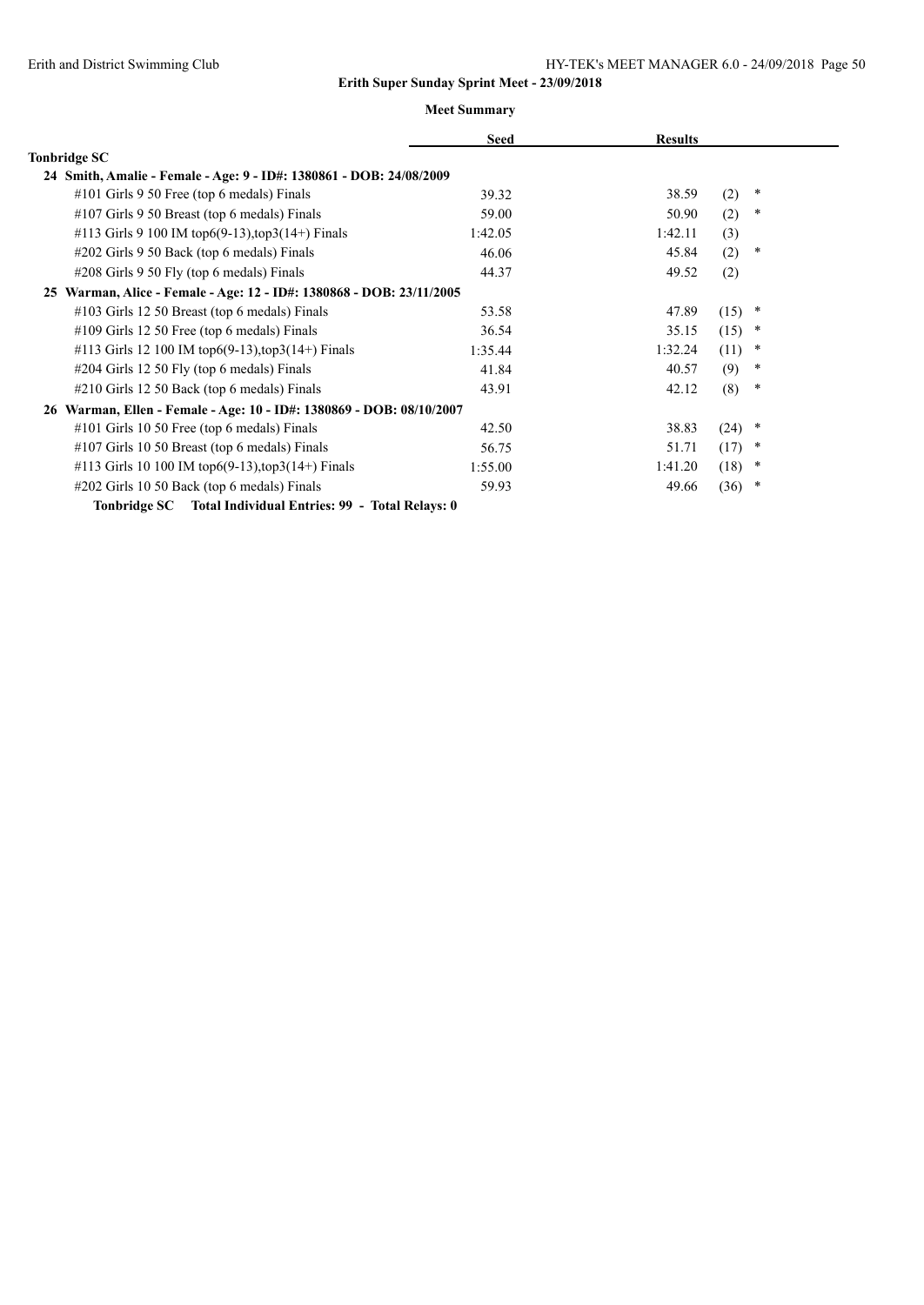|                                                                      | <b>Seed</b> | <b>Results</b> |                |  |
|----------------------------------------------------------------------|-------------|----------------|----------------|--|
| Tonbridge SC                                                         |             |                |                |  |
| 24 Smith, Amalie - Female - Age: 9 - ID#: 1380861 - DOB: 24/08/2009  |             |                |                |  |
| #101 Girls 9 50 Free (top 6 medals) Finals                           | 39.32       | 38.59          | (2)<br>$\ast$  |  |
| #107 Girls 9 50 Breast (top 6 medals) Finals                         | 59.00       | 50.90          | (2)<br>$\ast$  |  |
| #113 Girls 9 100 IM top6(9-13), top3(14+) Finals                     | 1:42.05     | 1:42.11        | (3)            |  |
| #202 Girls 9 50 Back (top 6 medals) Finals                           | 46.06       | 45.84          | (2)<br>∗       |  |
| #208 Girls 9 50 Fly (top 6 medals) Finals                            | 44.37       | 49.52          | (2)            |  |
| 25 Warman, Alice - Female - Age: 12 - ID#: 1380868 - DOB: 23/11/2005 |             |                |                |  |
| #103 Girls 12 50 Breast (top 6 medals) Finals                        | 53.58       | 47.89          | (15)<br>*      |  |
| $\#109$ Girls 12 50 Free (top 6 medals) Finals                       | 36.54       | 35.15          | (15)<br>$\ast$ |  |
| #113 Girls 12 100 IM top6(9-13), top3(14+) Finals                    | 1:35.44     | 1:32.24        | (11)<br>$\ast$ |  |
| #204 Girls 12 50 Fly (top 6 medals) Finals                           | 41.84       | 40.57          | (9)<br>$\ast$  |  |
| #210 Girls 12 50 Back (top 6 medals) Finals                          | 43.91       | 42.12          | (8)<br>$\ast$  |  |
| 26 Warman, Ellen - Female - Age: 10 - ID#: 1380869 - DOB: 08/10/2007 |             |                |                |  |
| $\#101$ Girls 10 50 Free (top 6 medals) Finals                       | 42.50       | 38.83          | (24)<br>*      |  |
| $\#107$ Girls 10 50 Breast (top 6 medals) Finals                     | 56.75       | 51.71          | (17)<br>*      |  |
| #113 Girls 10 100 IM top6(9-13), top3(14+) Finals                    | 1:55.00     | 1:41.20        | (18)<br>*      |  |
| #202 Girls 10 50 Back (top 6 medals) Finals                          | 59.93       | 49.66          | (36)<br>*      |  |
| Tonbridge SC Total Individual Entries: 99 - Total Relays: 0          |             |                |                |  |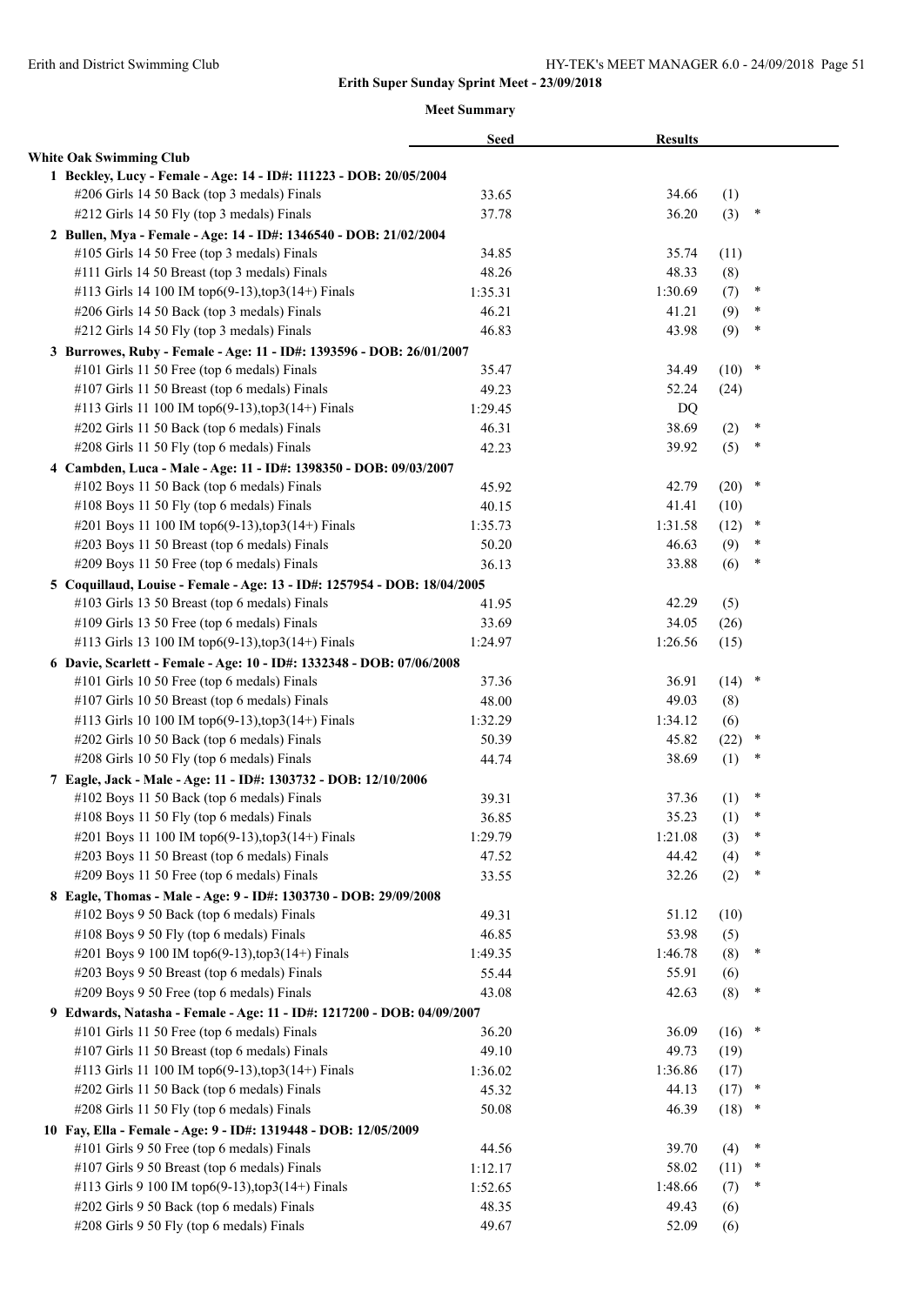|                                                                                             | <b>Seed</b>    | <b>Results</b>   |            |             |
|---------------------------------------------------------------------------------------------|----------------|------------------|------------|-------------|
| <b>White Oak Swimming Club</b>                                                              |                |                  |            |             |
| 1 Beckley, Lucy - Female - Age: 14 - ID#: 111223 - DOB: 20/05/2004                          |                |                  |            |             |
| #206 Girls 14 50 Back (top 3 medals) Finals                                                 | 33.65          | 34.66            | (1)        |             |
| #212 Girls 14 50 Fly (top 3 medals) Finals                                                  | 37.78          | 36.20            | (3)        | ∗           |
| 2 Bullen, Mya - Female - Age: 14 - ID#: 1346540 - DOB: 21/02/2004                           |                |                  |            |             |
| #105 Girls 14 50 Free (top 3 medals) Finals                                                 | 34.85          | 35.74            | (11)       |             |
| #111 Girls 14 50 Breast (top 3 medals) Finals                                               | 48.26          | 48.33            | (8)        |             |
| #113 Girls 14 100 IM top6(9-13),top3(14+) Finals                                            | 1:35.31        | 1:30.69          | (7)        | ∗           |
| #206 Girls 14 50 Back (top 3 medals) Finals                                                 | 46.21          | 41.21            | (9)        | *           |
| #212 Girls 14 50 Fly (top 3 medals) Finals                                                  | 46.83          | 43.98            | (9)        | $\ast$      |
| 3 Burrowes, Ruby - Female - Age: 11 - ID#: 1393596 - DOB: 26/01/2007                        |                |                  |            |             |
| #101 Girls 11 50 Free (top 6 medals) Finals                                                 | 35.47          | 34.49            | $(10)$ *   |             |
| #107 Girls 11 50 Breast (top 6 medals) Finals                                               | 49.23          | 52.24            | (24)       |             |
| #113 Girls 11 100 IM top6(9-13), top3(14+) Finals                                           | 1:29.45        | DQ               |            |             |
| #202 Girls 11 50 Back (top 6 medals) Finals                                                 | 46.31          | 38.69            | (2)        | ∗           |
| #208 Girls 11 50 Fly (top 6 medals) Finals                                                  | 42.23          | 39.92            | (5)        | $\ast$      |
| 4 Cambden, Luca - Male - Age: 11 - ID#: 1398350 - DOB: 09/03/2007                           |                |                  |            |             |
| #102 Boys 11 50 Back (top 6 medals) Finals                                                  | 45.92          | 42.79            | (20)       | $\ast$      |
| #108 Boys 11 50 Fly (top 6 medals) Finals                                                   | 40.15          | 41.41            | (10)       |             |
| #201 Boys 11 100 IM top6(9-13), top3(14+) Finals                                            | 1:35.73        | 1:31.58          | (12)       | $\ast$      |
| #203 Boys 11 50 Breast (top 6 medals) Finals                                                | 50.20          | 46.63            | (9)        | ∗           |
| #209 Boys 11 50 Free (top 6 medals) Finals                                                  | 36.13          | 33.88            | (6)        | $\ast$      |
| 5 Coquillaud, Louise - Female - Age: 13 - ID#: 1257954 - DOB: 18/04/2005                    |                |                  |            |             |
| #103 Girls 13 50 Breast (top 6 medals) Finals                                               | 41.95          | 42.29            | (5)        |             |
| #109 Girls 13 50 Free (top 6 medals) Finals                                                 | 33.69          | 34.05            | (26)       |             |
| #113 Girls 13 100 IM top6(9-13), top3(14+) Finals                                           | 1:24.97        | 1:26.56          | (15)       |             |
| 6 Davie, Scarlett - Female - Age: 10 - ID#: 1332348 - DOB: 07/06/2008                       |                |                  |            |             |
| #101 Girls 10 50 Free (top 6 medals) Finals                                                 | 37.36          | 36.91            | $(14)$ *   |             |
| #107 Girls 10 50 Breast (top 6 medals) Finals                                               | 48.00          | 49.03            | (8)        |             |
| #113 Girls 10 100 IM top6(9-13), top3(14+) Finals                                           | 1:32.29        | 1:34.12          | (6)        |             |
| #202 Girls 10 50 Back (top 6 medals) Finals                                                 | 50.39          | 45.82            | (22)       | $\ast$      |
| #208 Girls 10 50 Fly (top 6 medals) Finals                                                  | 44.74          | 38.69            | (1)        | *           |
| 7 Eagle, Jack - Male - Age: 11 - ID#: 1303732 - DOB: 12/10/2006                             |                |                  |            |             |
| #102 Boys 11 50 Back (top 6 medals) Finals                                                  | 39.31          | 37.36            | (1)        | ∗           |
| #108 Boys 11 50 Fly (top 6 medals) Finals                                                   | 36.85          | 35.23            | (1)        | ∗           |
| #201 Boys 11 100 IM top6(9-13), top3(14+) Finals                                            | 1:29.79        | 1:21.08          | (3)        | $\ast$<br>* |
| #203 Boys 11 50 Breast (top 6 medals) Finals                                                | 47.52          | 44.42            | (4)        | $\ast$      |
| #209 Boys 11 50 Free (top 6 medals) Finals                                                  | 33.55          | 32.26            | (2)        |             |
| 8 Eagle, Thomas - Male - Age: 9 - ID#: 1303730 - DOB: 29/09/2008                            |                |                  |            |             |
| #102 Boys 9 50 Back (top 6 medals) Finals                                                   | 49.31<br>46.85 | 51.12            | (10)       |             |
| #108 Boys 9 50 Fly (top 6 medals) Finals<br>#201 Boys 9 100 IM top6(9-13), top3(14+) Finals | 1:49.35        | 53.98<br>1:46.78 | (5)<br>(8) | $\ast$      |
| #203 Boys 9 50 Breast (top 6 medals) Finals                                                 | 55.44          | 55.91            | (6)        |             |
| #209 Boys 9 50 Free (top 6 medals) Finals                                                   | 43.08          | 42.63            | (8)        | ∗           |
| 9 Edwards, Natasha - Female - Age: 11 - ID#: 1217200 - DOB: 04/09/2007                      |                |                  |            |             |
| #101 Girls 11 50 Free (top 6 medals) Finals                                                 | 36.20          | 36.09            | (16)       | $\ast$      |
| #107 Girls 11 50 Breast (top 6 medals) Finals                                               | 49.10          | 49.73            | (19)       |             |
| #113 Girls 11 100 IM top6(9-13), top3(14+) Finals                                           | 1:36.02        | 1:36.86          | (17)       |             |
| #202 Girls 11 50 Back (top 6 medals) Finals                                                 | 45.32          | 44.13            | (17)       | ×           |
| #208 Girls 11 50 Fly (top 6 medals) Finals                                                  | 50.08          | 46.39            | (18)       | ×           |
| 10 Fay, Ella - Female - Age: 9 - ID#: 1319448 - DOB: 12/05/2009                             |                |                  |            |             |
| #101 Girls 9 50 Free (top 6 medals) Finals                                                  | 44.56          | 39.70            | (4)        | ∗           |
| #107 Girls 9 50 Breast (top 6 medals) Finals                                                | 1:12.17        | 58.02            | (11)       | $\ast$      |
| #113 Girls 9 100 IM top6(9-13), top3(14+) Finals                                            | 1:52.65        | 1:48.66          | (7)        | *           |
| #202 Girls 9 50 Back (top 6 medals) Finals                                                  | 48.35          | 49.43            | (6)        |             |
| #208 Girls 9 50 Fly (top 6 medals) Finals                                                   | 49.67          | 52.09            | (6)        |             |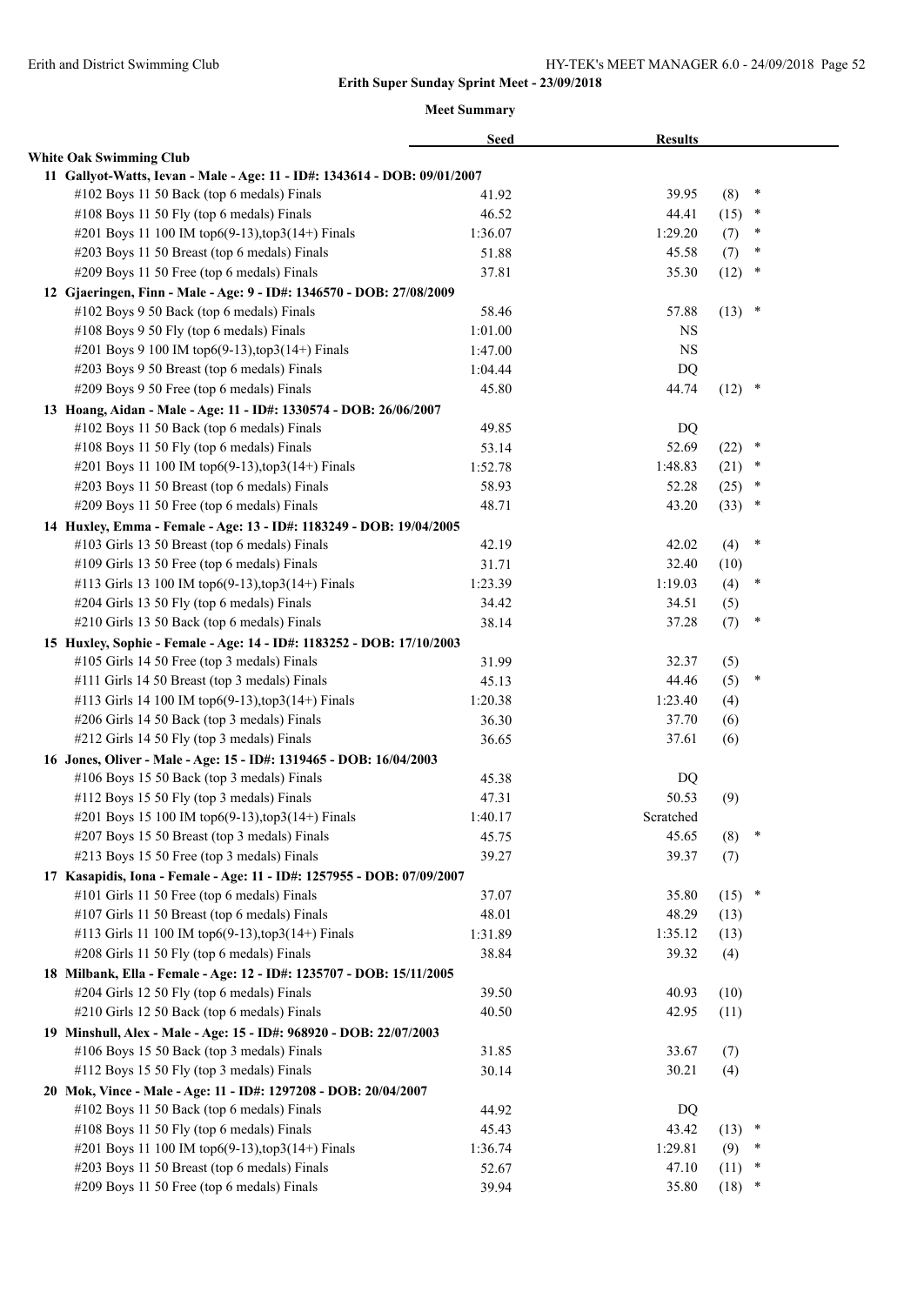|                                                                           | <b>Seed</b> | <b>Results</b> |          |        |  |
|---------------------------------------------------------------------------|-------------|----------------|----------|--------|--|
| <b>White Oak Swimming Club</b>                                            |             |                |          |        |  |
| 11 Gallyot-Watts, Ievan - Male - Age: 11 - ID#: 1343614 - DOB: 09/01/2007 |             |                |          |        |  |
| #102 Boys 11 50 Back (top 6 medals) Finals                                | 41.92       | 39.95          | (8)      | ×      |  |
| #108 Boys 11 50 Fly (top 6 medals) Finals                                 | 46.52       | 44.41          | (15)     | ×      |  |
| #201 Boys 11 100 IM top6(9-13), top3(14+) Finals                          | 1:36.07     | 1:29.20        | (7)      | $\ast$ |  |
| #203 Boys 11 50 Breast (top 6 medals) Finals                              | 51.88       | 45.58          | (7)      | $\ast$ |  |
| #209 Boys 11 50 Free (top 6 medals) Finals                                | 37.81       | 35.30          | (12)     | $\ast$ |  |
| 12 Gjaeringen, Finn - Male - Age: 9 - ID#: 1346570 - DOB: 27/08/2009      |             |                |          |        |  |
| #102 Boys 9 50 Back (top 6 medals) Finals                                 | 58.46       | 57.88          | $(13)$ * |        |  |
| #108 Boys 9 50 Fly (top 6 medals) Finals                                  | 1:01.00     | NS             |          |        |  |
| #201 Boys 9 100 IM top6(9-13), top3(14+) Finals                           | 1:47.00     | <b>NS</b>      |          |        |  |
| #203 Boys 9 50 Breast (top 6 medals) Finals                               | 1:04.44     | DQ             |          |        |  |
| #209 Boys 9 50 Free (top 6 medals) Finals                                 | 45.80       | 44.74          | $(12)$ * |        |  |
| 13 Hoang, Aidan - Male - Age: 11 - ID#: 1330574 - DOB: 26/06/2007         |             |                |          |        |  |
| #102 Boys 11 50 Back (top 6 medals) Finals                                | 49.85       | DQ             |          |        |  |
| #108 Boys 11 50 Fly (top 6 medals) Finals                                 | 53.14       | 52.69          | (22)     | $\ast$ |  |
| #201 Boys 11 100 IM top6(9-13), top3(14+) Finals                          | 1:52.78     | 1:48.83        | (21)     | ×      |  |
| #203 Boys 11 50 Breast (top 6 medals) Finals                              | 58.93       | 52.28          | (25)     | $\ast$ |  |
| #209 Boys 11 50 Free (top 6 medals) Finals                                | 48.71       | 43.20          | (33)     | *      |  |
| 14 Huxley, Emma - Female - Age: 13 - ID#: 1183249 - DOB: 19/04/2005       |             |                |          |        |  |
| #103 Girls 13 50 Breast (top 6 medals) Finals                             | 42.19       | 42.02          | (4)      | $\ast$ |  |
| #109 Girls 13 50 Free (top 6 medals) Finals                               | 31.71       | 32.40          | (10)     |        |  |
| #113 Girls 13 100 IM top6(9-13), top3(14+) Finals                         | 1:23.39     | 1:19.03        | (4)      | $\ast$ |  |
| #204 Girls 13 50 Fly (top 6 medals) Finals                                | 34.42       | 34.51          | (5)      |        |  |
| #210 Girls 13 50 Back (top 6 medals) Finals                               | 38.14       | 37.28          | (7)      | $\ast$ |  |
| 15 Huxley, Sophie - Female - Age: 14 - ID#: 1183252 - DOB: 17/10/2003     |             |                |          |        |  |
| #105 Girls 14 50 Free (top 3 medals) Finals                               | 31.99       | 32.37          | (5)      |        |  |
| #111 Girls 14 50 Breast (top 3 medals) Finals                             | 45.13       | 44.46          | (5)      | $\ast$ |  |
| #113 Girls 14 100 IM top6(9-13),top3(14+) Finals                          | 1:20.38     | 1:23.40        | (4)      |        |  |
| #206 Girls 14 50 Back (top 3 medals) Finals                               | 36.30       | 37.70          | (6)      |        |  |
| #212 Girls 14 50 Fly (top 3 medals) Finals                                | 36.65       | 37.61          | (6)      |        |  |
| 16 Jones, Oliver - Male - Age: 15 - ID#: 1319465 - DOB: 16/04/2003        |             |                |          |        |  |
| #106 Boys 15 50 Back (top 3 medals) Finals                                | 45.38       | DQ             |          |        |  |
| #112 Boys 15 50 Fly (top 3 medals) Finals                                 | 47.31       | 50.53          | (9)      |        |  |
| #201 Boys 15 100 IM top6(9-13), top3(14+) Finals                          | 1:40.17     | Scratched      |          |        |  |
| #207 Boys 15 50 Breast (top 3 medals) Finals                              | 45.75       | 45.65          | (8)      | ×      |  |
| #213 Boys 15 50 Free (top 3 medals) Finals                                | 39.27       | 39.37          | (7)      |        |  |
| 17 Kasapidis, Iona - Female - Age: 11 - ID#: 1257955 - DOB: 07/09/2007    |             |                |          |        |  |
| #101 Girls 11 50 Free (top 6 medals) Finals                               | 37.07       | 35.80          | $(15)$ * |        |  |
| #107 Girls 11 50 Breast (top 6 medals) Finals                             | 48.01       | 48.29          | (13)     |        |  |
| #113 Girls 11 100 IM top6(9-13), top3(14+) Finals                         | 1:31.89     | 1:35.12        | (13)     |        |  |
| #208 Girls 11 50 Fly (top 6 medals) Finals                                | 38.84       | 39.32          | (4)      |        |  |
| 18 Milbank, Ella - Female - Age: 12 - ID#: 1235707 - DOB: 15/11/2005      |             |                |          |        |  |
| #204 Girls 12 50 Fly (top 6 medals) Finals                                | 39.50       | 40.93          | (10)     |        |  |
| #210 Girls 12 50 Back (top 6 medals) Finals                               | 40.50       | 42.95          | (11)     |        |  |
| 19 Minshull, Alex - Male - Age: 15 - ID#: 968920 - DOB: 22/07/2003        |             |                |          |        |  |
| #106 Boys 15 50 Back (top 3 medals) Finals                                | 31.85       | 33.67          | (7)      |        |  |
| #112 Boys 15 50 Fly (top 3 medals) Finals                                 | 30.14       | 30.21          | (4)      |        |  |
| 20 Mok, Vince - Male - Age: 11 - ID#: 1297208 - DOB: 20/04/2007           |             |                |          |        |  |
| #102 Boys 11 50 Back (top 6 medals) Finals                                | 44.92       | DQ             |          |        |  |
| #108 Boys 11 50 Fly (top 6 medals) Finals                                 | 45.43       | 43.42          | (13)     | $\ast$ |  |
| #201 Boys 11 100 IM top6(9-13), top3(14+) Finals                          | 1:36.74     | 1:29.81        | (9)      | $\ast$ |  |
| #203 Boys 11 50 Breast (top 6 medals) Finals                              | 52.67       | 47.10          | (11)     | $\ast$ |  |
| #209 Boys 11 50 Free (top 6 medals) Finals                                | 39.94       | 35.80          | (18)     | $\ast$ |  |
|                                                                           |             |                |          |        |  |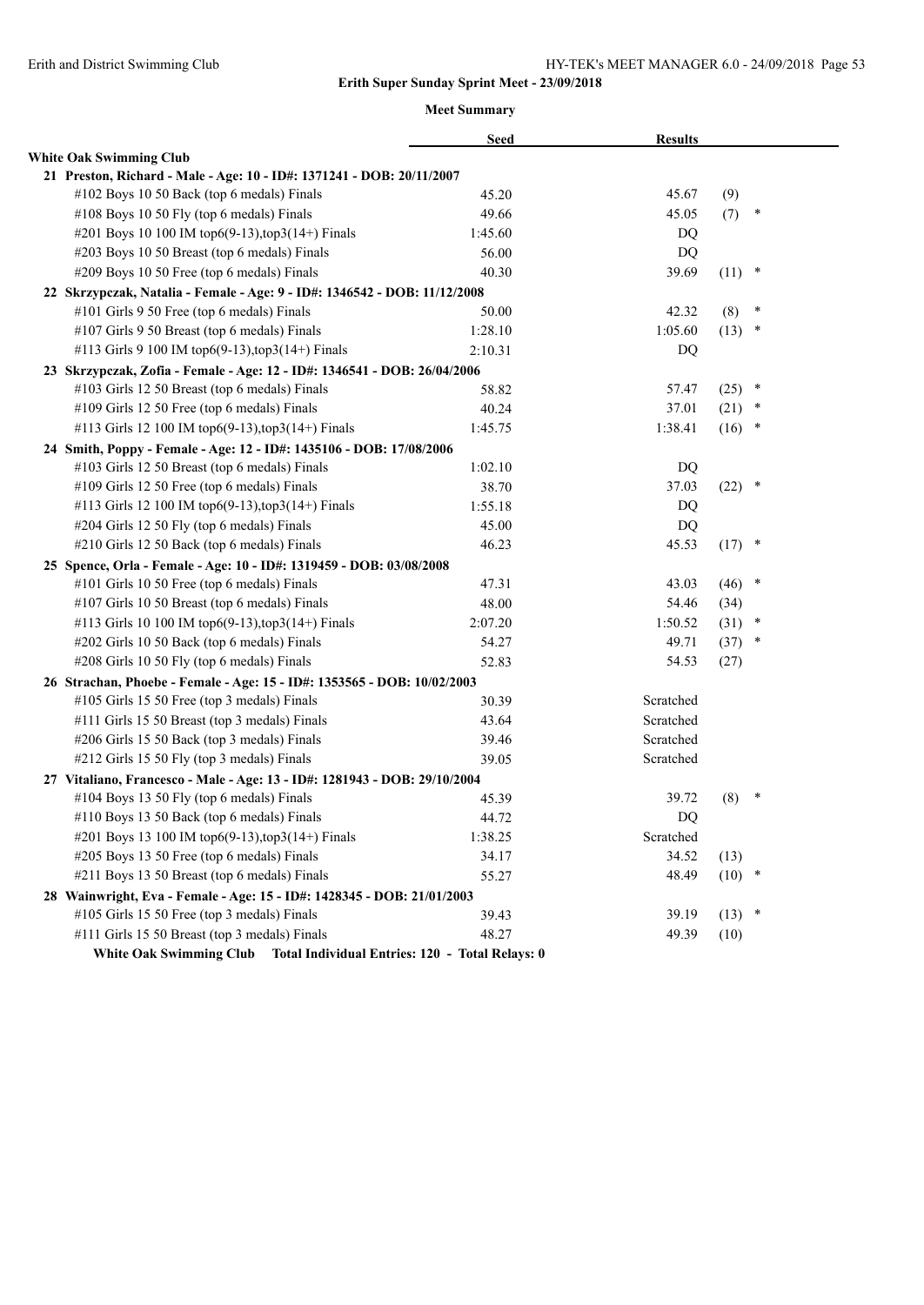#### **Meet Summary**

|  |                                                                           | <b>Seed</b> | <b>Results</b> |          |        |
|--|---------------------------------------------------------------------------|-------------|----------------|----------|--------|
|  | <b>White Oak Swimming Club</b>                                            |             |                |          |        |
|  | 21 Preston, Richard - Male - Age: 10 - ID#: 1371241 - DOB: 20/11/2007     |             |                |          |        |
|  | #102 Boys 10 50 Back (top 6 medals) Finals                                | 45.20       | 45.67          | (9)      |        |
|  | #108 Boys 10 50 Fly (top 6 medals) Finals                                 | 49.66       | 45.05          | (7)      | $\ast$ |
|  | #201 Boys 10 100 IM top6(9-13), top3(14+) Finals                          | 1:45.60     | DQ             |          |        |
|  | #203 Boys 10 50 Breast (top 6 medals) Finals                              | 56.00       | DQ             |          |        |
|  | #209 Boys 10 50 Free (top 6 medals) Finals                                | 40.30       | 39.69          | (11)     | $\ast$ |
|  | 22 Skrzypczak, Natalia - Female - Age: 9 - ID#: 1346542 - DOB: 11/12/2008 |             |                |          |        |
|  | #101 Girls 9 50 Free (top 6 medals) Finals                                | 50.00       | 42.32          | (8)      | $\ast$ |
|  | #107 Girls 9 50 Breast (top 6 medals) Finals                              | 1:28.10     | 1:05.60        | (13)     | $\ast$ |
|  | #113 Girls 9 100 IM top6(9-13), top3(14+) Finals                          | 2:10.31     | DQ             |          |        |
|  | 23 Skrzypczak, Zofia - Female - Age: 12 - ID#: 1346541 - DOB: 26/04/2006  |             |                |          |        |
|  | #103 Girls 12 50 Breast (top 6 medals) Finals                             | 58.82       | 57.47          | (25)     | $\ast$ |
|  | #109 Girls 12 50 Free (top 6 medals) Finals                               | 40.24       | 37.01          | (21)     | ∗      |
|  | #113 Girls 12 100 IM top6(9-13), top3(14+) Finals                         | 1:45.75     | 1:38.41        | (16)     | $\ast$ |
|  | 24 Smith, Poppy - Female - Age: 12 - ID#: 1435106 - DOB: 17/08/2006       |             |                |          |        |
|  | #103 Girls 12 50 Breast (top 6 medals) Finals                             | 1:02.10     | DQ             |          |        |
|  | #109 Girls 12 50 Free (top 6 medals) Finals                               | 38.70       | 37.03          | (22)     | $\ast$ |
|  | #113 Girls 12 100 IM top6(9-13), top3(14+) Finals                         | 1:55.18     | DQ             |          |        |
|  | #204 Girls 12 50 Fly (top 6 medals) Finals                                | 45.00       | DQ             |          |        |
|  | #210 Girls 12 50 Back (top 6 medals) Finals                               | 46.23       | 45.53          | (17)     | $\ast$ |
|  | 25 Spence, Orla - Female - Age: 10 - ID#: 1319459 - DOB: 03/08/2008       |             |                |          |        |
|  | #101 Girls 10 50 Free (top 6 medals) Finals                               | 47.31       | 43.03          | (46)     | *      |
|  | #107 Girls 10 50 Breast (top 6 medals) Finals                             | 48.00       | 54.46          | (34)     |        |
|  | #113 Girls 10 100 IM top6(9-13), top3(14+) Finals                         | 2:07.20     | 1:50.52        | (31)     | $\ast$ |
|  | #202 Girls 10 50 Back (top 6 medals) Finals                               | 54.27       | 49.71          | (37)     | $\ast$ |
|  | #208 Girls 10 50 Fly (top 6 medals) Finals                                | 52.83       | 54.53          | (27)     |        |
|  | 26 Strachan, Phoebe - Female - Age: 15 - ID#: 1353565 - DOB: 10/02/2003   |             |                |          |        |
|  | #105 Girls 15 50 Free (top 3 medals) Finals                               | 30.39       | Scratched      |          |        |
|  | #111 Girls 15 50 Breast (top 3 medals) Finals                             | 43.64       | Scratched      |          |        |
|  | #206 Girls 15 50 Back (top 3 medals) Finals                               | 39.46       | Scratched      |          |        |
|  | #212 Girls 15 50 Fly (top 3 medals) Finals                                | 39.05       | Scratched      |          |        |
|  | 27 Vitaliano, Francesco - Male - Age: 13 - ID#: 1281943 - DOB: 29/10/2004 |             |                |          |        |
|  | #104 Boys 13 50 Fly (top 6 medals) Finals                                 | 45.39       | 39.72          | (8)      | $\ast$ |
|  | #110 Boys 13 50 Back (top 6 medals) Finals                                | 44.72       | DQ             |          |        |
|  | #201 Boys 13 100 IM top6(9-13), top3(14+) Finals                          | 1:38.25     | Scratched      |          |        |
|  | #205 Boys 13 50 Free (top 6 medals) Finals                                | 34.17       | 34.52          | (13)     |        |
|  | #211 Boys 13 50 Breast (top 6 medals) Finals                              | 55.27       | 48.49          | $(10)$ * |        |
|  | 28 Wainwright, Eva - Female - Age: 15 - ID#: 1428345 - DOB: 21/01/2003    |             |                |          |        |
|  | #105 Girls 15 50 Free (top 3 medals) Finals                               | 39.43       | 39.19          | $(13)$ * |        |
|  | #111 Girls 15 50 Breast (top 3 medals) Finals                             | 48.27       | 49.39          | (10)     |        |
|  |                                                                           |             |                |          |        |

**White Oak Swimming Club Total Individual Entries: 120 - Total Relays: 0**